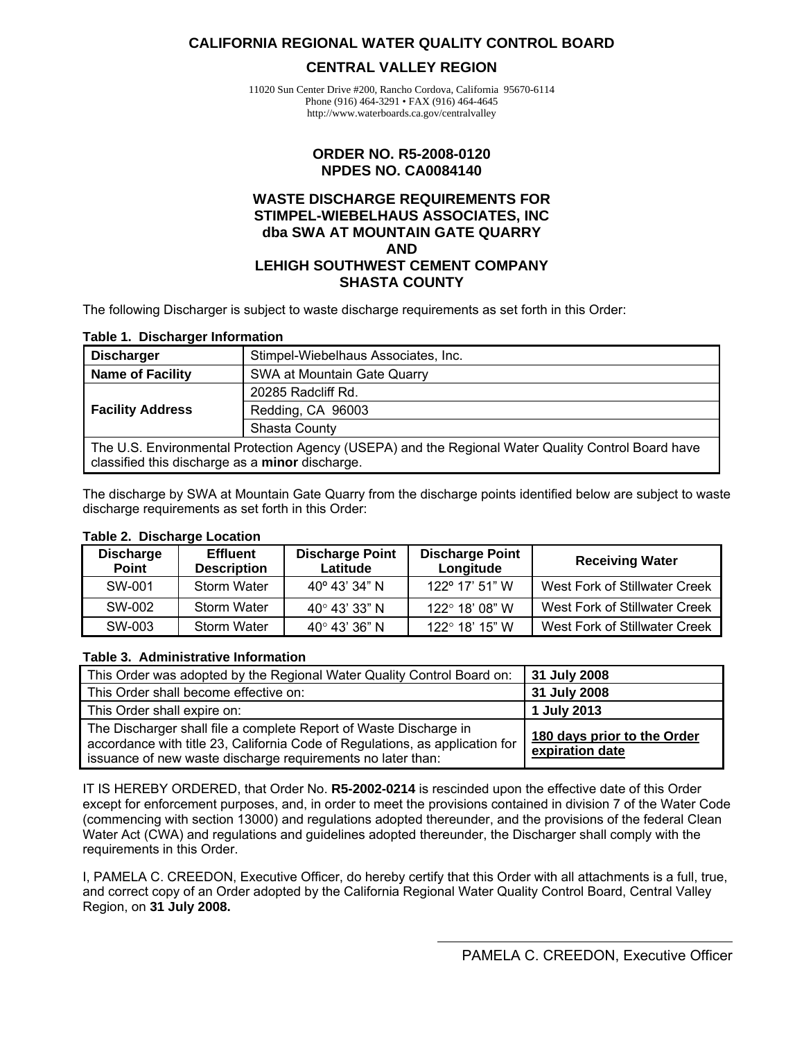#### <span id="page-0-0"></span>**CALIFORNIA REGIONAL WATER QUALITY CONTROL BOARD**

#### **CENTRAL VALLEY REGION**

11020 Sun Center Drive #200, Rancho Cordova, California 95670-6114 Phone (916) 464-3291 • FAX (916) 464-4645 http://www.waterboards.ca.gov/centralvalley

#### **ORDER NO. R5-2008-0120 NPDES NO. CA0084140**

#### **WASTE DISCHARGE REQUIREMENTS FOR STIMPEL-WIEBELHAUS ASSOCIATES, INC dba SWA AT MOUNTAIN GATE QUARRY AND LEHIGH SOUTHWEST CEMENT COMPANY SHASTA COUNTY**

The following Discharger is subject to waste discharge requirements as set forth in this Order:

#### **Table 1. Discharger Information**

| <b>Discharger</b>                                                                                                                                     | Stimpel-Wiebelhaus Associates, Inc. |  |
|-------------------------------------------------------------------------------------------------------------------------------------------------------|-------------------------------------|--|
| Name of Facility                                                                                                                                      | SWA at Mountain Gate Quarry         |  |
|                                                                                                                                                       | 20285 Radcliff Rd.                  |  |
| <b>Facility Address</b>                                                                                                                               | Redding, CA 96003                   |  |
|                                                                                                                                                       | Shasta County                       |  |
| The U.S. Environmental Protection Agency (USEPA) and the Regional Water Quality Control Board have<br>classified this discharge as a minor discharge. |                                     |  |

The discharge by SWA at Mountain Gate Quarry from the discharge points identified below are subject to waste discharge requirements as set forth in this Order:

#### **Table 2. Discharge Location**

| <b>Discharge</b><br><b>Point</b> | <b>Effluent</b><br><b>Description</b> | <b>Discharge Point</b><br>Latitude | <b>Discharge Point</b><br>Longitude | <b>Receiving Water</b>        |
|----------------------------------|---------------------------------------|------------------------------------|-------------------------------------|-------------------------------|
| SW-001                           | <b>Storm Water</b>                    | $40^{\circ}$ 43' 34" N             | $122^{\circ}$ 17' 51" W             | West Fork of Stillwater Creek |
| SW-002                           | Storm Water                           | 40° 43' 33" N                      | 122° 18' 08" W                      | West Fork of Stillwater Creek |
| SW-003                           | Storm Water                           | $40^{\circ}$ 43' 36" N             | $122^{\circ}$ 18' 15" W             | West Fork of Stillwater Creek |

#### **Table 3. Administrative Information**

| This Order was adopted by the Regional Water Quality Control Board on:                                                                                                                                           | 31 July 2008                                   |
|------------------------------------------------------------------------------------------------------------------------------------------------------------------------------------------------------------------|------------------------------------------------|
| This Order shall become effective on:                                                                                                                                                                            | 31 July 2008                                   |
| This Order shall expire on:                                                                                                                                                                                      | 1 July 2013                                    |
| The Discharger shall file a complete Report of Waste Discharge in<br>accordance with title 23, California Code of Regulations, as application for<br>issuance of new waste discharge requirements no later than: | 180 days prior to the Order<br>expiration date |

IT IS HEREBY ORDERED, that Order No. **R5-2002-0214** is rescinded upon the effective date of this Order except for enforcement purposes, and, in order to meet the provisions contained in division 7 of the Water Code (commencing with section 13000) and regulations adopted thereunder, and the provisions of the federal Clean Water Act (CWA) and regulations and guidelines adopted thereunder, the Discharger shall comply with the requirements in this Order.

I, PAMELA C. CREEDON, Executive Officer, do hereby certify that this Order with all attachments is a full, true, and correct copy of an Order adopted by the California Regional Water Quality Control Board, Central Valley Region, on **31 July 2008.**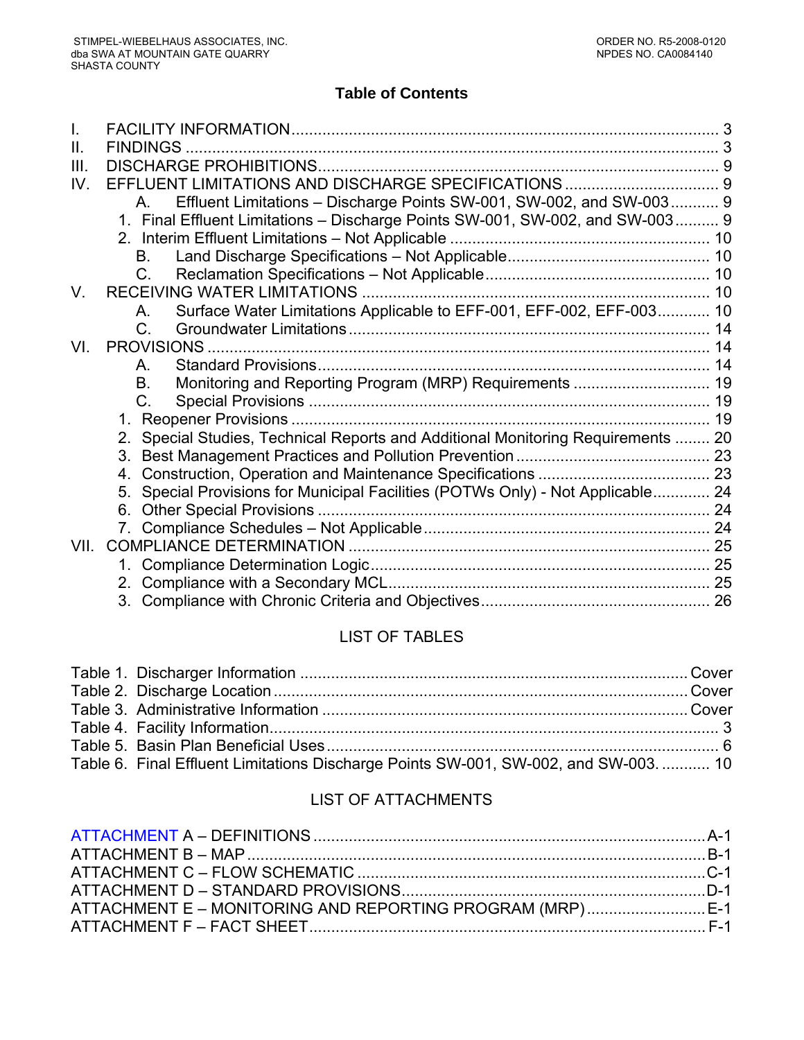## **Table of Contents**

| H.   |                                                                                    |  |
|------|------------------------------------------------------------------------------------|--|
| III. |                                                                                    |  |
| IV.  |                                                                                    |  |
|      | Effluent Limitations - Discharge Points SW-001, SW-002, and SW-003 9               |  |
|      | 1. Final Effluent Limitations - Discharge Points SW-001, SW-002, and SW-003 9      |  |
|      |                                                                                    |  |
|      | В.                                                                                 |  |
|      | C.                                                                                 |  |
| V.   |                                                                                    |  |
|      | Surface Water Limitations Applicable to EFF-001, EFF-002, EFF-003 10<br>А.         |  |
|      | $C_{\cdot}$                                                                        |  |
| VI.  |                                                                                    |  |
|      | Α.                                                                                 |  |
|      | Monitoring and Reporting Program (MRP) Requirements  19<br>В.                      |  |
|      | C.                                                                                 |  |
|      |                                                                                    |  |
|      | 2. Special Studies, Technical Reports and Additional Monitoring Requirements  20   |  |
|      |                                                                                    |  |
|      | 4.                                                                                 |  |
|      | Special Provisions for Municipal Facilities (POTWs Only) - Not Applicable 24<br>5. |  |
|      |                                                                                    |  |
|      |                                                                                    |  |
| VII. |                                                                                    |  |
|      |                                                                                    |  |
|      |                                                                                    |  |
|      |                                                                                    |  |
|      |                                                                                    |  |

# LIST OF TABLES

| Table 6. Final Effluent Limitations Discharge Points SW-001, SW-002, and SW-003.  10 |  |
|--------------------------------------------------------------------------------------|--|

# LIST OF ATTACHMENTS

| ATTACHMENT E – MONITORING AND REPORTING PROGRAM (MRP) E-1 |  |
|-----------------------------------------------------------|--|
|                                                           |  |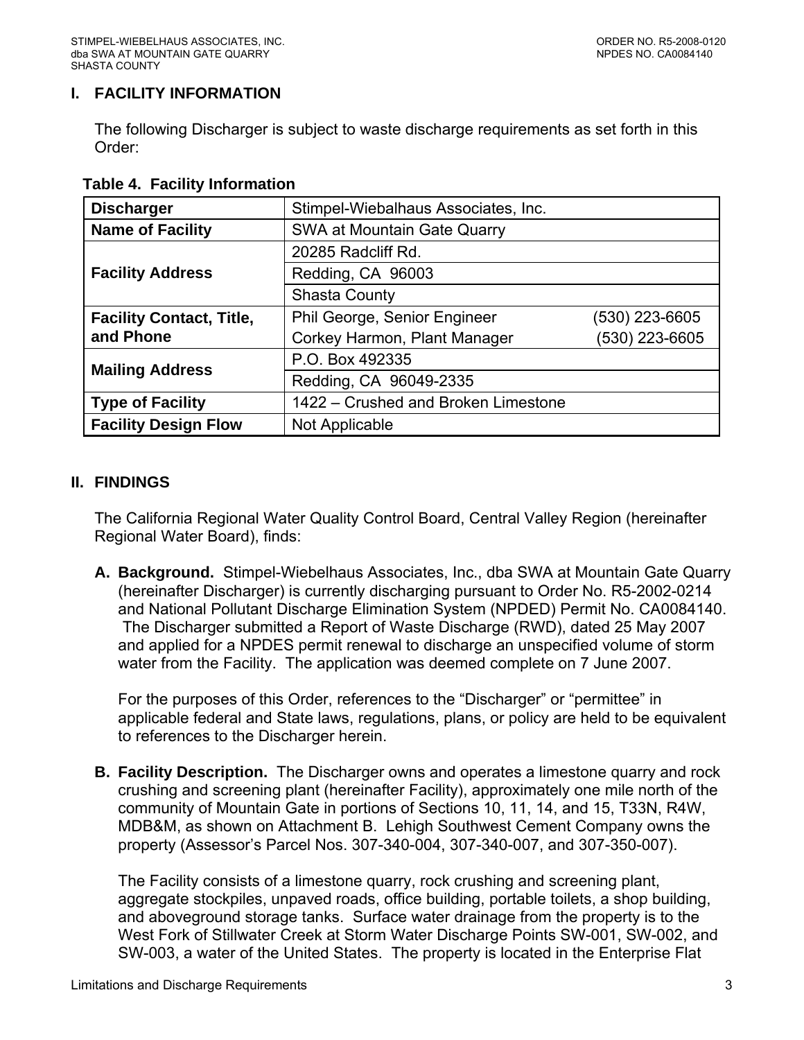## <span id="page-2-0"></span>**I. FACILITY INFORMATION**

The following Discharger is subject to waste discharge requirements as set forth in this Order:

| <b>Discharger</b>               | Stimpel-Wiebalhaus Associates, Inc. |                |  |
|---------------------------------|-------------------------------------|----------------|--|
| <b>Name of Facility</b>         | SWA at Mountain Gate Quarry         |                |  |
|                                 | 20285 Radcliff Rd.                  |                |  |
| <b>Facility Address</b>         | Redding, CA 96003                   |                |  |
|                                 | <b>Shasta County</b>                |                |  |
| <b>Facility Contact, Title,</b> | Phil George, Senior Engineer        | (530) 223-6605 |  |
| and Phone                       | Corkey Harmon, Plant Manager        | (530) 223-6605 |  |
| <b>Mailing Address</b>          | P.O. Box 492335                     |                |  |
|                                 | Redding, CA 96049-2335              |                |  |
| <b>Type of Facility</b>         | 1422 - Crushed and Broken Limestone |                |  |
| <b>Facility Design Flow</b>     | Not Applicable                      |                |  |

## **Table 4. Facility Information**

### **II. FINDINGS**

The California Regional Water Quality Control Board, Central Valley Region (hereinafter Regional Water Board), finds:

**A. Background.** Stimpel-Wiebelhaus Associates, Inc., dba SWA at Mountain Gate Quarry (hereinafter Discharger) is currently discharging pursuant to Order No. R5-2002-0214 and National Pollutant Discharge Elimination System (NPDED) Permit No. CA0084140. The Discharger submitted a Report of Waste Discharge (RWD), dated 25 May 2007 and applied for a NPDES permit renewal to discharge an unspecified volume of storm water from the Facility. The application was deemed complete on 7 June 2007.

For the purposes of this Order, references to the "Discharger" or "permittee" in applicable federal and State laws, regulations, plans, or policy are held to be equivalent to references to the Discharger herein.

**B. Facility Description.** The Discharger owns and operates a limestone quarry and rock crushing and screening plant (hereinafter Facility), approximately one mile north of the community of Mountain Gate in portions of Sections 10, 11, 14, and 15, T33N, R4W, MDB&M, as shown on Attachment B. Lehigh Southwest Cement Company owns the property (Assessor's Parcel Nos. 307-340-004, 307-340-007, and 307-350-007).

The Facility consists of a limestone quarry, rock crushing and screening plant, aggregate stockpiles, unpaved roads, office building, portable toilets, a shop building, and aboveground storage tanks. Surface water drainage from the property is to the West Fork of Stillwater Creek at Storm Water Discharge Points SW-001, SW-002, and SW-003, a water of the United States. The property is located in the Enterprise Flat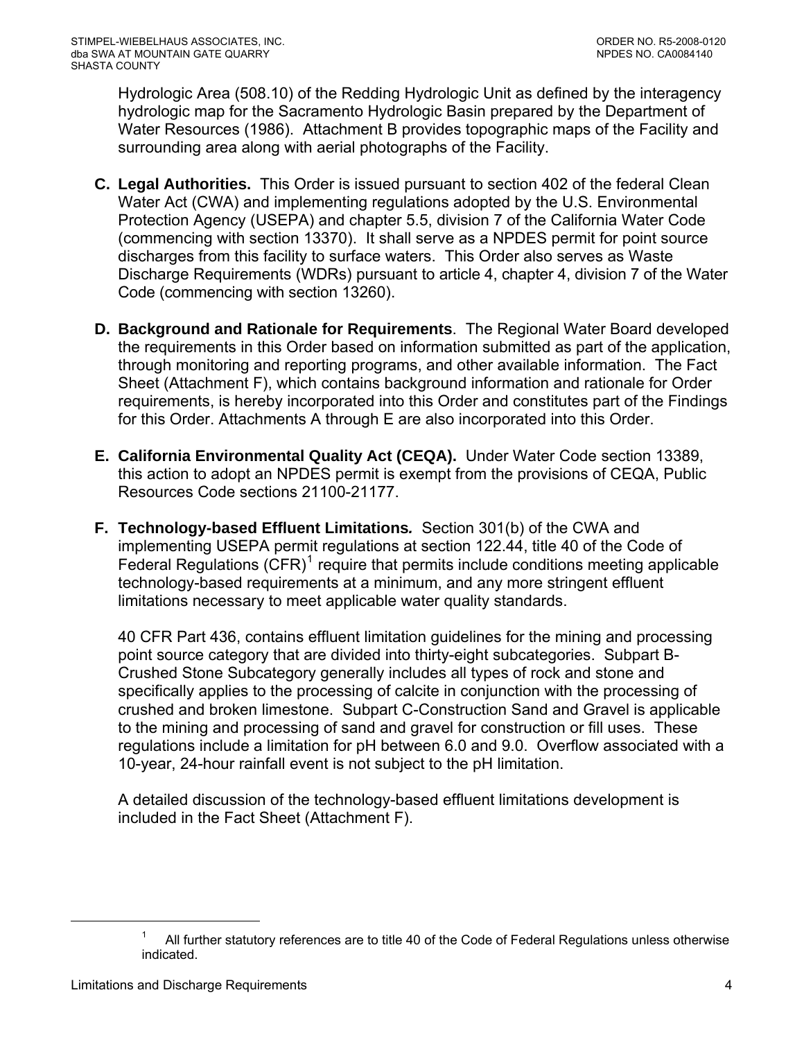Hydrologic Area (508.10) of the Redding Hydrologic Unit as defined by the interagency hydrologic map for the Sacramento Hydrologic Basin prepared by the Department of Water Resources (1986). Attachment B provides topographic maps of the Facility and surrounding area along with aerial photographs of the Facility.

- **C. Legal Authorities.** This Order is issued pursuant to section 402 of the federal Clean Water Act (CWA) and implementing regulations adopted by the U.S. Environmental Protection Agency (USEPA) and chapter 5.5, division 7 of the California Water Code (commencing with section 13370). It shall serve as a NPDES permit for point source discharges from this facility to surface waters. This Order also serves as Waste Discharge Requirements (WDRs) pursuant to article 4, chapter 4, division 7 of the Water Code (commencing with section 13260).
- **D. Background and Rationale for Requirements**. The Regional Water Board developed the requirements in this Order based on information submitted as part of the application, through monitoring and reporting programs, and other available information. The Fact Sheet (Attachment F), which contains background information and rationale for Order requirements, is hereby incorporated into this Order and constitutes part of the Findings for this Order. Attachments A through E are also incorporated into this Order.
- **E. California Environmental Quality Act (CEQA).** Under Water Code section 13389, this action to adopt an NPDES permit is exempt from the provisions of CEQA, Public Resources Code sections 21100-21177.
- **F. Technology-based Effluent Limitations***.* Section 301(b) of the CWA and implementing USEPA permit regulations at section 122.44, title 40 of the Code of Federal Regulations  $(CFR)^1$  $(CFR)^1$  require that permits include conditions meeting applicable technology-based requirements at a minimum, and any more stringent effluent limitations necessary to meet applicable water quality standards.

40 CFR Part 436, contains effluent limitation guidelines for the mining and processing point source category that are divided into thirty-eight subcategories. Subpart B-Crushed Stone Subcategory generally includes all types of rock and stone and specifically applies to the processing of calcite in conjunction with the processing of crushed and broken limestone. Subpart C-Construction Sand and Gravel is applicable to the mining and processing of sand and gravel for construction or fill uses. These regulations include a limitation for pH between 6.0 and 9.0. Overflow associated with a 10-year, 24-hour rainfall event is not subject to the pH limitation.

A detailed discussion of the technology-based effluent limitations development is included in the Fact Sheet (Attachment F).

 $\overline{a}$ 

<sup>1</sup> All further statutory references are to title 40 of the Code of Federal Regulations unless otherwise indicated.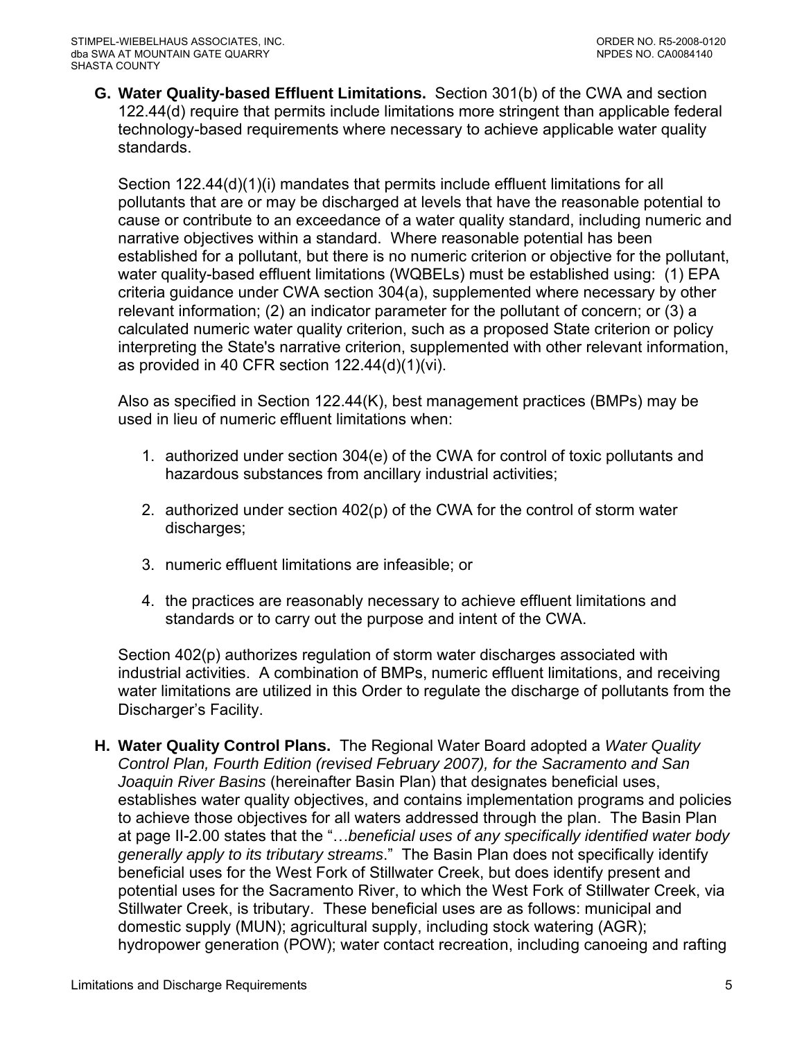**G. Water Quality-based Effluent Limitations.** Section 301(b) of the CWA and section 122.44(d) require that permits include limitations more stringent than applicable federal technology-based requirements where necessary to achieve applicable water quality standards.

Section 122.44(d)(1)(i) mandates that permits include effluent limitations for all pollutants that are or may be discharged at levels that have the reasonable potential to cause or contribute to an exceedance of a water quality standard, including numeric and narrative objectives within a standard. Where reasonable potential has been established for a pollutant, but there is no numeric criterion or objective for the pollutant, water quality-based effluent limitations (WQBELs) must be established using: (1) EPA criteria guidance under CWA section 304(a), supplemented where necessary by other relevant information; (2) an indicator parameter for the pollutant of concern; or (3) a calculated numeric water quality criterion, such as a proposed State criterion or policy interpreting the State's narrative criterion, supplemented with other relevant information, as provided in 40 CFR section 122.44(d)(1)(vi).

Also as specified in Section 122.44(K), best management practices (BMPs) may be used in lieu of numeric effluent limitations when:

- 1. authorized under section 304(e) of the CWA for control of toxic pollutants and hazardous substances from ancillary industrial activities;
- 2. authorized under section 402(p) of the CWA for the control of storm water discharges;
- 3. numeric effluent limitations are infeasible; or
- 4. the practices are reasonably necessary to achieve effluent limitations and standards or to carry out the purpose and intent of the CWA.

Section 402(p) authorizes regulation of storm water discharges associated with industrial activities. A combination of BMPs, numeric effluent limitations, and receiving water limitations are utilized in this Order to regulate the discharge of pollutants from the Discharger's Facility.

<span id="page-4-0"></span>**H. Water Quality Control Plans.** The Regional Water Board adopted a *Water Quality Control Plan, Fourth Edition (revised February 2007), for the Sacramento and San Joaquin River Basins* (hereinafter Basin Plan) that designates beneficial uses, establishes water quality objectives, and contains implementation programs and policies to achieve those objectives for all waters addressed through the plan. The Basin Plan at page II-2.00 states that the "…*beneficial uses of any specifically identified water body generally apply to its tributary streams*." The Basin Plan does not specifically identify beneficial uses for the West Fork of Stillwater Creek, but does identify present and potential uses for the Sacramento River, to which the West Fork of Stillwater Creek, via Stillwater Creek, is tributary. These beneficial uses are as follows: municipal and domestic supply (MUN); agricultural supply, including stock watering (AGR); hydropower generation (POW); water contact recreation, including canoeing and rafting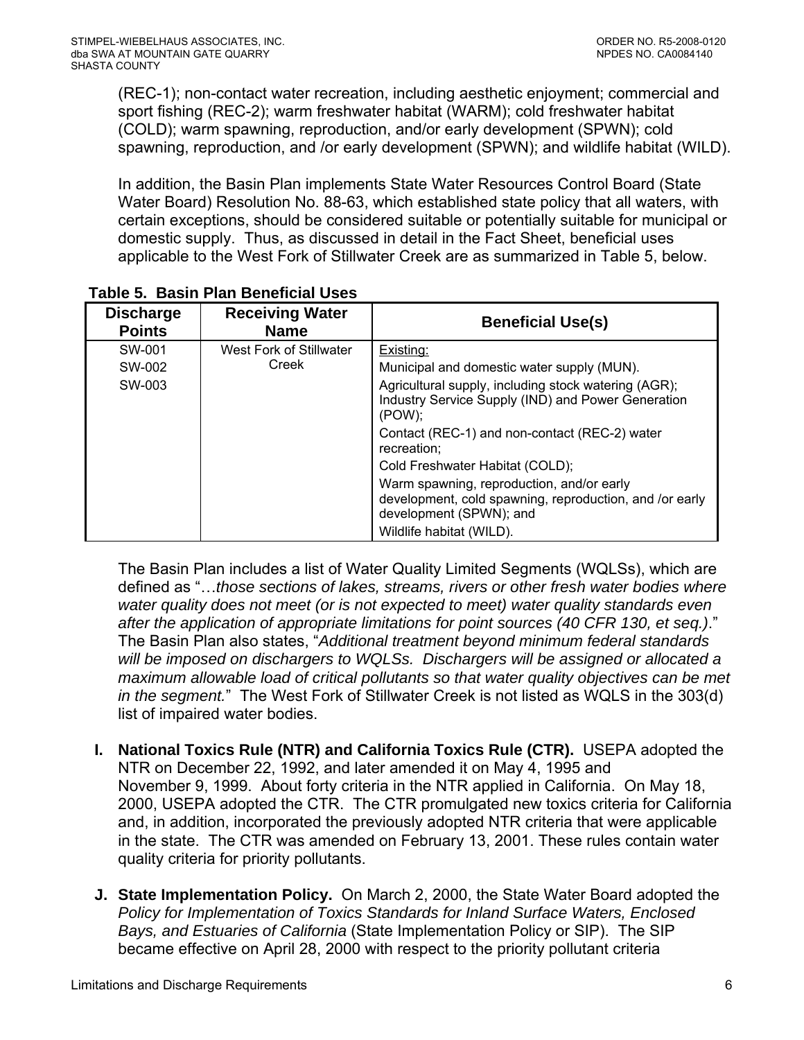<span id="page-5-0"></span>(REC-1); non-contact water recreation, including aesthetic enjoyment; commercial and sport fishing (REC-2); warm freshwater habitat (WARM); cold freshwater habitat (COLD); warm spawning, reproduction, and/or early development (SPWN); cold spawning, reproduction, and /or early development (SPWN); and wildlife habitat (WILD).

In addition, the Basin Plan implements State Water Resources Control Board (State Water Board) Resolution No. 88-63, which established state policy that all waters, with certain exceptions, should be considered suitable or potentially suitable for municipal or domestic supply. Thus, as discussed in detail in the Fact Sheet, beneficial uses applicable to the West Fork of Stillwater Creek are as summarized in Table 5, below.

| <b>Discharge</b><br><b>Points</b> | <b>Receiving Water</b><br><b>Name</b> | <b>Beneficial Use(s)</b>                                                                                                        |
|-----------------------------------|---------------------------------------|---------------------------------------------------------------------------------------------------------------------------------|
| SW-001                            | West Fork of Stillwater               | Existing:                                                                                                                       |
| SW-002                            | Creek                                 | Municipal and domestic water supply (MUN).                                                                                      |
| SW-003                            |                                       | Agricultural supply, including stock watering (AGR);<br>Industry Service Supply (IND) and Power Generation<br>$(POW)$ :         |
|                                   |                                       | Contact (REC-1) and non-contact (REC-2) water<br>recreation:                                                                    |
|                                   |                                       | Cold Freshwater Habitat (COLD);                                                                                                 |
|                                   |                                       | Warm spawning, reproduction, and/or early<br>development, cold spawning, reproduction, and /or early<br>development (SPWN); and |
|                                   |                                       | Wildlife habitat (WILD).                                                                                                        |

**Table 5. Basin Plan Beneficial Uses** 

The Basin Plan includes a list of Water Quality Limited Segments (WQLSs), which are defined as "…*those sections of lakes, streams, rivers or other fresh water bodies where water quality does not meet (or is not expected to meet) water quality standards even after the application of appropriate limitations for point sources (40 CFR 130, et seq.)*." The Basin Plan also states, "*Additional treatment beyond minimum federal standards will be imposed on dischargers to WQLSs. Dischargers will be assigned or allocated a maximum allowable load of critical pollutants so that water quality objectives can be met in the segment.*" The West Fork of Stillwater Creek is not listed as WQLS in the 303(d) list of impaired water bodies.

- **I. National Toxics Rule (NTR) and California Toxics Rule (CTR).** USEPA adopted the NTR on December 22, 1992, and later amended it on May 4, 1995 and November 9, 1999. About forty criteria in the NTR applied in California. On May 18, 2000, USEPA adopted the CTR. The CTR promulgated new toxics criteria for California and, in addition, incorporated the previously adopted NTR criteria that were applicable in the state. The CTR was amended on February 13, 2001. These rules contain water quality criteria for priority pollutants.
- **J. State Implementation Policy.** On March 2, 2000, the State Water Board adopted the *Policy for Implementation of Toxics Standards for Inland Surface Waters, Enclosed Bays, and Estuaries of California* (State Implementation Policy or SIP). The SIP became effective on April 28, 2000 with respect to the priority pollutant criteria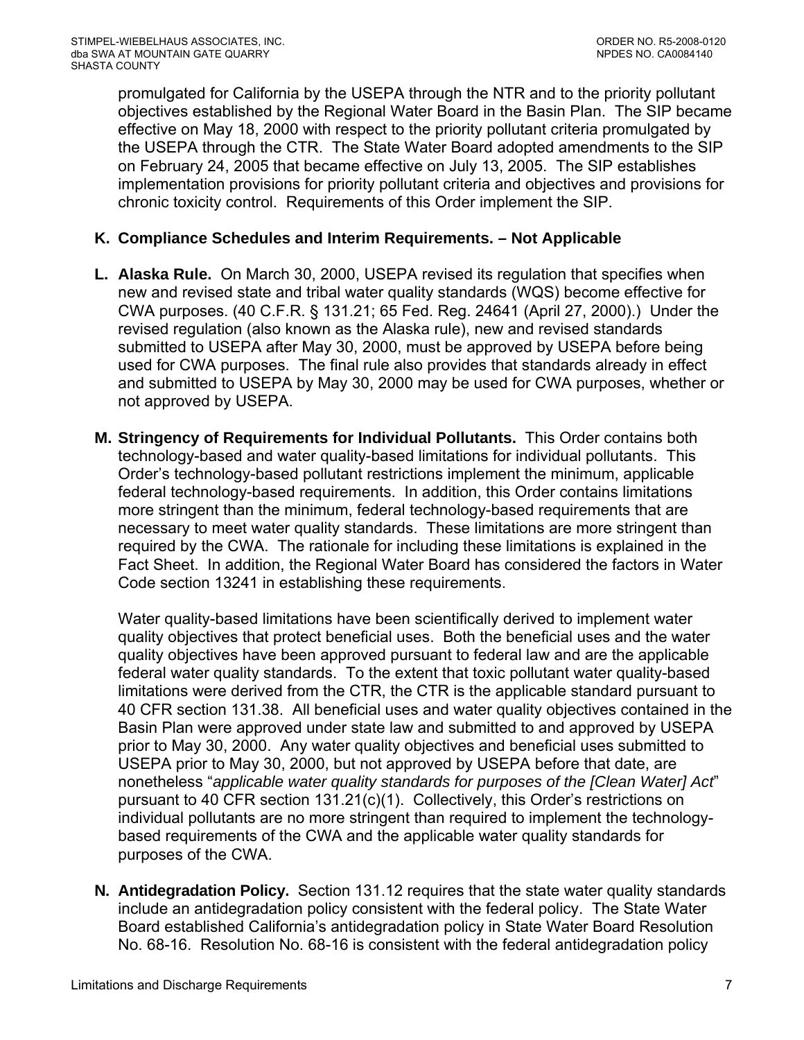promulgated for California by the USEPA through the NTR and to the priority pollutant objectives established by the Regional Water Board in the Basin Plan. The SIP became effective on May 18, 2000 with respect to the priority pollutant criteria promulgated by the USEPA through the CTR. The State Water Board adopted amendments to the SIP on February 24, 2005 that became effective on July 13, 2005. The SIP establishes implementation provisions for priority pollutant criteria and objectives and provisions for chronic toxicity control. Requirements of this Order implement the SIP.

## **K. Compliance Schedules and Interim Requirements. – Not Applicable**

- **L. Alaska Rule.** On March 30, 2000, USEPA revised its regulation that specifies when new and revised state and tribal water quality standards (WQS) become effective for CWA purposes. (40 C.F.R. § 131.21; 65 Fed. Reg. 24641 (April 27, 2000).) Under the revised regulation (also known as the Alaska rule), new and revised standards submitted to USEPA after May 30, 2000, must be approved by USEPA before being used for CWA purposes. The final rule also provides that standards already in effect and submitted to USEPA by May 30, 2000 may be used for CWA purposes, whether or not approved by USEPA.
- **M. Stringency of Requirements for Individual Pollutants.** This Order contains both technology-based and water quality-based limitations for individual pollutants. This Order's technology-based pollutant restrictions implement the minimum, applicable federal technology-based requirements. In addition, this Order contains limitations more stringent than the minimum, federal technology-based requirements that are necessary to meet water quality standards. These limitations are more stringent than required by the CWA. The rationale for including these limitations is explained in the Fact Sheet. In addition, the Regional Water Board has considered the factors in Water Code section 13241 in establishing these requirements.

Water quality-based limitations have been scientifically derived to implement water quality objectives that protect beneficial uses. Both the beneficial uses and the water quality objectives have been approved pursuant to federal law and are the applicable federal water quality standards. To the extent that toxic pollutant water quality-based limitations were derived from the CTR, the CTR is the applicable standard pursuant to 40 CFR section 131.38. All beneficial uses and water quality objectives contained in the Basin Plan were approved under state law and submitted to and approved by USEPA prior to May 30, 2000. Any water quality objectives and beneficial uses submitted to USEPA prior to May 30, 2000, but not approved by USEPA before that date, are nonetheless "*applicable water quality standards for purposes of the [Clean Water] Act*" pursuant to 40 CFR section 131.21(c)(1). Collectively, this Order's restrictions on individual pollutants are no more stringent than required to implement the technologybased requirements of the CWA and the applicable water quality standards for purposes of the CWA.

**N. Antidegradation Policy.** Section 131.12 requires that the state water quality standards include an antidegradation policy consistent with the federal policy. The State Water Board established California's antidegradation policy in State Water Board Resolution No. 68-16. Resolution No. 68-16 is consistent with the federal antidegradation policy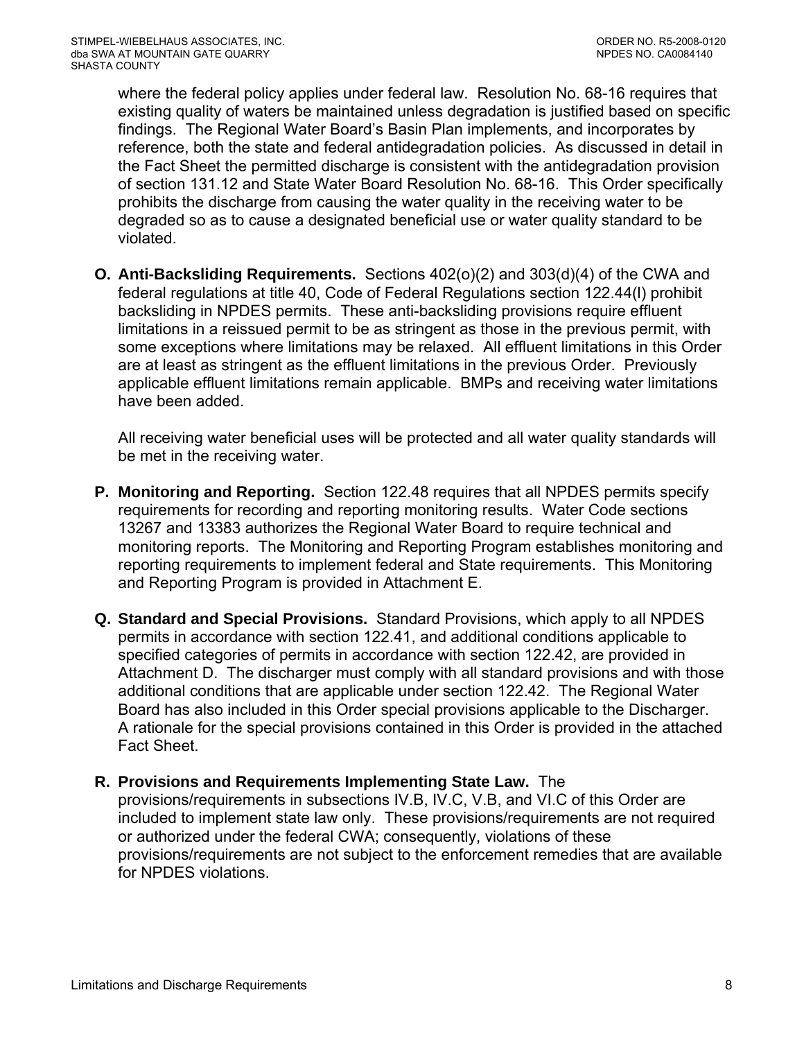where the federal policy applies under federal law. Resolution No. 68-16 requires that existing quality of waters be maintained unless degradation is justified based on specific findings. The Regional Water Board's Basin Plan implements, and incorporates by reference, both the state and federal antidegradation policies. As discussed in detail in the Fact Sheet the permitted discharge is consistent with the antidegradation provision of section 131.12 and State Water Board Resolution No. 68-16. This Order specifically prohibits the discharge from causing the water quality in the receiving water to be degraded so as to cause a designated beneficial use or water quality standard to be violated.

**O. Anti-Backsliding Requirements.** Sections 402(o)(2) and 303(d)(4) of the CWA and federal regulations at title 40, Code of Federal Regulations section 122.44(l) prohibit backsliding in NPDES permits. These anti-backsliding provisions require effluent limitations in a reissued permit to be as stringent as those in the previous permit, with some exceptions where limitations may be relaxed. All effluent limitations in this Order are at least as stringent as the effluent limitations in the previous Order. Previously applicable effluent limitations remain applicable. BMPs and receiving water limitations have been added.

All receiving water beneficial uses will be protected and all water quality standards will be met in the receiving water.

- **P. Monitoring and Reporting.** Section 122.48 requires that all NPDES permits specify requirements for recording and reporting monitoring results. Water Code sections 13267 and 13383 authorizes the Regional Water Board to require technical and monitoring reports. The Monitoring and Reporting Program establishes monitoring and reporting requirements to implement federal and State requirements. This Monitoring and Reporting Program is provided in Attachment E.
- **Q. Standard and Special Provisions.** Standard Provisions, which apply to all NPDES permits in accordance with section 122.41, and additional conditions applicable to specified categories of permits in accordance with section 122.42, are provided in Attachment D. The discharger must comply with all standard provisions and with those additional conditions that are applicable under section 122.42. The Regional Water Board has also included in this Order special provisions applicable to the Discharger. A rationale for the special provisions contained in this Order is provided in the attached Fact Sheet.
- **R. Provisions and Requirements Implementing State Law.** The provisions/requirements in subsections IV.B, IV.C, V.B, and VI.C of this Order are included to implement state law only. These provisions/requirements are not required or authorized under the federal CWA; consequently, violations of these provisions/requirements are not subject to the enforcement remedies that are available for NPDES violations.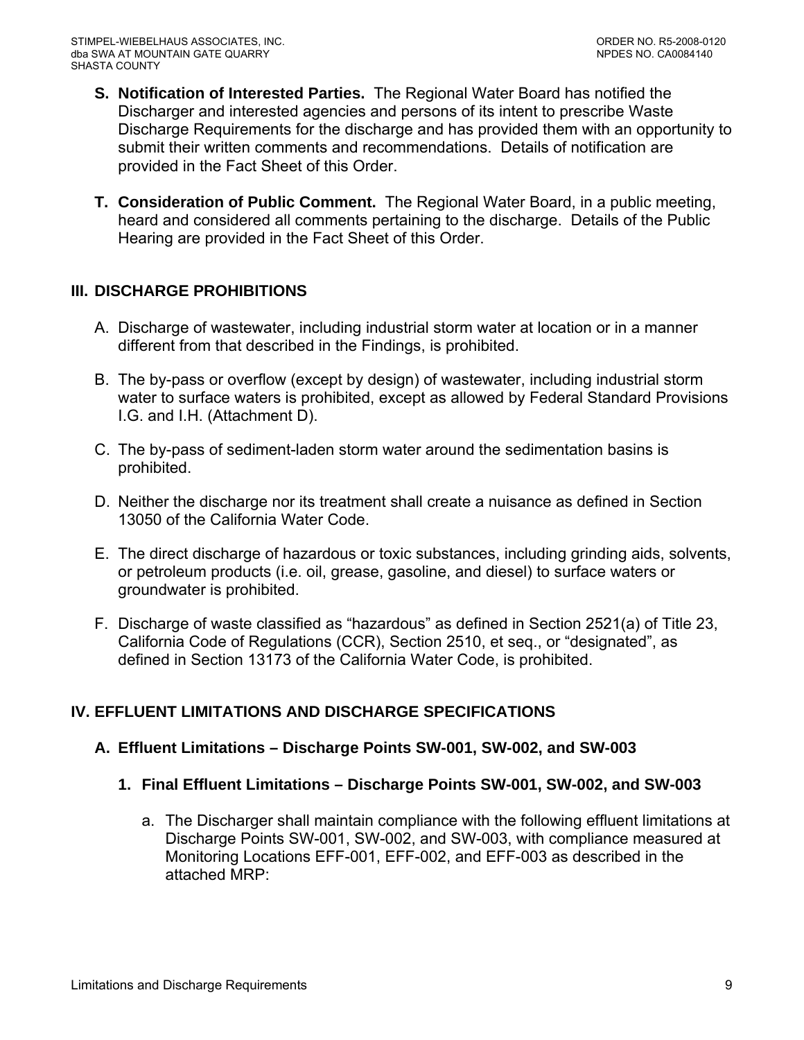- <span id="page-8-0"></span>**S. Notification of Interested Parties.** The Regional Water Board has notified the Discharger and interested agencies and persons of its intent to prescribe Waste Discharge Requirements for the discharge and has provided them with an opportunity to submit their written comments and recommendations. Details of notification are provided in the Fact Sheet of this Order.
- **T. Consideration of Public Comment.** The Regional Water Board, in a public meeting, heard and considered all comments pertaining to the discharge. Details of the Public Hearing are provided in the Fact Sheet of this Order.

# **III. DISCHARGE PROHIBITIONS**

- A. Discharge of wastewater, including industrial storm water at location or in a manner different from that described in the Findings, is prohibited.
- B. The by-pass or overflow (except by design) of wastewater, including industrial storm water to surface waters is prohibited, except as allowed by Federal Standard Provisions [I.G.](#page-34-0) and [I.H.](#page-35-0) (Attachment D).
- C. The by-pass of sediment-laden storm water around the sedimentation basins is prohibited.
- D. Neither the discharge nor its treatment shall create a nuisance as defined in Section 13050 of the California Water Code.
- E. The direct discharge of hazardous or toxic substances, including grinding aids, solvents, or petroleum products (i.e. oil, grease, gasoline, and diesel) to surface waters or groundwater is prohibited.
- F. Discharge of waste classified as "hazardous" as defined in Section 2521(a) of Title 23, California Code of Regulations (CCR), Section 2510, et seq., or "designated", as defined in Section 13173 of the California Water Code, is prohibited.

# **IV. EFFLUENT LIMITATIONS AND DISCHARGE SPECIFICATIONS**

### **A. Effluent Limitations – Discharge Points SW-001, SW-002, and SW-003**

- **1. Final Effluent Limitations Discharge Points SW-001, SW-002, and SW-003** 
	- a. The Discharger shall maintain compliance with the following effluent limitations at Discharge Points SW-001, SW-002, and SW-003, with compliance measured at Monitoring Locations EFF-001, EFF-002, and EFF-003 as described in the attached MRP: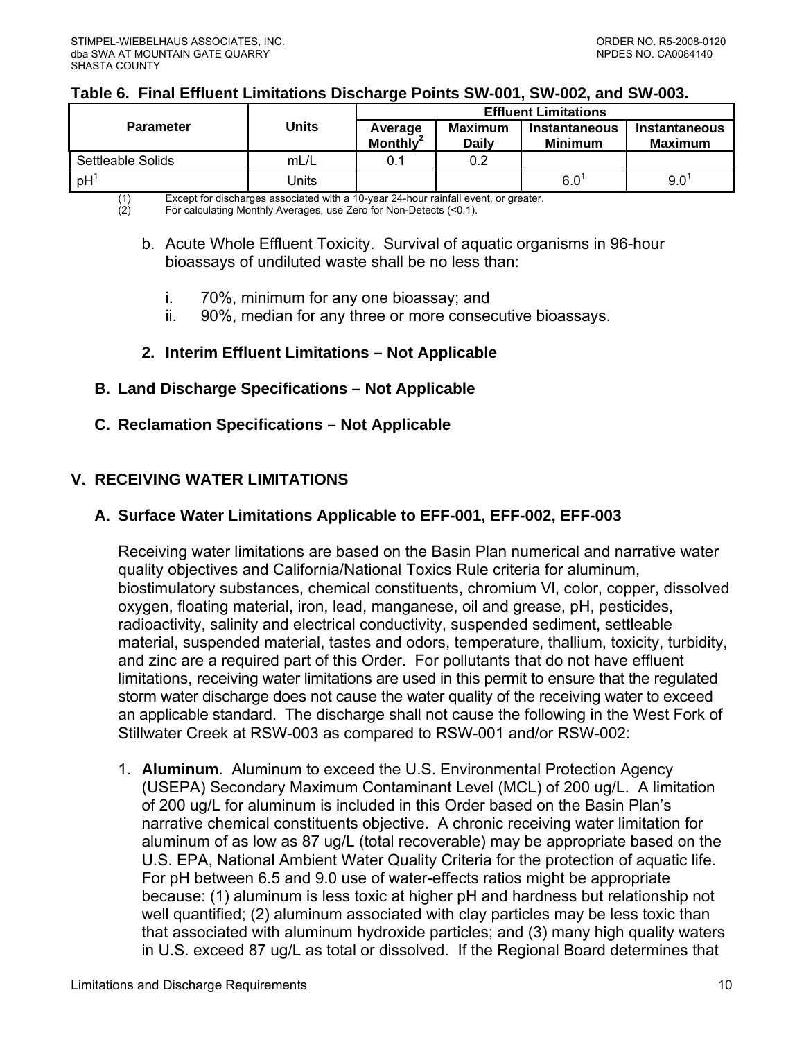#### <span id="page-9-0"></span>**Table 6. Final Effluent Limitations Discharge Points SW-001, SW-002, and SW-003.**

|                   |       | <b>Effluent Limitations</b>     |                         |                                 |                          |  |
|-------------------|-------|---------------------------------|-------------------------|---------------------------------|--------------------------|--|
| <b>Parameter</b>  | Units | Average<br>Monthly <sup>2</sup> | Maximum<br><b>Daily</b> | Instantaneous<br><b>Minimum</b> | Instantaneous<br>Maximum |  |
| Settleable Solids | mL/L  | 0.1                             | 0.2                     |                                 |                          |  |
| $pH$ <sup>1</sup> | Units |                                 |                         | 6.0                             | 9.0                      |  |

(1) Except for discharges associated with a 10-year 24-hour rainfall event, or greater.<br>(2) For calculating Monthly Averages, use Zero for Non-Detects (<0.1).

(2) For calculating Monthly Averages, use Zero for Non-Detects (<0.1).

- b. Acute Whole Effluent Toxicity. Survival of aquatic organisms in 96-hour bioassays of undiluted waste shall be no less than:
	- i. 70%, minimum for any one bioassay; and
	- ii. 90%, median for any three or more consecutive bioassays.

## **2. Interim Effluent Limitations – Not Applicable**

**B. Land Discharge Specifications – Not Applicable** 

## **C. Reclamation Specifications – Not Applicable**

# **V. RECEIVING WATER LIMITATIONS**

## **A. Surface Water Limitations Applicable to EFF-001, EFF-002, EFF-003**

Receiving water limitations are based on the Basin Plan numerical and narrative water quality objectives and California/National Toxics Rule criteria for aluminum, biostimulatory substances, chemical constituents, chromium Vl, color, copper, dissolved oxygen, floating material, iron, lead, manganese, oil and grease, pH, pesticides, radioactivity, salinity and electrical conductivity, suspended sediment, settleable material, suspended material, tastes and odors, temperature, thallium, toxicity, turbidity, and zinc are a required part of this Order. For pollutants that do not have effluent limitations, receiving water limitations are used in this permit to ensure that the regulated storm water discharge does not cause the water quality of the receiving water to exceed an applicable standard. The discharge shall not cause the following in the West Fork of Stillwater Creek at RSW-003 as compared to RSW-001 and/or RSW-002:

1. **Aluminum**. Aluminum to exceed the U.S. Environmental Protection Agency (USEPA) Secondary Maximum Contaminant Level (MCL) of 200 ug/L. A limitation of 200 ug/L for aluminum is included in this Order based on the Basin Plan's narrative chemical constituents objective. A chronic receiving water limitation for aluminum of as low as 87 ug/L (total recoverable) may be appropriate based on the U.S. EPA, National Ambient Water Quality Criteria for the protection of aquatic life. For pH between 6.5 and 9.0 use of water-effects ratios might be appropriate because: (1) aluminum is less toxic at higher pH and hardness but relationship not well quantified; (2) aluminum associated with clay particles may be less toxic than that associated with aluminum hydroxide particles; and (3) many high quality waters in U.S. exceed 87 ug/L as total or dissolved. If the Regional Board determines that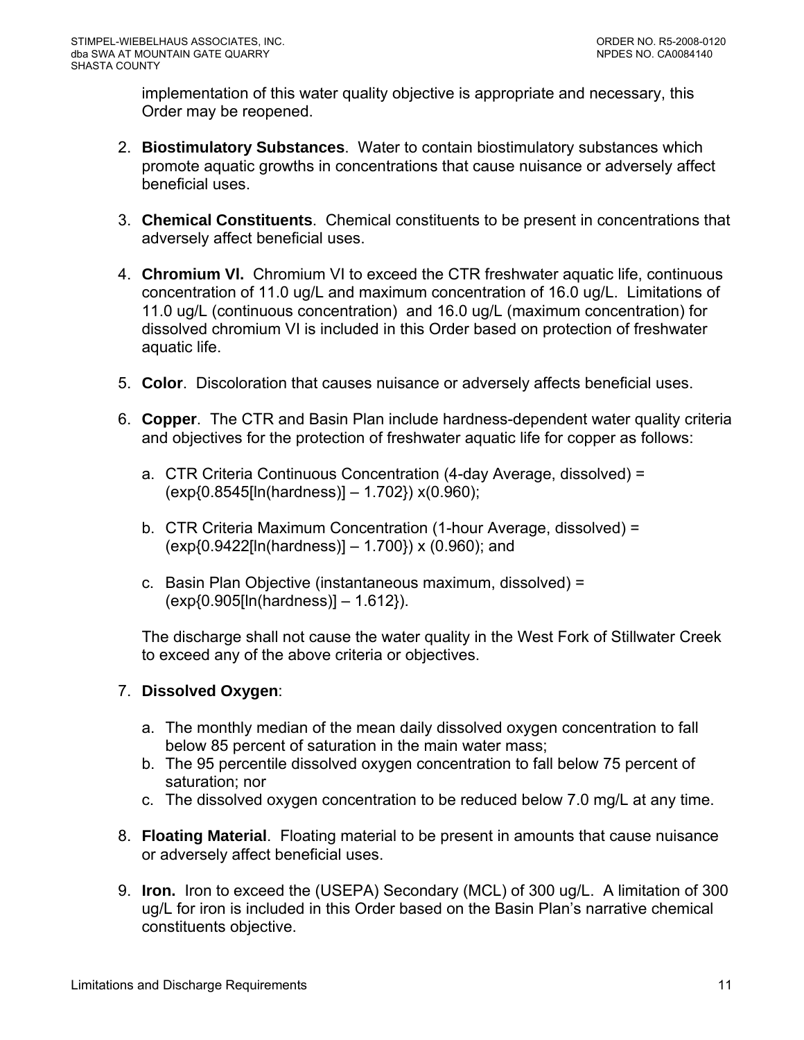implementation of this water quality objective is appropriate and necessary, this Order may be reopened.

- 2. **Biostimulatory Substances**. Water to contain biostimulatory substances which promote aquatic growths in concentrations that cause nuisance or adversely affect beneficial uses.
- 3. **Chemical Constituents**. Chemical constituents to be present in concentrations that adversely affect beneficial uses.
- 4. **Chromium Vl.** Chromium VI to exceed the CTR freshwater aquatic life, continuous concentration of 11.0 ug/L and maximum concentration of 16.0 ug/L. Limitations of 11.0 ug/L (continuous concentration) and 16.0 ug/L (maximum concentration) for dissolved chromium VI is included in this Order based on protection of freshwater aquatic life.
- 5. **Color**. Discoloration that causes nuisance or adversely affects beneficial uses.
- 6. **Copper**. The CTR and Basin Plan include hardness-dependent water quality criteria and objectives for the protection of freshwater aquatic life for copper as follows:
	- a. CTR Criteria Continuous Concentration (4-day Average, dissolved) = (exp{0.8545[ln(hardness)] – 1.702}) x(0.960);
	- b. CTR Criteria Maximum Concentration (1-hour Average, dissolved) =  $(exp{0.9422}$ [ln(hardness)]  $- 1.700$ }) x (0.960); and
	- c. Basin Plan Objective (instantaneous maximum, dissolved) = (exp{0.905[ln(hardness)] – 1.612}).

The discharge shall not cause the water quality in the West Fork of Stillwater Creek to exceed any of the above criteria or objectives.

# 7. **Dissolved Oxygen**:

- a. The monthly median of the mean daily dissolved oxygen concentration to fall below 85 percent of saturation in the main water mass;
- b. The 95 percentile dissolved oxygen concentration to fall below 75 percent of saturation; nor
- c. The dissolved oxygen concentration to be reduced below 7.0 mg/L at any time.
- 8. **Floating Material**. Floating material to be present in amounts that cause nuisance or adversely affect beneficial uses.
- 9. **Iron.** Iron to exceed the (USEPA) Secondary (MCL) of 300 ug/L. A limitation of 300 ug/L for iron is included in this Order based on the Basin Plan's narrative chemical constituents objective.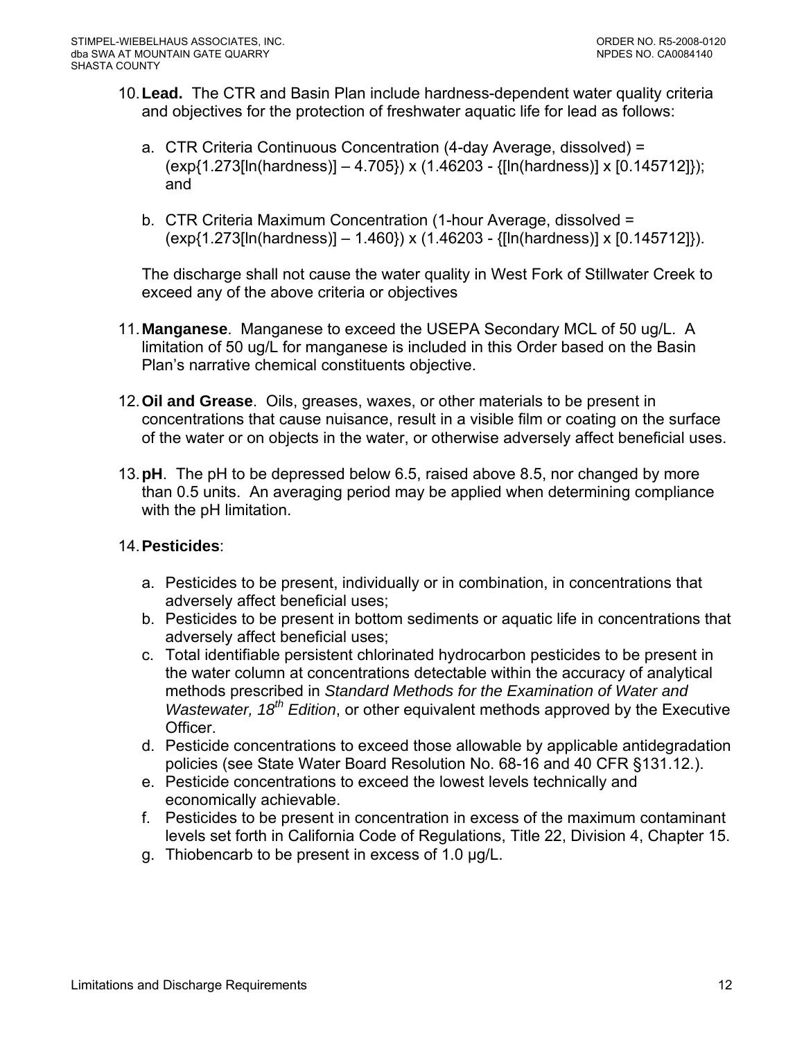- 10. **Lead.** The CTR and Basin Plan include hardness-dependent water quality criteria and objectives for the protection of freshwater aquatic life for lead as follows:
	- a. CTR Criteria Continuous Concentration (4-day Average, dissolved) = (exp{1.273[ln(hardness)] – 4.705}) x (1.46203 - {[ln(hardness)] x [0.145712]}); and
	- b. CTR Criteria Maximum Concentration (1-hour Average, dissolved = (exp{1.273[ln(hardness)] – 1.460}) x (1.46203 - {[ln(hardness)] x [0.145712]}).

The discharge shall not cause the water quality in West Fork of Stillwater Creek to exceed any of the above criteria or objectives

- 11. **Manganese**. Manganese to exceed the USEPA Secondary MCL of 50 ug/L. A limitation of 50 ug/L for manganese is included in this Order based on the Basin Plan's narrative chemical constituents objective.
- 12. **Oil and Grease**. Oils, greases, waxes, or other materials to be present in concentrations that cause nuisance, result in a visible film or coating on the surface of the water or on objects in the water, or otherwise adversely affect beneficial uses.
- 13.**pH**. The pH to be depressed below 6.5, raised above 8.5, nor changed by more than 0.5 units. An averaging period may be applied when determining compliance with the pH limitation.

# 14. **Pesticides**:

- a. Pesticides to be present, individually or in combination, in concentrations that adversely affect beneficial uses;
- b. Pesticides to be present in bottom sediments or aquatic life in concentrations that adversely affect beneficial uses;
- c. Total identifiable persistent chlorinated hydrocarbon pesticides to be present in the water column at concentrations detectable within the accuracy of analytical methods prescribed in *Standard Methods for the Examination of Water and Wastewater, 18<sup>th</sup> Edition*, or other equivalent methods approved by the Executive Officer.
- d. Pesticide concentrations to exceed those allowable by applicable antidegradation policies (see State Water Board Resolution No. 68-16 and 40 CFR §131.12.).
- e. Pesticide concentrations to exceed the lowest levels technically and economically achievable.
- f. Pesticides to be present in concentration in excess of the maximum contaminant levels set forth in California Code of Regulations, Title 22, Division 4, Chapter 15.
- g. Thiobencarb to be present in excess of 1.0 µg/L.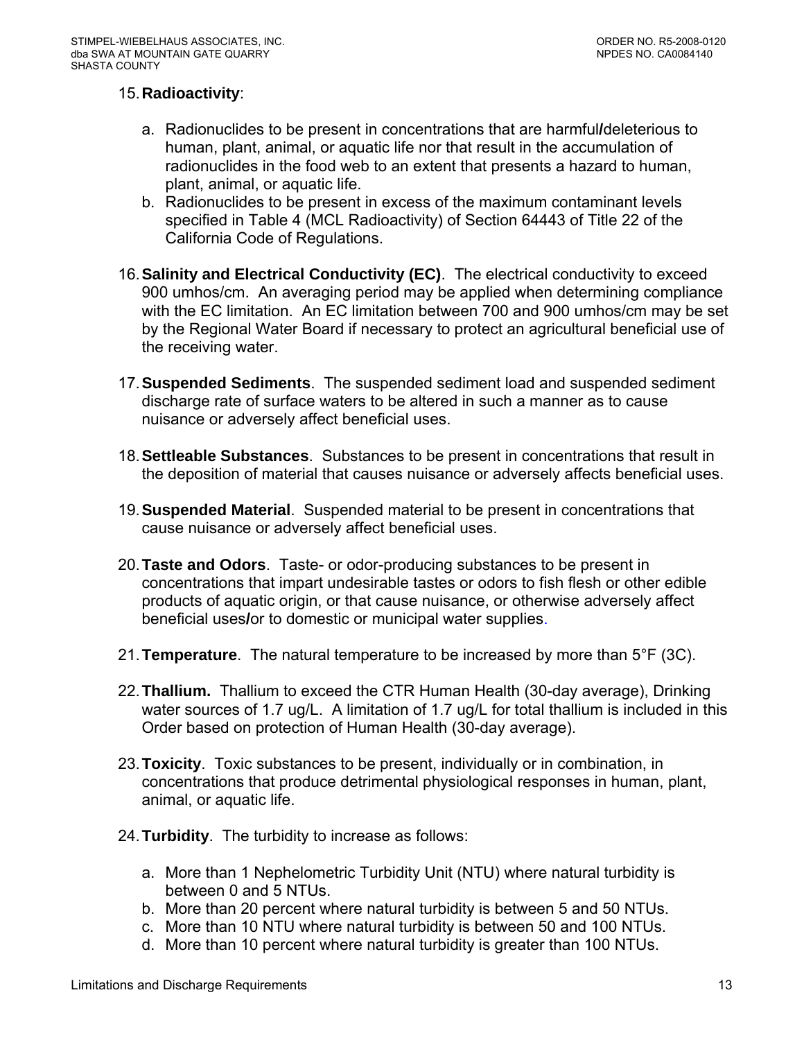## 15. **Radioactivity**:

- a. Radionuclides to be present in concentrations that are harmful**/**deleterious to human, plant, animal, or aquatic life nor that result in the accumulation of radionuclides in the food web to an extent that presents a hazard to human, plant, animal, or aquatic life.
- b. Radionuclides to be present in excess of the maximum contaminant levels specified in Table 4 (MCL Radioactivity) of Section 64443 of Title 22 of the California Code of Regulations.
- 16. **Salinity and Electrical Conductivity (EC)**. The electrical conductivity to exceed 900 umhos/cm. An averaging period may be applied when determining compliance with the EC limitation. An EC limitation between 700 and 900 umhos/cm may be set by the Regional Water Board if necessary to protect an agricultural beneficial use of the receiving water.
- 17.**Suspended Sediments**. The suspended sediment load and suspended sediment discharge rate of surface waters to be altered in such a manner as to cause nuisance or adversely affect beneficial uses.
- 18. **Settleable Substances**. Substances to be present in concentrations that result in the deposition of material that causes nuisance or adversely affects beneficial uses.
- 19.**Suspended Material**. Suspended material to be present in concentrations that cause nuisance or adversely affect beneficial uses.
- 20.**Taste and Odors**. Taste- or odor-producing substances to be present in concentrations that impart undesirable tastes or odors to fish flesh or other edible products of aquatic origin, or that cause nuisance, or otherwise adversely affect beneficial uses**/**or to domestic or municipal water supplies.
- 21.**Temperature**. The natural temperature to be increased by more than 5°F (3C).
- 22. **Thallium.** Thallium to exceed the CTR Human Health (30-day average), Drinking water sources of 1.7 ug/L. A limitation of 1.7 ug/L for total thallium is included in this Order based on protection of Human Health (30-day average).
- 23.**Toxicity**. Toxic substances to be present, individually or in combination, in concentrations that produce detrimental physiological responses in human, plant, animal, or aquatic life.
- 24. **Turbidity**. The turbidity to increase as follows:
	- a. More than 1 Nephelometric Turbidity Unit (NTU) where natural turbidity is between 0 and 5 NTUs.
	- b. More than 20 percent where natural turbidity is between 5 and 50 NTUs.
	- c. More than 10 NTU where natural turbidity is between 50 and 100 NTUs.
	- d. More than 10 percent where natural turbidity is greater than 100 NTUs.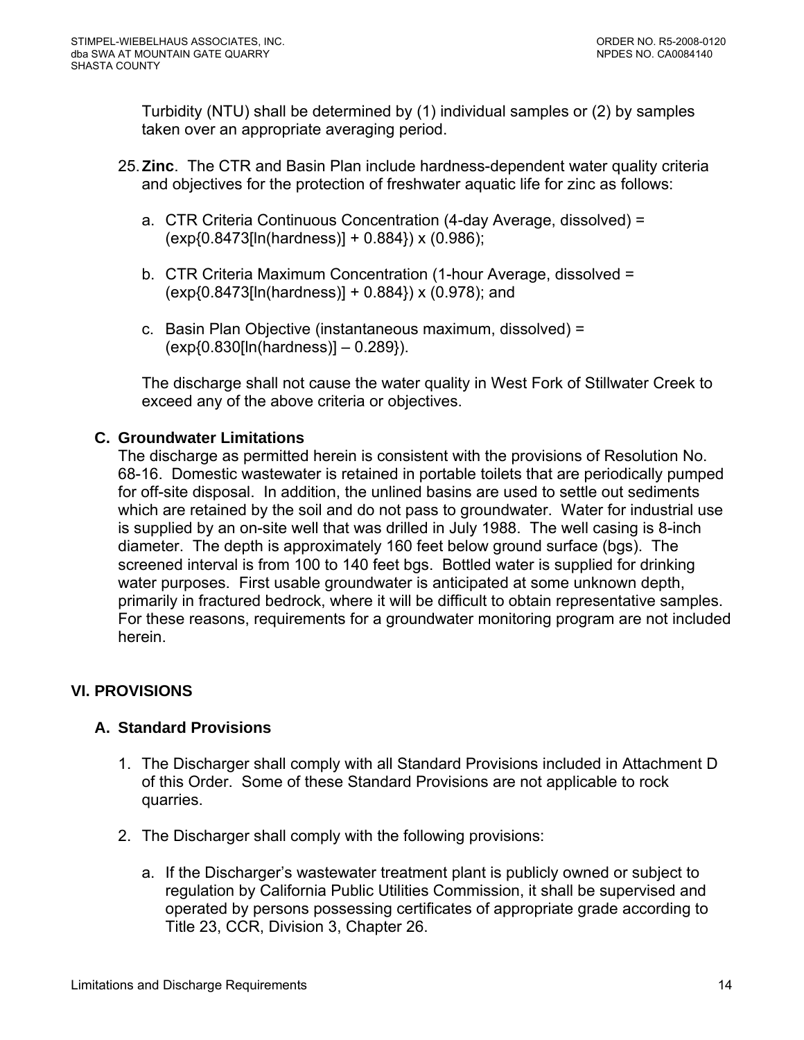<span id="page-13-0"></span>Turbidity (NTU) shall be determined by (1) individual samples or (2) by samples taken over an appropriate averaging period.

- 25. **Zinc**. The CTR and Basin Plan include hardness-dependent water quality criteria and objectives for the protection of freshwater aquatic life for zinc as follows:
	- a. CTR Criteria Continuous Concentration (4-day Average, dissolved) = (exp{0.8473[ln(hardness)] + 0.884}) x (0.986);
	- b. CTR Criteria Maximum Concentration (1-hour Average, dissolved =  $(exp{0.8473}$ [ln(hardness)] + 0.884}) x (0.978); and
	- c. Basin Plan Objective (instantaneous maximum, dissolved) = (exp{0.830[ln(hardness)] – 0.289}).

The discharge shall not cause the water quality in West Fork of Stillwater Creek to exceed any of the above criteria or objectives.

## **C. Groundwater Limitations**

The discharge as permitted herein is consistent with the provisions of Resolution No. 68-16. Domestic wastewater is retained in portable toilets that are periodically pumped for off-site disposal. In addition, the unlined basins are used to settle out sediments which are retained by the soil and do not pass to groundwater. Water for industrial use is supplied by an on-site well that was drilled in July 1988. The well casing is 8-inch diameter. The depth is approximately 160 feet below ground surface (bgs). The screened interval is from 100 to 140 feet bgs. Bottled water is supplied for drinking water purposes. First usable groundwater is anticipated at some unknown depth, primarily in fractured bedrock, where it will be difficult to obtain representative samples. For these reasons, requirements for a groundwater monitoring program are not included herein.

# **VI. PROVISIONS**

# **A. Standard Provisions**

- 1. The Discharger shall comply with all Standard Provisions included in Attachment D of this Order. Some of these Standard Provisions are not applicable to rock quarries.
- 2. The Discharger shall comply with the following provisions:
	- a. If the Discharger's wastewater treatment plant is publicly owned or subject to regulation by California Public Utilities Commission, it shall be supervised and operated by persons possessing certificates of appropriate grade according to Title 23, CCR, Division 3, Chapter 26.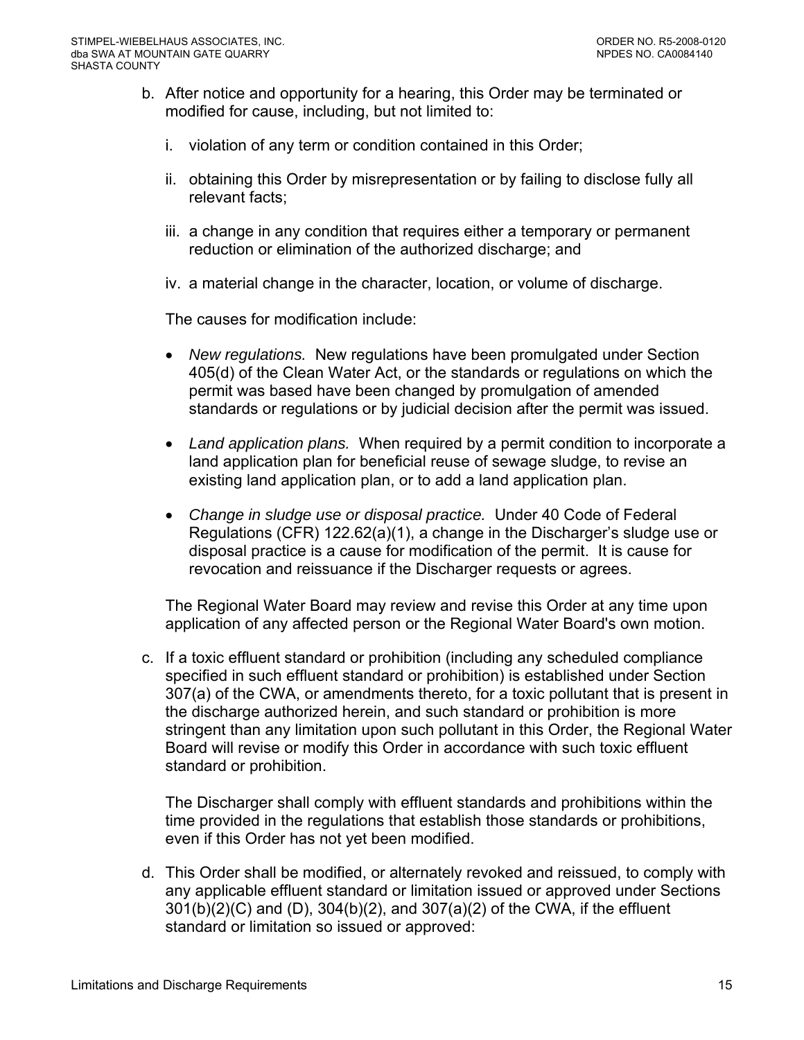- b. After notice and opportunity for a hearing, this Order may be terminated or modified for cause, including, but not limited to:
	- i. violation of any term or condition contained in this Order;
	- ii. obtaining this Order by misrepresentation or by failing to disclose fully all relevant facts;
	- iii. a change in any condition that requires either a temporary or permanent reduction or elimination of the authorized discharge; and
	- iv. a material change in the character, location, or volume of discharge.

The causes for modification include:

- *New regulations.* New regulations have been promulgated under Section 405(d) of the Clean Water Act, or the standards or regulations on which the permit was based have been changed by promulgation of amended standards or regulations or by judicial decision after the permit was issued.
- *Land application plans.* When required by a permit condition to incorporate a land application plan for beneficial reuse of sewage sludge, to revise an existing land application plan, or to add a land application plan.
- *Change in sludge use or disposal practice.* Under 40 Code of Federal Regulations (CFR) 122.62(a)(1), a change in the Discharger's sludge use or disposal practice is a cause for modification of the permit. It is cause for revocation and reissuance if the Discharger requests or agrees.

The Regional Water Board may review and revise this Order at any time upon application of any affected person or the Regional Water Board's own motion.

c. If a toxic effluent standard or prohibition (including any scheduled compliance specified in such effluent standard or prohibition) is established under Section 307(a) of the CWA, or amendments thereto, for a toxic pollutant that is present in the discharge authorized herein, and such standard or prohibition is more stringent than any limitation upon such pollutant in this Order, the Regional Water Board will revise or modify this Order in accordance with such toxic effluent standard or prohibition.

The Discharger shall comply with effluent standards and prohibitions within the time provided in the regulations that establish those standards or prohibitions, even if this Order has not yet been modified.

d. This Order shall be modified, or alternately revoked and reissued, to comply with any applicable effluent standard or limitation issued or approved under Sections 301(b)(2)(C) and (D), 304(b)(2), and 307(a)(2) of the CWA, if the effluent standard or limitation so issued or approved: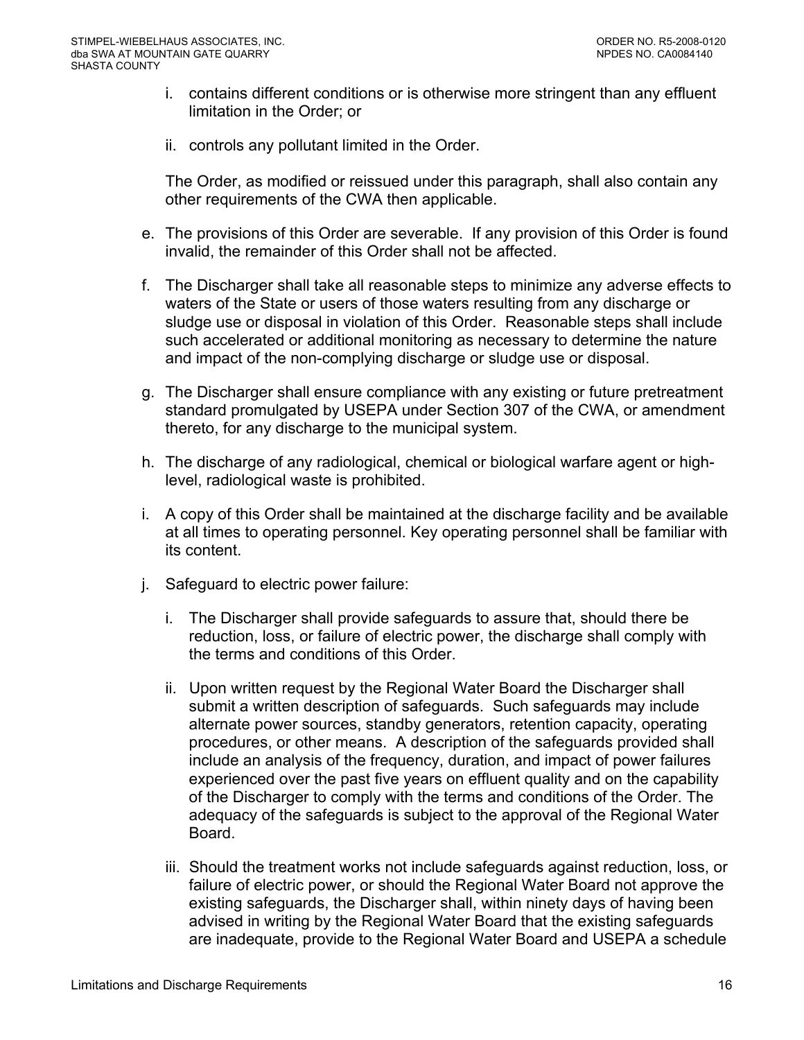- i. contains different conditions or is otherwise more stringent than any effluent limitation in the Order; or
- ii. controls any pollutant limited in the Order.

The Order, as modified or reissued under this paragraph, shall also contain any other requirements of the CWA then applicable.

- e. The provisions of this Order are severable. If any provision of this Order is found invalid, the remainder of this Order shall not be affected.
- f. The Discharger shall take all reasonable steps to minimize any adverse effects to waters of the State or users of those waters resulting from any discharge or sludge use or disposal in violation of this Order. Reasonable steps shall include such accelerated or additional monitoring as necessary to determine the nature and impact of the non-complying discharge or sludge use or disposal.
- g. The Discharger shall ensure compliance with any existing or future pretreatment standard promulgated by USEPA under Section 307 of the CWA, or amendment thereto, for any discharge to the municipal system.
- h. The discharge of any radiological, chemical or biological warfare agent or highlevel, radiological waste is prohibited.
- i. A copy of this Order shall be maintained at the discharge facility and be available at all times to operating personnel. Key operating personnel shall be familiar with its content.
- j. Safeguard to electric power failure:
	- i. The Discharger shall provide safeguards to assure that, should there be reduction, loss, or failure of electric power, the discharge shall comply with the terms and conditions of this Order.
	- ii. Upon written request by the Regional Water Board the Discharger shall submit a written description of safeguards. Such safeguards may include alternate power sources, standby generators, retention capacity, operating procedures, or other means. A description of the safeguards provided shall include an analysis of the frequency, duration, and impact of power failures experienced over the past five years on effluent quality and on the capability of the Discharger to comply with the terms and conditions of the Order. The adequacy of the safeguards is subject to the approval of the Regional Water Board.
	- iii. Should the treatment works not include safeguards against reduction, loss, or failure of electric power, or should the Regional Water Board not approve the existing safeguards, the Discharger shall, within ninety days of having been advised in writing by the Regional Water Board that the existing safeguards are inadequate, provide to the Regional Water Board and USEPA a schedule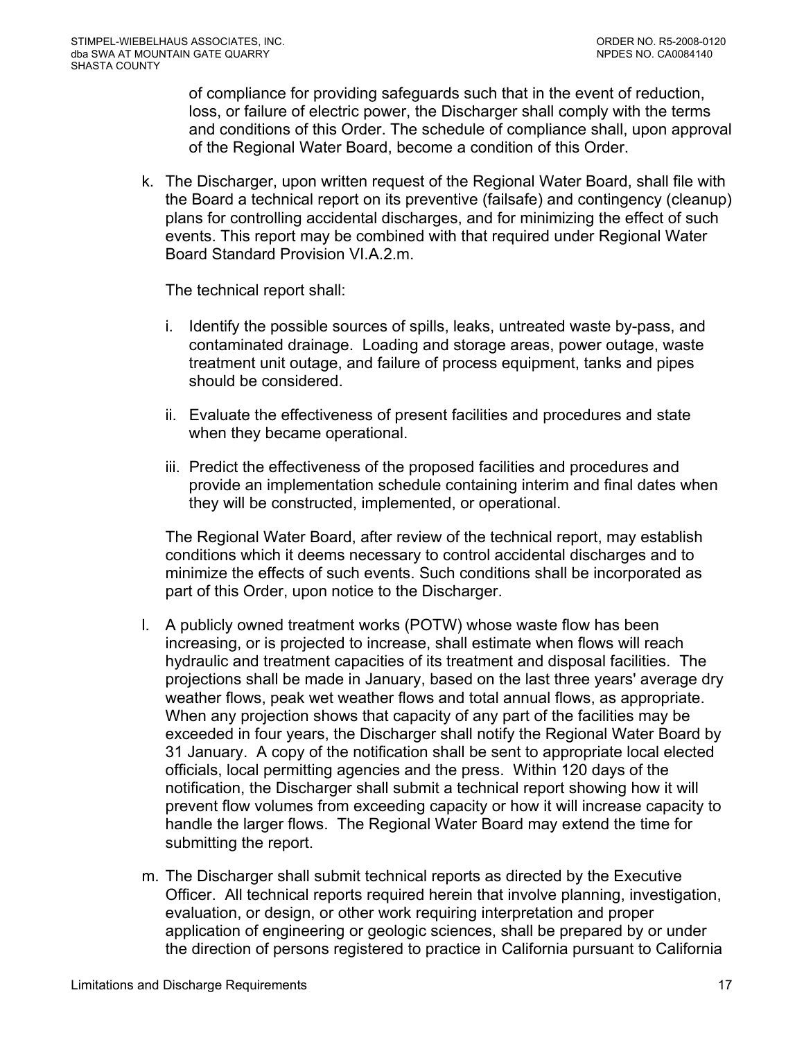of compliance for providing safeguards such that in the event of reduction, loss, or failure of electric power, the Discharger shall comply with the terms and conditions of this Order. The schedule of compliance shall, upon approval of the Regional Water Board, become a condition of this Order.

k. The Discharger, upon written request of the Regional Water Board, shall file with the Board a technical report on its preventive (failsafe) and contingency (cleanup) plans for controlling accidental discharges, and for minimizing the effect of such events. This report may be combined with that required under Regional Water Board Standard Provision VI.A.2.m.

The technical report shall:

- i. Identify the possible sources of spills, leaks, untreated waste by-pass, and contaminated drainage. Loading and storage areas, power outage, waste treatment unit outage, and failure of process equipment, tanks and pipes should be considered.
- ii. Evaluate the effectiveness of present facilities and procedures and state when they became operational.
- iii. Predict the effectiveness of the proposed facilities and procedures and provide an implementation schedule containing interim and final dates when they will be constructed, implemented, or operational.

The Regional Water Board, after review of the technical report, may establish conditions which it deems necessary to control accidental discharges and to minimize the effects of such events. Such conditions shall be incorporated as part of this Order, upon notice to the Discharger.

- l. A publicly owned treatment works (POTW) whose waste flow has been increasing, or is projected to increase, shall estimate when flows will reach hydraulic and treatment capacities of its treatment and disposal facilities. The projections shall be made in January, based on the last three years' average dry weather flows, peak wet weather flows and total annual flows, as appropriate. When any projection shows that capacity of any part of the facilities may be exceeded in four years, the Discharger shall notify the Regional Water Board by 31 January. A copy of the notification shall be sent to appropriate local elected officials, local permitting agencies and the press. Within 120 days of the notification, the Discharger shall submit a technical report showing how it will prevent flow volumes from exceeding capacity or how it will increase capacity to handle the larger flows. The Regional Water Board may extend the time for submitting the report.
- m. The Discharger shall submit technical reports as directed by the Executive Officer. All technical reports required herein that involve planning, investigation, evaluation, or design, or other work requiring interpretation and proper application of engineering or geologic sciences, shall be prepared by or under the direction of persons registered to practice in California pursuant to California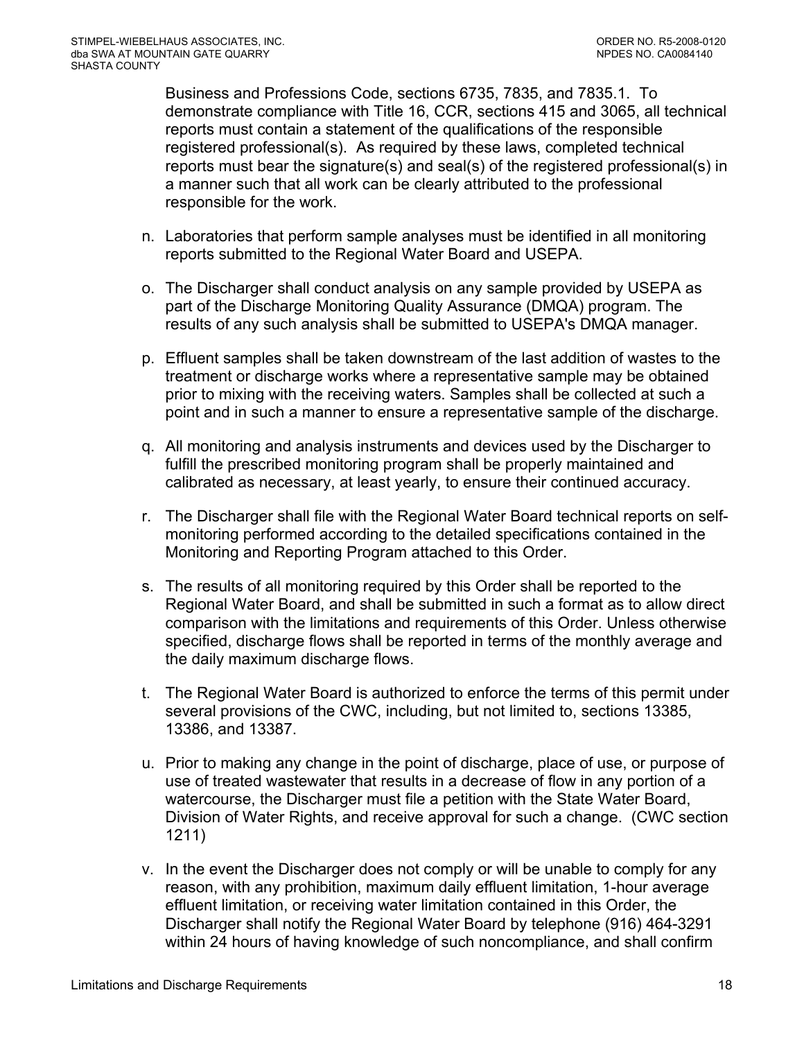Business and Professions Code, sections 6735, 7835, and 7835.1. To demonstrate compliance with Title 16, CCR, sections 415 and 3065, all technical reports must contain a statement of the qualifications of the responsible registered professional(s). As required by these laws, completed technical reports must bear the signature(s) and seal(s) of the registered professional(s) in a manner such that all work can be clearly attributed to the professional responsible for the work.

- n. Laboratories that perform sample analyses must be identified in all monitoring reports submitted to the Regional Water Board and USEPA.
- o. The Discharger shall conduct analysis on any sample provided by USEPA as part of the Discharge Monitoring Quality Assurance (DMQA) program. The results of any such analysis shall be submitted to USEPA's DMQA manager.
- p. Effluent samples shall be taken downstream of the last addition of wastes to the treatment or discharge works where a representative sample may be obtained prior to mixing with the receiving waters. Samples shall be collected at such a point and in such a manner to ensure a representative sample of the discharge.
- q. All monitoring and analysis instruments and devices used by the Discharger to fulfill the prescribed monitoring program shall be properly maintained and calibrated as necessary, at least yearly, to ensure their continued accuracy.
- r. The Discharger shall file with the Regional Water Board technical reports on selfmonitoring performed according to the detailed specifications contained in the Monitoring and Reporting Program attached to this Order.
- s. The results of all monitoring required by this Order shall be reported to the Regional Water Board, and shall be submitted in such a format as to allow direct comparison with the limitations and requirements of this Order. Unless otherwise specified, discharge flows shall be reported in terms of the monthly average and the daily maximum discharge flows.
- t. The Regional Water Board is authorized to enforce the terms of this permit under several provisions of the CWC, including, but not limited to, sections 13385, 13386, and 13387.
- u. Prior to making any change in the point of discharge, place of use, or purpose of use of treated wastewater that results in a decrease of flow in any portion of a watercourse, the Discharger must file a petition with the State Water Board, Division of Water Rights, and receive approval for such a change. (CWC section 1211)
- v. In the event the Discharger does not comply or will be unable to comply for any reason, with any prohibition, maximum daily effluent limitation, 1-hour average effluent limitation, or receiving water limitation contained in this Order, the Discharger shall notify the Regional Water Board by telephone (916) 464-3291 within 24 hours of having knowledge of such noncompliance, and shall confirm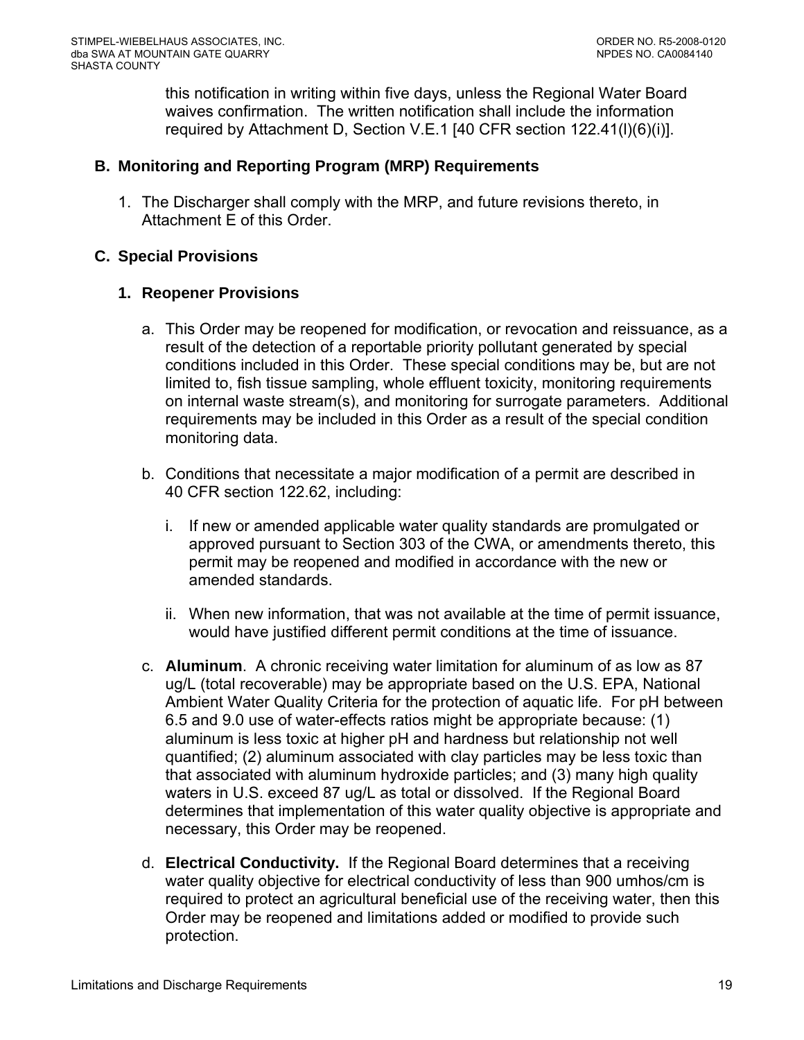this notification in writing within five days, unless the Regional Water Board waives confirmation. The written notification shall include the information required by [Attachment D, Section V.E.1](#page-0-0) [40 CFR section 122.41(l)(6)(i)].

## <span id="page-18-0"></span>**B. Monitoring and Reporting Program (MRP) Requirements**

1. The Discharger shall comply with the MRP, and future revisions thereto, in Attachment E of this Order.

### **C. Special Provisions**

### **1. Reopener Provisions**

- a. This Order may be reopened for modification, or revocation and reissuance, as a result of the detection of a reportable priority pollutant generated by special conditions included in this Order. These special conditions may be, but are not limited to, fish tissue sampling, whole effluent toxicity, monitoring requirements on internal waste stream(s), and monitoring for surrogate parameters. Additional requirements may be included in this Order as a result of the special condition monitoring data.
- b. Conditions that necessitate a major modification of a permit are described in 40 CFR section 122.62, including:
	- i. If new or amended applicable water quality standards are promulgated or approved pursuant to Section 303 of the CWA, or amendments thereto, this permit may be reopened and modified in accordance with the new or amended standards.
	- ii. When new information, that was not available at the time of permit issuance, would have justified different permit conditions at the time of issuance.
- c. **Aluminum**. A chronic receiving water limitation for aluminum of as low as 87 ug/L (total recoverable) may be appropriate based on the U.S. EPA, National Ambient Water Quality Criteria for the protection of aquatic life. For pH between 6.5 and 9.0 use of water-effects ratios might be appropriate because: (1) aluminum is less toxic at higher pH and hardness but relationship not well quantified; (2) aluminum associated with clay particles may be less toxic than that associated with aluminum hydroxide particles; and (3) many high quality waters in U.S. exceed 87 ug/L as total or dissolved. If the Regional Board determines that implementation of this water quality objective is appropriate and necessary, this Order may be reopened.
- d. **Electrical Conductivity.** If the Regional Board determines that a receiving water quality objective for electrical conductivity of less than 900 umhos/cm is required to protect an agricultural beneficial use of the receiving water, then this Order may be reopened and limitations added or modified to provide such protection.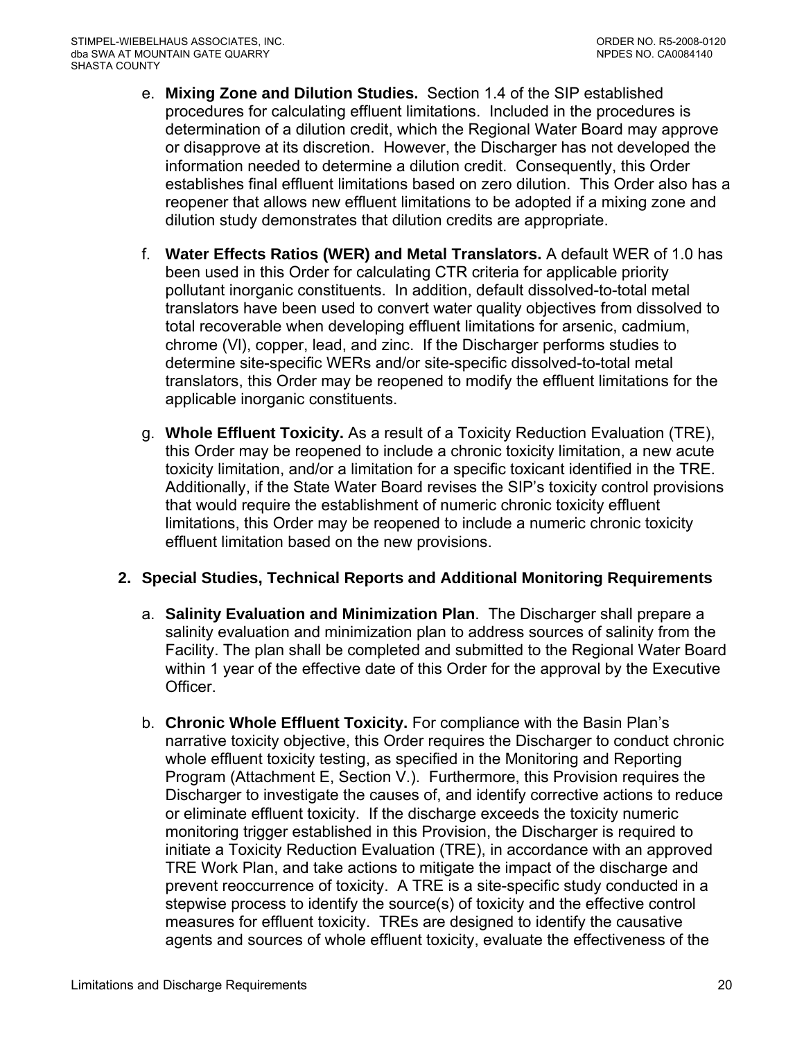- <span id="page-19-0"></span>e. **Mixing Zone and Dilution Studies.** Section 1.4 of the SIP established procedures for calculating effluent limitations. Included in the procedures is determination of a dilution credit, which the Regional Water Board may approve or disapprove at its discretion. However, the Discharger has not developed the information needed to determine a dilution credit. Consequently, this Order establishes final effluent limitations based on zero dilution. This Order also has a reopener that allows new effluent limitations to be adopted if a mixing zone and dilution study demonstrates that dilution credits are appropriate.
- f. **Water Effects Ratios (WER) and Metal Translators.** A default WER of 1.0 has been used in this Order for calculating CTR criteria for applicable priority pollutant inorganic constituents.In addition, default dissolved-to-total metal translators have been used to convert water quality objectives from dissolved to total recoverable when developing effluent limitations for arsenic, cadmium, chrome (Vl), copper, lead, and zinc. If the Discharger performs studies to determine site-specific WERs and/or site-specific dissolved-to-total metal translators, this Order may be reopened to modify the effluent limitations for the applicable inorganic constituents.
- g. **Whole Effluent Toxicity.** As a result of a Toxicity Reduction Evaluation (TRE), this Order may be reopened to include a chronic toxicity limitation, a new acute toxicity limitation, and/or a limitation for a specific toxicant identified in the TRE. Additionally, if the State Water Board revises the SIP's toxicity control provisions that would require the establishment of numeric chronic toxicity effluent limitations, this Order may be reopened to include a numeric chronic toxicity effluent limitation based on the new provisions.

# **2. Special Studies, Technical Reports and Additional Monitoring Requirements**

- a. **Salinity Evaluation and Minimization Plan**. The Discharger shall prepare a salinity evaluation and minimization plan to address sources of salinity from the Facility. The plan shall be completed and submitted to the Regional Water Board within 1 year of the effective date of this Order for the approval by the Executive Officer.
- b. **Chronic Whole Effluent Toxicity.** For compliance with the Basin Plan's narrative toxicity objective, this Order requires the Discharger to conduct chronic whole effluent toxicity testing, as specified in the Monitoring and Reporting Program (Attachment E, Section V.). Furthermore, this Provision requires the Discharger to investigate the causes of, and identify corrective actions to reduce or eliminate effluent toxicity. If the discharge exceeds the toxicity numeric monitoring trigger established in this Provision, the Discharger is required to initiate a Toxicity Reduction Evaluation (TRE), in accordance with an approved TRE Work Plan, and take actions to mitigate the impact of the discharge and prevent reoccurrence of toxicity. A TRE is a site-specific study conducted in a stepwise process to identify the source(s) of toxicity and the effective control measures for effluent toxicity. TREs are designed to identify the causative agents and sources of whole effluent toxicity, evaluate the effectiveness of the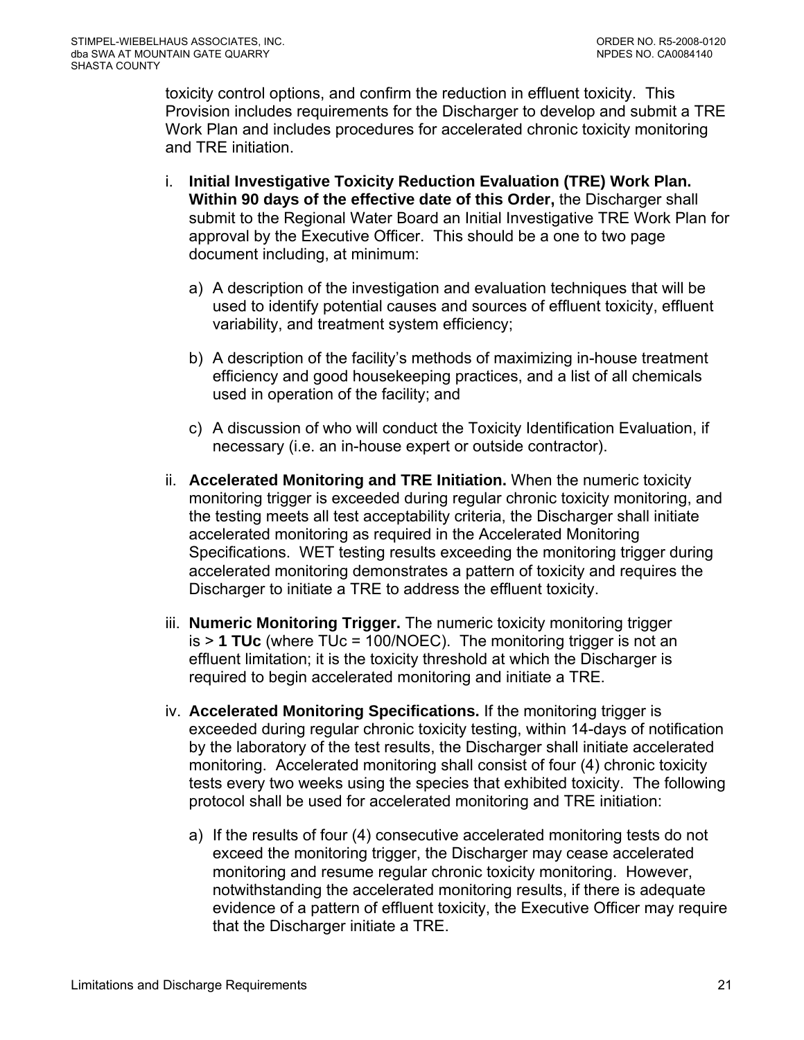toxicity control options, and confirm the reduction in effluent toxicity. This Provision includes requirements for the Discharger to develop and submit a TRE Work Plan and includes procedures for accelerated chronic toxicity monitoring and TRE initiation.

- i. **Initial Investigative Toxicity Reduction Evaluation (TRE) Work Plan. Within 90 days of the effective date of this Order,** the Discharger shall submit to the Regional Water Board an Initial Investigative TRE Work Plan for approval by the Executive Officer. This should be a one to two page document including, at minimum:
	- a) A description of the investigation and evaluation techniques that will be used to identify potential causes and sources of effluent toxicity, effluent variability, and treatment system efficiency;
	- b) A description of the facility's methods of maximizing in-house treatment efficiency and good housekeeping practices, and a list of all chemicals used in operation of the facility; and
	- c) A discussion of who will conduct the Toxicity Identification Evaluation, if necessary (i.e. an in-house expert or outside contractor).
- ii. **Accelerated Monitoring and TRE Initiation.** When the numeric toxicity monitoring trigger is exceeded during regular chronic toxicity monitoring, and the testing meets all test acceptability criteria, the Discharger shall initiate accelerated monitoring as required in the Accelerated Monitoring Specifications. WET testing results exceeding the monitoring trigger during accelerated monitoring demonstrates a pattern of toxicity and requires the Discharger to initiate a TRE to address the effluent toxicity.
- iii. **Numeric Monitoring Trigger.** The numeric toxicity monitoring trigger is > **1 TUc** (where TUc = 100/NOEC). The monitoring trigger is not an effluent limitation; it is the toxicity threshold at which the Discharger is required to begin accelerated monitoring and initiate a TRE.
- iv. **Accelerated Monitoring Specifications.** If the monitoring trigger is exceeded during regular chronic toxicity testing, within 14-days of notification by the laboratory of the test results, the Discharger shall initiate accelerated monitoring. Accelerated monitoring shall consist of four (4) chronic toxicity tests every two weeks using the species that exhibited toxicity. The following protocol shall be used for accelerated monitoring and TRE initiation:
	- a) If the results of four (4) consecutive accelerated monitoring tests do not exceed the monitoring trigger, the Discharger may cease accelerated monitoring and resume regular chronic toxicity monitoring. However, notwithstanding the accelerated monitoring results, if there is adequate evidence of a pattern of effluent toxicity, the Executive Officer may require that the Discharger initiate a TRE.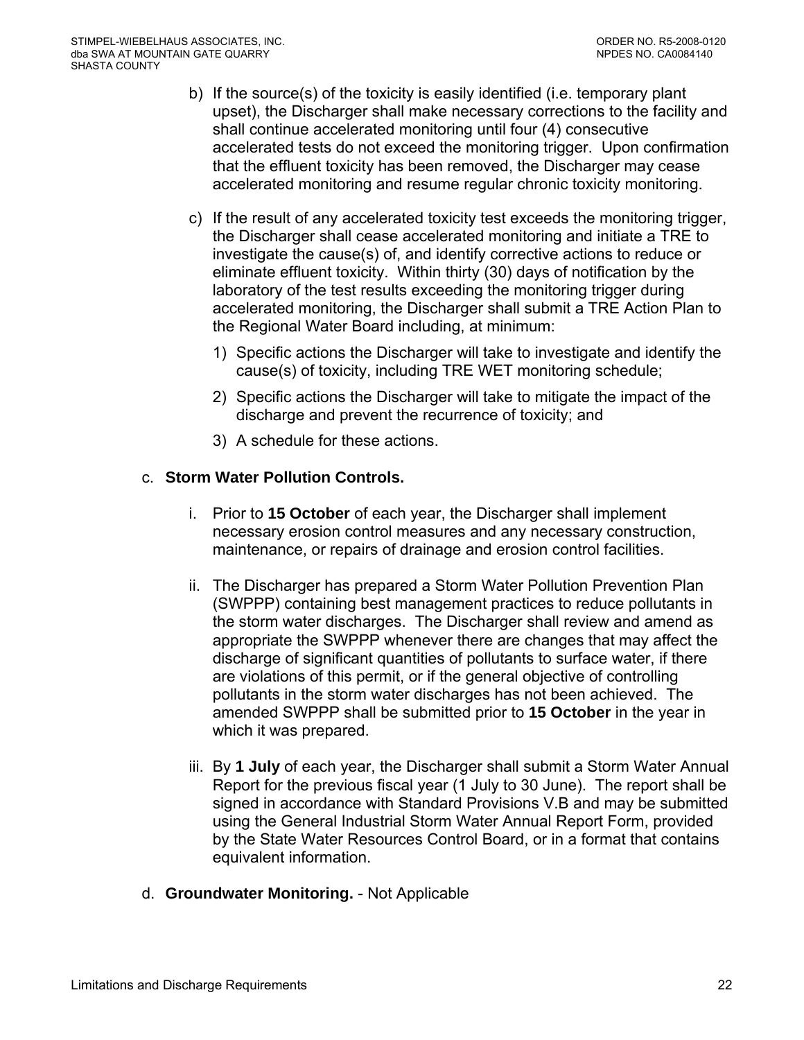- b) If the source(s) of the toxicity is easily identified (i.e. temporary plant upset), the Discharger shall make necessary corrections to the facility and shall continue accelerated monitoring until four (4) consecutive accelerated tests do not exceed the monitoring trigger. Upon confirmation that the effluent toxicity has been removed, the Discharger may cease accelerated monitoring and resume regular chronic toxicity monitoring.
- c) If the result of any accelerated toxicity test exceeds the monitoring trigger, the Discharger shall cease accelerated monitoring and initiate a TRE to investigate the cause(s) of, and identify corrective actions to reduce or eliminate effluent toxicity. Within thirty (30) days of notification by the laboratory of the test results exceeding the monitoring trigger during accelerated monitoring, the Discharger shall submit a TRE Action Plan to the Regional Water Board including, at minimum:
	- 1) Specific actions the Discharger will take to investigate and identify the cause(s) of toxicity, including TRE WET monitoring schedule;
	- 2) Specific actions the Discharger will take to mitigate the impact of the discharge and prevent the recurrence of toxicity; and
	- 3) A schedule for these actions.

## c. **Storm Water Pollution Controls.**

- i. Prior to **15 October** of each year, the Discharger shall implement necessary erosion control measures and any necessary construction, maintenance, or repairs of drainage and erosion control facilities.
- ii. The Discharger has prepared a Storm Water Pollution Prevention Plan (SWPPP) containing best management practices to reduce pollutants in the storm water discharges. The Discharger shall review and amend as appropriate the SWPPP whenever there are changes that may affect the discharge of significant quantities of pollutants to surface water, if there are violations of this permit, or if the general objective of controlling pollutants in the storm water discharges has not been achieved. The amended SWPPP shall be submitted prior to **15 October** in the year in which it was prepared.
- iii. By **1 July** of each year, the Discharger shall submit a Storm Water Annual Report for the previous fiscal year (1 July to 30 June). The report shall be signed in accordance with Standard Provisions V.B and may be submitted using the General Industrial Storm Water Annual Report Form, provided by the State Water Resources Control Board, or in a format that contains equivalent information.
- d. **Groundwater Monitoring.** Not Applicable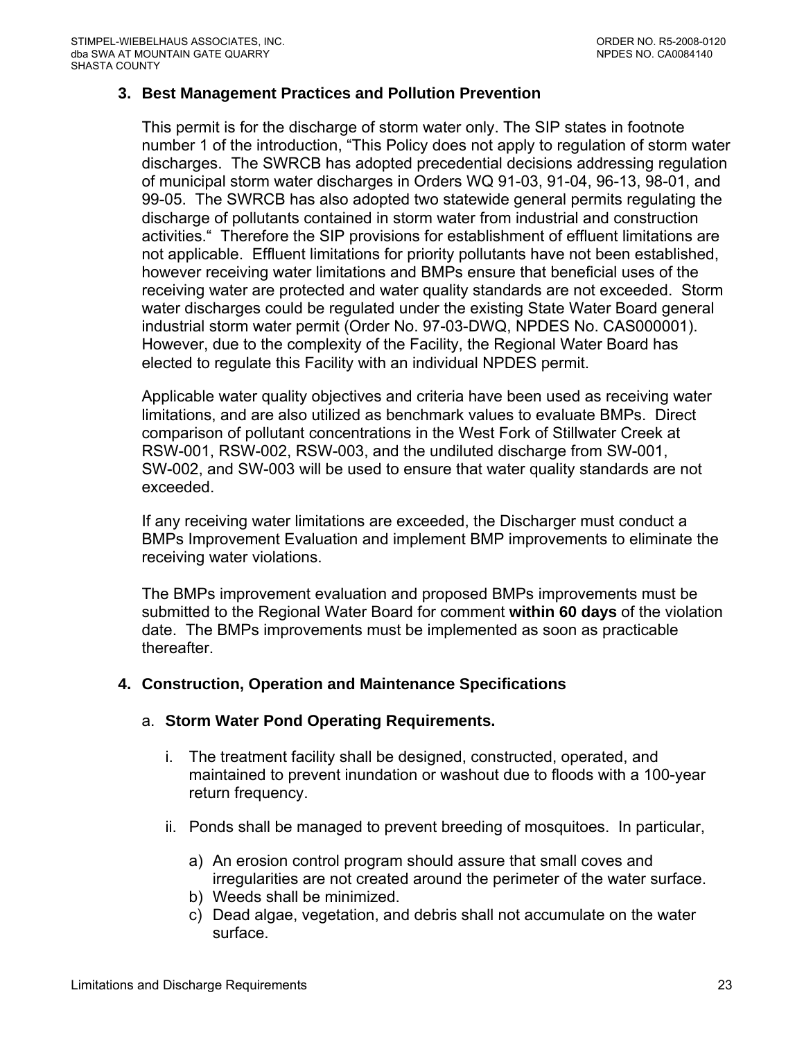### <span id="page-22-0"></span>**3. Best Management Practices and Pollution Prevention**

This permit is for the discharge of storm water only. The SIP states in footnote number 1 of the introduction, "This Policy does not apply to regulation of storm water discharges. The SWRCB has adopted precedential decisions addressing regulation of municipal storm water discharges in Orders WQ 91-03, 91-04, 96-13, 98-01, and 99-05. The SWRCB has also adopted two statewide general permits regulating the discharge of pollutants contained in storm water from industrial and construction activities." Therefore the SIP provisions for establishment of effluent limitations are not applicable. Effluent limitations for priority pollutants have not been established, however receiving water limitations and BMPs ensure that beneficial uses of the receiving water are protected and water quality standards are not exceeded. Storm water discharges could be regulated under the existing State Water Board general industrial storm water permit (Order No. 97-03-DWQ, NPDES No. CAS000001). However, due to the complexity of the Facility, the Regional Water Board has elected to regulate this Facility with an individual NPDES permit.

Applicable water quality objectives and criteria have been used as receiving water limitations, and are also utilized as benchmark values to evaluate BMPs. Direct comparison of pollutant concentrations in the West Fork of Stillwater Creek at RSW-001, RSW-002, RSW-003, and the undiluted discharge from SW-001, SW-002, and SW-003 will be used to ensure that water quality standards are not exceeded.

If any receiving water limitations are exceeded, the Discharger must conduct a BMPs Improvement Evaluation and implement BMP improvements to eliminate the receiving water violations.

The BMPs improvement evaluation and proposed BMPs improvements must be submitted to the Regional Water Board for comment **within 60 days** of the violation date. The BMPs improvements must be implemented as soon as practicable thereafter.

#### **4. Construction, Operation and Maintenance Specifications**

#### a. **Storm Water Pond Operating Requirements.**

- i. The treatment facility shall be designed, constructed, operated, and maintained to prevent inundation or washout due to floods with a 100-year return frequency.
- ii. Ponds shall be managed to prevent breeding of mosquitoes. In particular,
	- a) An erosion control program should assure that small coves and irregularities are not created around the perimeter of the water surface.
	- b) Weeds shall be minimized.
	- c) Dead algae, vegetation, and debris shall not accumulate on the water surface.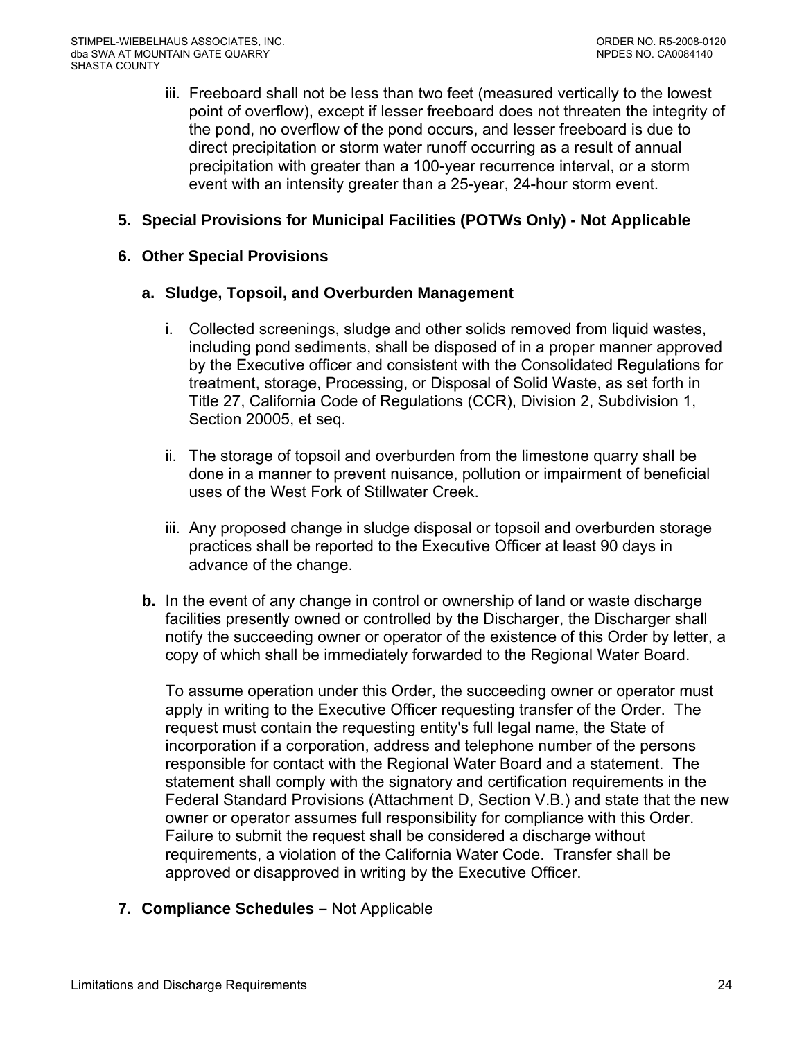<span id="page-23-0"></span>iii. Freeboard shall not be less than two feet (measured vertically to the lowest point of overflow), except if lesser freeboard does not threaten the integrity of the pond, no overflow of the pond occurs, and lesser freeboard is due to direct precipitation or storm water runoff occurring as a result of annual precipitation with greater than a 100-year recurrence interval, or a storm event with an intensity greater than a 25-year, 24-hour storm event.

# **5. Special Provisions for Municipal Facilities (POTWs Only) - Not Applicable**

### **6. Other Special Provisions**

#### **a. Sludge, Topsoil, and Overburden Management**

- i. Collected screenings, sludge and other solids removed from liquid wastes, including pond sediments, shall be disposed of in a proper manner approved by the Executive officer and consistent with the Consolidated Regulations for treatment, storage, Processing, or Disposal of Solid Waste, as set forth in Title 27, California Code of Regulations (CCR), Division 2, Subdivision 1, Section 20005, et seq.
- ii. The storage of topsoil and overburden from the limestone quarry shall be done in a manner to prevent nuisance, pollution or impairment of beneficial uses of the West Fork of Stillwater Creek.
- iii. Any proposed change in sludge disposal or topsoil and overburden storage practices shall be reported to the Executive Officer at least 90 days in advance of the change.
- **b.** In the event of any change in control or ownership of land or waste discharge facilities presently owned or controlled by the Discharger, the Discharger shall notify the succeeding owner or operator of the existence of this Order by letter, a copy of which shall be immediately forwarded to the Regional Water Board.

To assume operation under this Order, the succeeding owner or operator must apply in writing to the Executive Officer requesting transfer of the Order. The request must contain the requesting entity's full legal name, the State of incorporation if a corporation, address and telephone number of the persons responsible for contact with the Regional Water Board and a statement. The statement shall comply with the signatory and certification requirements in the Federal Standard Provisions (Attachment D, Section V.B.) and state that the new owner or operator assumes full responsibility for compliance with this Order. Failure to submit the request shall be considered a discharge without requirements, a violation of the California Water Code. Transfer shall be approved or disapproved in writing by the Executive Officer.

### **7. Compliance Schedules –** Not Applicable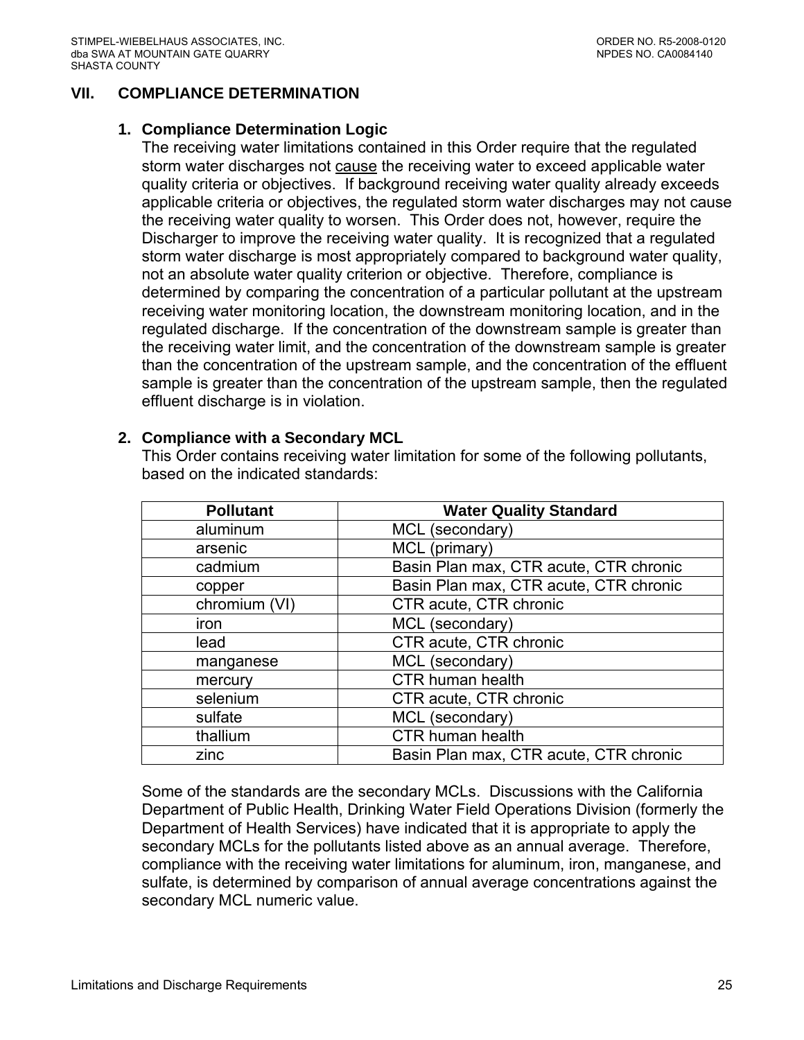### <span id="page-24-0"></span>**VII. COMPLIANCE DETERMINATION**

#### **1. Compliance Determination Logic**

The receiving water limitations contained in this Order require that the regulated storm water discharges not cause the receiving water to exceed applicable water quality criteria or objectives. If background receiving water quality already exceeds applicable criteria or objectives, the regulated storm water discharges may not cause the receiving water quality to worsen. This Order does not, however, require the Discharger to improve the receiving water quality. It is recognized that a regulated storm water discharge is most appropriately compared to background water quality, not an absolute water quality criterion or objective. Therefore, compliance is determined by comparing the concentration of a particular pollutant at the upstream receiving water monitoring location, the downstream monitoring location, and in the regulated discharge. If the concentration of the downstream sample is greater than the receiving water limit, and the concentration of the downstream sample is greater than the concentration of the upstream sample, and the concentration of the effluent sample is greater than the concentration of the upstream sample, then the regulated effluent discharge is in violation.

#### **2. Compliance with a Secondary MCL**

This Order contains receiving water limitation for some of the following pollutants, based on the indicated standards:

| <b>Water Quality Standard</b><br><b>Pollutant</b> |                                        |
|---------------------------------------------------|----------------------------------------|
| aluminum                                          | MCL (secondary)                        |
| arsenic                                           | MCL (primary)                          |
| cadmium                                           | Basin Plan max, CTR acute, CTR chronic |
| copper                                            | Basin Plan max, CTR acute, CTR chronic |
| chromium (VI)                                     | CTR acute, CTR chronic                 |
| iron                                              | MCL (secondary)                        |
| lead                                              | CTR acute, CTR chronic                 |
| manganese                                         | MCL (secondary)                        |
| mercury                                           | CTR human health                       |
| selenium                                          | CTR acute, CTR chronic                 |
| sulfate                                           | MCL (secondary)                        |
| thallium                                          | <b>CTR human health</b>                |
| zinc                                              | Basin Plan max, CTR acute, CTR chronic |

Some of the standards are the secondary MCLs. Discussions with the California Department of Public Health, Drinking Water Field Operations Division (formerly the Department of Health Services) have indicated that it is appropriate to apply the secondary MCLs for the pollutants listed above as an annual average. Therefore, compliance with the receiving water limitations for aluminum, iron, manganese, and sulfate, is determined by comparison of annual average concentrations against the secondary MCL numeric value.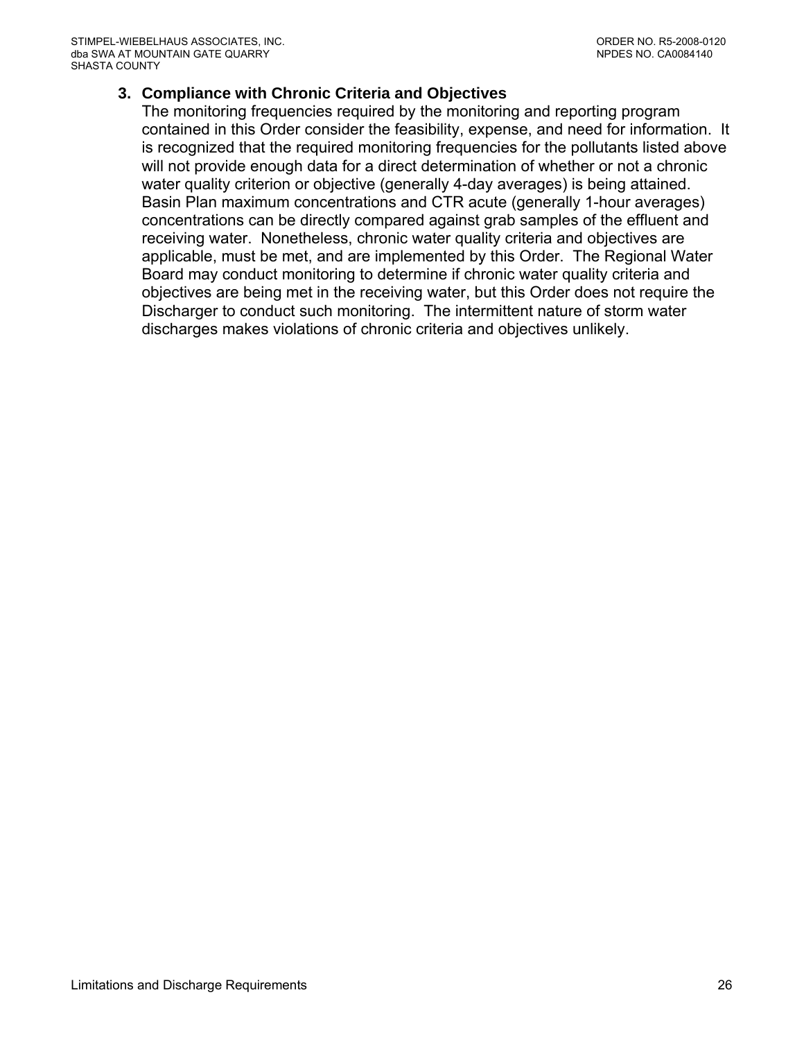## <span id="page-25-0"></span>**3. Compliance with Chronic Criteria and Objectives**

The monitoring frequencies required by the monitoring and reporting program contained in this Order consider the feasibility, expense, and need for information. It is recognized that the required monitoring frequencies for the pollutants listed above will not provide enough data for a direct determination of whether or not a chronic water quality criterion or objective (generally 4-day averages) is being attained. Basin Plan maximum concentrations and CTR acute (generally 1-hour averages) concentrations can be directly compared against grab samples of the effluent and receiving water. Nonetheless, chronic water quality criteria and objectives are applicable, must be met, and are implemented by this Order. The Regional Water Board may conduct monitoring to determine if chronic water quality criteria and objectives are being met in the receiving water, but this Order does not require the Discharger to conduct such monitoring. The intermittent nature of storm water discharges makes violations of chronic criteria and objectives unlikely.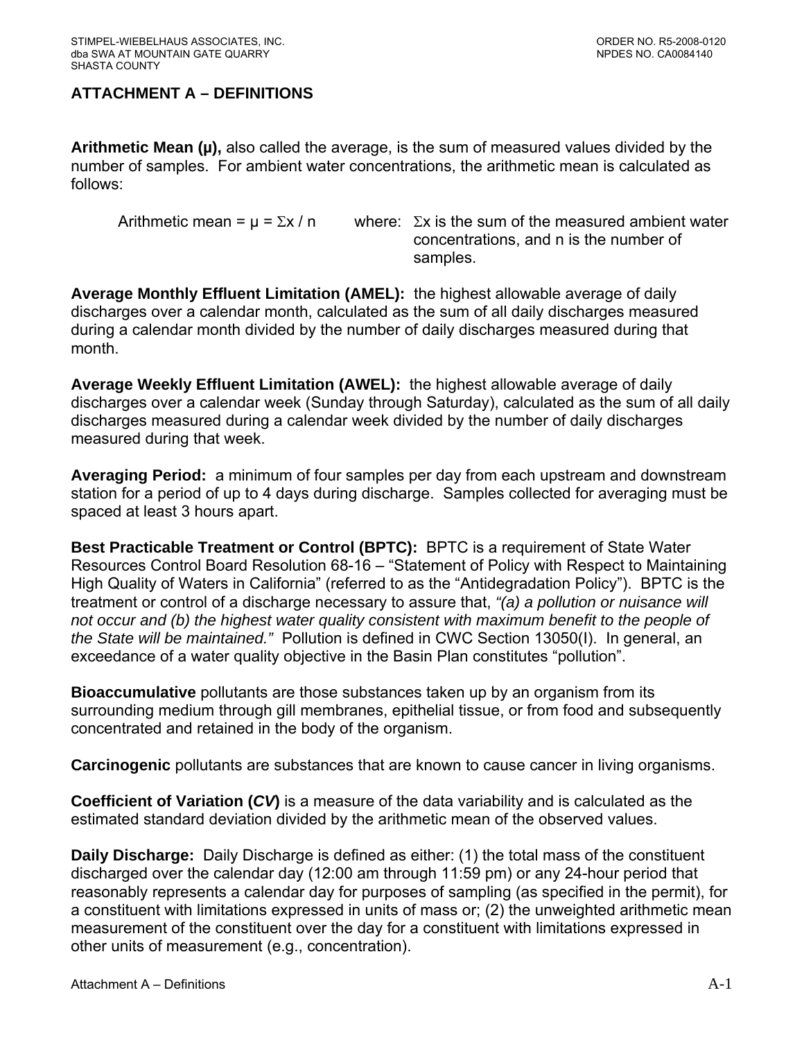# <span id="page-26-0"></span>**ATTACHMENT A – DEFINITIONS**

**Arithmetic Mean (µ),** also called the average, is the sum of measured values divided by the number of samples. For ambient water concentrations, the arithmetic mean is calculated as follows:

Arithmetic mean =  $\mu$  =  $\Sigma x / n$  where:  $\Sigma x$  is the sum of the measured ambient water concentrations, and n is the number of samples.

**Average Monthly Effluent Limitation (AMEL):** the highest allowable average of daily discharges over a calendar month, calculated as the sum of all daily discharges measured during a calendar month divided by the number of daily discharges measured during that month.

**Average Weekly Effluent Limitation (AWEL):** the highest allowable average of daily discharges over a calendar week (Sunday through Saturday), calculated as the sum of all daily discharges measured during a calendar week divided by the number of daily discharges measured during that week.

**Averaging Period:** a minimum of four samples per day from each upstream and downstream station for a period of up to 4 days during discharge. Samples collected for averaging must be spaced at least 3 hours apart.

**Best Practicable Treatment or Control (BPTC):** BPTC is a requirement of State Water Resources Control Board Resolution 68-16 – "Statement of Policy with Respect to Maintaining High Quality of Waters in California" (referred to as the "Antidegradation Policy"). BPTC is the treatment or control of a discharge necessary to assure that, *"(a) a pollution or nuisance will not occur and (b) the highest water quality consistent with maximum benefit to the people of the State will be maintained."* Pollution is defined in CWC Section 13050(I). In general, an exceedance of a water quality objective in the Basin Plan constitutes "pollution".

**Bioaccumulative** pollutants are those substances taken up by an organism from its surrounding medium through gill membranes, epithelial tissue, or from food and subsequently concentrated and retained in the body of the organism.

**Carcinogenic** pollutants are substances that are known to cause cancer in living organisms.

**Coefficient of Variation (***CV***)** is a measure of the data variability and is calculated as the estimated standard deviation divided by the arithmetic mean of the observed values.

**Daily Discharge:** Daily Discharge is defined as either: (1) the total mass of the constituent discharged over the calendar day (12:00 am through 11:59 pm) or any 24-hour period that reasonably represents a calendar day for purposes of sampling (as specified in the permit), for a constituent with limitations expressed in units of mass or; (2) the unweighted arithmetic mean measurement of the constituent over the day for a constituent with limitations expressed in other units of measurement (e.g., concentration).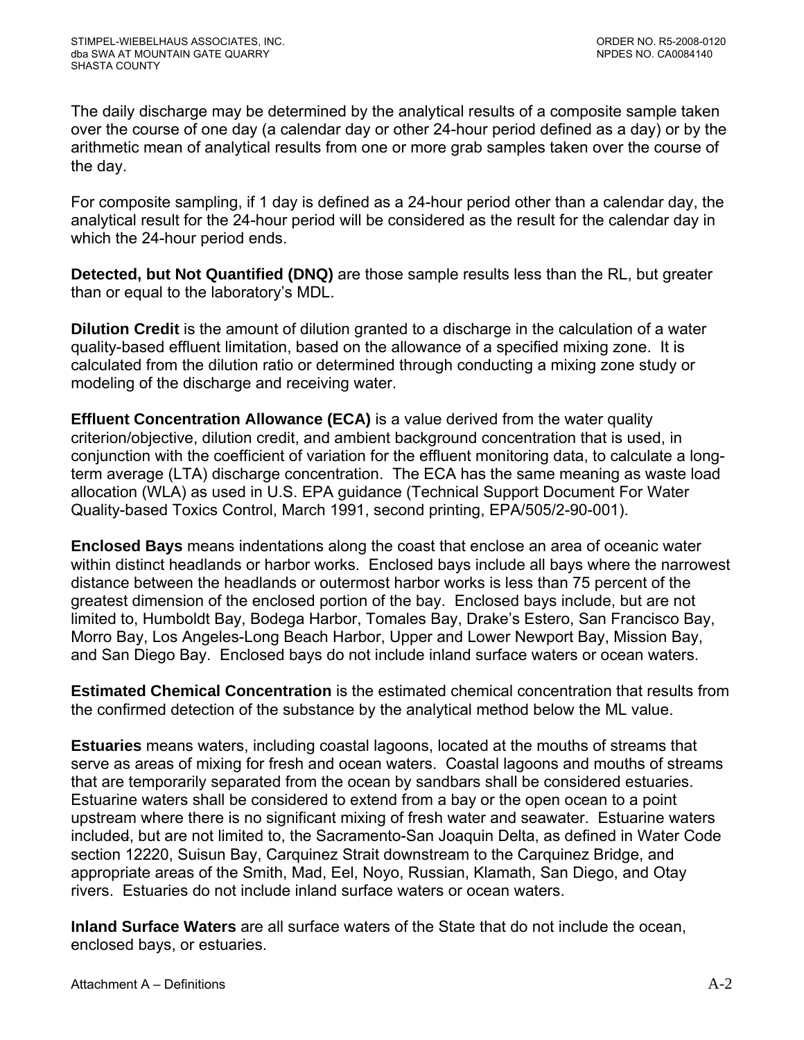The daily discharge may be determined by the analytical results of a composite sample taken over the course of one day (a calendar day or other 24-hour period defined as a day) or by the arithmetic mean of analytical results from one or more grab samples taken over the course of the day.

For composite sampling, if 1 day is defined as a 24-hour period other than a calendar day, the analytical result for the 24-hour period will be considered as the result for the calendar day in which the 24-hour period ends.

**Detected, but Not Quantified (DNQ)** are those sample results less than the RL, but greater than or equal to the laboratory's MDL.

**Dilution Credit** is the amount of dilution granted to a discharge in the calculation of a water quality-based effluent limitation, based on the allowance of a specified mixing zone. It is calculated from the dilution ratio or determined through conducting a mixing zone study or modeling of the discharge and receiving water.

**Effluent Concentration Allowance (ECA)** is a value derived from the water quality criterion/objective, dilution credit, and ambient background concentration that is used, in conjunction with the coefficient of variation for the effluent monitoring data, to calculate a longterm average (LTA) discharge concentration. The ECA has the same meaning as waste load allocation (WLA) as used in U.S. EPA guidance (Technical Support Document For Water Quality-based Toxics Control, March 1991, second printing, EPA/505/2-90-001).

**Enclosed Bays** means indentations along the coast that enclose an area of oceanic water within distinct headlands or harbor works. Enclosed bays include all bays where the narrowest distance between the headlands or outermost harbor works is less than 75 percent of the greatest dimension of the enclosed portion of the bay. Enclosed bays include, but are not limited to, Humboldt Bay, Bodega Harbor, Tomales Bay, Drake's Estero, San Francisco Bay, Morro Bay, Los Angeles-Long Beach Harbor, Upper and Lower Newport Bay, Mission Bay, and San Diego Bay. Enclosed bays do not include inland surface waters or ocean waters.

**Estimated Chemical Concentration** is the estimated chemical concentration that results from the confirmed detection of the substance by the analytical method below the ML value.

**Estuaries** means waters, including coastal lagoons, located at the mouths of streams that serve as areas of mixing for fresh and ocean waters. Coastal lagoons and mouths of streams that are temporarily separated from the ocean by sandbars shall be considered estuaries. Estuarine waters shall be considered to extend from a bay or the open ocean to a point upstream where there is no significant mixing of fresh water and seawater. Estuarine waters included, but are not limited to, the Sacramento-San Joaquin Delta, as defined in Water Code section 12220, Suisun Bay, Carquinez Strait downstream to the Carquinez Bridge, and appropriate areas of the Smith, Mad, Eel, Noyo, Russian, Klamath, San Diego, and Otay rivers. Estuaries do not include inland surface waters or ocean waters.

**Inland Surface Waters** are all surface waters of the State that do not include the ocean, enclosed bays, or estuaries.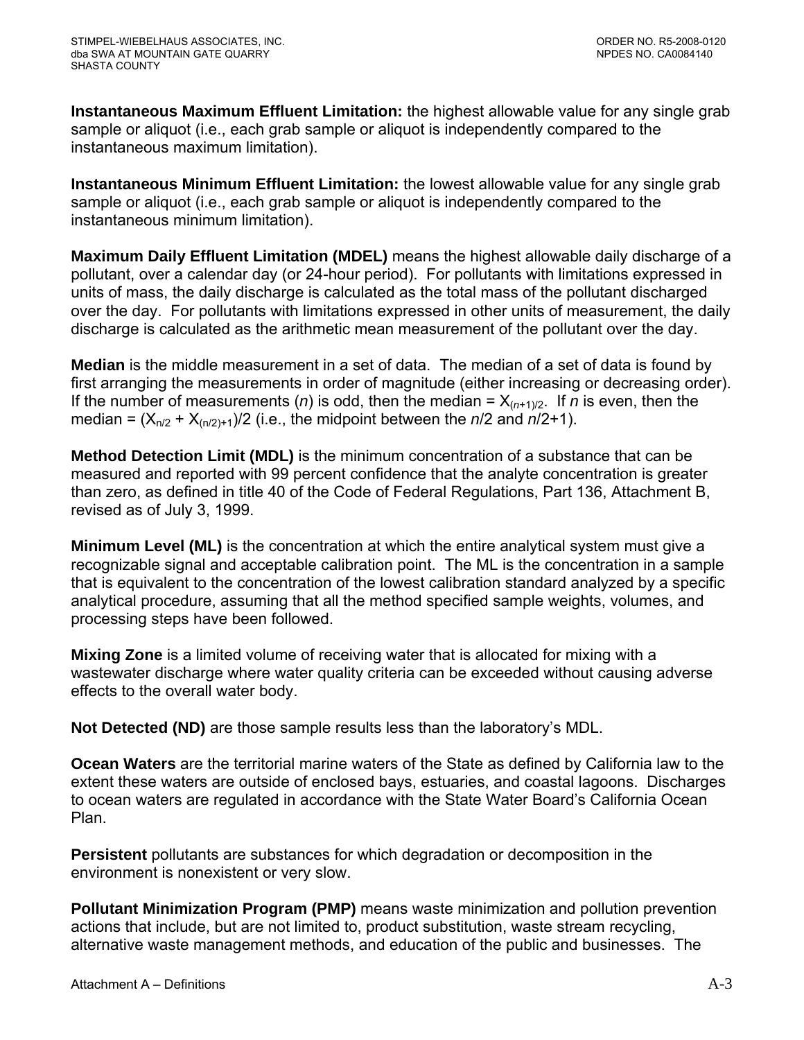**Instantaneous Maximum Effluent Limitation:** the highest allowable value for any single grab sample or aliquot (i.e., each grab sample or aliquot is independently compared to the instantaneous maximum limitation).

**Instantaneous Minimum Effluent Limitation:** the lowest allowable value for any single grab sample or aliquot (i.e., each grab sample or aliquot is independently compared to the instantaneous minimum limitation).

**Maximum Daily Effluent Limitation (MDEL)** means the highest allowable daily discharge of a pollutant, over a calendar day (or 24-hour period). For pollutants with limitations expressed in units of mass, the daily discharge is calculated as the total mass of the pollutant discharged over the day. For pollutants with limitations expressed in other units of measurement, the daily discharge is calculated as the arithmetic mean measurement of the pollutant over the day.

**Median** is the middle measurement in a set of data. The median of a set of data is found by first arranging the measurements in order of magnitude (either increasing or decreasing order). If the number of measurements (*n*) is odd, then the median =  $X_{(n+1)/2}$ . If *n* is even, then the median =  $(X_{n/2} + X_{(n/2)+1})/2$  (i.e., the midpoint between the  $n/2$  and  $n/2+1$ ).

**Method Detection Limit (MDL)** is the minimum concentration of a substance that can be measured and reported with 99 percent confidence that the analyte concentration is greater than zero, as defined in title 40 of the Code of Federal Regulations, Part 136, Attachment B, revised as of July 3, 1999.

**Minimum Level (ML)** is the concentration at which the entire analytical system must give a recognizable signal and acceptable calibration point. The ML is the concentration in a sample that is equivalent to the concentration of the lowest calibration standard analyzed by a specific analytical procedure, assuming that all the method specified sample weights, volumes, and processing steps have been followed.

**Mixing Zone** is a limited volume of receiving water that is allocated for mixing with a wastewater discharge where water quality criteria can be exceeded without causing adverse effects to the overall water body.

**Not Detected (ND)** are those sample results less than the laboratory's MDL.

**Ocean Waters** are the territorial marine waters of the State as defined by California law to the extent these waters are outside of enclosed bays, estuaries, and coastal lagoons. Discharges to ocean waters are regulated in accordance with the State Water Board's California Ocean Plan.

**Persistent** pollutants are substances for which degradation or decomposition in the environment is nonexistent or very slow.

**Pollutant Minimization Program (PMP)** means waste minimization and pollution prevention actions that include, but are not limited to, product substitution, waste stream recycling, alternative waste management methods, and education of the public and businesses. The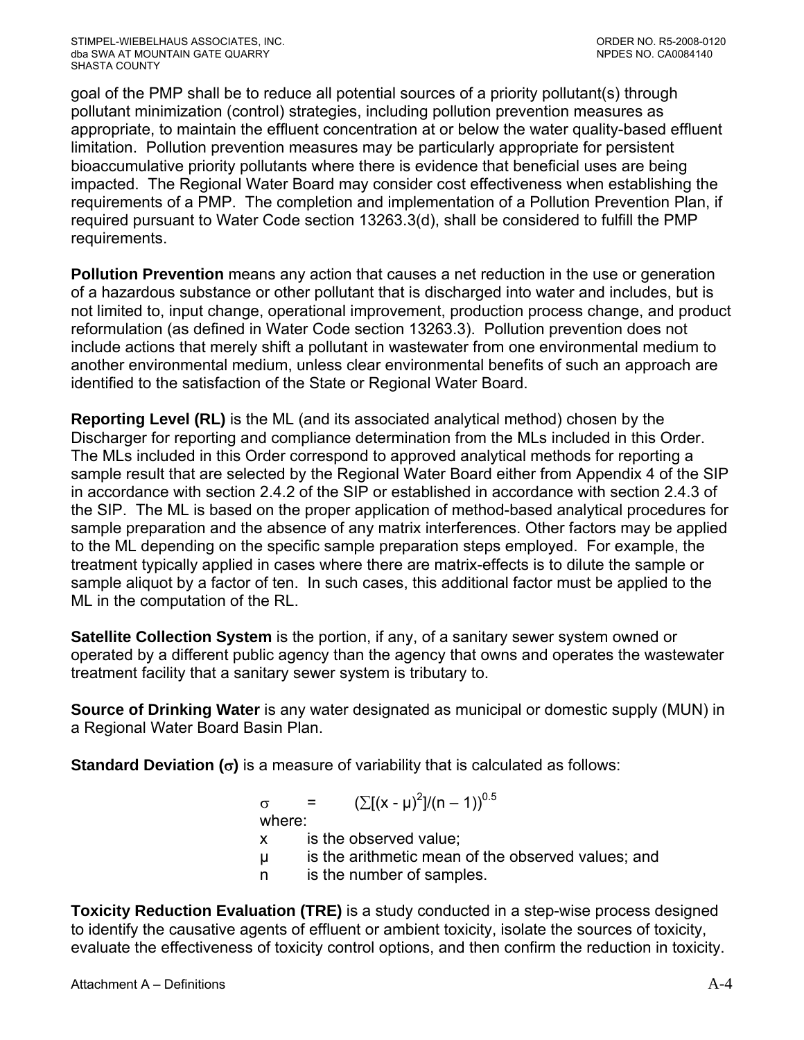goal of the PMP shall be to reduce all potential sources of a priority pollutant(s) through pollutant minimization (control) strategies, including pollution prevention measures as appropriate, to maintain the effluent concentration at or below the water quality-based effluent limitation. Pollution prevention measures may be particularly appropriate for persistent bioaccumulative priority pollutants where there is evidence that beneficial uses are being impacted. The Regional Water Board may consider cost effectiveness when establishing the requirements of a PMP. The completion and implementation of a Pollution Prevention Plan, if required pursuant to Water Code section 13263.3(d), shall be considered to fulfill the PMP requirements.

**Pollution Prevention** means any action that causes a net reduction in the use or generation of a hazardous substance or other pollutant that is discharged into water and includes, but is not limited to, input change, operational improvement, production process change, and product reformulation (as defined in Water Code section 13263.3). Pollution prevention does not include actions that merely shift a pollutant in wastewater from one environmental medium to another environmental medium, unless clear environmental benefits of such an approach are identified to the satisfaction of the State or Regional Water Board.

**Reporting Level (RL)** is the ML (and its associated analytical method) chosen by the Discharger for reporting and compliance determination from the MLs included in this Order. The MLs included in this Order correspond to approved analytical methods for reporting a sample result that are selected by the Regional Water Board either from Appendix 4 of the SIP in accordance with section 2.4.2 of the SIP or established in accordance with section 2.4.3 of the SIP. The ML is based on the proper application of method-based analytical procedures for sample preparation and the absence of any matrix interferences. Other factors may be applied to the ML depending on the specific sample preparation steps employed. For example, the treatment typically applied in cases where there are matrix-effects is to dilute the sample or sample aliquot by a factor of ten. In such cases, this additional factor must be applied to the ML in the computation of the RL.

**Satellite Collection System** is the portion, if any, of a sanitary sewer system owned or operated by a different public agency than the agency that owns and operates the wastewater treatment facility that a sanitary sewer system is tributary to.

**Source of Drinking Water** is any water designated as municipal or domestic supply (MUN) in a Regional Water Board Basin Plan.

**Standard Deviation (**σ**)** is a measure of variability that is calculated as follows:

 $\sigma = (\sum [(x - μ)^2]/(n - 1))^{0.5}$ 

where:

x is the observed value;

- µ is the arithmetic mean of the observed values; and
- n is the number of samples.

**Toxicity Reduction Evaluation (TRE)** is a study conducted in a step-wise process designed to identify the causative agents of effluent or ambient toxicity, isolate the sources of toxicity, evaluate the effectiveness of toxicity control options, and then confirm the reduction in toxicity.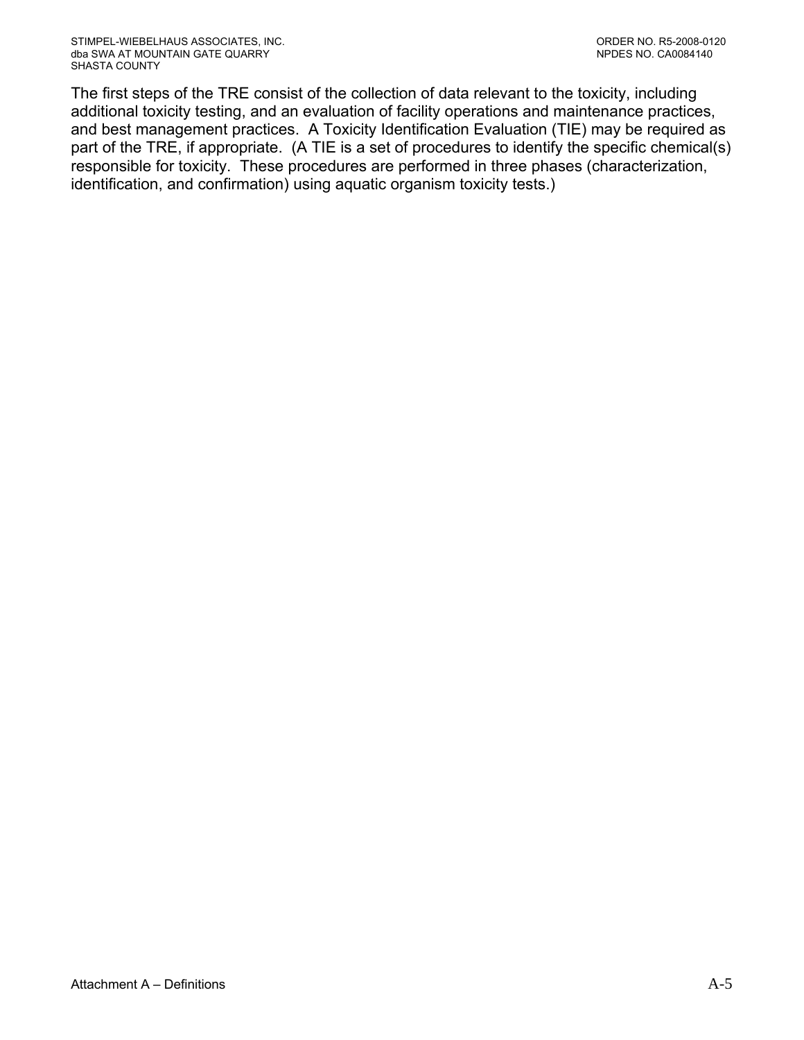The first steps of the TRE consist of the collection of data relevant to the toxicity, including additional toxicity testing, and an evaluation of facility operations and maintenance practices, and best management practices. A Toxicity Identification Evaluation (TIE) may be required as part of the TRE, if appropriate. (A TIE is a set of procedures to identify the specific chemical(s) responsible for toxicity. These procedures are performed in three phases (characterization, identification, and confirmation) using aquatic organism toxicity tests.)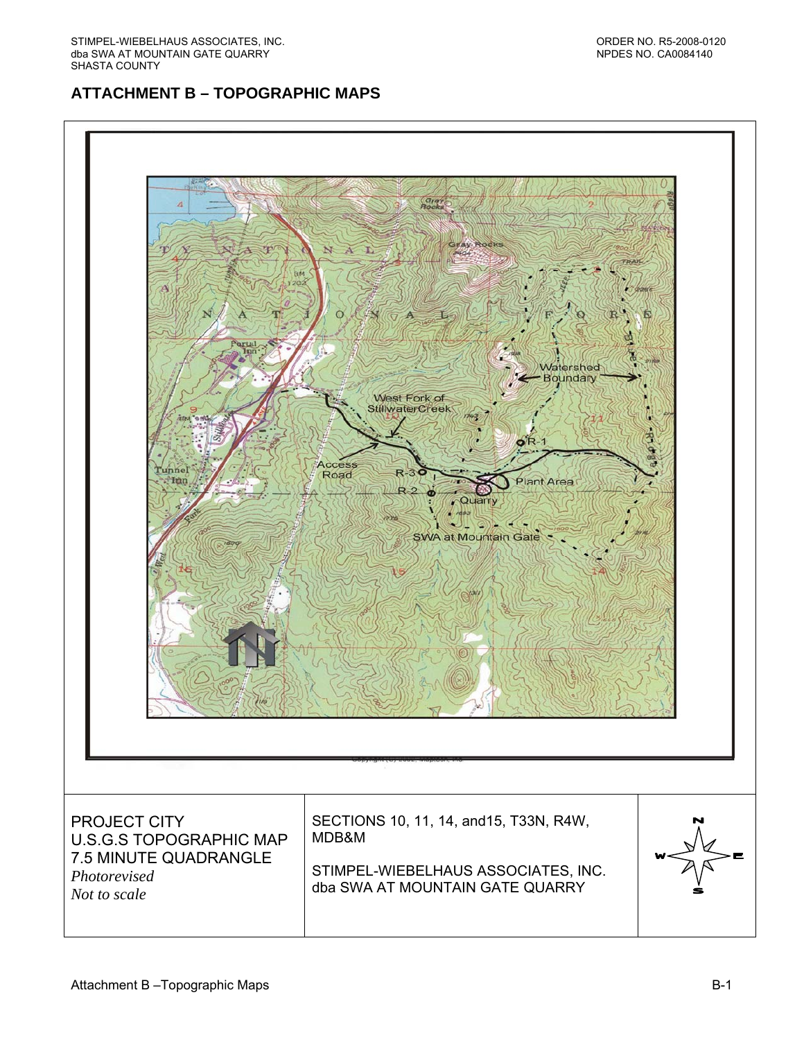# **ATTACHMENT B – TOPOGRAPHIC MAPS**

<span id="page-31-0"></span>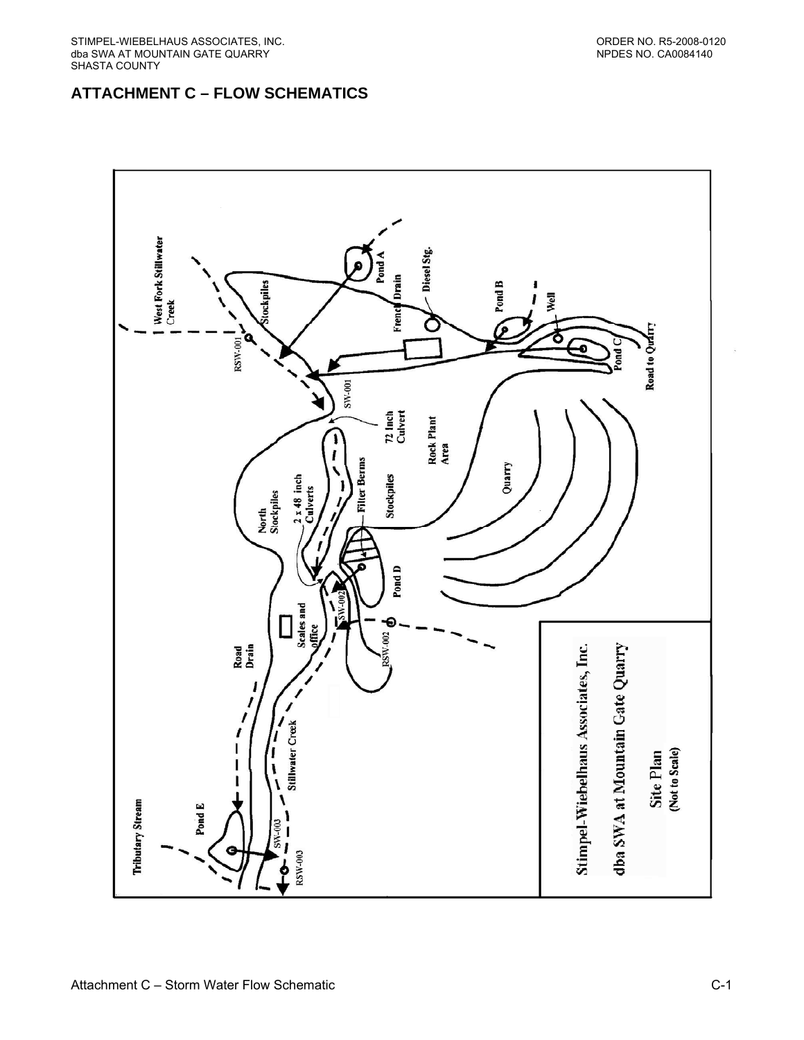# <span id="page-32-0"></span>**ATTACHMENT C – FLOW SCHEMATICS**

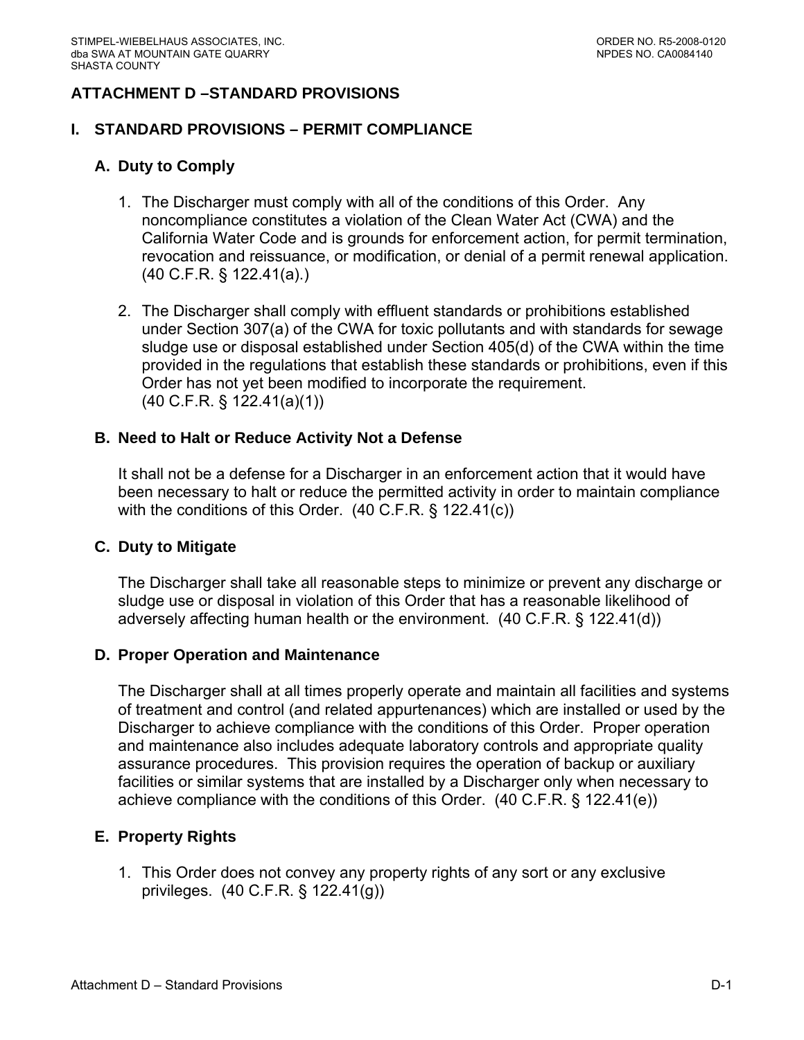## <span id="page-33-0"></span>**ATTACHMENT D –STANDARD PROVISIONS**

### **I. STANDARD PROVISIONS – PERMIT COMPLIANCE**

### **A. Duty to Comply**

- 1. The Discharger must comply with all of the conditions of this Order. Any noncompliance constitutes a violation of the Clean Water Act (CWA) and the California Water Code and is grounds for enforcement action, for permit termination, revocation and reissuance, or modification, or denial of a permit renewal application. (40 C.F.R. § 122.41(a).)
- 2. The Discharger shall comply with effluent standards or prohibitions established under Section 307(a) of the CWA for toxic pollutants and with standards for sewage sludge use or disposal established under Section 405(d) of the CWA within the time provided in the regulations that establish these standards or prohibitions, even if this Order has not yet been modified to incorporate the requirement. (40 C.F.R. § 122.41(a)(1))

#### **B. Need to Halt or Reduce Activity Not a Defense**

It shall not be a defense for a Discharger in an enforcement action that it would have been necessary to halt or reduce the permitted activity in order to maintain compliance with the conditions of this Order. (40 C.F.R. § 122.41(c))

#### **C. Duty to Mitigate**

The Discharger shall take all reasonable steps to minimize or prevent any discharge or sludge use or disposal in violation of this Order that has a reasonable likelihood of adversely affecting human health or the environment. (40 C.F.R. § 122.41(d))

#### **D. Proper Operation and Maintenance**

The Discharger shall at all times properly operate and maintain all facilities and systems of treatment and control (and related appurtenances) which are installed or used by the Discharger to achieve compliance with the conditions of this Order. Proper operation and maintenance also includes adequate laboratory controls and appropriate quality assurance procedures. This provision requires the operation of backup or auxiliary facilities or similar systems that are installed by a Discharger only when necessary to achieve compliance with the conditions of this Order. (40 C.F.R. § 122.41(e))

#### **E. Property Rights**

1. This Order does not convey any property rights of any sort or any exclusive privileges. (40 C.F.R. § 122.41(g))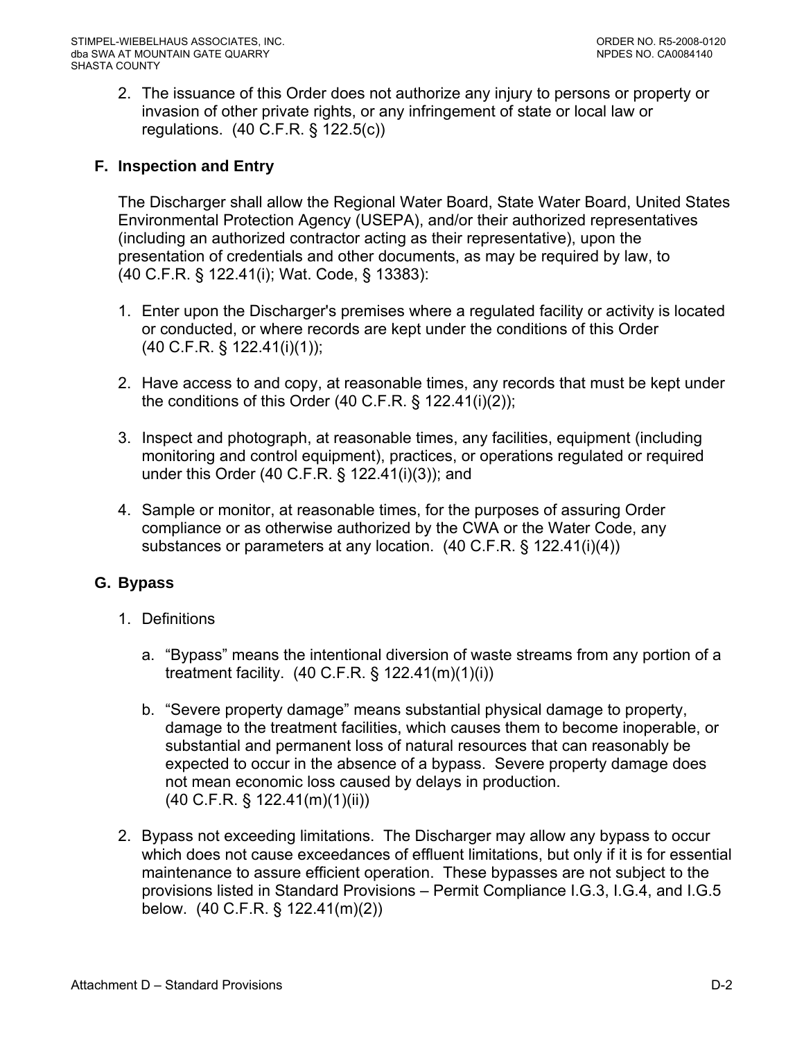<span id="page-34-0"></span>2. The issuance of this Order does not authorize any injury to persons or property or invasion of other private rights, or any infringement of state or local law or regulations. (40 C.F.R. § 122.5(c))

## **F. Inspection and Entry**

The Discharger shall allow the Regional Water Board, State Water Board, United States Environmental Protection Agency (USEPA), and/or their authorized representatives (including an authorized contractor acting as their representative), upon the presentation of credentials and other documents, as may be required by law, to (40 C.F.R. § 122.41(i); Wat. Code, § 13383):

- 1. Enter upon the Discharger's premises where a regulated facility or activity is located or conducted, or where records are kept under the conditions of this Order (40 C.F.R. § 122.41(i)(1));
- 2. Have access to and copy, at reasonable times, any records that must be kept under the conditions of this Order  $(40 \text{ C.F.R. } § 122.41(i)(2));$
- 3. Inspect and photograph, at reasonable times, any facilities, equipment (including monitoring and control equipment), practices, or operations regulated or required under this Order (40 C.F.R. § 122.41(i)(3)); and
- 4. Sample or monitor, at reasonable times, for the purposes of assuring Order compliance or as otherwise authorized by the CWA or the Water Code, any substances or parameters at any location. (40 C.F.R. § 122.41(i)(4))

### **G. Bypass**

- 1. Definitions
	- a. "Bypass" means the intentional diversion of waste streams from any portion of a treatment facility. (40 C.F.R. § 122.41(m)(1)(i))
	- b. "Severe property damage" means substantial physical damage to property, damage to the treatment facilities, which causes them to become inoperable, or substantial and permanent loss of natural resources that can reasonably be expected to occur in the absence of a bypass. Severe property damage does not mean economic loss caused by delays in production. (40 C.F.R. § 122.41(m)(1)(ii))
- 2. Bypass not exceeding limitations. The Discharger may allow any bypass to occur which does not cause exceedances of effluent limitations, but only if it is for essential maintenance to assure efficient operation. These bypasses are not subject to the provisions listed in Standard Provisions – Permit Compliance I.G.3, I.G.4, and I.G.5 below. (40 C.F.R. § 122.41(m)(2))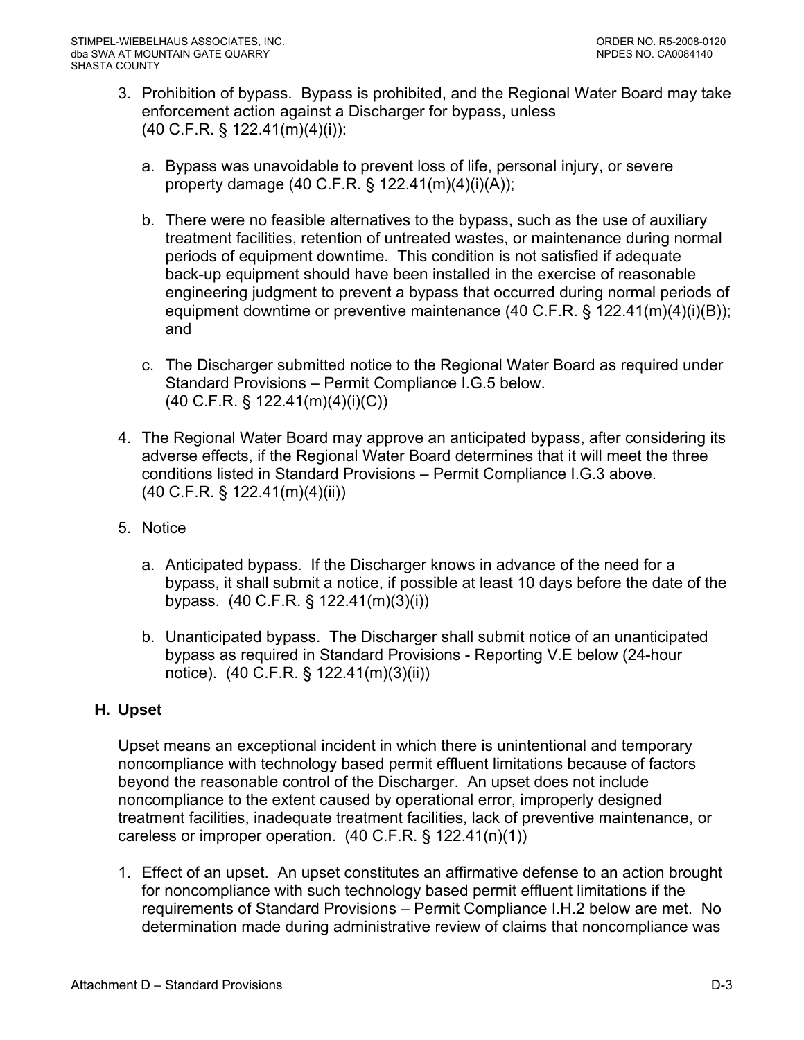- <span id="page-35-0"></span>3. Prohibition of bypass. Bypass is prohibited, and the Regional Water Board may take enforcement action against a Discharger for bypass, unless (40 C.F.R. § 122.41(m)(4)(i)):
	- a. Bypass was unavoidable to prevent loss of life, personal injury, or severe property damage (40 C.F.R. § 122.41(m)(4)(i)(A));
	- b. There were no feasible alternatives to the bypass, such as the use of auxiliary treatment facilities, retention of untreated wastes, or maintenance during normal periods of equipment downtime. This condition is not satisfied if adequate back-up equipment should have been installed in the exercise of reasonable engineering judgment to prevent a bypass that occurred during normal periods of equipment downtime or preventive maintenance (40 C.F.R. § 122.41(m)(4)(i)(B)); and
	- c. The Discharger submitted notice to the Regional Water Board as required under Standard Provisions – Permit Compliance I.G.5 below. (40 C.F.R. § 122.41(m)(4)(i)(C))
- 4. The Regional Water Board may approve an anticipated bypass, after considering its adverse effects, if the Regional Water Board determines that it will meet the three conditions listed in Standard Provisions – Permit Compliance I.G.3 above. (40 C.F.R. § 122.41(m)(4)(ii))
- 5. Notice
	- a. Anticipated bypass. If the Discharger knows in advance of the need for a bypass, it shall submit a notice, if possible at least 10 days before the date of the bypass. (40 C.F.R. § 122.41(m)(3)(i))
	- b. Unanticipated bypass. The Discharger shall submit notice of an unanticipated bypass as required in Standard Provisions - Reporting V.E below (24-hour notice). (40 C.F.R. § 122.41(m)(3)(ii))

# **H. Upset**

Upset means an exceptional incident in which there is unintentional and temporary noncompliance with technology based permit effluent limitations because of factors beyond the reasonable control of the Discharger. An upset does not include noncompliance to the extent caused by operational error, improperly designed treatment facilities, inadequate treatment facilities, lack of preventive maintenance, or careless or improper operation. (40 C.F.R. § 122.41(n)(1))

1. Effect of an upset. An upset constitutes an affirmative defense to an action brought for noncompliance with such technology based permit effluent limitations if the requirements of Standard Provisions – Permit Compliance I.H.2 below are met. No determination made during administrative review of claims that noncompliance was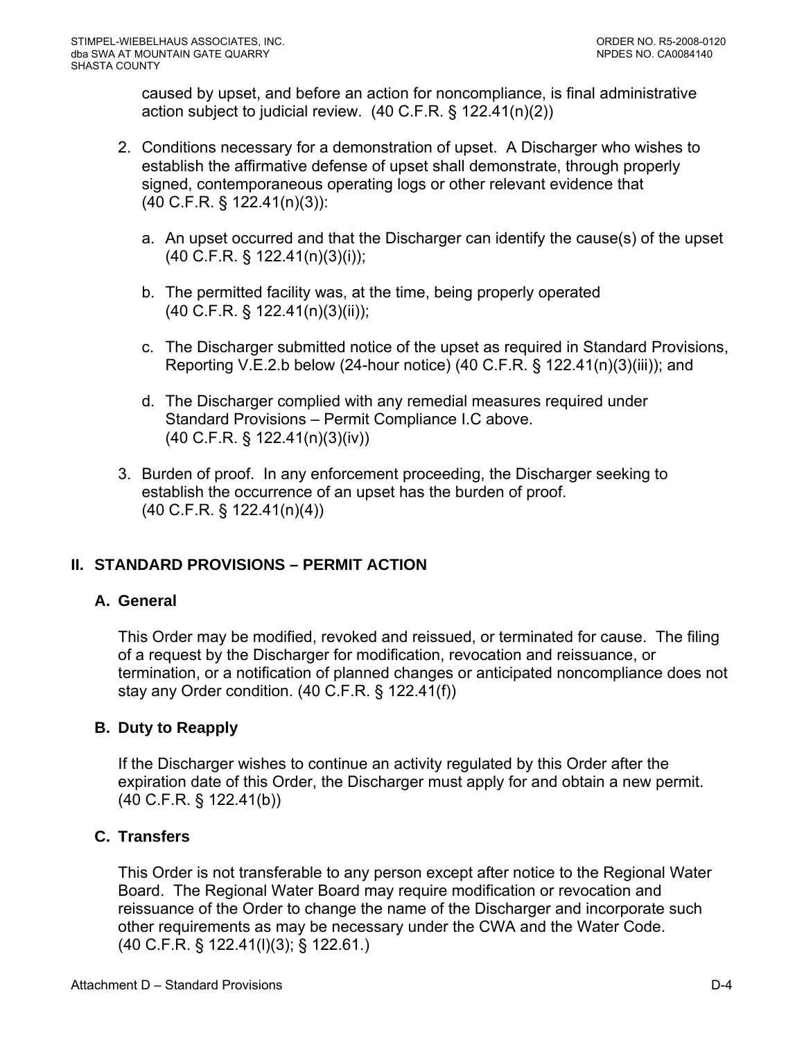caused by upset, and before an action for noncompliance, is final administrative action subject to judicial review. (40 C.F.R. § 122.41(n)(2))

- 2. Conditions necessary for a demonstration of upset. A Discharger who wishes to establish the affirmative defense of upset shall demonstrate, through properly signed, contemporaneous operating logs or other relevant evidence that (40 C.F.R. § 122.41(n)(3)):
	- a. An upset occurred and that the Discharger can identify the cause(s) of the upset (40 C.F.R. § 122.41(n)(3)(i));
	- b. The permitted facility was, at the time, being properly operated (40 C.F.R. § 122.41(n)(3)(ii));
	- c. The Discharger submitted notice of the upset as required in Standard Provisions, Reporting V.E.2.b below (24-hour notice) (40 C.F.R. § 122.41(n)(3)(iii)); and
	- d. The Discharger complied with any remedial measures required under Standard Provisions – Permit Compliance I.C above. (40 C.F.R. § 122.41(n)(3)(iv))
- 3. Burden of proof. In any enforcement proceeding, the Discharger seeking to establish the occurrence of an upset has the burden of proof. (40 C.F.R. § 122.41(n)(4))

# **II. STANDARD PROVISIONS – PERMIT ACTION**

# **A. General**

This Order may be modified, revoked and reissued, or terminated for cause. The filing of a request by the Discharger for modification, revocation and reissuance, or termination, or a notification of planned changes or anticipated noncompliance does not stay any Order condition. (40 C.F.R. § 122.41(f))

#### **B. Duty to Reapply**

If the Discharger wishes to continue an activity regulated by this Order after the expiration date of this Order, the Discharger must apply for and obtain a new permit. (40 C.F.R. § 122.41(b))

# **C. Transfers**

This Order is not transferable to any person except after notice to the Regional Water Board. The Regional Water Board may require modification or revocation and reissuance of the Order to change the name of the Discharger and incorporate such other requirements as may be necessary under the CWA and the Water Code. (40 C.F.R. § 122.41(l)(3); § 122.61.)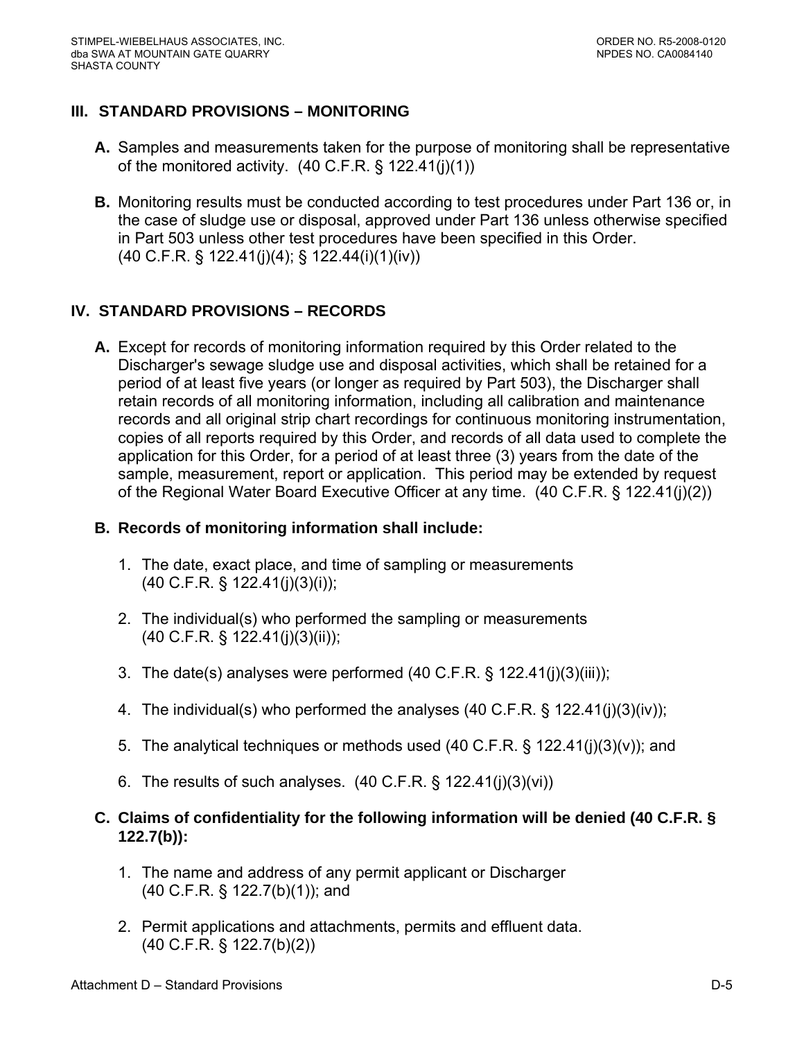# **III. STANDARD PROVISIONS – MONITORING**

- **A.** Samples and measurements taken for the purpose of monitoring shall be representative of the monitored activity.  $(40 \text{ C.F.R.} \S 122.41(j)(1))$
- **B.** Monitoring results must be conducted according to test procedures under Part 136 or, in the case of sludge use or disposal, approved under Part 136 unless otherwise specified in Part 503 unless other test procedures have been specified in this Order. (40 C.F.R. § 122.41(j)(4); § 122.44(i)(1)(iv))

# **IV. STANDARD PROVISIONS – RECORDS**

**A.** Except for records of monitoring information required by this Order related to the Discharger's sewage sludge use and disposal activities, which shall be retained for a period of at least five years (or longer as required by Part 503), the Discharger shall retain records of all monitoring information, including all calibration and maintenance records and all original strip chart recordings for continuous monitoring instrumentation, copies of all reports required by this Order, and records of all data used to complete the application for this Order, for a period of at least three (3) years from the date of the sample, measurement, report or application. This period may be extended by request of the Regional Water Board Executive Officer at any time. (40 C.F.R. § 122.41(j)(2))

### **B. Records of monitoring information shall include:**

- 1. The date, exact place, and time of sampling or measurements (40 C.F.R. § 122.41(j)(3)(i));
- 2. The individual(s) who performed the sampling or measurements (40 C.F.R. § 122.41(j)(3)(ii));
- 3. The date(s) analyses were performed (40 C.F.R. § 122.41(j)(3)(iii));
- 4. The individual(s) who performed the analyses (40 C.F.R. § 122.41(j)(3)(iv));
- 5. The analytical techniques or methods used (40 C.F.R. § 122.41(j)(3)(v)); and
- 6. The results of such analyses.  $(40 \text{ C.F.R.} \S 122.41(i)(3)(vi))$

# **C. Claims of confidentiality for the following information will be denied (40 C.F.R. § 122.7(b)):**

- 1. The name and address of any permit applicant or Discharger (40 C.F.R. § 122.7(b)(1)); and
- 2. Permit applications and attachments, permits and effluent data. (40 C.F.R. § 122.7(b)(2))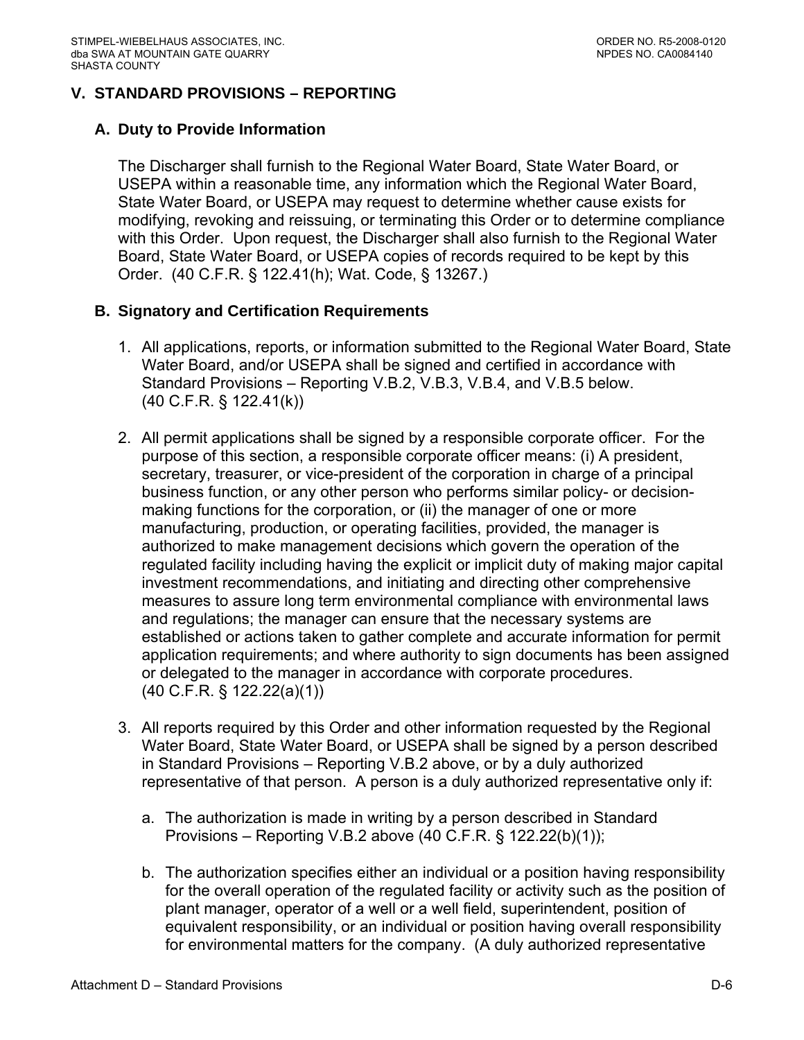# **V. STANDARD PROVISIONS – REPORTING**

## **A. Duty to Provide Information**

The Discharger shall furnish to the Regional Water Board, State Water Board, or USEPA within a reasonable time, any information which the Regional Water Board, State Water Board, or USEPA may request to determine whether cause exists for modifying, revoking and reissuing, or terminating this Order or to determine compliance with this Order. Upon request, the Discharger shall also furnish to the Regional Water Board, State Water Board, or USEPA copies of records required to be kept by this Order. (40 C.F.R. § 122.41(h); Wat. Code, § 13267.)

## **B. Signatory and Certification Requirements**

- 1. All applications, reports, or information submitted to the Regional Water Board, State Water Board, and/or USEPA shall be signed and certified in accordance with Standard Provisions – Reporting V.B.2, V.B.3, V.B.4, and V.B.5 below. (40 C.F.R. § 122.41(k))
- 2. All permit applications shall be signed by a responsible corporate officer. For the purpose of this section, a responsible corporate officer means: (i) A president, secretary, treasurer, or vice-president of the corporation in charge of a principal business function, or any other person who performs similar policy- or decisionmaking functions for the corporation, or (ii) the manager of one or more manufacturing, production, or operating facilities, provided, the manager is authorized to make management decisions which govern the operation of the regulated facility including having the explicit or implicit duty of making major capital investment recommendations, and initiating and directing other comprehensive measures to assure long term environmental compliance with environmental laws and regulations; the manager can ensure that the necessary systems are established or actions taken to gather complete and accurate information for permit application requirements; and where authority to sign documents has been assigned or delegated to the manager in accordance with corporate procedures. (40 C.F.R. § 122.22(a)(1))
- 3. All reports required by this Order and other information requested by the Regional Water Board, State Water Board, or USEPA shall be signed by a person described in Standard Provisions – Reporting V.B.2 above, or by a duly authorized representative of that person. A person is a duly authorized representative only if:
	- a. The authorization is made in writing by a person described in Standard Provisions – Reporting V.B.2 above (40 C.F.R. § 122.22(b)(1));
	- b. The authorization specifies either an individual or a position having responsibility for the overall operation of the regulated facility or activity such as the position of plant manager, operator of a well or a well field, superintendent, position of equivalent responsibility, or an individual or position having overall responsibility for environmental matters for the company. (A duly authorized representative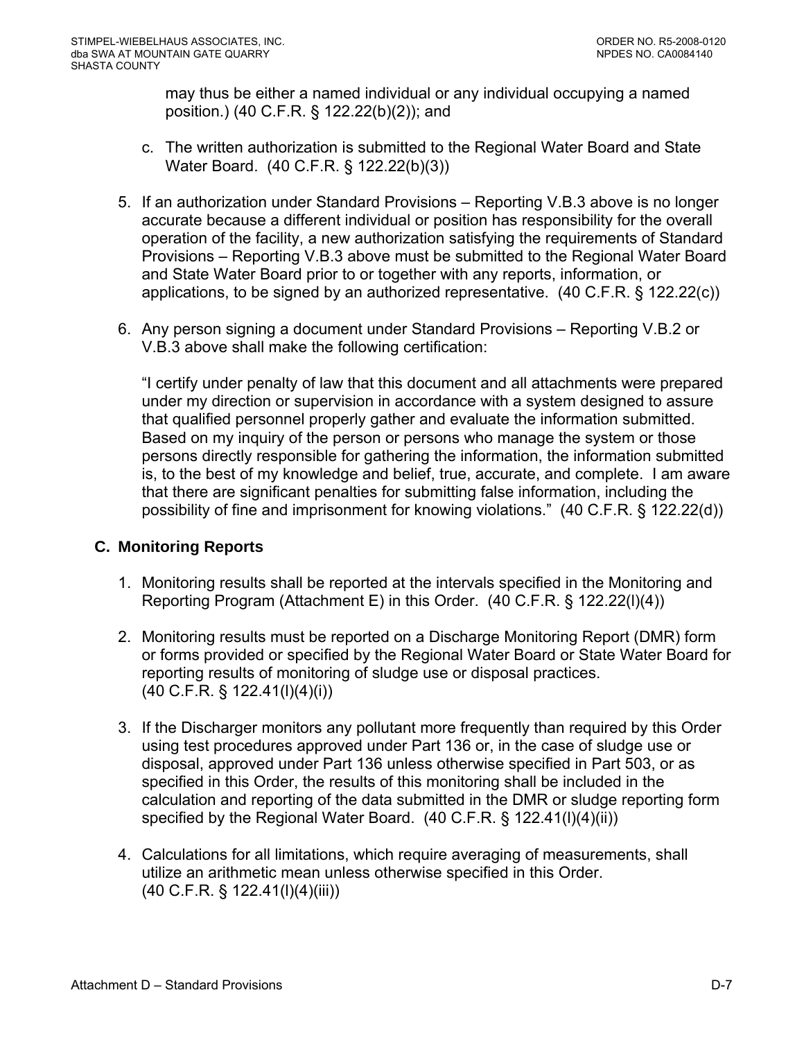may thus be either a named individual or any individual occupying a named position.) (40 C.F.R. § 122.22(b)(2)); and

- c. The written authorization is submitted to the Regional Water Board and State Water Board. (40 C.F.R. § 122.22(b)(3))
- 5. If an authorization under Standard Provisions Reporting V.B.3 above is no longer accurate because a different individual or position has responsibility for the overall operation of the facility, a new authorization satisfying the requirements of Standard Provisions – Reporting V.B.3 above must be submitted to the Regional Water Board and State Water Board prior to or together with any reports, information, or applications, to be signed by an authorized representative. (40 C.F.R. § 122.22(c))
- 6. Any person signing a document under Standard Provisions Reporting V.B.2 or V.B.3 above shall make the following certification:

"I certify under penalty of law that this document and all attachments were prepared under my direction or supervision in accordance with a system designed to assure that qualified personnel properly gather and evaluate the information submitted. Based on my inquiry of the person or persons who manage the system or those persons directly responsible for gathering the information, the information submitted is, to the best of my knowledge and belief, true, accurate, and complete. I am aware that there are significant penalties for submitting false information, including the possibility of fine and imprisonment for knowing violations." (40 C.F.R. § 122.22(d))

# **C. Monitoring Reports**

- 1. Monitoring results shall be reported at the intervals specified in the Monitoring and Reporting Program (Attachment E) in this Order. (40 C.F.R. § 122.22(l)(4))
- 2. Monitoring results must be reported on a Discharge Monitoring Report (DMR) form or forms provided or specified by the Regional Water Board or State Water Board for reporting results of monitoring of sludge use or disposal practices. (40 C.F.R. § 122.41(l)(4)(i))
- 3. If the Discharger monitors any pollutant more frequently than required by this Order using test procedures approved under Part 136 or, in the case of sludge use or disposal, approved under Part 136 unless otherwise specified in Part 503, or as specified in this Order, the results of this monitoring shall be included in the calculation and reporting of the data submitted in the DMR or sludge reporting form specified by the Regional Water Board. (40 C.F.R. § 122.41(l)(4)(ii))
- 4. Calculations for all limitations, which require averaging of measurements, shall utilize an arithmetic mean unless otherwise specified in this Order. (40 C.F.R. § 122.41(l)(4)(iii))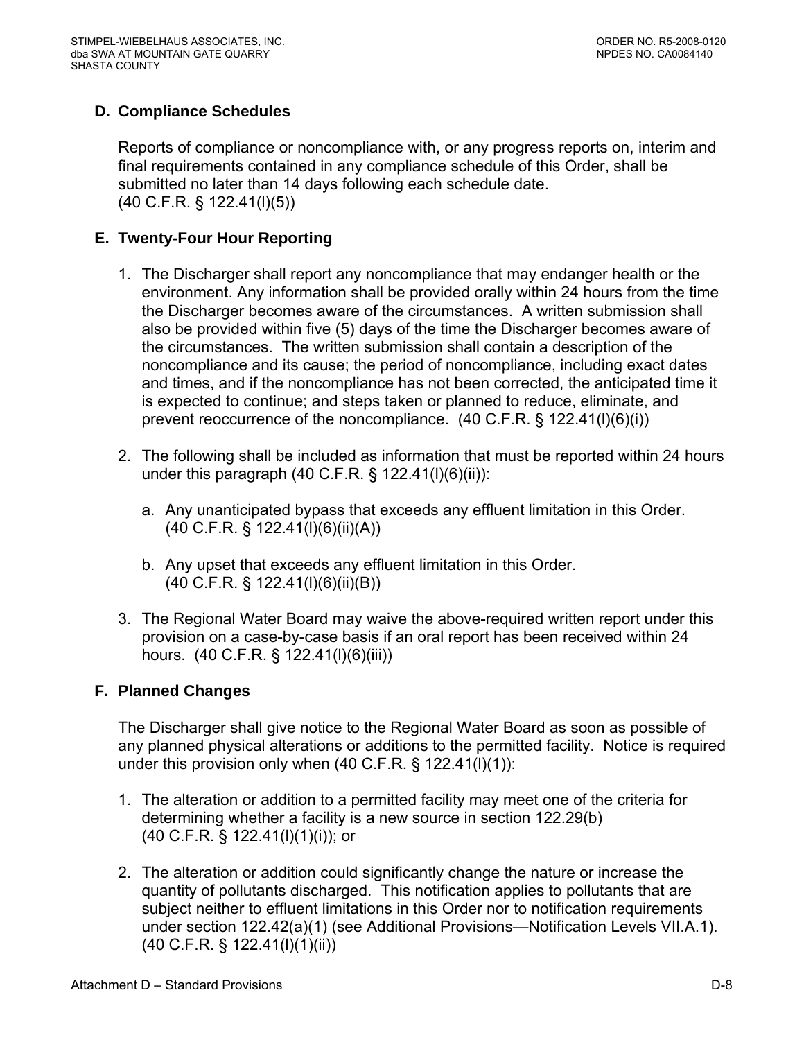# **D. Compliance Schedules**

Reports of compliance or noncompliance with, or any progress reports on, interim and final requirements contained in any compliance schedule of this Order, shall be submitted no later than 14 days following each schedule date. (40 C.F.R. § 122.41(l)(5))

# **E. Twenty-Four Hour Reporting**

- 1. The Discharger shall report any noncompliance that may endanger health or the environment. Any information shall be provided orally within 24 hours from the time the Discharger becomes aware of the circumstances. A written submission shall also be provided within five (5) days of the time the Discharger becomes aware of the circumstances. The written submission shall contain a description of the noncompliance and its cause; the period of noncompliance, including exact dates and times, and if the noncompliance has not been corrected, the anticipated time it is expected to continue; and steps taken or planned to reduce, eliminate, and prevent reoccurrence of the noncompliance.  $(40 \text{ C.F.R.}$  §  $122.41(l)(6)(i))$
- 2. The following shall be included as information that must be reported within 24 hours under this paragraph (40 C.F.R.  $\S$  122.41(l)(6)(ii)):
	- a. Any unanticipated bypass that exceeds any effluent limitation in this Order. (40 C.F.R. § 122.41(l)(6)(ii)(A))
	- b. Any upset that exceeds any effluent limitation in this Order. (40 C.F.R. § 122.41(l)(6)(ii)(B))
- 3. The Regional Water Board may waive the above-required written report under this provision on a case-by-case basis if an oral report has been received within 24 hours. (40 C.F.R. § 122.41(l)(6)(iii))

# **F. Planned Changes**

The Discharger shall give notice to the Regional Water Board as soon as possible of any planned physical alterations or additions to the permitted facility. Notice is required under this provision only when (40 C.F.R. § 122.41(l)(1)):

- 1. The alteration or addition to a permitted facility may meet one of the criteria for determining whether a facility is a new source in section 122.29(b) (40 C.F.R. § 122.41(l)(1)(i)); or
- 2. The alteration or addition could significantly change the nature or increase the quantity of pollutants discharged. This notification applies to pollutants that are subject neither to effluent limitations in this Order nor to notification requirements under section 122.42(a)(1) (see Additional Provisions—Notification Levels VII.A.1). (40 C.F.R. § 122.41(l)(1)(ii))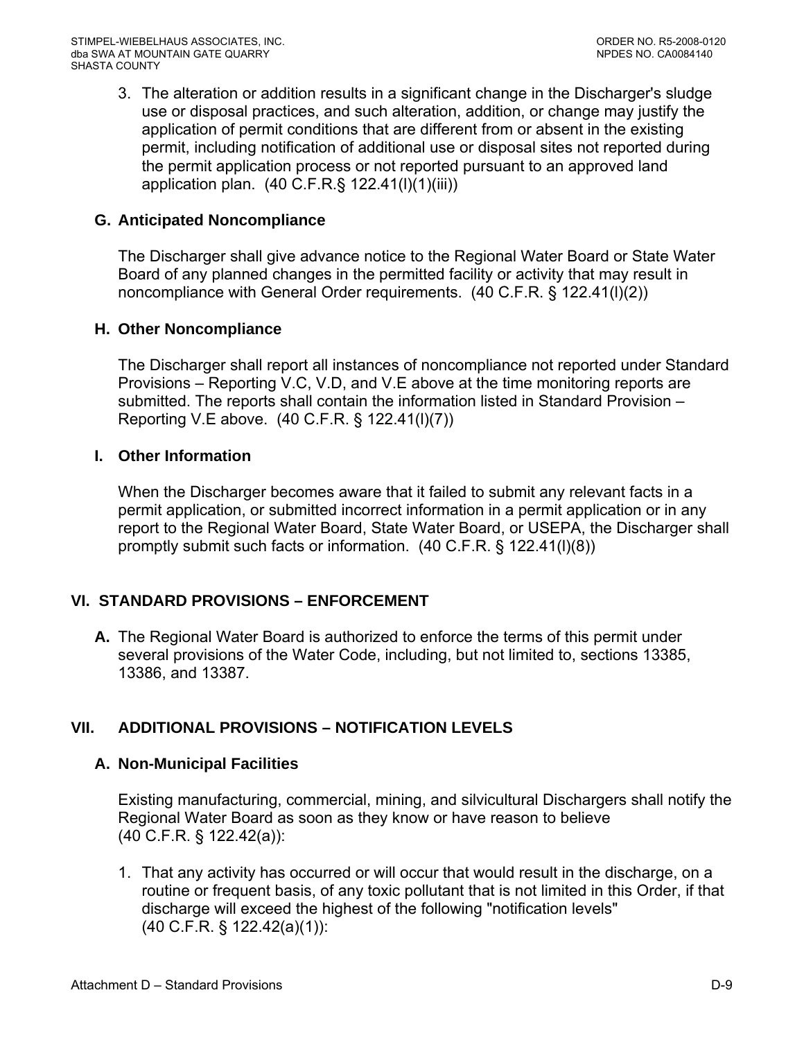3. The alteration or addition results in a significant change in the Discharger's sludge use or disposal practices, and such alteration, addition, or change may justify the application of permit conditions that are different from or absent in the existing permit, including notification of additional use or disposal sites not reported during the permit application process or not reported pursuant to an approved land application plan. (40 C.F.R.§ 122.41(l)(1)(iii))

### **G. Anticipated Noncompliance**

The Discharger shall give advance notice to the Regional Water Board or State Water Board of any planned changes in the permitted facility or activity that may result in noncompliance with General Order requirements. (40 C.F.R. § 122.41(l)(2))

## **H. Other Noncompliance**

The Discharger shall report all instances of noncompliance not reported under Standard Provisions – Reporting V.C, V.D, and V.E above at the time monitoring reports are submitted. The reports shall contain the information listed in Standard Provision – Reporting V.E above. (40 C.F.R. § 122.41(l)(7))

## **I. Other Information**

When the Discharger becomes aware that it failed to submit any relevant facts in a permit application, or submitted incorrect information in a permit application or in any report to the Regional Water Board, State Water Board, or USEPA, the Discharger shall promptly submit such facts or information. (40 C.F.R. § 122.41(l)(8))

# **VI. STANDARD PROVISIONS – ENFORCEMENT**

**A.** The Regional Water Board is authorized to enforce the terms of this permit under several provisions of the Water Code, including, but not limited to, sections 13385, 13386, and 13387.

# **VII. ADDITIONAL PROVISIONS – NOTIFICATION LEVELS**

# **A. Non-Municipal Facilities**

Existing manufacturing, commercial, mining, and silvicultural Dischargers shall notify the Regional Water Board as soon as they know or have reason to believe (40 C.F.R. § 122.42(a)):

1. That any activity has occurred or will occur that would result in the discharge, on a routine or frequent basis, of any toxic pollutant that is not limited in this Order, if that discharge will exceed the highest of the following "notification levels" (40 C.F.R. § 122.42(a)(1)):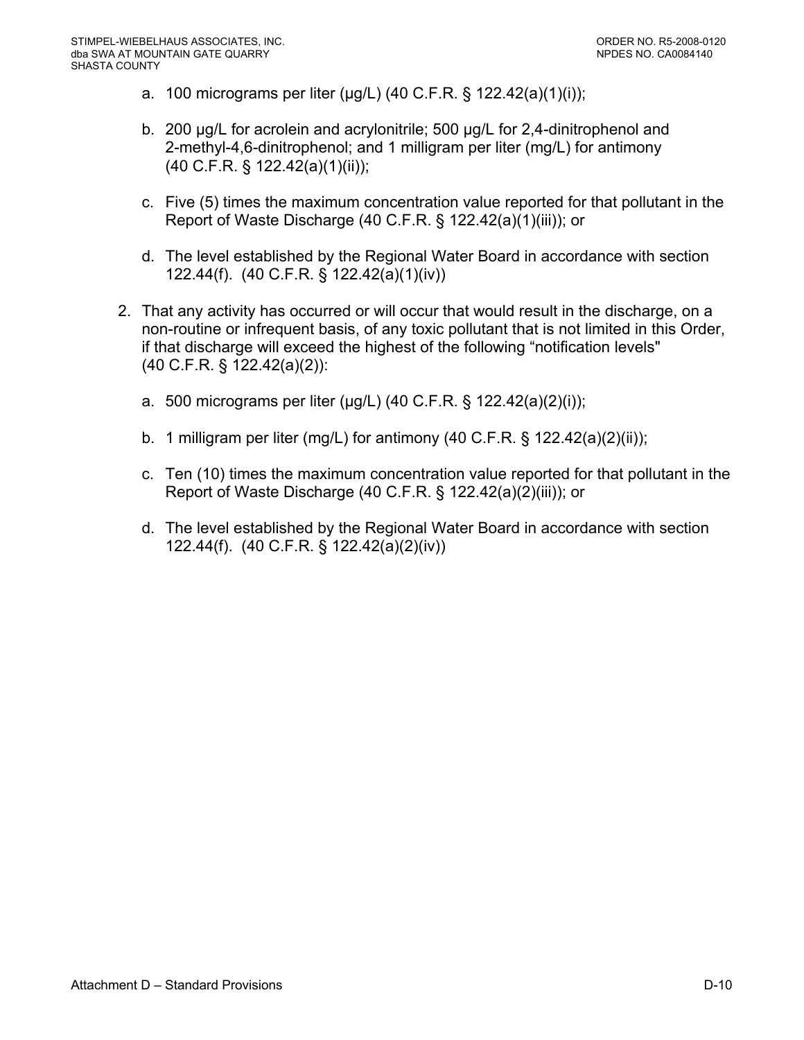- a. 100 micrograms per liter (μg/L) (40 C.F.R. § 122.42(a)(1)(i));
- b. 200 μg/L for acrolein and acrylonitrile; 500 μg/L for 2,4-dinitrophenol and 2-methyl-4,6-dinitrophenol; and 1 milligram per liter (mg/L) for antimony (40 C.F.R. § 122.42(a)(1)(ii));
- c. Five (5) times the maximum concentration value reported for that pollutant in the Report of Waste Discharge (40 C.F.R. § 122.42(a)(1)(iii)); or
- d. The level established by the Regional Water Board in accordance with section 122.44(f). (40 C.F.R. § 122.42(a)(1)(iv))
- 2. That any activity has occurred or will occur that would result in the discharge, on a non-routine or infrequent basis, of any toxic pollutant that is not limited in this Order, if that discharge will exceed the highest of the following "notification levels" (40 C.F.R. § 122.42(a)(2)):
	- a. 500 micrograms per liter (μg/L) (40 C.F.R. § 122.42(a)(2)(i));
	- b. 1 milligram per liter (mg/L) for antimony (40 C.F.R.  $\S$  122.42(a)(2)(ii));
	- c. Ten (10) times the maximum concentration value reported for that pollutant in the Report of Waste Discharge (40 C.F.R. § 122.42(a)(2)(iii)); or
	- d. The level established by the Regional Water Board in accordance with section 122.44(f). (40 C.F.R. § 122.42(a)(2)(iv))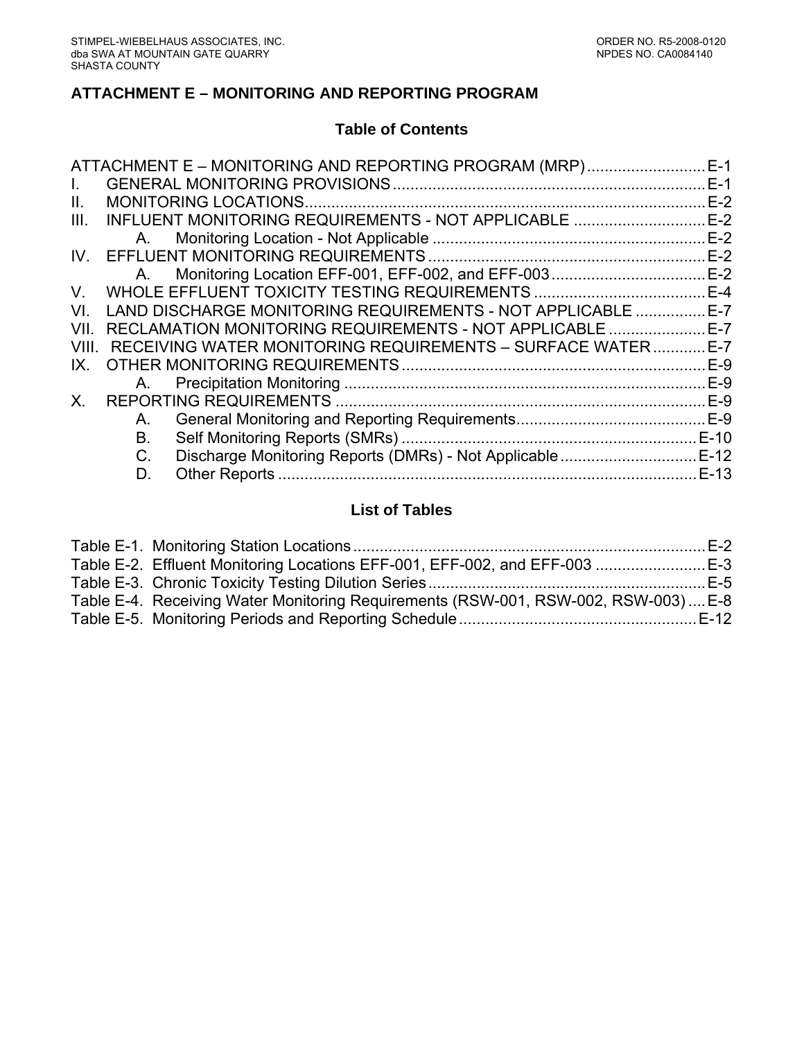## **ATTACHMENT E – MONITORING AND REPORTING PROGRAM**

#### **Table of Contents**

|              |    | ATTACHMENT E – MONITORING AND REPORTING PROGRAM (MRP)        | $E-1$  |
|--------------|----|--------------------------------------------------------------|--------|
| $\mathbf{L}$ |    |                                                              | $E-1$  |
| II.          |    | <b>MONITORING LOCATIONS</b>                                  | $E-2$  |
| III.         |    | INFLUENT MONITORING REQUIREMENTS - NOT APPLICABLE            | $E-2$  |
|              | A. |                                                              | $E-2$  |
| IV.          |    |                                                              | $E-2$  |
|              | A. |                                                              | $E-2$  |
| V.           |    |                                                              | $E-4$  |
| VI.          |    | LAND DISCHARGE MONITORING REQUIREMENTS - NOT APPLICABLE      | $E-7$  |
| VII.         |    | RECLAMATION MONITORING REQUIREMENTS - NOT APPLICABLE E-7     |        |
| VIII.        |    | RECEIVING WATER MONITORING REQUIREMENTS - SURFACE WATER  E-7 |        |
| IX           |    |                                                              | $E-9$  |
|              | A. |                                                              | $E-9$  |
| $X_{-}$      |    |                                                              | $E-9$  |
|              | А. |                                                              |        |
|              | B. |                                                              | $E-10$ |
|              | C. |                                                              |        |
|              | D. |                                                              | $E-13$ |
|              |    |                                                              |        |

### **List of Tables**

| Table E-2. Effluent Monitoring Locations EFF-001, EFF-002, and EFF-003 E-3         |  |
|------------------------------------------------------------------------------------|--|
|                                                                                    |  |
| Table E-4. Receiving Water Monitoring Requirements (RSW-001, RSW-002, RSW-003) E-8 |  |
|                                                                                    |  |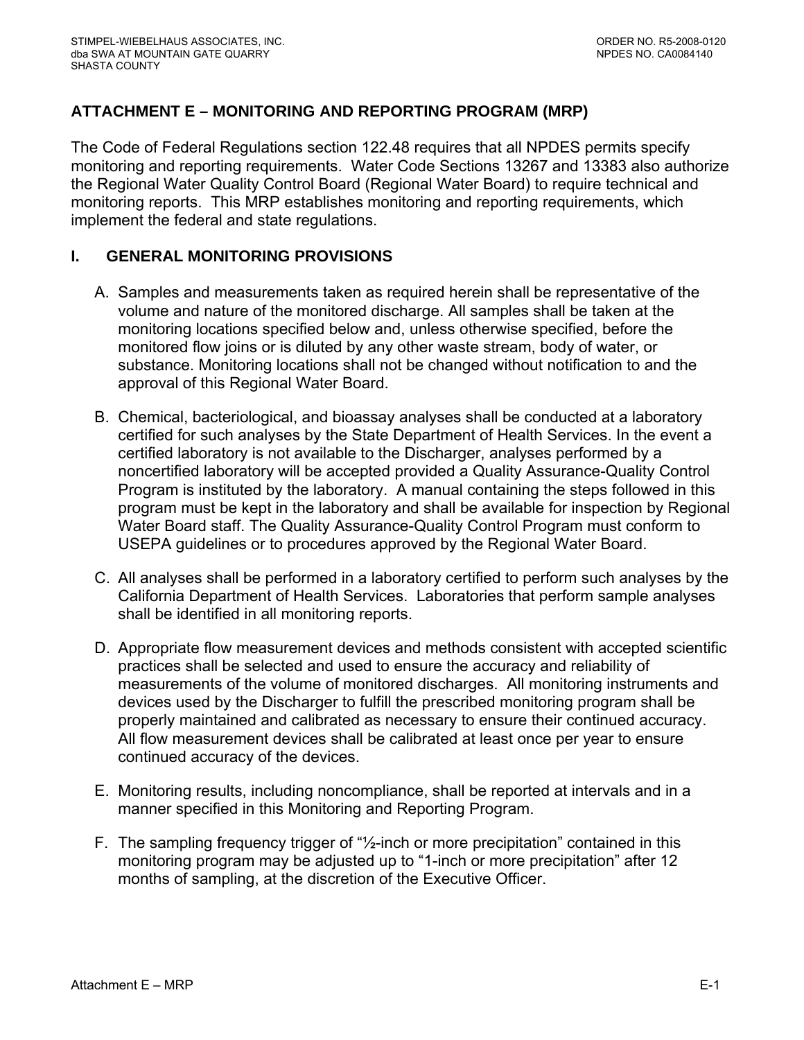# <span id="page-44-0"></span>**ATTACHMENT E – MONITORING AND REPORTING PROGRAM (MRP)**

The Code of Federal Regulations section 122.48 requires that all NPDES permits specify monitoring and reporting requirements. Water Code Sections 13267 and 13383 also authorize the Regional Water Quality Control Board (Regional Water Board) to require technical and monitoring reports. This MRP establishes monitoring and reporting requirements, which implement the federal and state regulations.

# **I. GENERAL MONITORING PROVISIONS**

- A. Samples and measurements taken as required herein shall be representative of the volume and nature of the monitored discharge. All samples shall be taken at the monitoring locations specified below and, unless otherwise specified, before the monitored flow joins or is diluted by any other waste stream, body of water, or substance. Monitoring locations shall not be changed without notification to and the approval of this Regional Water Board.
- B. Chemical, bacteriological, and bioassay analyses shall be conducted at a laboratory certified for such analyses by the State Department of Health Services. In the event a certified laboratory is not available to the Discharger, analyses performed by a noncertified laboratory will be accepted provided a Quality Assurance-Quality Control Program is instituted by the laboratory. A manual containing the steps followed in this program must be kept in the laboratory and shall be available for inspection by Regional Water Board staff. The Quality Assurance-Quality Control Program must conform to USEPA guidelines or to procedures approved by the Regional Water Board.
- C. All analyses shall be performed in a laboratory certified to perform such analyses by the California Department of Health Services. Laboratories that perform sample analyses shall be identified in all monitoring reports.
- D. Appropriate flow measurement devices and methods consistent with accepted scientific practices shall be selected and used to ensure the accuracy and reliability of measurements of the volume of monitored discharges. All monitoring instruments and devices used by the Discharger to fulfill the prescribed monitoring program shall be properly maintained and calibrated as necessary to ensure their continued accuracy. All flow measurement devices shall be calibrated at least once per year to ensure continued accuracy of the devices.
- E. Monitoring results, including noncompliance, shall be reported at intervals and in a manner specified in this Monitoring and Reporting Program.
- F. The sampling frequency trigger of "½-inch or more precipitation" contained in this monitoring program may be adjusted up to "1-inch or more precipitation" after 12 months of sampling, at the discretion of the Executive Officer.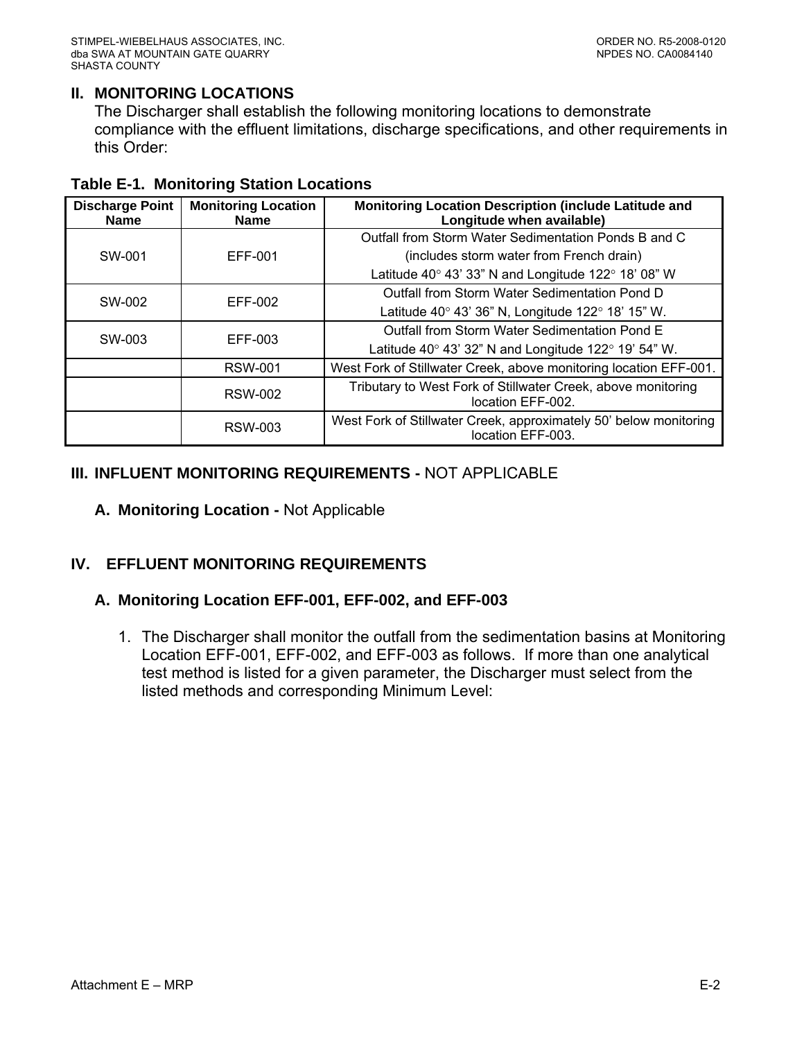## <span id="page-45-0"></span>**II. MONITORING LOCATIONS**

The Discharger shall establish the following monitoring locations to demonstrate compliance with the effluent limitations, discharge specifications, and other requirements in this Order:

| <b>Discharge Point</b><br><b>Name</b> | <b>Monitoring Location</b><br><b>Name</b> | Monitoring Location Description (include Latitude and<br>Longitude when available)     |
|---------------------------------------|-------------------------------------------|----------------------------------------------------------------------------------------|
|                                       |                                           | Outfall from Storm Water Sedimentation Ponds B and C                                   |
| SW-001                                | EFF-001                                   | (includes storm water from French drain)                                               |
|                                       |                                           | Latitude 40 $\degree$ 43' 33" N and Longitude 122 $\degree$ 18' 08" W                  |
| SW-002                                | EFF-002                                   | Outfall from Storm Water Sedimentation Pond D                                          |
|                                       |                                           | Latitude 40 $\degree$ 43' 36" N, Longitude 122 $\degree$ 18' 15" W.                    |
| SW-003                                | EFF-003                                   | Outfall from Storm Water Sedimentation Pond E                                          |
|                                       |                                           | Latitude 40 $\degree$ 43' 32" N and Longitude 122 $\degree$ 19' 54" W.                 |
|                                       | <b>RSW-001</b>                            | West Fork of Stillwater Creek, above monitoring location EFF-001.                      |
|                                       | <b>RSW-002</b>                            | Tributary to West Fork of Stillwater Creek, above monitoring<br>location EFF-002.      |
|                                       | <b>RSW-003</b>                            | West Fork of Stillwater Creek, approximately 50' below monitoring<br>location EFF-003. |

#### **III. INFLUENT MONITORING REQUIREMENTS -** NOT APPLICABLE

**A. Monitoring Location -** Not Applicable

# **IV. EFFLUENT MONITORING REQUIREMENTS**

#### **A. Monitoring Location EFF-001, EFF-002, and EFF-003**

1. The Discharger shall monitor the outfall from the sedimentation basins at Monitoring Location EFF-001, EFF-002, and EFF-003 as follows. If more than one analytical test method is listed for a given parameter, the Discharger must select from the listed methods and corresponding Minimum Level: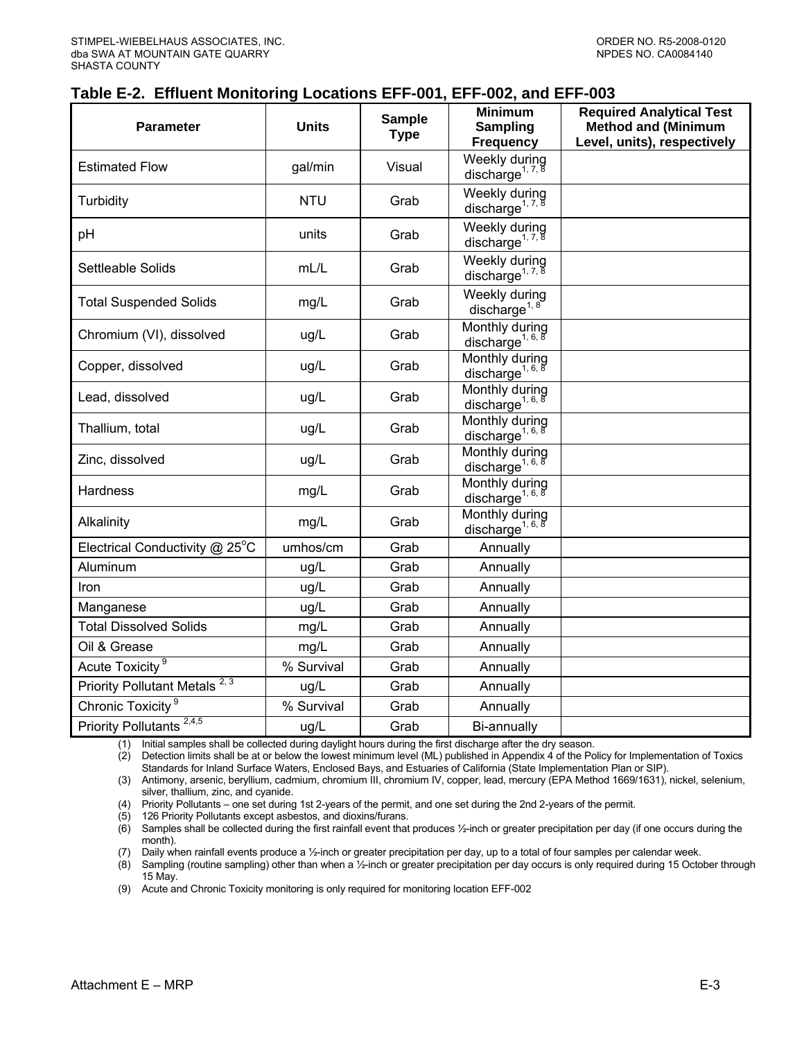#### <span id="page-46-0"></span>**Table E-2. Effluent Monitoring Locations EFF-001, EFF-002, and EFF-003**

| Parameter                                | <b>Units</b> | <b>Sample</b><br><b>Type</b> | <b>Minimum</b><br><b>Sampling</b><br><b>Frequency</b>                  | <b>Required Analytical Test</b><br><b>Method and (Minimum</b><br>Level, units), respectively |
|------------------------------------------|--------------|------------------------------|------------------------------------------------------------------------|----------------------------------------------------------------------------------------------|
| <b>Estimated Flow</b>                    | gal/min      | Visual                       | Weekly during<br>discharge <sup>1, 7, 8</sup>                          |                                                                                              |
| Turbidity                                | <b>NTU</b>   | Grab                         | Weekly during<br>discharge <sup>1, 7, 8</sup>                          |                                                                                              |
| pH                                       | units        | Grab                         | Weekly during<br>discharge <sup>1, 7, 8</sup>                          |                                                                                              |
| Settleable Solids                        | mL/L         | Grab                         | Weekly during<br>discharge <sup>1, 7, 8</sup>                          |                                                                                              |
| <b>Total Suspended Solids</b>            | mg/L         | Grab                         | Weekly during<br>discharge <sup>1, <math>8</math></sup>                |                                                                                              |
| Chromium (VI), dissolved                 | ug/L         | Grab                         | Monthly during<br>discharge <sup>1, 6, <math>\overline{8}</math></sup> |                                                                                              |
| Copper, dissolved                        | ug/L         | Grab                         | Monthly during<br>discharge <sup>1, 6, 8</sup>                         |                                                                                              |
| Lead, dissolved                          | ug/L         | Grab                         | Monthly during<br>discharge <sup>1, 6, <math>8</math></sup>            |                                                                                              |
| Thallium, total                          | ug/L         | Grab                         | Monthly during<br>discharge <sup>1, 6, 8</sup>                         |                                                                                              |
| Zinc, dissolved                          | ug/L         | Grab                         | Monthly during<br>discharge <sup>1, 6, 8</sup>                         |                                                                                              |
| Hardness                                 | mg/L         | Grab                         | Monthly during<br>discharge <sup>1, 6, 8</sup>                         |                                                                                              |
| Alkalinity                               | mg/L         | Grab                         | Monthly during<br>discharge <sup>1, 6, 8</sup>                         |                                                                                              |
| Electrical Conductivity @ 25°C           | umhos/cm     | Grab                         | Annually                                                               |                                                                                              |
| Aluminum                                 | ug/L         | Grab                         | Annually                                                               |                                                                                              |
| Iron                                     | ug/L         | Grab                         | Annually                                                               |                                                                                              |
| Manganese                                | ug/L         | Grab                         | Annually                                                               |                                                                                              |
| <b>Total Dissolved Solids</b>            | mg/L         | Grab                         | Annually                                                               |                                                                                              |
| Oil & Grease                             | mg/L         | Grab                         | Annually                                                               |                                                                                              |
| Acute Toxicity <sup>9</sup>              | % Survival   | Grab                         | Annually                                                               |                                                                                              |
| 2, 3<br><b>Priority Pollutant Metals</b> | ug/L         | Grab                         | Annually                                                               |                                                                                              |
| Chronic Toxicity <sup>9</sup>            | % Survival   | Grab                         | Annually                                                               |                                                                                              |
| Priority Pollutants <sup>2,4,5</sup>     | ug/L         | Grab                         | Bi-annually                                                            |                                                                                              |

(1) Initial samples shall be collected during daylight hours during the first discharge after the dry season.<br>(2) Detection limits shall be at or below the lowest minimum level (ML) published in Appendix 4 of the Po

Detection limits shall be at or below the lowest minimum level (ML) published in Appendix 4 of the Policy for Implementation of Toxics Standards for Inland Surface Waters, Enclosed Bays, and Estuaries of California (State Implementation Plan or SIP).

(3) Antimony, arsenic, beryllium, cadmium, chromium III, chromium IV, copper, lead, mercury (EPA Method 1669/1631), nickel, selenium, silver, thallium, zinc, and cyanide.

(4) Priority Pollutants – one set during 1st 2-years of the permit, and one set during the 2nd 2-years of the permit.

(5) 126 Priority Pollutants except asbestos, and dioxins/furans.

(6) Samples shall be collected during the first rainfall event that produces ½-inch or greater precipitation per day (if one occurs during the month).

(7) Daily when rainfall events produce a ½-inch or greater precipitation per day, up to a total of four samples per calendar week.

(8) Sampling (routine sampling) other than when a ½-inch or greater precipitation per day occurs is only required during 15 October through 15 May.

(9) Acute and Chronic Toxicity monitoring is only required for monitoring location EFF-002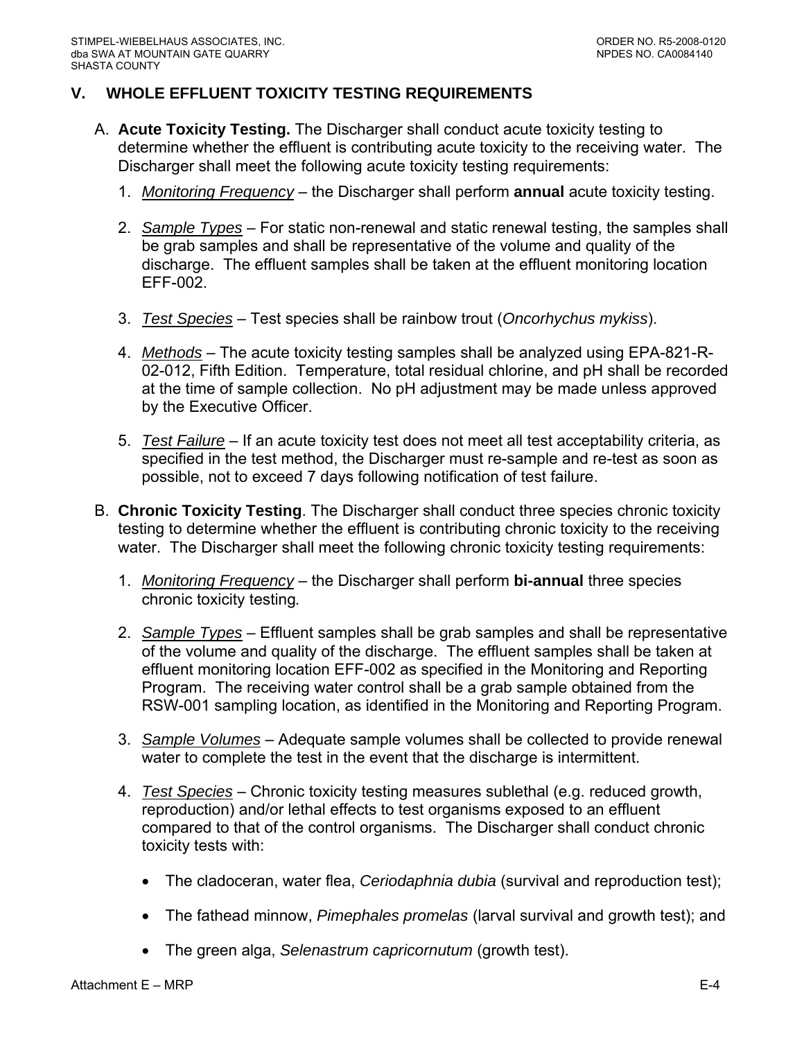# <span id="page-47-0"></span>**V. WHOLE EFFLUENT TOXICITY TESTING REQUIREMENTS**

- A. **Acute Toxicity Testing.** The Discharger shall conduct acute toxicity testing to determine whether the effluent is contributing acute toxicity to the receiving water. The Discharger shall meet the following acute toxicity testing requirements:
	- 1. *Monitoring Frequency* the Discharger shall perform **annual** acute toxicity testing.
	- 2. *Sample Types* For static non-renewal and static renewal testing, the samples shall be grab samples and shall be representative of the volume and quality of the discharge. The effluent samples shall be taken at the effluent monitoring location EFF-002.
	- 3. *Test Species* Test species shall be rainbow trout (*Oncorhychus mykiss*).
	- 4. *Methods* The acute toxicity testing samples shall be analyzed using EPA-821-R-02-012, Fifth Edition. Temperature, total residual chlorine, and pH shall be recorded at the time of sample collection. No pH adjustment may be made unless approved by the Executive Officer.
	- 5. *Test Failure* If an acute toxicity test does not meet all test acceptability criteria, as specified in the test method, the Discharger must re-sample and re-test as soon as possible, not to exceed 7 days following notification of test failure.
- B. **Chronic Toxicity Testing**. The Discharger shall conduct three species chronic toxicity testing to determine whether the effluent is contributing chronic toxicity to the receiving water. The Discharger shall meet the following chronic toxicity testing requirements:
	- 1. *Monitoring Frequency* the Discharger shall perform **bi-annual** three species chronic toxicity testing*.*
	- 2. *Sample Types* Effluent samples shall be grab samples and shall be representative of the volume and quality of the discharge. The effluent samples shall be taken at effluent monitoring location EFF-002 as specified in the Monitoring and Reporting Program. The receiving water control shall be a grab sample obtained from the RSW-001 sampling location, as identified in the Monitoring and Reporting Program.
	- 3. *Sample Volumes* Adequate sample volumes shall be collected to provide renewal water to complete the test in the event that the discharge is intermittent.
	- 4. *Test Species* Chronic toxicity testing measures sublethal (e.g. reduced growth, reproduction) and/or lethal effects to test organisms exposed to an effluent compared to that of the control organisms. The Discharger shall conduct chronic toxicity tests with:
		- The cladoceran, water flea, *Ceriodaphnia dubia* (survival and reproduction test);
		- The fathead minnow, *Pimephales promelas* (larval survival and growth test); and
		- The green alga, *Selenastrum capricornutum* (growth test).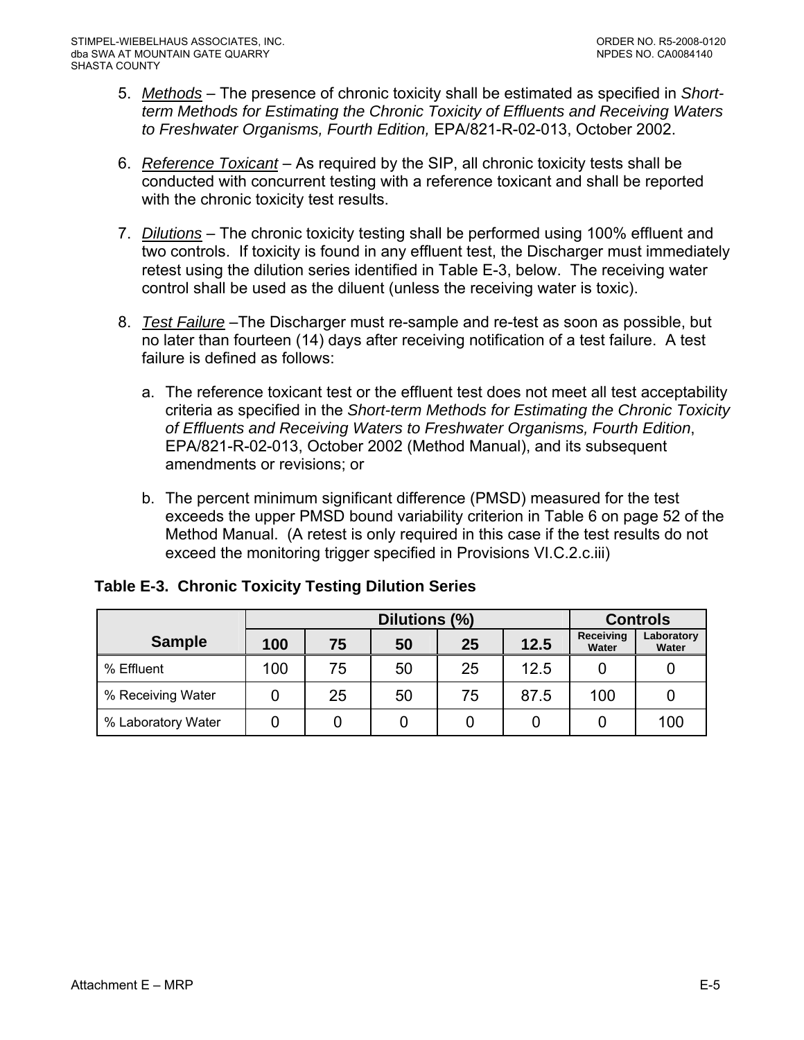- <span id="page-48-0"></span>5. *Methods* – The presence of chronic toxicity shall be estimated as specified in *Shortterm Methods for Estimating the Chronic Toxicity of Effluents and Receiving Waters to Freshwater Organisms, Fourth Edition,* EPA/821-R-02-013, October 2002.
- 6. *Reference Toxicant* As required by the SIP, all chronic toxicity tests shall be conducted with concurrent testing with a reference toxicant and shall be reported with the chronic toxicity test results.
- 7. *Dilutions* The chronic toxicity testing shall be performed using 100% effluent and two controls. If toxicity is found in any effluent test, the Discharger must immediately retest using the dilution series identified in Table E-3, below. The receiving water control shall be used as the diluent (unless the receiving water is toxic).
- 8. *Test Failure* –The Discharger must re-sample and re-test as soon as possible, but no later than fourteen (14) days after receiving notification of a test failure. A test failure is defined as follows:
	- a. The reference toxicant test or the effluent test does not meet all test acceptability criteria as specified in the *Short-term Methods for Estimating the Chronic Toxicity of Effluents and Receiving Waters to Freshwater Organisms, Fourth Edition*, EPA/821-R-02-013, October 2002 (Method Manual), and its subsequent amendments or revisions; or
	- b. The percent minimum significant difference (PMSD) measured for the test exceeds the upper PMSD bound variability criterion in Table 6 on page 52 of the Method Manual. (A retest is only required in this case if the test results do not exceed the monitoring trigger specified in Provisions VI.C.2.c.iii)

|                    |     | Dilutions (%) |    |    |      | <b>Controls</b>    |                     |  |
|--------------------|-----|---------------|----|----|------|--------------------|---------------------|--|
| <b>Sample</b>      | 100 | 75            | 50 | 25 | 12.5 | Receiving<br>Water | Laboratory<br>Water |  |
| % Effluent         | 100 | 75            | 50 | 25 | 12.5 |                    |                     |  |
| % Receiving Water  |     | 25            | 50 | 75 | 87.5 | 100                |                     |  |
| % Laboratory Water |     |               |    |    |      |                    | 100                 |  |

**Table E-3. Chronic Toxicity Testing Dilution Series**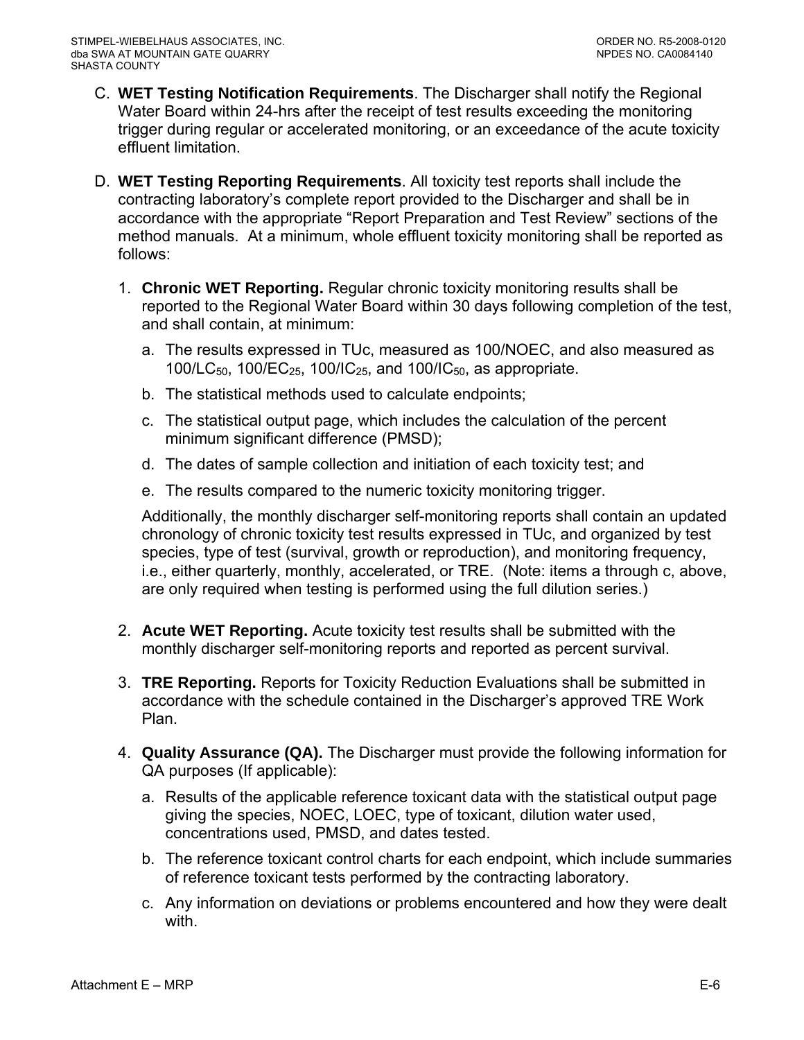- C. **WET Testing Notification Requirements**. The Discharger shall notify the Regional Water Board within 24-hrs after the receipt of test results exceeding the monitoring trigger during regular or accelerated monitoring, or an exceedance of the acute toxicity effluent limitation.
- D. **WET Testing Reporting Requirements**. All toxicity test reports shall include the contracting laboratory's complete report provided to the Discharger and shall be in accordance with the appropriate "Report Preparation and Test Review" sections of the method manuals. At a minimum, whole effluent toxicity monitoring shall be reported as follows:
	- 1. **Chronic WET Reporting.** Regular chronic toxicity monitoring results shall be reported to the Regional Water Board within 30 days following completion of the test, and shall contain, at minimum:
		- a. The results expressed in TUc, measured as 100/NOEC, and also measured as 100/LC<sub>50</sub>, 100/EC<sub>25</sub>, 100/IC<sub>25</sub>, and 100/IC<sub>50</sub>, as appropriate.
		- b. The statistical methods used to calculate endpoints;
		- c. The statistical output page, which includes the calculation of the percent minimum significant difference (PMSD);
		- d. The dates of sample collection and initiation of each toxicity test; and
		- e. The results compared to the numeric toxicity monitoring trigger.

Additionally, the monthly discharger self-monitoring reports shall contain an updated chronology of chronic toxicity test results expressed in TUc, and organized by test species, type of test (survival, growth or reproduction), and monitoring frequency, i.e., either quarterly, monthly, accelerated, or TRE. (Note: items a through c, above, are only required when testing is performed using the full dilution series.)

- 2. **Acute WET Reporting.** Acute toxicity test results shall be submitted with the monthly discharger self-monitoring reports and reported as percent survival.
- 3. **TRE Reporting.** Reports for Toxicity Reduction Evaluations shall be submitted in accordance with the schedule contained in the Discharger's approved TRE Work Plan.
- 4. **Quality Assurance (QA).** The Discharger must provide the following information for QA purposes (If applicable):
	- a. Results of the applicable reference toxicant data with the statistical output page giving the species, NOEC, LOEC, type of toxicant, dilution water used, concentrations used, PMSD, and dates tested.
	- b. The reference toxicant control charts for each endpoint, which include summaries of reference toxicant tests performed by the contracting laboratory.
	- c. Any information on deviations or problems encountered and how they were dealt with.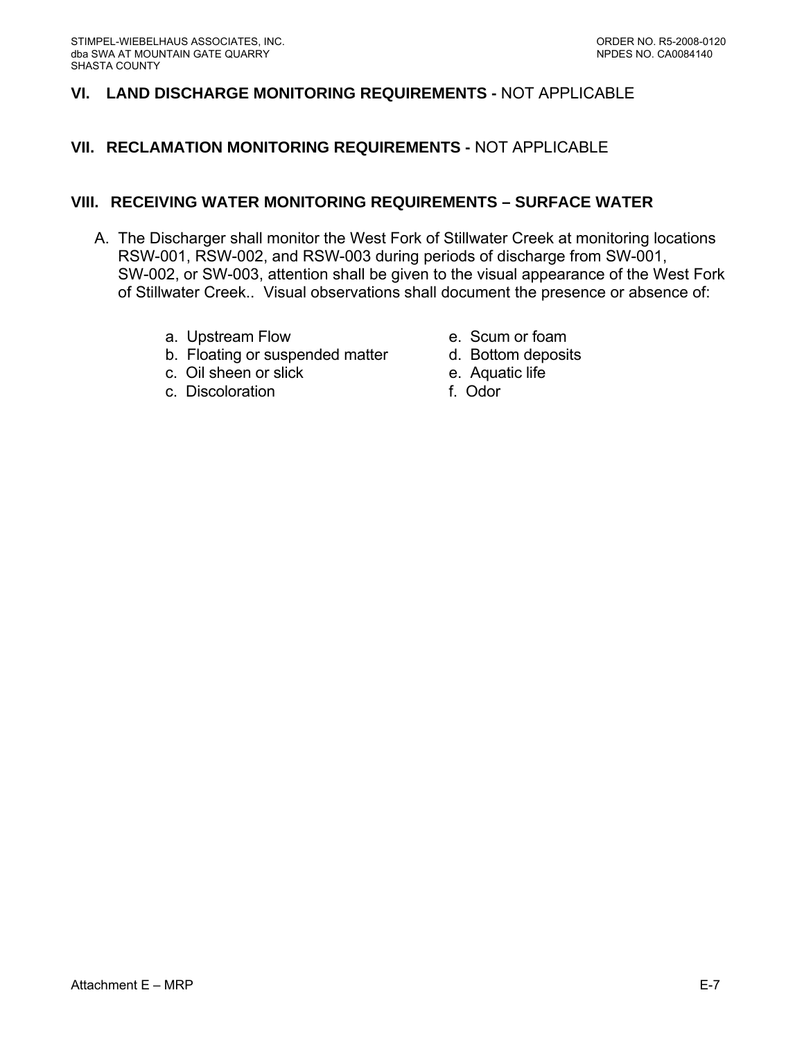## <span id="page-50-0"></span>**VI. LAND DISCHARGE MONITORING REQUIREMENTS -** NOT APPLICABLE

## **VII. RECLAMATION MONITORING REQUIREMENTS -** NOT APPLICABLE

#### **VIII. RECEIVING WATER MONITORING REQUIREMENTS – SURFACE WATER**

- A. The Discharger shall monitor the West Fork of Stillwater Creek at monitoring locations RSW-001, RSW-002, and RSW-003 during periods of discharge from SW-001, SW-002, or SW-003, attention shall be given to the visual appearance of the West Fork of Stillwater Creek.. Visual observations shall document the presence or absence of:
	- a. Upstream Flow e. Scum or foam
	- b. Floating or suspended matter d. Bottom deposits
	- c. Oil sheen or slick e. Aquatic life
	- c. Discoloration f. Odor
- 
- 
- -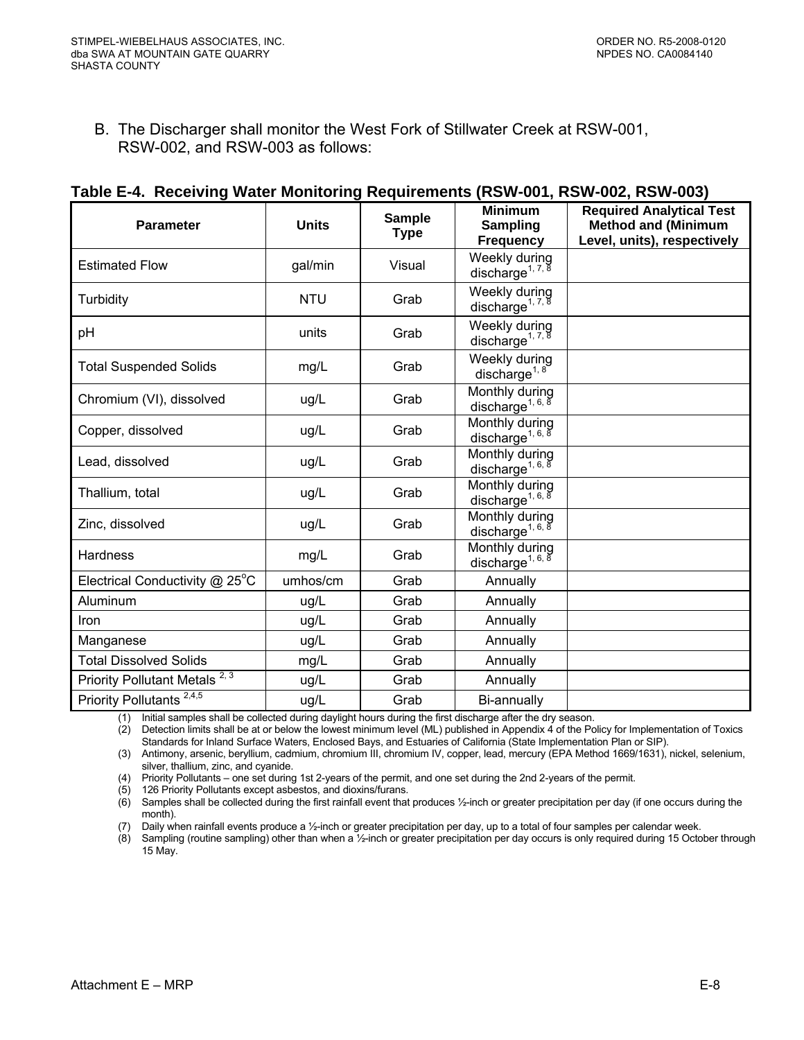<span id="page-51-0"></span>B. The Discharger shall monitor the West Fork of Stillwater Creek at RSW-001, RSW-002, and RSW-003 as follows:

| <b>Parameter</b>                          | <b>Units</b> | <b>Sample</b><br><b>Type</b> | <b>Minimum</b><br><b>Sampling</b><br><b>Frequency</b>                | <b>Required Analytical Test</b><br><b>Method and (Minimum</b><br>Level, units), respectively |
|-------------------------------------------|--------------|------------------------------|----------------------------------------------------------------------|----------------------------------------------------------------------------------------------|
| <b>Estimated Flow</b>                     | gal/min      | Visual                       | Weekly during<br>discharge <sup>1, 7, <math>\frac{8}{3}</math></sup> |                                                                                              |
| Turbidity                                 | <b>NTU</b>   | Grab                         | Weekly during<br>discharge <sup>1, 7, 8</sup>                        |                                                                                              |
| pH                                        | units        | Grab                         | Weekly during<br>discharge <sup>1, 7, 8</sup>                        |                                                                                              |
| <b>Total Suspended Solids</b>             | mg/L         | Grab                         | Weekly during<br>discharge <sup>1, 8</sup>                           |                                                                                              |
| Chromium (VI), dissolved                  | ug/L         | Grab                         | Monthly during<br>discharge <sup>1, 6, 8</sup>                       |                                                                                              |
| Copper, dissolved                         | ug/L         | Grab                         | Monthly during<br>discharge <sup>1, 6, 8</sup>                       |                                                                                              |
| Lead, dissolved                           | ug/L         | Grab                         | Monthly during<br>discharge <sup>1, 6, 8</sup>                       |                                                                                              |
| Thallium, total                           | ug/L         | Grab                         | Monthly during<br>discharge <sup>1, 6, 8</sup>                       |                                                                                              |
| Zinc, dissolved                           | ug/L         | Grab                         | Monthly during<br>discharge <sup>1, 6, 8</sup>                       |                                                                                              |
| <b>Hardness</b>                           | mg/L         | Grab                         | Monthly during<br>discharge <sup>1, 6, 8</sup>                       |                                                                                              |
| Electrical Conductivity @ 25°C            | umhos/cm     | Grab                         | Annually                                                             |                                                                                              |
| Aluminum                                  | ug/L         | Grab                         | Annually                                                             |                                                                                              |
| Iron                                      | ug/L         | Grab                         | Annually                                                             |                                                                                              |
| Manganese                                 | ug/L         | Grab                         | Annually                                                             |                                                                                              |
| <b>Total Dissolved Solids</b>             | mg/L         | Grab                         | Annually                                                             |                                                                                              |
| Priority Pollutant Metals <sup>2, 3</sup> | ug/L         | Grab                         | Annually                                                             |                                                                                              |
| Priority Pollutants <sup>2,4,5</sup>      | ug/L         | Grab                         | Bi-annually                                                          |                                                                                              |

#### **Table E-4. Receiving Water Monitoring Requirements (RSW-001, RSW-002, RSW-003)**

(1) Initial samples shall be collected during daylight hours during the first discharge after the dry season.

 $(2)$  Detection limits shall be at or below the lowest minimum level (ML) published in Appendix  $\acute{4}$  of the Policy for Implementation of Toxics Standards for Inland Surface Waters, Enclosed Bays, and Estuaries of California (State Implementation Plan or SIP).

(3) Antimony, arsenic, beryllium, cadmium, chromium III, chromium IV, copper, lead, mercury (EPA Method 1669/1631), nickel, selenium, silver, thallium, zinc, and cyanide.

(4) Priority Pollutants – one set during 1st 2-years of the permit, and one set during the 2nd 2-years of the permit.

(5) 126 Priority Pollutants except asbestos, and dioxins/furans.

(6) Samples shall be collected during the first rainfall event that produces ½-inch or greater precipitation per day (if one occurs during the month).

(7) Daily when rainfall events produce a ½-inch or greater precipitation per day, up to a total of four samples per calendar week.

(8) Sampling (routine sampling) other than when a ½-inch or greater precipitation per day occurs is only required during 15 October through 15 May.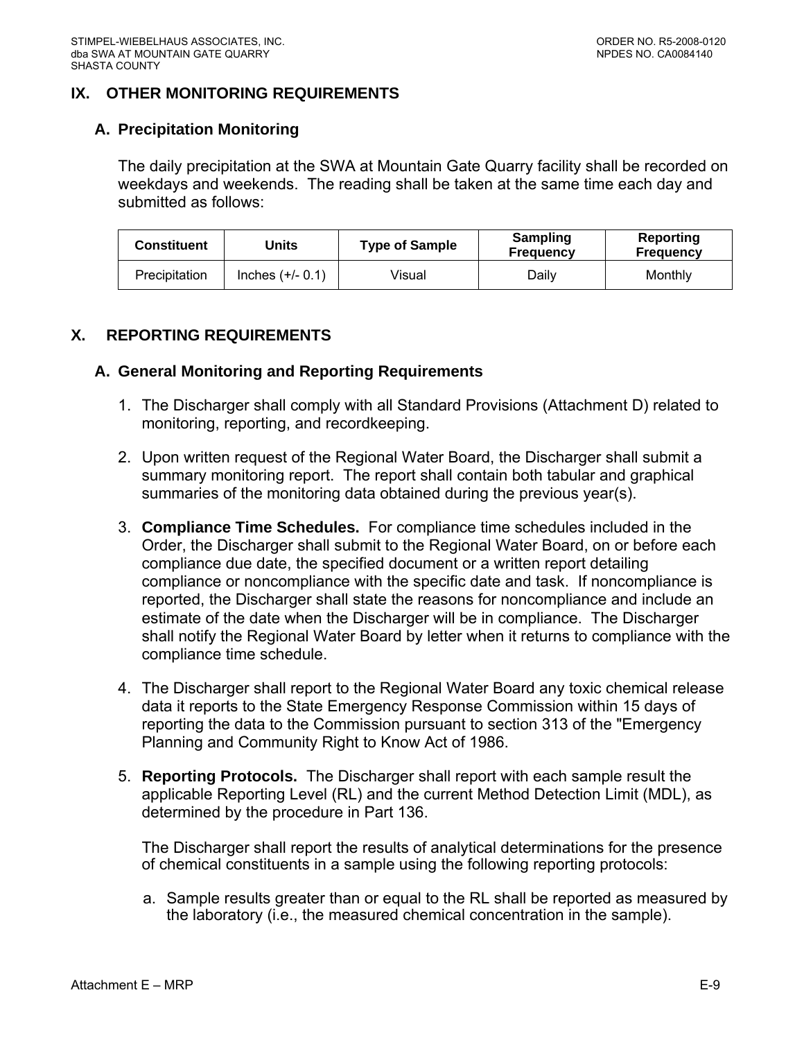## <span id="page-52-0"></span>**IX. OTHER MONITORING REQUIREMENTS**

### **A. Precipitation Monitoring**

The daily precipitation at the SWA at Mountain Gate Quarry facility shall be recorded on weekdays and weekends. The reading shall be taken at the same time each day and submitted as follows:

| Constituent   | Jnits              | <b>Type of Sample</b> | Sampling<br><b>Frequency</b> | Reporting<br>Frequency |
|---------------|--------------------|-----------------------|------------------------------|------------------------|
| Precipitation | Inches $(+/- 0.1)$ | ∨isual                | Dailv                        | Monthly                |

## **X. REPORTING REQUIREMENTS**

#### **A. General Monitoring and Reporting Requirements**

- 1. The Discharger shall comply with all Standard Provisions (Attachment D) related to monitoring, reporting, and recordkeeping.
- 2. Upon written request of the Regional Water Board, the Discharger shall submit a summary monitoring report. The report shall contain both tabular and graphical summaries of the monitoring data obtained during the previous year(s).
- 3. **Compliance Time Schedules.** For compliance time schedules included in the Order, the Discharger shall submit to the Regional Water Board, on or before each compliance due date, the specified document or a written report detailing compliance or noncompliance with the specific date and task. If noncompliance is reported, the Discharger shall state the reasons for noncompliance and include an estimate of the date when the Discharger will be in compliance. The Discharger shall notify the Regional Water Board by letter when it returns to compliance with the compliance time schedule.
- 4. The Discharger shall report to the Regional Water Board any toxic chemical release data it reports to the State Emergency Response Commission within 15 days of reporting the data to the Commission pursuant to section 313 of the "Emergency Planning and Community Right to Know Act of 1986.
- 5. **Reporting Protocols.** The Discharger shall report with each sample result the applicable Reporting Level (RL) and the current Method Detection Limit (MDL), as determined by the procedure in Part 136.

The Discharger shall report the results of analytical determinations for the presence of chemical constituents in a sample using the following reporting protocols:

a. Sample results greater than or equal to the RL shall be reported as measured by the laboratory (i.e., the measured chemical concentration in the sample).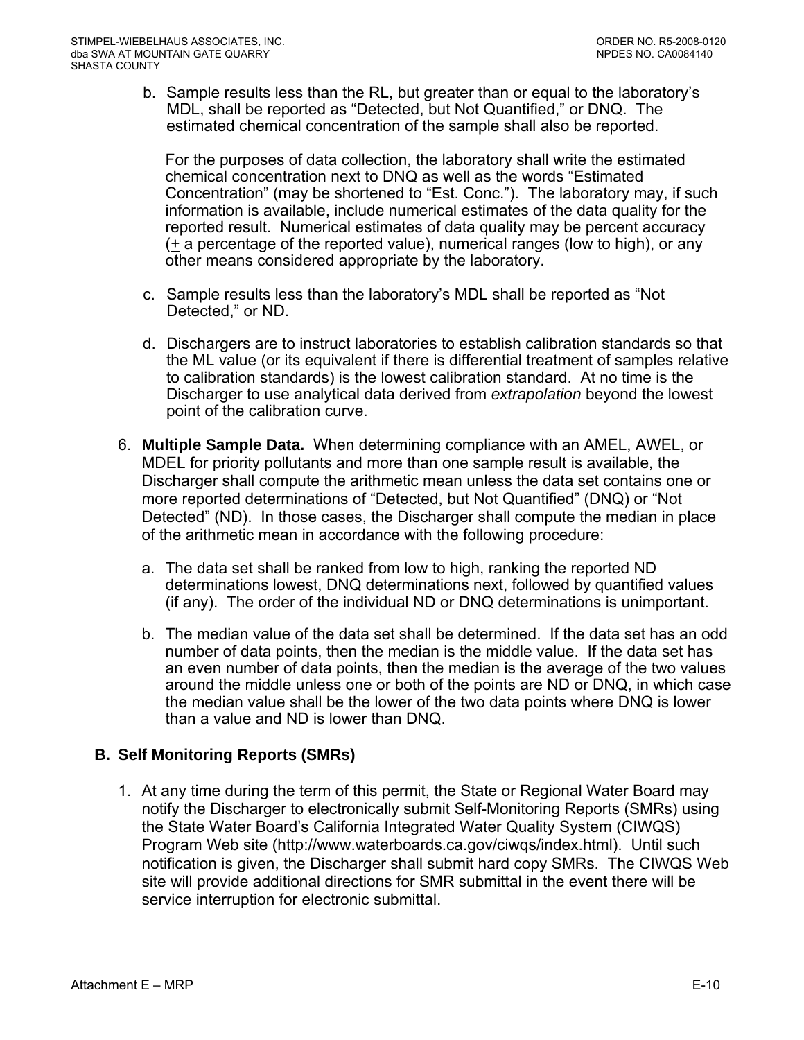<span id="page-53-0"></span>b. Sample results less than the RL, but greater than or equal to the laboratory's MDL, shall be reported as "Detected, but Not Quantified," or DNQ. The estimated chemical concentration of the sample shall also be reported.

For the purposes of data collection, the laboratory shall write the estimated chemical concentration next to DNQ as well as the words "Estimated Concentration" (may be shortened to "Est. Conc."). The laboratory may, if such information is available, include numerical estimates of the data quality for the reported result. Numerical estimates of data quality may be percent accuracy  $($  + a percentage of the reported value), numerical ranges (low to high), or any other means considered appropriate by the laboratory.

- c. Sample results less than the laboratory's MDL shall be reported as "Not Detected," or ND.
- d. Dischargers are to instruct laboratories to establish calibration standards so that the ML value (or its equivalent if there is differential treatment of samples relative to calibration standards) is the lowest calibration standard. At no time is the Discharger to use analytical data derived from *extrapolation* beyond the lowest point of the calibration curve.
- 6. **Multiple Sample Data.** When determining compliance with an AMEL, AWEL, or MDEL for priority pollutants and more than one sample result is available, the Discharger shall compute the arithmetic mean unless the data set contains one or more reported determinations of "Detected, but Not Quantified" (DNQ) or "Not Detected" (ND). In those cases, the Discharger shall compute the median in place of the arithmetic mean in accordance with the following procedure:
	- a. The data set shall be ranked from low to high, ranking the reported ND determinations lowest, DNQ determinations next, followed by quantified values (if any). The order of the individual ND or DNQ determinations is unimportant.
	- b. The median value of the data set shall be determined. If the data set has an odd number of data points, then the median is the middle value. If the data set has an even number of data points, then the median is the average of the two values around the middle unless one or both of the points are ND or DNQ, in which case the median value shall be the lower of the two data points where DNQ is lower than a value and ND is lower than DNQ.

# **B. Self Monitoring Reports (SMRs)**

1. At any time during the term of this permit, the State or Regional Water Board may notify the Discharger to electronically submit Self-Monitoring Reports (SMRs) using the State Water Board's California Integrated Water Quality System (CIWQS) Program Web site (http://www.waterboards.ca.gov/ciwqs/index.html). Until such notification is given, the Discharger shall submit hard copy SMRs. The CIWQS Web site will provide additional directions for SMR submittal in the event there will be service interruption for electronic submittal.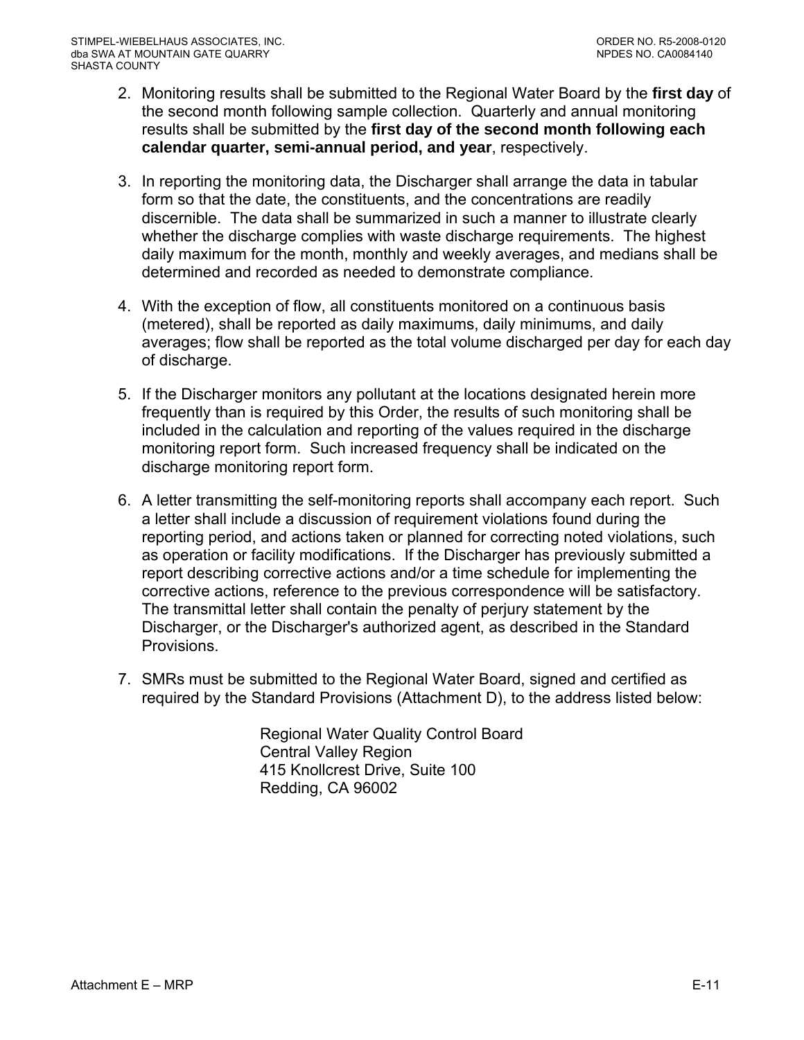- 2. Monitoring results shall be submitted to the Regional Water Board by the **first day** of the second month following sample collection. Quarterly and annual monitoring results shall be submitted by the **first day of the second month following each calendar quarter, semi-annual period, and year**, respectively.
- 3. In reporting the monitoring data, the Discharger shall arrange the data in tabular form so that the date, the constituents, and the concentrations are readily discernible. The data shall be summarized in such a manner to illustrate clearly whether the discharge complies with waste discharge requirements. The highest daily maximum for the month, monthly and weekly averages, and medians shall be determined and recorded as needed to demonstrate compliance.
- 4. With the exception of flow, all constituents monitored on a continuous basis (metered), shall be reported as daily maximums, daily minimums, and daily averages; flow shall be reported as the total volume discharged per day for each day of discharge.
- 5. If the Discharger monitors any pollutant at the locations designated herein more frequently than is required by this Order, the results of such monitoring shall be included in the calculation and reporting of the values required in the discharge monitoring report form. Such increased frequency shall be indicated on the discharge monitoring report form.
- 6. A letter transmitting the self-monitoring reports shall accompany each report. Such a letter shall include a discussion of requirement violations found during the reporting period, and actions taken or planned for correcting noted violations, such as operation or facility modifications. If the Discharger has previously submitted a report describing corrective actions and/or a time schedule for implementing the corrective actions, reference to the previous correspondence will be satisfactory. The transmittal letter shall contain the penalty of perjury statement by the Discharger, or the Discharger's authorized agent, as described in the Standard Provisions.
- 7. SMRs must be submitted to the Regional Water Board, signed and certified as required by the Standard Provisions (Attachment D), to the address listed below:

Regional Water Quality Control Board Central Valley Region 415 Knollcrest Drive, Suite 100 Redding, CA 96002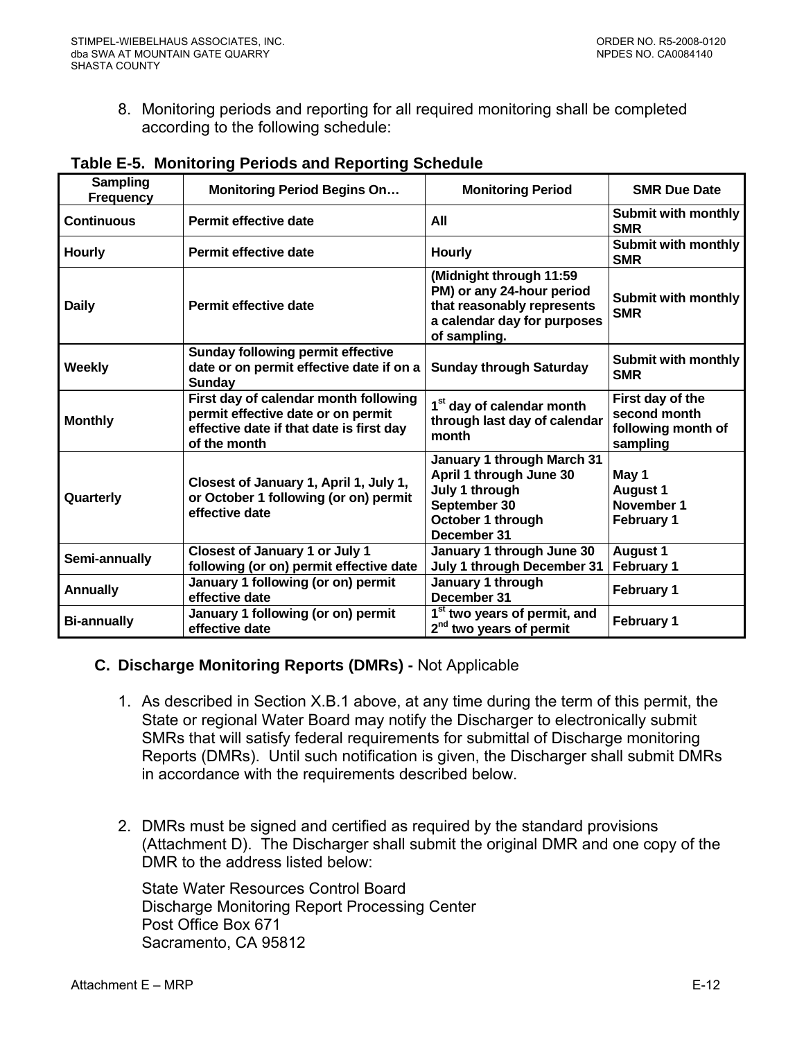<span id="page-55-0"></span>8. Monitoring periods and reporting for all required monitoring shall be completed according to the following schedule:

| <b>Sampling</b><br><b>Frequency</b> | <b>Monitoring Period Begins On</b>                                                                                                      | <b>Monitoring Period</b>                                                                                                          | <b>SMR Due Date</b>                                                |
|-------------------------------------|-----------------------------------------------------------------------------------------------------------------------------------------|-----------------------------------------------------------------------------------------------------------------------------------|--------------------------------------------------------------------|
| <b>Continuous</b>                   | Permit effective date                                                                                                                   | All                                                                                                                               | <b>Submit with monthly</b><br><b>SMR</b>                           |
| <b>Hourly</b>                       | <b>Permit effective date</b>                                                                                                            | <b>Hourly</b>                                                                                                                     | <b>Submit with monthly</b><br><b>SMR</b>                           |
| <b>Daily</b>                        | Permit effective date                                                                                                                   | (Midnight through 11:59<br>PM) or any 24-hour period<br>that reasonably represents<br>a calendar day for purposes<br>of sampling. | Submit with monthly<br><b>SMR</b>                                  |
| <b>Weekly</b>                       | <b>Sunday following permit effective</b><br>date or on permit effective date if on a<br>Sunday                                          | <b>Sunday through Saturday</b>                                                                                                    | <b>Submit with monthly</b><br><b>SMR</b>                           |
| <b>Monthly</b>                      | First day of calendar month following<br>permit effective date or on permit<br>effective date if that date is first day<br>of the month | 1 <sup>st</sup> day of calendar month<br>through last day of calendar<br>month                                                    | First day of the<br>second month<br>following month of<br>sampling |
| Quarterly                           | Closest of January 1, April 1, July 1,<br>or October 1 following (or on) permit<br>effective date                                       | January 1 through March 31<br>April 1 through June 30<br>July 1 through<br>September 30<br>October 1 through<br>December 31       | May 1<br><b>August 1</b><br>November 1<br><b>February 1</b>        |
| Semi-annually                       | <b>Closest of January 1 or July 1</b><br>following (or on) permit effective date                                                        | January 1 through June 30<br>July 1 through December 31                                                                           | <b>August 1</b><br>February 1                                      |
| <b>Annually</b>                     | January 1 following (or on) permit<br>effective date                                                                                    | January 1 through<br>December 31                                                                                                  | <b>February 1</b>                                                  |
| <b>Bi-annually</b>                  | January 1 following (or on) permit<br>effective date                                                                                    | 1 <sup>st</sup> two years of permit, and<br>2 <sup>nd</sup> two years of permit                                                   | <b>February 1</b>                                                  |

#### **Table E-5. Monitoring Periods and Reporting Schedule**

#### **C. Discharge Monitoring Reports (DMRs) -** Not Applicable

- 1. As described in Section X.B.1 above, at any time during the term of this permit, the State or regional Water Board may notify the Discharger to electronically submit SMRs that will satisfy federal requirements for submittal of Discharge monitoring Reports (DMRs). Until such notification is given, the Discharger shall submit DMRs in accordance with the requirements described below.
- 2. DMRs must be signed and certified as required by the standard provisions (Attachment D). The Discharger shall submit the original DMR and one copy of the DMR to the address listed below:

State Water Resources Control Board Discharge Monitoring Report Processing Center Post Office Box 671 Sacramento, CA 95812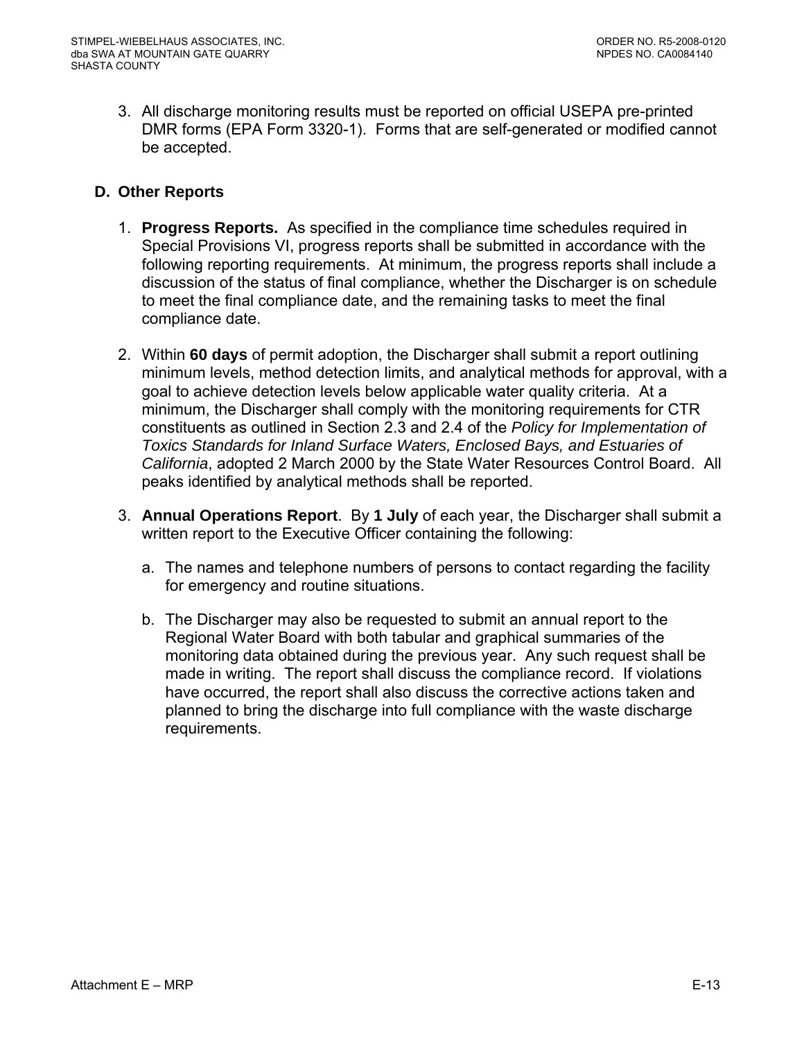<span id="page-56-0"></span>3. All discharge monitoring results must be reported on official USEPA pre-printed DMR forms (EPA Form 3320-1). Forms that are self-generated or modified cannot be accepted.

# **D. Other Reports**

- 1. **Progress Reports.** As specified in the compliance time schedules required in Special Provisions VI, progress reports shall be submitted in accordance with the following reporting requirements. At minimum, the progress reports shall include a discussion of the status of final compliance, whether the Discharger is on schedule to meet the final compliance date, and the remaining tasks to meet the final compliance date.
- 2. Within **60 days** of permit adoption, the Discharger shall submit a report outlining minimum levels, method detection limits, and analytical methods for approval, with a goal to achieve detection levels below applicable water quality criteria. At a minimum, the Discharger shall comply with the monitoring requirements for CTR constituents as outlined in Section 2.3 and 2.4 of the *Policy for Implementation of Toxics Standards for Inland Surface Waters, Enclosed Bays, and Estuaries of California*, adopted 2 March 2000 by the State Water Resources Control Board. All peaks identified by analytical methods shall be reported.
- 3. **Annual Operations Report**. By **1 July** of each year, the Discharger shall submit a written report to the Executive Officer containing the following:
	- a. The names and telephone numbers of persons to contact regarding the facility for emergency and routine situations.
	- b. The Discharger may also be requested to submit an annual report to the Regional Water Board with both tabular and graphical summaries of the monitoring data obtained during the previous year. Any such request shall be made in writing. The report shall discuss the compliance record. If violations have occurred, the report shall also discuss the corrective actions taken and planned to bring the discharge into full compliance with the waste discharge requirements.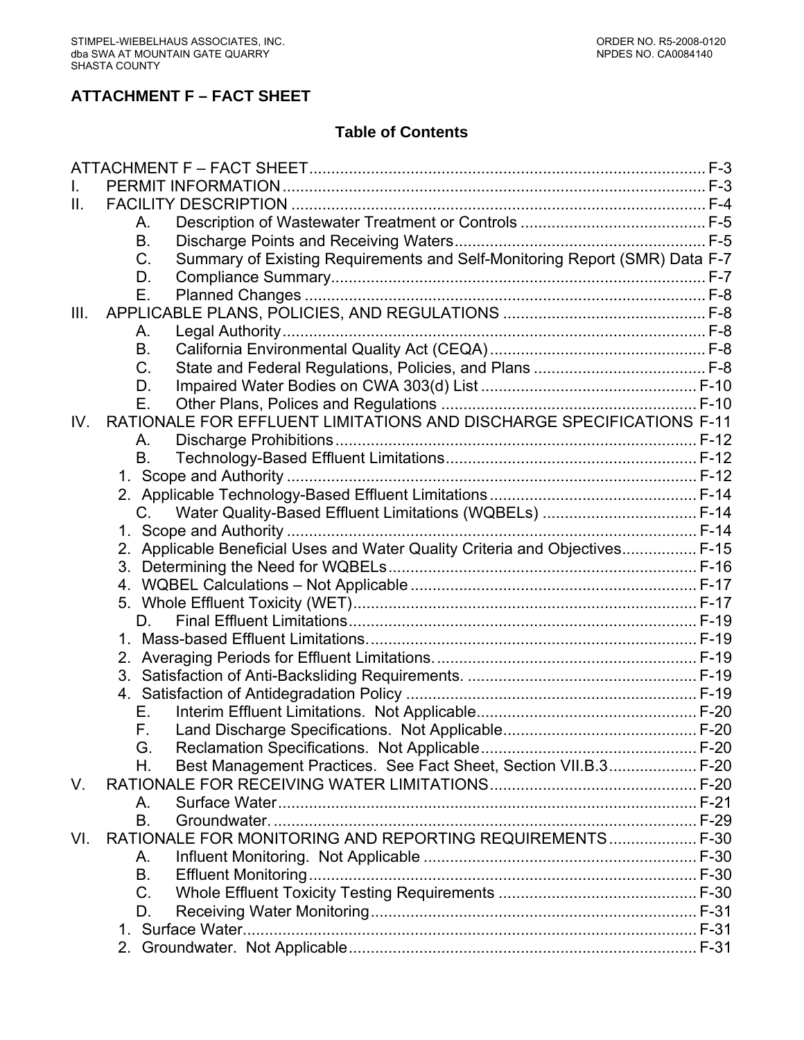# **ATTACHMENT F – FACT SHEET**

# **Table of Contents**

| $\mathbf{II}$ . |                                                                                  |  |
|-----------------|----------------------------------------------------------------------------------|--|
|                 | А.                                                                               |  |
|                 | В.                                                                               |  |
|                 | Summary of Existing Requirements and Self-Monitoring Report (SMR) Data F-7<br>C. |  |
|                 | D.                                                                               |  |
|                 | Е.                                                                               |  |
| III.            |                                                                                  |  |
|                 | А.                                                                               |  |
|                 | B.                                                                               |  |
|                 | $C_{\cdot}$                                                                      |  |
|                 | D.                                                                               |  |
|                 | Е.                                                                               |  |
| IV.             | RATIONALE FOR EFFLUENT LIMITATIONS AND DISCHARGE SPECIFICATIONS F-11             |  |
|                 | A.                                                                               |  |
|                 | В.                                                                               |  |
|                 |                                                                                  |  |
|                 |                                                                                  |  |
|                 | C. Water Quality-Based Effluent Limitations (WQBELs)  F-14                       |  |
|                 |                                                                                  |  |
|                 | 2. Applicable Beneficial Uses and Water Quality Criteria and Objectives F-15     |  |
|                 |                                                                                  |  |
|                 |                                                                                  |  |
|                 |                                                                                  |  |
|                 | D.                                                                               |  |
|                 |                                                                                  |  |
|                 |                                                                                  |  |
|                 |                                                                                  |  |
|                 |                                                                                  |  |
|                 | Е.                                                                               |  |
|                 | F.                                                                               |  |
|                 | G.                                                                               |  |
|                 | Best Management Practices. See Fact Sheet, Section VII.B.3 F-20<br>Η.            |  |
| V.              |                                                                                  |  |
|                 | Α.                                                                               |  |
|                 | B.                                                                               |  |
| VI.             | RATIONALE FOR MONITORING AND REPORTING REQUIREMENTS F-30                         |  |
|                 | A.                                                                               |  |
|                 | B.                                                                               |  |
|                 | C.                                                                               |  |
|                 | D.                                                                               |  |
|                 |                                                                                  |  |
|                 |                                                                                  |  |
|                 |                                                                                  |  |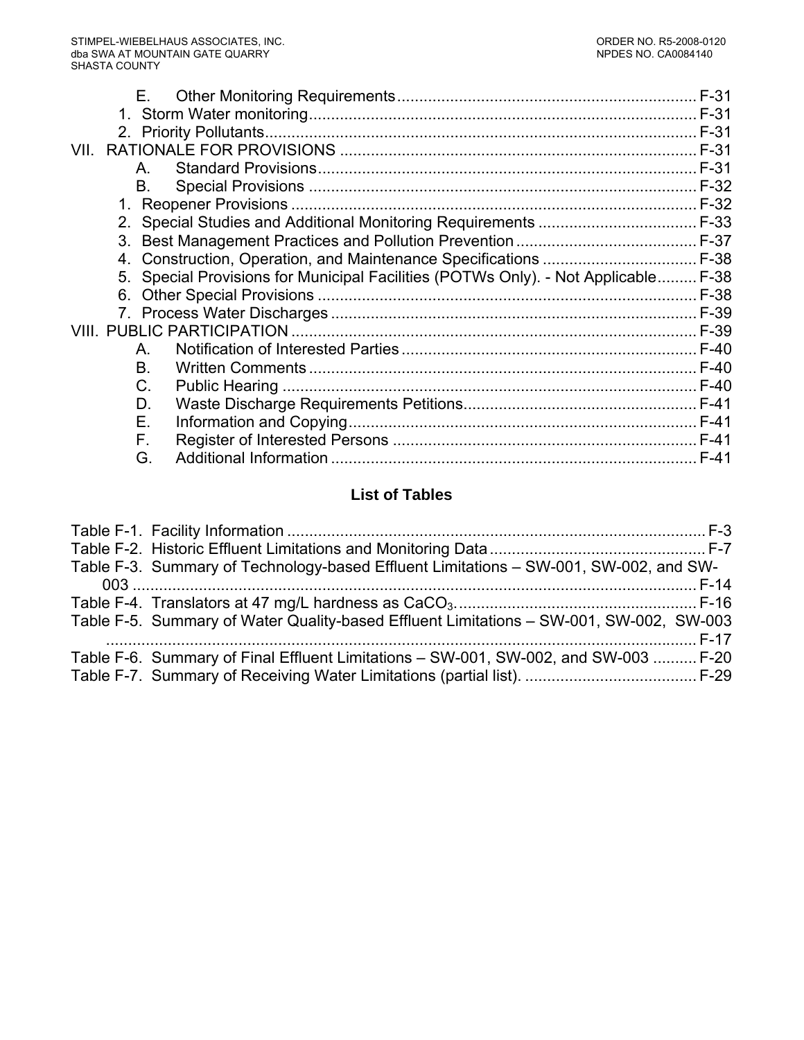|      | Е. |                                                                                    |  |
|------|----|------------------------------------------------------------------------------------|--|
|      |    |                                                                                    |  |
|      |    |                                                                                    |  |
| VII. |    |                                                                                    |  |
|      | Α. |                                                                                    |  |
|      | B. |                                                                                    |  |
|      |    |                                                                                    |  |
|      |    |                                                                                    |  |
|      |    |                                                                                    |  |
|      |    | 4. Construction, Operation, and Maintenance Specifications  F-38                   |  |
|      |    | 5. Special Provisions for Municipal Facilities (POTWs Only). - Not Applicable F-38 |  |
|      |    |                                                                                    |  |
|      |    |                                                                                    |  |
|      |    |                                                                                    |  |
|      | А. |                                                                                    |  |
|      | Β. |                                                                                    |  |
|      | C. |                                                                                    |  |
|      | D. |                                                                                    |  |
|      | Е. |                                                                                    |  |
|      | F. |                                                                                    |  |
|      | G. |                                                                                    |  |
|      |    |                                                                                    |  |

# **List of Tables**

| Table F-3. Summary of Technology-based Effluent Limitations – SW-001, SW-002, and SW-   |  |
|-----------------------------------------------------------------------------------------|--|
|                                                                                         |  |
|                                                                                         |  |
| Table F-5. Summary of Water Quality-based Effluent Limitations - SW-001, SW-002, SW-003 |  |
|                                                                                         |  |
| Table F-6. Summary of Final Effluent Limitations - SW-001, SW-002, and SW-003  F-20     |  |
|                                                                                         |  |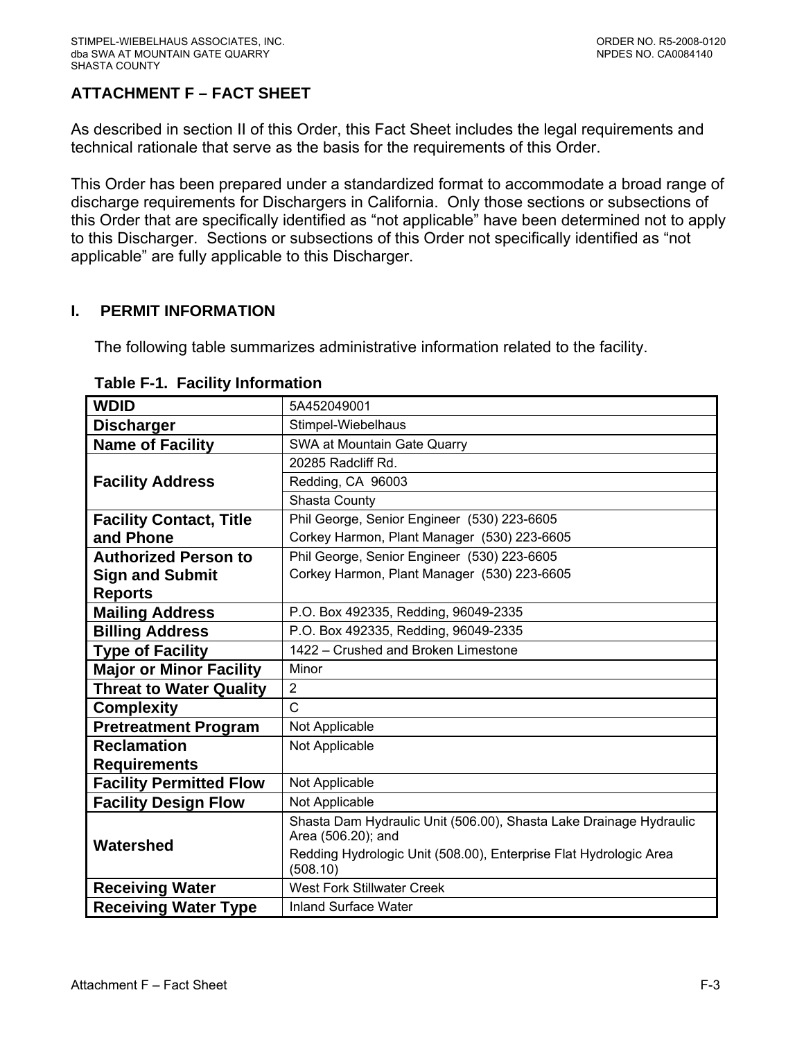# <span id="page-59-0"></span>**ATTACHMENT F – FACT SHEET**

As described in section II of this Order, this Fact Sheet includes the legal requirements and technical rationale that serve as the basis for the requirements of this Order.

This Order has been prepared under a standardized format to accommodate a broad range of discharge requirements for Dischargers in California. Only those sections or subsections of this Order that are specifically identified as "not applicable" have been determined not to apply to this Discharger. Sections or subsections of this Order not specifically identified as "not applicable" are fully applicable to this Discharger.

#### **I. PERMIT INFORMATION**

The following table summarizes administrative information related to the facility.

| <b>WDID</b>                    | 5A452049001                                                                   |  |  |  |  |
|--------------------------------|-------------------------------------------------------------------------------|--|--|--|--|
| <b>Discharger</b>              | Stimpel-Wiebelhaus                                                            |  |  |  |  |
| <b>Name of Facility</b>        | SWA at Mountain Gate Quarry                                                   |  |  |  |  |
|                                | 20285 Radcliff Rd.                                                            |  |  |  |  |
| <b>Facility Address</b>        | Redding, CA 96003                                                             |  |  |  |  |
|                                | Shasta County                                                                 |  |  |  |  |
| <b>Facility Contact, Title</b> | Phil George, Senior Engineer (530) 223-6605                                   |  |  |  |  |
| and Phone                      | Corkey Harmon, Plant Manager (530) 223-6605                                   |  |  |  |  |
| <b>Authorized Person to</b>    | Phil George, Senior Engineer (530) 223-6605                                   |  |  |  |  |
| <b>Sign and Submit</b>         | Corkey Harmon, Plant Manager (530) 223-6605                                   |  |  |  |  |
| <b>Reports</b>                 |                                                                               |  |  |  |  |
| <b>Mailing Address</b>         | P.O. Box 492335, Redding, 96049-2335                                          |  |  |  |  |
| <b>Billing Address</b>         | P.O. Box 492335, Redding, 96049-2335                                          |  |  |  |  |
| <b>Type of Facility</b>        | 1422 - Crushed and Broken Limestone                                           |  |  |  |  |
| <b>Major or Minor Facility</b> | Minor                                                                         |  |  |  |  |
| <b>Threat to Water Quality</b> | $\overline{2}$                                                                |  |  |  |  |
| <b>Complexity</b>              | C                                                                             |  |  |  |  |
| <b>Pretreatment Program</b>    | Not Applicable                                                                |  |  |  |  |
| <b>Reclamation</b>             | Not Applicable                                                                |  |  |  |  |
| <b>Requirements</b>            |                                                                               |  |  |  |  |
| <b>Facility Permitted Flow</b> | Not Applicable                                                                |  |  |  |  |
| <b>Facility Design Flow</b>    | Not Applicable                                                                |  |  |  |  |
|                                | Shasta Dam Hydraulic Unit (506.00), Shasta Lake Drainage Hydraulic            |  |  |  |  |
| Watershed                      | Area (506.20); and                                                            |  |  |  |  |
|                                | Redding Hydrologic Unit (508.00), Enterprise Flat Hydrologic Area<br>(508.10) |  |  |  |  |
| <b>Receiving Water</b>         | <b>West Fork Stillwater Creek</b>                                             |  |  |  |  |
| <b>Receiving Water Type</b>    | <b>Inland Surface Water</b>                                                   |  |  |  |  |

#### **Table F-1. Facility Information**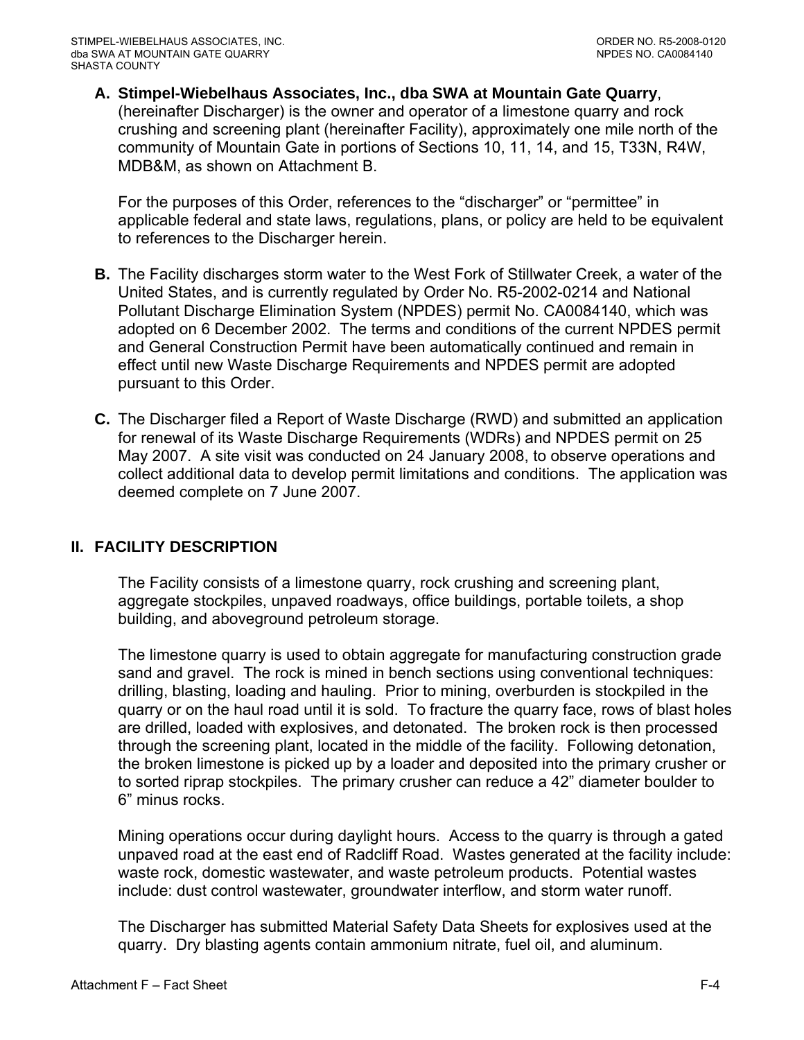<span id="page-60-0"></span>**A. Stimpel-Wiebelhaus Associates, Inc., dba SWA at Mountain Gate Quarry**, (hereinafter Discharger) is the owner and operator of a limestone quarry and rock crushing and screening plant (hereinafter Facility), approximately one mile north of the community of Mountain Gate in portions of Sections 10, 11, 14, and 15, T33N, R4W, MDB&M, as shown on Attachment B.

For the purposes of this Order, references to the "discharger" or "permittee" in applicable federal and state laws, regulations, plans, or policy are held to be equivalent to references to the Discharger herein.

- **B.** The Facility discharges storm water to the West Fork of Stillwater Creek, a water of the United States, and is currently regulated by Order No. R5-2002-0214 and National Pollutant Discharge Elimination System (NPDES) permit No. CA0084140, which was adopted on 6 December 2002. The terms and conditions of the current NPDES permit and General Construction Permit have been automatically continued and remain in effect until new Waste Discharge Requirements and NPDES permit are adopted pursuant to this Order.
- **C.** The Discharger filed a Report of Waste Discharge (RWD) and submitted an application for renewal of its Waste Discharge Requirements (WDRs) and NPDES permit on 25 May 2007. A site visit was conducted on 24 January 2008, to observe operations and collect additional data to develop permit limitations and conditions. The application was deemed complete on 7 June 2007.

# **II. FACILITY DESCRIPTION**

The Facility consists of a limestone quarry, rock crushing and screening plant, aggregate stockpiles, unpaved roadways, office buildings, portable toilets, a shop building, and aboveground petroleum storage.

The limestone quarry is used to obtain aggregate for manufacturing construction grade sand and gravel. The rock is mined in bench sections using conventional techniques: drilling, blasting, loading and hauling. Prior to mining, overburden is stockpiled in the quarry or on the haul road until it is sold. To fracture the quarry face, rows of blast holes are drilled, loaded with explosives, and detonated. The broken rock is then processed through the screening plant, located in the middle of the facility. Following detonation, the broken limestone is picked up by a loader and deposited into the primary crusher or to sorted riprap stockpiles. The primary crusher can reduce a 42" diameter boulder to 6" minus rocks.

Mining operations occur during daylight hours. Access to the quarry is through a gated unpaved road at the east end of Radcliff Road. Wastes generated at the facility include: waste rock, domestic wastewater, and waste petroleum products. Potential wastes include: dust control wastewater, groundwater interflow, and storm water runoff.

The Discharger has submitted Material Safety Data Sheets for explosives used at the quarry. Dry blasting agents contain ammonium nitrate, fuel oil, and aluminum.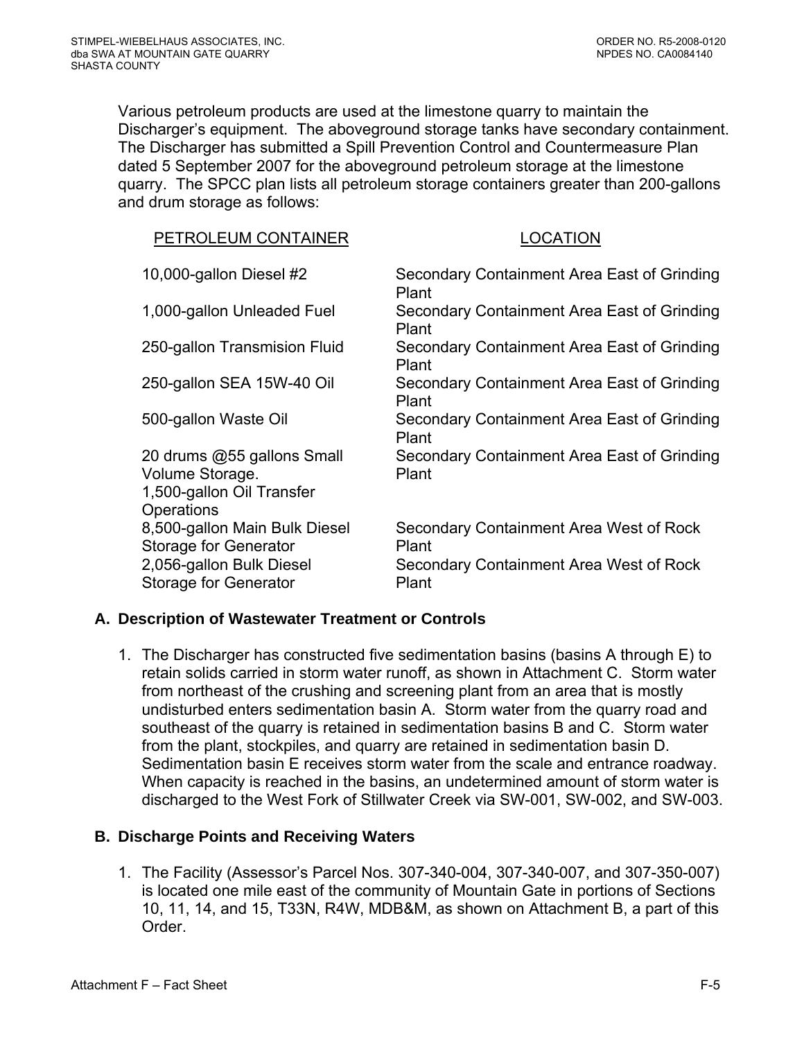<span id="page-61-0"></span>Various petroleum products are used at the limestone quarry to maintain the Discharger's equipment. The aboveground storage tanks have secondary containment. The Discharger has submitted a Spill Prevention Control and Countermeasure Plan dated 5 September 2007 for the aboveground petroleum storage at the limestone quarry. The SPCC plan lists all petroleum storage containers greater than 200-gallons and drum storage as follows:

| PETROLEUM CONTAINER                                                                      | <b>LOCATION</b>                                      |
|------------------------------------------------------------------------------------------|------------------------------------------------------|
| 10,000-gallon Diesel #2                                                                  | Secondary Containment Area East of Grinding<br>Plant |
| 1,000-gallon Unleaded Fuel                                                               | Secondary Containment Area East of Grinding<br>Plant |
| 250-gallon Transmision Fluid                                                             | Secondary Containment Area East of Grinding<br>Plant |
| 250-gallon SEA 15W-40 Oil                                                                | Secondary Containment Area East of Grinding<br>Plant |
| 500-gallon Waste Oil                                                                     | Secondary Containment Area East of Grinding<br>Plant |
| 20 drums @55 gallons Small<br>Volume Storage.<br>1,500-gallon Oil Transfer<br>Operations | Secondary Containment Area East of Grinding<br>Plant |
| 8,500-gallon Main Bulk Diesel<br><b>Storage for Generator</b>                            | Secondary Containment Area West of Rock<br>Plant     |
| 2,056-gallon Bulk Diesel<br>Storage for Generator                                        | Secondary Containment Area West of Rock<br>Plant     |

#### **A. Description of Wastewater Treatment or Controls**

1. The Discharger has constructed five sedimentation basins (basins A through E) to retain solids carried in storm water runoff, as shown in Attachment C. Storm water from northeast of the crushing and screening plant from an area that is mostly undisturbed enters sedimentation basin A. Storm water from the quarry road and southeast of the quarry is retained in sedimentation basins B and C. Storm water from the plant, stockpiles, and quarry are retained in sedimentation basin D. Sedimentation basin E receives storm water from the scale and entrance roadway. When capacity is reached in the basins, an undetermined amount of storm water is discharged to the West Fork of Stillwater Creek via SW-001, SW-002, and SW-003.

# **B. Discharge Points and Receiving Waters**

1. The Facility (Assessor's Parcel Nos. 307-340-004, 307-340-007, and 307-350-007) is located one mile east of the community of Mountain Gate in portions of Sections 10, 11, 14, and 15, T33N, R4W, MDB&M, as shown on Attachment B, a part of this Order.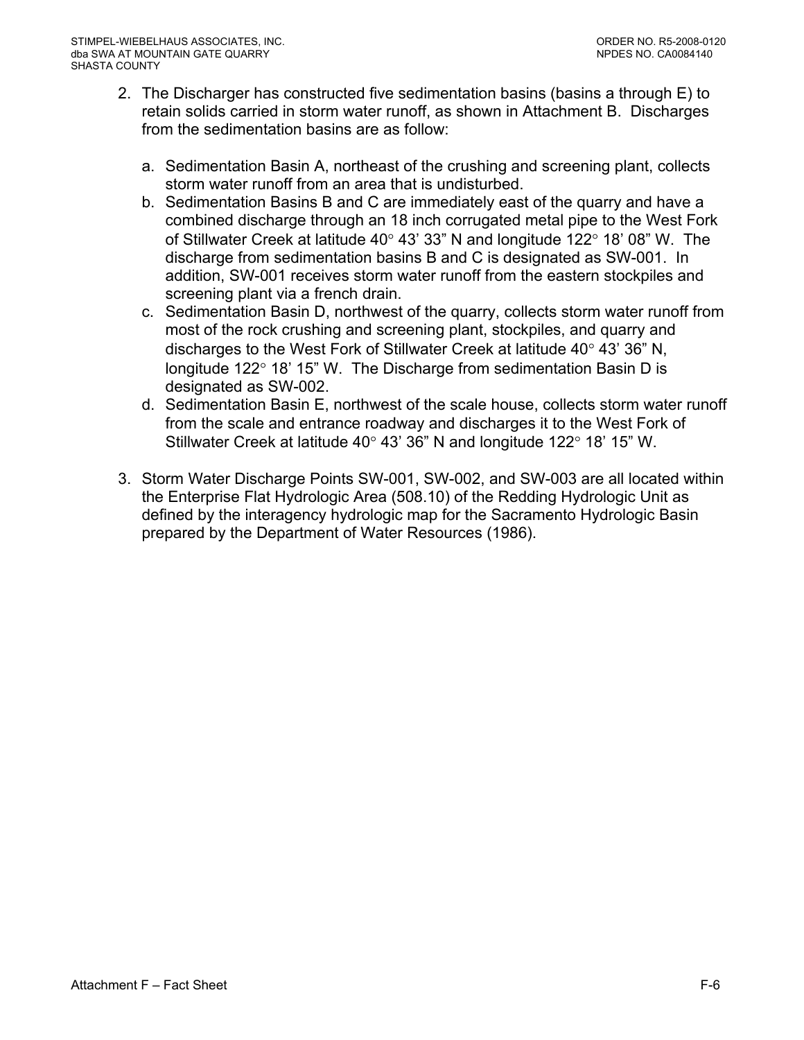- 2. The Discharger has constructed five sedimentation basins (basins a through E) to retain solids carried in storm water runoff, as shown in Attachment B. Discharges from the sedimentation basins are as follow:
	- a. Sedimentation Basin A, northeast of the crushing and screening plant, collects storm water runoff from an area that is undisturbed.
	- b. Sedimentation Basins B and C are immediately east of the quarry and have a combined discharge through an 18 inch corrugated metal pipe to the West Fork of Stillwater Creek at latitude 40° 43' 33" N and longitude 122° 18' 08" W. The discharge from sedimentation basins B and C is designated as SW-001. In addition, SW-001 receives storm water runoff from the eastern stockpiles and screening plant via a french drain.
	- c. Sedimentation Basin D, northwest of the quarry, collects storm water runoff from most of the rock crushing and screening plant, stockpiles, and quarry and discharges to the West Fork of Stillwater Creek at latitude 40° 43' 36" N, longitude 122° 18' 15" W. The Discharge from sedimentation Basin D is designated as SW-002.
	- d. Sedimentation Basin E, northwest of the scale house, collects storm water runoff from the scale and entrance roadway and discharges it to the West Fork of Stillwater Creek at latitude 40° 43' 36" N and longitude 122° 18' 15" W.
- 3. Storm Water Discharge Points SW-001, SW-002, and SW-003 are all located within the Enterprise Flat Hydrologic Area (508.10) of the Redding Hydrologic Unit as defined by the interagency hydrologic map for the Sacramento Hydrologic Basin prepared by the Department of Water Resources (1986).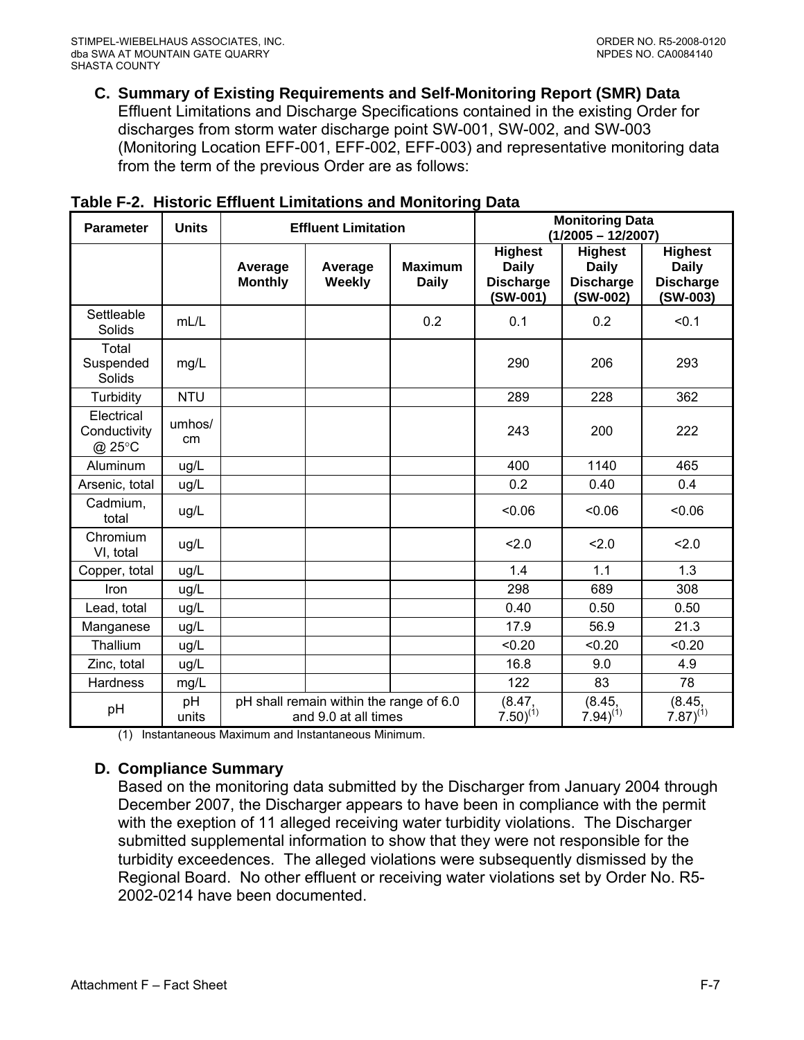<span id="page-63-0"></span>**C. Summary of Existing Requirements and Self-Monitoring Report (SMR) Data** 

Effluent Limitations and Discharge Specifications contained in the existing Order for discharges from storm water discharge point SW-001, SW-002, and SW-003 (Monitoring Location EFF-001, EFF-002, EFF-003) and representative monitoring data from the term of the previous Order are as follows:

| <b>Parameter</b>                          | <b>Units</b> | <b>Effluent Limitation</b>                                      |                   |                                | <b>Monitoring Data</b><br>$(1/2005 - 12/2007)$                   |                                                                |                                                                |  |
|-------------------------------------------|--------------|-----------------------------------------------------------------|-------------------|--------------------------------|------------------------------------------------------------------|----------------------------------------------------------------|----------------------------------------------------------------|--|
|                                           |              | Average<br><b>Monthly</b>                                       | Average<br>Weekly | <b>Maximum</b><br><b>Daily</b> | <b>Highest</b><br><b>Daily</b><br><b>Discharge</b><br>$(SW-001)$ | <b>Highest</b><br><b>Daily</b><br><b>Discharge</b><br>(SW-002) | <b>Highest</b><br><b>Daily</b><br><b>Discharge</b><br>(SW-003) |  |
| Settleable<br>Solids                      | mL/L         |                                                                 |                   | 0.2                            | 0.1                                                              | 0.2                                                            | < 0.1                                                          |  |
| Total<br>Suspended<br>Solids              | mg/L         |                                                                 |                   |                                | 290                                                              | 206                                                            | 293                                                            |  |
| Turbidity                                 | <b>NTU</b>   |                                                                 |                   |                                | 289                                                              | 228                                                            | 362                                                            |  |
| Electrical<br>Conductivity<br>$@$ 25 $°C$ | umhos/<br>cm |                                                                 |                   |                                | 243                                                              | 200                                                            | 222                                                            |  |
| Aluminum                                  | ug/L         |                                                                 |                   |                                | 400                                                              | 1140                                                           | 465                                                            |  |
| Arsenic, total                            | ug/L         |                                                                 |                   |                                | 0.2                                                              | 0.40                                                           | 0.4                                                            |  |
| Cadmium,<br>total                         | ug/L         |                                                                 |                   |                                | < 0.06                                                           | < 0.06                                                         | 0.06                                                           |  |
| Chromium<br>VI, total                     | ug/L         |                                                                 |                   |                                | 2.0                                                              | 2.0                                                            | 2.0                                                            |  |
| Copper, total                             | ug/L         |                                                                 |                   |                                | 1.4                                                              | 1.1                                                            | 1.3                                                            |  |
| Iron                                      | ug/L         |                                                                 |                   |                                | 298                                                              | 689                                                            | 308                                                            |  |
| Lead, total                               | ug/L         |                                                                 |                   |                                | 0.40                                                             | 0.50                                                           | 0.50                                                           |  |
| Manganese                                 | ug/L         |                                                                 |                   |                                | 17.9                                                             | 56.9                                                           | 21.3                                                           |  |
| Thallium                                  | ug/L         |                                                                 |                   |                                | < 0.20                                                           | < 0.20                                                         | < 0.20                                                         |  |
| Zinc, total                               | ug/L         |                                                                 |                   |                                | 16.8                                                             | 9.0                                                            | 4.9                                                            |  |
| <b>Hardness</b>                           | mg/L         |                                                                 |                   |                                | 122                                                              | 83                                                             | 78                                                             |  |
| pH                                        | pH<br>units  | pH shall remain within the range of 6.0<br>and 9.0 at all times |                   | (8.47,<br>$7.50^{(1)}$         | (8.45,<br>$(7.94)^{(1)}$                                         | (8.45,<br>$7.87)^{(1)}$                                        |                                                                |  |

|  |  |  | Table F-2. Historic Effluent Limitations and Monitoring Data |
|--|--|--|--------------------------------------------------------------|
|--|--|--|--------------------------------------------------------------|

(1) Instantaneous Maximum and Instantaneous Minimum.

#### **D. Compliance Summary**

Based on the monitoring data submitted by the Discharger from January 2004 through December 2007, the Discharger appears to have been in compliance with the permit with the exeption of 11 alleged receiving water turbidity violations. The Discharger submitted supplemental information to show that they were not responsible for the turbidity exceedences. The alleged violations were subsequently dismissed by the Regional Board. No other effluent or receiving water violations set by Order No. R5- 2002-0214 have been documented.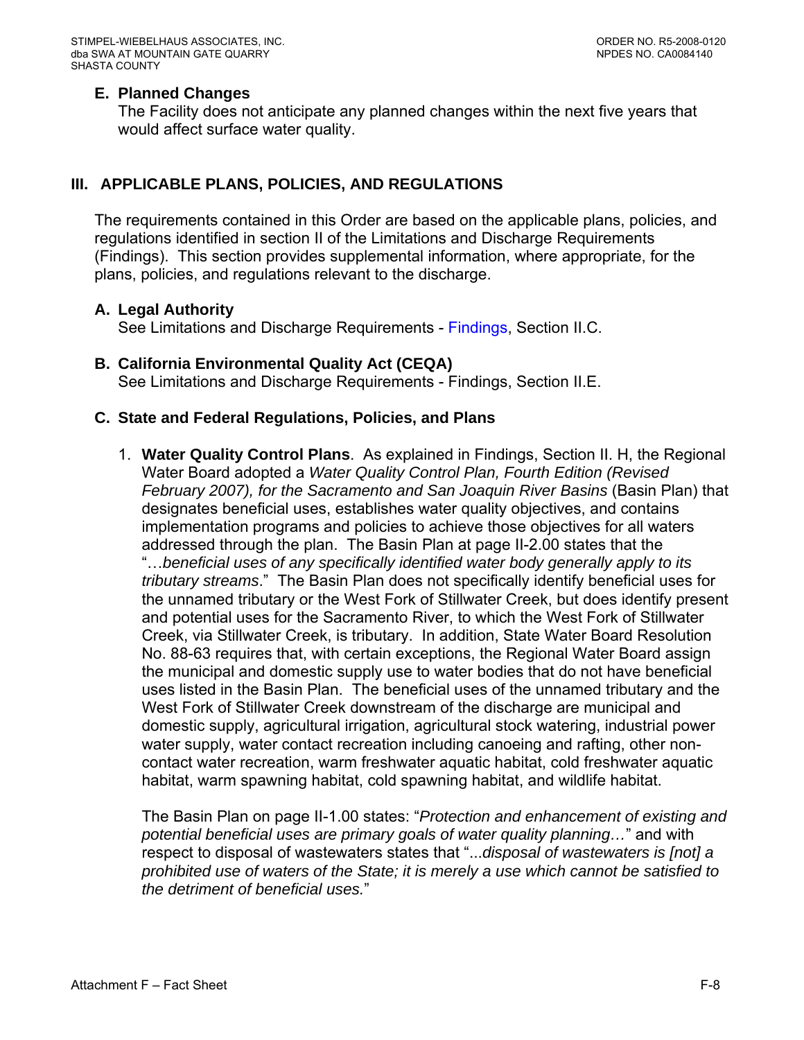#### <span id="page-64-0"></span>**E. Planned Changes**

The Facility does not anticipate any planned changes within the next five years that would affect surface water quality.

### **III. APPLICABLE PLANS, POLICIES, AND REGULATIONS**

The requirements contained in this Order are based on the applicable plans, policies, and regulations identified in section II of the Limitations and Discharge Requirements ([Findings](#page-2-0)). This section provides supplemental information, where appropriate, for the plans, policies, and regulations relevant to the discharge.

#### **A. Legal Authority**

See Limitations and Discharge Requirements - [Findings, Section II.C.](#page-3-0) 

**B. California Environmental Quality Act (CEQA)**  See Limitations and Discharge Requirements - [Findings, Section II.E.](#page-3-0)

#### **C. State and Federal Regulations, Policies, and Plans**

1. **Water Quality Control Plans**. As explained in Findings, Section II. H, the Regional Water Board adopted a *Water Quality Control Plan, Fourth Edition (Revised February 2007), for the Sacramento and San Joaquin River Basins* (Basin Plan) that designates beneficial uses, establishes water quality objectives, and contains implementation programs and policies to achieve those objectives for all waters addressed through the plan. The Basin Plan at page II-2.00 states that the "…*beneficial uses of any specifically identified water body generally apply to its tributary streams*." The Basin Plan does not specifically identify beneficial uses for the unnamed tributary or the West Fork of Stillwater Creek, but does identify present and potential uses for the Sacramento River, to which the West Fork of Stillwater Creek, via Stillwater Creek, is tributary. In addition, State Water Board Resolution No. 88-63 requires that, with certain exceptions, the Regional Water Board assign the municipal and domestic supply use to water bodies that do not have beneficial uses listed in the Basin Plan. The beneficial uses of the unnamed tributary and the West Fork of Stillwater Creek downstream of the discharge are municipal and domestic supply, agricultural irrigation, agricultural stock watering, industrial power water supply, water contact recreation including canoeing and rafting, other noncontact water recreation, warm freshwater aquatic habitat, cold freshwater aquatic habitat, warm spawning habitat, cold spawning habitat, and wildlife habitat.

The Basin Plan on page II-1.00 states: "*Protection and enhancement of existing and potential beneficial uses are primary goals of water quality planning…*" and with respect to disposal of wastewaters states that "...*disposal of wastewaters is [not] a prohibited use of waters of the State; it is merely a use which cannot be satisfied to the detriment of beneficial uses.*"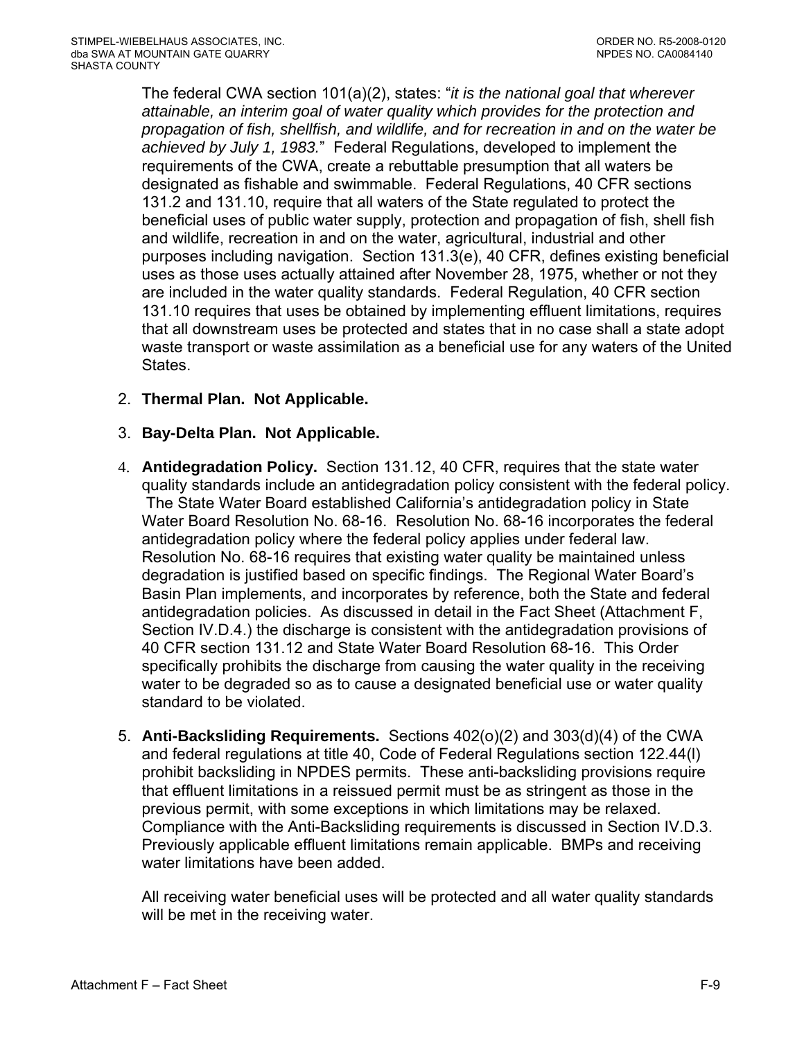The federal CWA section 101(a)(2), states: "*it is the national goal that wherever attainable, an interim goal of water quality which provides for the protection and propagation of fish, shellfish, and wildlife, and for recreation in and on the water be achieved by July 1, 1983.*" Federal Regulations, developed to implement the requirements of the CWA, create a rebuttable presumption that all waters be designated as fishable and swimmable. Federal Regulations, 40 CFR sections 131.2 and 131.10, require that all waters of the State regulated to protect the beneficial uses of public water supply, protection and propagation of fish, shell fish and wildlife, recreation in and on the water, agricultural, industrial and other purposes including navigation. Section 131.3(e), 40 CFR, defines existing beneficial uses as those uses actually attained after November 28, 1975, whether or not they are included in the water quality standards. Federal Regulation, 40 CFR section 131.10 requires that uses be obtained by implementing effluent limitations, requires that all downstream uses be protected and states that in no case shall a state adopt waste transport or waste assimilation as a beneficial use for any waters of the United States.

- 2. **Thermal Plan. Not Applicable.**
- 3. **Bay-Delta Plan. Not Applicable.**
- 4. **Antidegradation Policy.** Section 131.12, 40 CFR, requires that the state water quality standards include an antidegradation policy consistent with the federal policy. The State Water Board established California's antidegradation policy in State Water Board Resolution No. 68-16. Resolution No. 68-16 incorporates the federal antidegradation policy where the federal policy applies under federal law. Resolution No. 68-16 requires that existing water quality be maintained unless degradation is justified based on specific findings. The Regional Water Board's Basin Plan implements, and incorporates by reference, both the State and federal antidegradation policies. As discussed in detail in the Fact Sheet ([Attachment F,](#page-75-0)  [Section IV.D.4.](#page-75-0)) the discharge is consistent with the antidegradation provisions of 40 CFR section 131.12 and State Water Board Resolution 68-16. This Order specifically prohibits the discharge from causing the water quality in the receiving water to be degraded so as to cause a designated beneficial use or water quality standard to be violated.
- 5. **Anti-Backsliding Requirements.** Sections 402(o)(2) and 303(d)(4) of the CWA and federal regulations at title 40, Code of Federal Regulations section 122.44(l) prohibit backsliding in NPDES permits. These anti-backsliding provisions require that effluent limitations in a reissued permit must be as stringent as those in the previous permit, with some exceptions in which limitations may be relaxed. Compliance with the Anti-Backsliding requirements is discussed in [Section IV.D.3.](#page-75-0)  Previously applicable effluent limitations remain applicable. BMPs and receiving water limitations have been added.

All receiving water beneficial uses will be protected and all water quality standards will be met in the receiving water.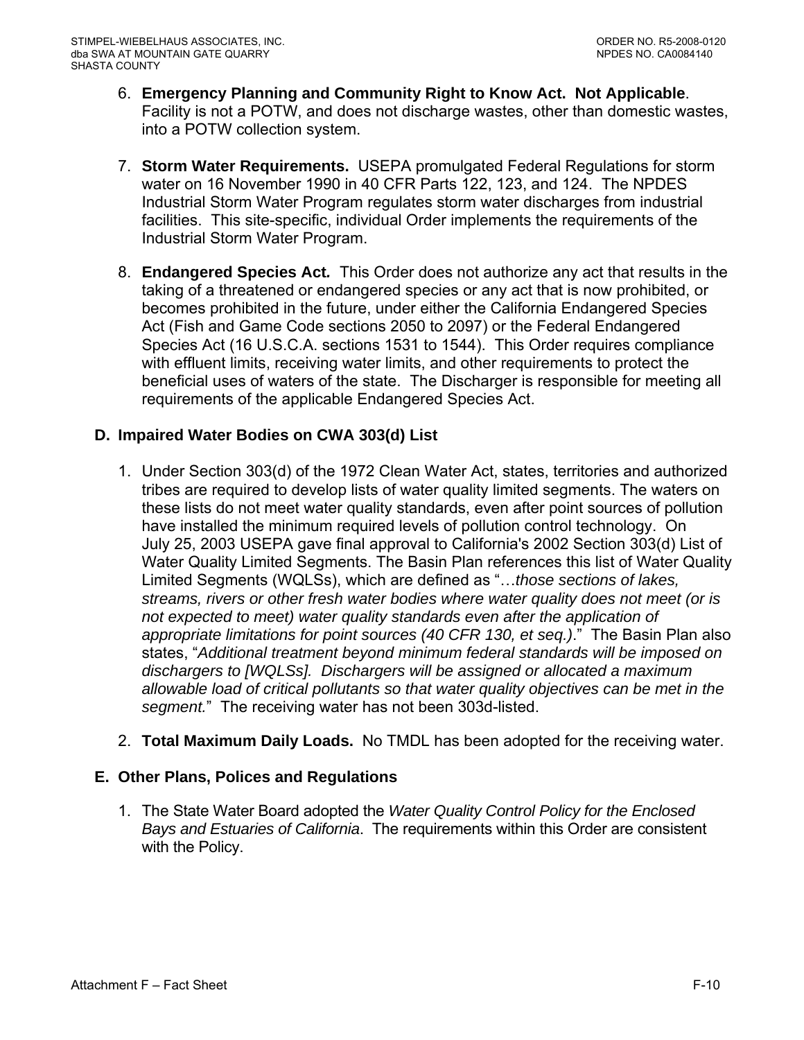- <span id="page-66-0"></span>6. **Emergency Planning and Community Right to Know Act. Not Applicable**. Facility is not a POTW, and does not discharge wastes, other than domestic wastes, into a POTW collection system.
- 7. **Storm Water Requirements.** USEPA promulgated Federal Regulations for storm water on 16 November 1990 in 40 CFR Parts 122, 123, and 124. The NPDES Industrial Storm Water Program regulates storm water discharges from industrial facilities. This site-specific, individual Order implements the requirements of the Industrial Storm Water Program.
- 8. **Endangered Species Act***.* This Order does not authorize any act that results in the taking of a threatened or endangered species or any act that is now prohibited, or becomes prohibited in the future, under either the California Endangered Species Act (Fish and Game Code sections 2050 to 2097) or the Federal Endangered Species Act (16 U.S.C.A. sections 1531 to 1544). This Order requires compliance with effluent limits, receiving water limits, and other requirements to protect the beneficial uses of waters of the state. The Discharger is responsible for meeting all requirements of the applicable Endangered Species Act.

# **D. Impaired Water Bodies on CWA 303(d) List**

- 1. Under Section 303(d) of the 1972 Clean Water Act, states, territories and authorized tribes are required to develop lists of water quality limited segments. The waters on these lists do not meet water quality standards, even after point sources of pollution have installed the minimum required levels of pollution control technology. On July 25, 2003 USEPA gave final approval to California's 2002 Section 303(d) List of Water Quality Limited Segments. The Basin Plan references this list of Water Quality Limited Segments (WQLSs), which are defined as "…*those sections of lakes, streams, rivers or other fresh water bodies where water quality does not meet (or is not expected to meet) water quality standards even after the application of appropriate limitations for point sources (40 CFR 130, et seq.)*." The Basin Plan also states, "*Additional treatment beyond minimum federal standards will be imposed on dischargers to [WQLSs]. Dischargers will be assigned or allocated a maximum allowable load of critical pollutants so that water quality objectives can be met in the segment.*" The receiving water has not been 303d-listed.
- 2. **Total Maximum Daily Loads.** No TMDL has been adopted for the receiving water.

# **E. Other Plans, Polices and Regulations**

1. The State Water Board adopted the *Water Quality Control Policy for the Enclosed Bays and Estuaries of California*. The requirements within this Order are consistent with the Policy.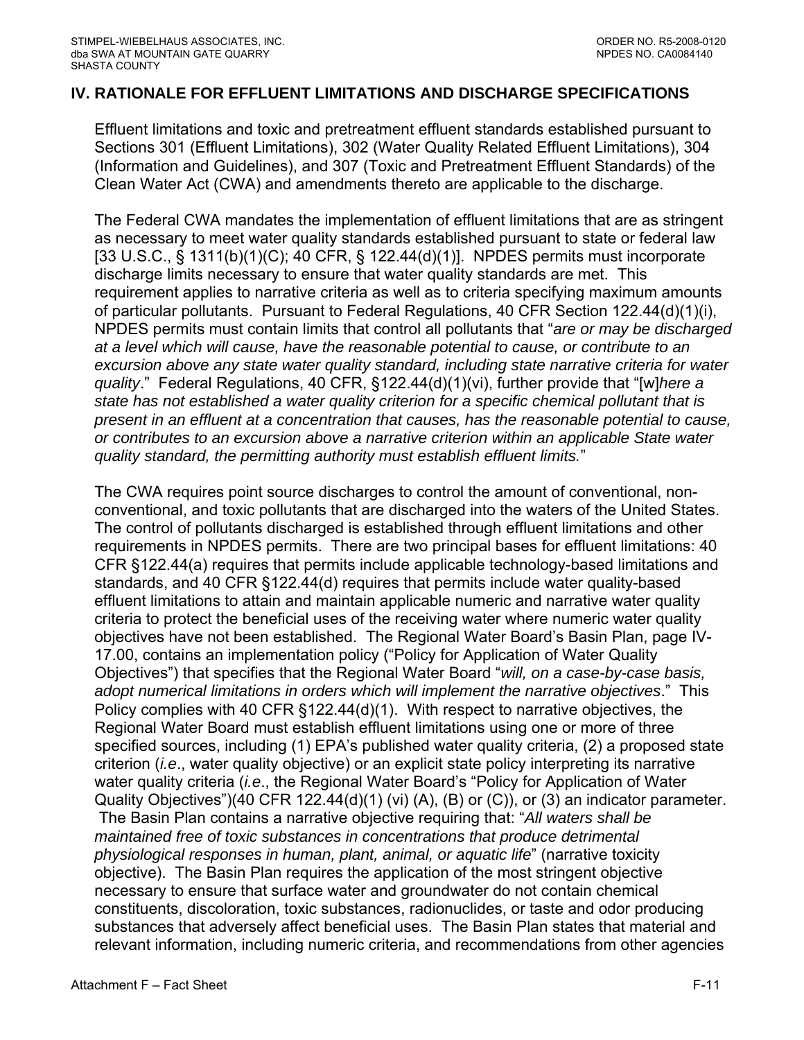#### <span id="page-67-0"></span>**IV. RATIONALE FOR EFFLUENT LIMITATIONS AND DISCHARGE SPECIFICATIONS**

Effluent limitations and toxic and pretreatment effluent standards established pursuant to Sections 301 (Effluent Limitations), 302 (Water Quality Related Effluent Limitations), 304 (Information and Guidelines), and 307 (Toxic and Pretreatment Effluent Standards) of the Clean Water Act (CWA) and amendments thereto are applicable to the discharge.

The Federal CWA mandates the implementation of effluent limitations that are as stringent as necessary to meet water quality standards established pursuant to state or federal law [33 U.S.C., § 1311(b)(1)(C); 40 CFR, § 122.44(d)(1)]. NPDES permits must incorporate discharge limits necessary to ensure that water quality standards are met. This requirement applies to narrative criteria as well as to criteria specifying maximum amounts of particular pollutants. Pursuant to Federal Regulations, 40 CFR Section 122.44(d)(1)(i), NPDES permits must contain limits that control all pollutants that "*are or may be discharged at a level which will cause, have the reasonable potential to cause, or contribute to an excursion above any state water quality standard, including state narrative criteria for water quality*." Federal Regulations, 40 CFR, §122.44(d)(1)(vi), further provide that "[w]*here a state has not established a water quality criterion for a specific chemical pollutant that is present in an effluent at a concentration that causes, has the reasonable potential to cause, or contributes to an excursion above a narrative criterion within an applicable State water quality standard, the permitting authority must establish effluent limits.*"

The CWA requires point source discharges to control the amount of conventional, nonconventional, and toxic pollutants that are discharged into the waters of the United States. The control of pollutants discharged is established through effluent limitations and other requirements in NPDES permits. There are two principal bases for effluent limitations: 40 CFR §122.44(a) requires that permits include applicable technology-based limitations and standards, and 40 CFR §122.44(d) requires that permits include water quality-based effluent limitations to attain and maintain applicable numeric and narrative water quality criteria to protect the beneficial uses of the receiving water where numeric water quality objectives have not been established. The Regional Water Board's Basin Plan, page IV-17.00, contains an implementation policy ("Policy for Application of Water Quality Objectives") that specifies that the Regional Water Board "*will, on a case-by-case basis, adopt numerical limitations in orders which will implement the narrative objectives*." This Policy complies with 40 CFR §122.44(d)(1). With respect to narrative objectives, the Regional Water Board must establish effluent limitations using one or more of three specified sources, including (1) EPA's published water quality criteria, (2) a proposed state criterion (*i.e*., water quality objective) or an explicit state policy interpreting its narrative water quality criteria (*i.e*., the Regional Water Board's "Policy for Application of Water Quality Objectives")(40 CFR 122.44(d)(1) (vi) (A), (B) or (C)), or (3) an indicator parameter. The Basin Plan contains a narrative objective requiring that: "*All waters shall be maintained free of toxic substances in concentrations that produce detrimental physiological responses in human, plant, animal, or aquatic life*" (narrative toxicity objective). The Basin Plan requires the application of the most stringent objective necessary to ensure that surface water and groundwater do not contain chemical constituents, discoloration, toxic substances, radionuclides, or taste and odor producing substances that adversely affect beneficial uses. The Basin Plan states that material and relevant information, including numeric criteria, and recommendations from other agencies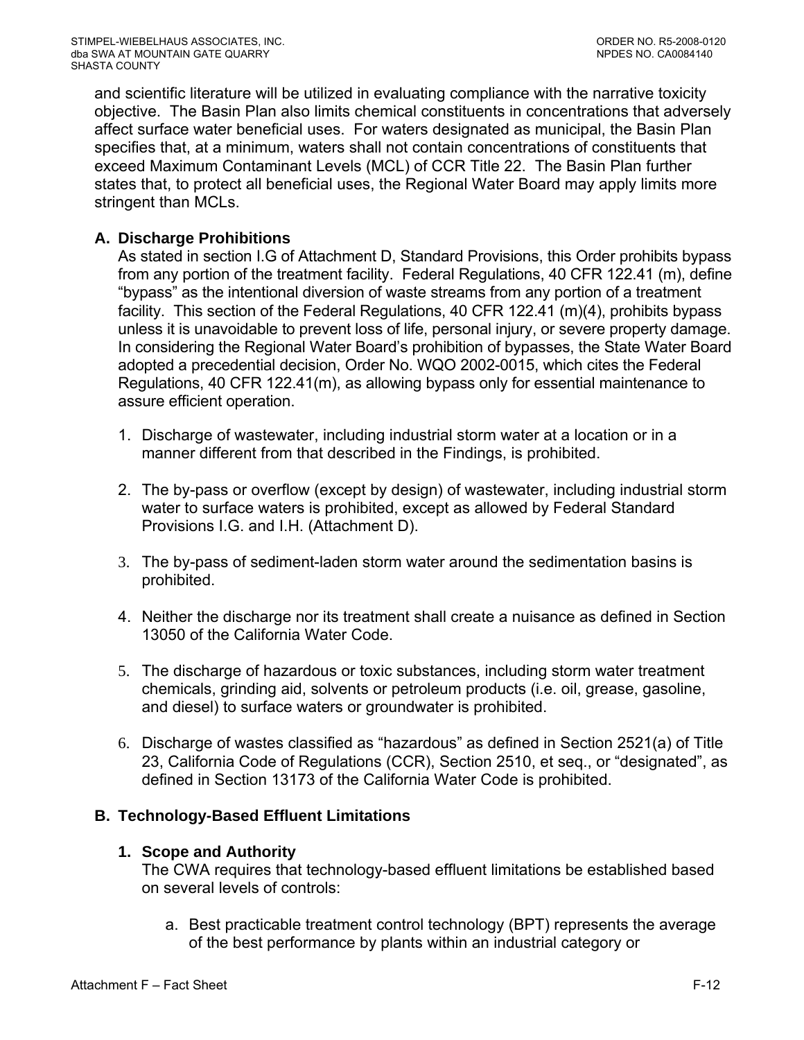<span id="page-68-0"></span>and scientific literature will be utilized in evaluating compliance with the narrative toxicity objective. The Basin Plan also limits chemical constituents in concentrations that adversely affect surface water beneficial uses. For waters designated as municipal, the Basin Plan specifies that, at a minimum, waters shall not contain concentrations of constituents that exceed Maximum Contaminant Levels (MCL) of CCR Title 22. The Basin Plan further states that, to protect all beneficial uses, the Regional Water Board may apply limits more stringent than MCLs.

# **A. Discharge Prohibitions**

As stated in section I.G of Attachment D, Standard Provisions, this Order prohibits bypass from any portion of the treatment facility. Federal Regulations, 40 CFR 122.41 (m), define "bypass" as the intentional diversion of waste streams from any portion of a treatment facility. This section of the Federal Regulations, 40 CFR 122.41 (m)(4), prohibits bypass unless it is unavoidable to prevent loss of life, personal injury, or severe property damage. In considering the Regional Water Board's prohibition of bypasses, the State Water Board adopted a precedential decision, Order No. WQO 2002-0015, which cites the Federal Regulations, 40 CFR 122.41(m), as allowing bypass only for essential maintenance to assure efficient operation.

- 1. Discharge of wastewater, including industrial storm water at a location or in a manner different from that described in the Findings, is prohibited.
- 2. The by-pass or overflow (except by design) of wastewater, including industrial storm water to surface waters is prohibited, except as allowed by Federal Standard Provisions [I.G.](#page-34-0) and [I.H.](#page-35-0) (Attachment D).
- 3. The by-pass of sediment-laden storm water around the sedimentation basins is prohibited.
- 4. Neither the discharge nor its treatment shall create a nuisance as defined in Section 13050 of the California Water Code.
- 5. The discharge of hazardous or toxic substances, including storm water treatment chemicals, grinding aid, solvents or petroleum products (i.e. oil, grease, gasoline, and diesel) to surface waters or groundwater is prohibited.
- 6. Discharge of wastes classified as "hazardous" as defined in Section 2521(a) of Title 23, California Code of Regulations (CCR), Section 2510, et seq., or "designated", as defined in Section 13173 of the California Water Code is prohibited.

# **B. Technology-Based Effluent Limitations**

#### **1. Scope and Authority**

The CWA requires that technology-based effluent limitations be established based on several levels of controls:

a. Best practicable treatment control technology (BPT) represents the average of the best performance by plants within an industrial category or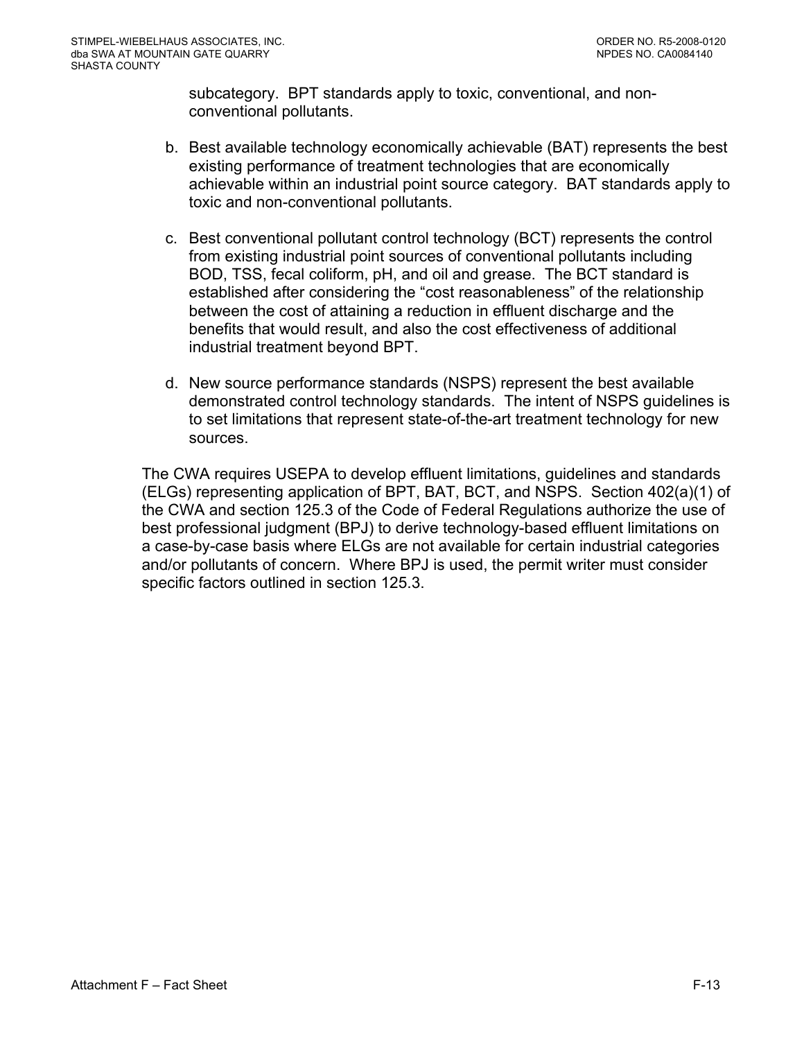subcategory. BPT standards apply to toxic, conventional, and nonconventional pollutants.

- b. Best available technology economically achievable (BAT) represents the best existing performance of treatment technologies that are economically achievable within an industrial point source category. BAT standards apply to toxic and non-conventional pollutants.
- c. Best conventional pollutant control technology (BCT) represents the control from existing industrial point sources of conventional pollutants including BOD, TSS, fecal coliform, pH, and oil and grease. The BCT standard is established after considering the "cost reasonableness" of the relationship between the cost of attaining a reduction in effluent discharge and the benefits that would result, and also the cost effectiveness of additional industrial treatment beyond BPT.
- d. New source performance standards (NSPS) represent the best available demonstrated control technology standards. The intent of NSPS guidelines is to set limitations that represent state-of-the-art treatment technology for new sources.

The CWA requires USEPA to develop effluent limitations, guidelines and standards (ELGs) representing application of BPT, BAT, BCT, and NSPS. Section 402(a)(1) of the CWA and section 125.3 of the Code of Federal Regulations authorize the use of best professional judgment (BPJ) to derive technology-based effluent limitations on a case-by-case basis where ELGs are not available for certain industrial categories and/or pollutants of concern. Where BPJ is used, the permit writer must consider specific factors outlined in section 125.3.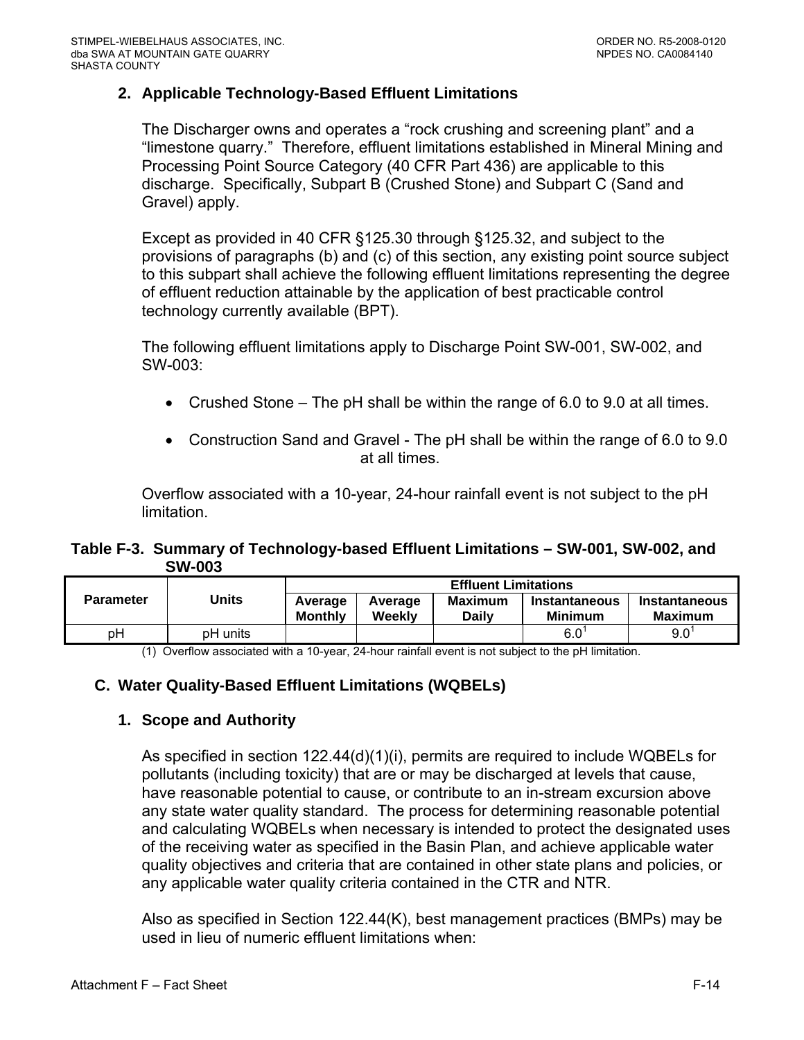## <span id="page-70-0"></span>**2. Applicable Technology-Based Effluent Limitations**

The Discharger owns and operates a "rock crushing and screening plant" and a "limestone quarry." Therefore, effluent limitations established in Mineral Mining and Processing Point Source Category (40 CFR Part 436) are applicable to this discharge. Specifically, Subpart B (Crushed Stone) and Subpart C (Sand and Gravel) apply.

Except as provided in 40 CFR §125.30 through §125.32, and subject to the provisions of paragraphs (b) and (c) of this section, any existing point source subject to this subpart shall achieve the following effluent limitations representing the degree of effluent reduction attainable by the application of best practicable control technology currently available (BPT).

The following effluent limitations apply to Discharge Point SW-001, SW-002, and SW-003:

- Crushed Stone The pH shall be within the range of 6.0 to 9.0 at all times.
- Construction Sand and Gravel The pH shall be within the range of 6.0 to 9.0 at all times.

Overflow associated with a 10-year, 24-hour rainfall event is not subject to the pH limitation.

#### **Table F-3. Summary of Technology-based Effluent Limitations – SW-001, SW-002, and SW-003**

| <b>Parameter</b> |          | <b>Effluent Limitations</b> |                   |                  |                                 |                                        |
|------------------|----------|-----------------------------|-------------------|------------------|---------------------------------|----------------------------------------|
|                  | Units    | Average<br><b>Monthly</b>   | Average<br>Weekly | Maximum<br>Dailv | Instantaneous<br><b>Minimum</b> | <b>Instantaneous</b><br><b>Maximum</b> |
| рH               | pH units |                             |                   |                  | 6.0                             | 9.0                                    |

(1) Overflow associated with a 10-year, 24-hour rainfall event is not subject to the pH limitation.

# **C. Water Quality-Based Effluent Limitations (WQBELs)**

#### **1. Scope and Authority**

As specified in section 122.44(d)(1)(i), permits are required to include WQBELs for pollutants (including toxicity) that are or may be discharged at levels that cause, have reasonable potential to cause, or contribute to an in-stream excursion above any state water quality standard. The process for determining reasonable potential and calculating WQBELs when necessary is intended to protect the designated uses of the receiving water as specified in the Basin Plan, and achieve applicable water quality objectives and criteria that are contained in other state plans and policies, or any applicable water quality criteria contained in the CTR and NTR.

Also as specified in Section 122.44(K), best management practices (BMPs) may be used in lieu of numeric effluent limitations when: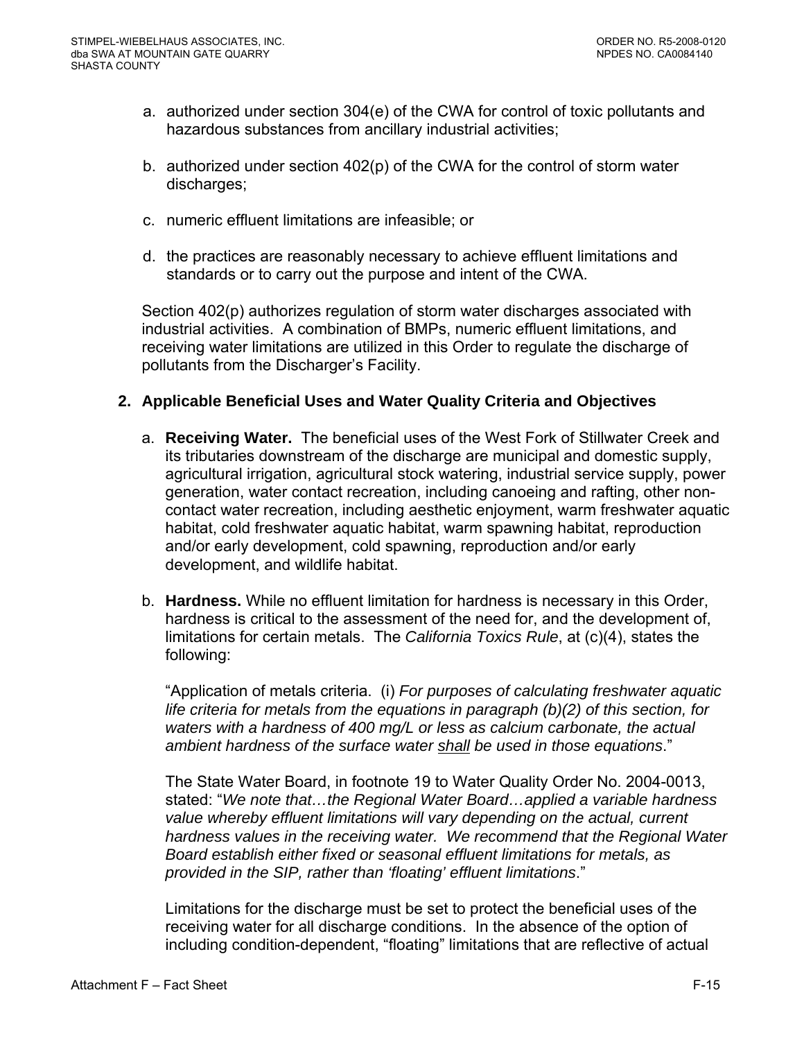- <span id="page-71-0"></span>a. authorized under section 304(e) of the CWA for control of toxic pollutants and hazardous substances from ancillary industrial activities;
- b. authorized under section 402(p) of the CWA for the control of storm water discharges;
- c. numeric effluent limitations are infeasible; or
- d. the practices are reasonably necessary to achieve effluent limitations and standards or to carry out the purpose and intent of the CWA.

Section 402(p) authorizes regulation of storm water discharges associated with industrial activities. A combination of BMPs, numeric effluent limitations, and receiving water limitations are utilized in this Order to regulate the discharge of pollutants from the Discharger's Facility.

#### **2. Applicable Beneficial Uses and Water Quality Criteria and Objectives**

- a. **Receiving Water.** The beneficial uses of the West Fork of Stillwater Creek and its tributaries downstream of the discharge are municipal and domestic supply, agricultural irrigation, agricultural stock watering, industrial service supply, power generation, water contact recreation, including canoeing and rafting, other noncontact water recreation, including aesthetic enjoyment, warm freshwater aquatic habitat, cold freshwater aquatic habitat, warm spawning habitat, reproduction and/or early development, cold spawning, reproduction and/or early development, and wildlife habitat.
- b. **Hardness.** While no effluent limitation for hardness is necessary in this Order, hardness is critical to the assessment of the need for, and the development of, limitations for certain metals. The *California Toxics Rule*, at (c)(4), states the following:

"Application of metals criteria. (i) *For purposes of calculating freshwater aquatic life criteria for metals from the equations in paragraph (b)(2) of this section, for waters with a hardness of 400 mg/L or less as calcium carbonate, the actual ambient hardness of the surface water shall be used in those equations*."

The State Water Board, in footnote 19 to Water Quality Order No. 2004-0013, stated: "*We note that…the Regional Water Board…applied a variable hardness value whereby effluent limitations will vary depending on the actual, current hardness values in the receiving water. We recommend that the Regional Water Board establish either fixed or seasonal effluent limitations for metals, as provided in the SIP, rather than 'floating' effluent limitations*."

Limitations for the discharge must be set to protect the beneficial uses of the receiving water for all discharge conditions. In the absence of the option of including condition-dependent, "floating" limitations that are reflective of actual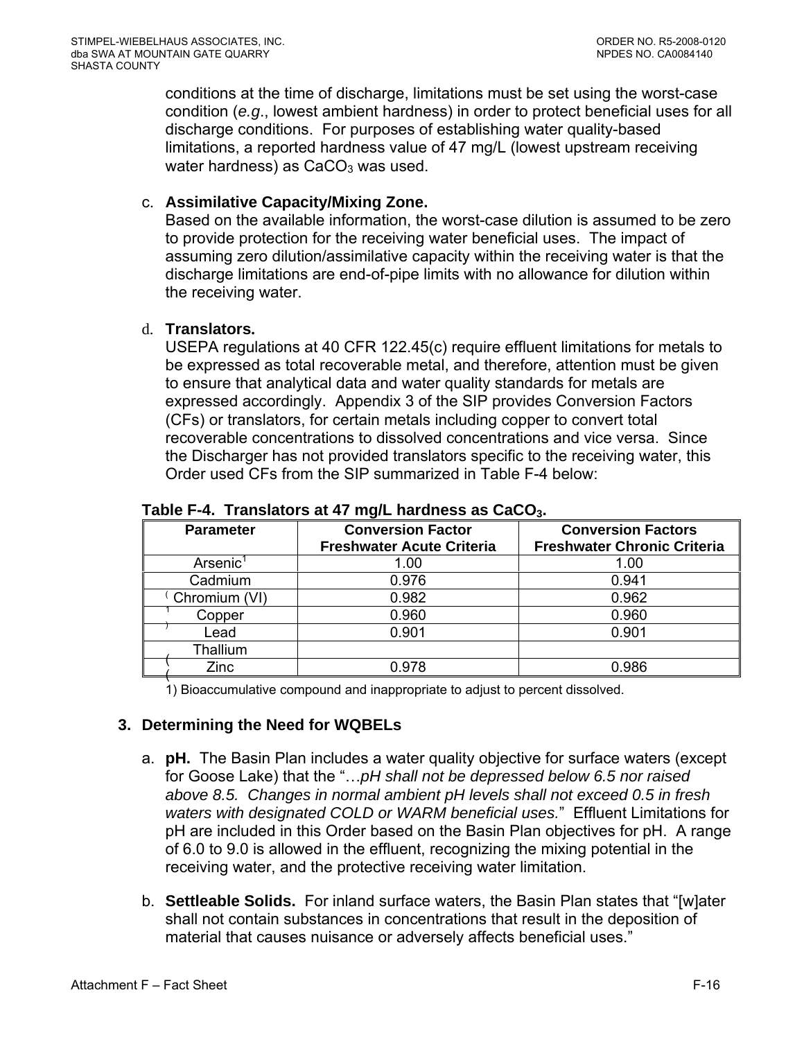conditions at the time of discharge, limitations must be set using the worst-case condition (*e.g*., lowest ambient hardness) in order to protect beneficial uses for all discharge conditions. For purposes of establishing water quality-based limitations, a reported hardness value of 47 mg/L (lowest upstream receiving water hardness) as  $CaCO<sub>3</sub>$  was used.

### c. **Assimilative Capacity/Mixing Zone.**

Based on the available information, the worst-case dilution is assumed to be zero to provide protection for the receiving water beneficial uses. The impact of assuming zero dilution/assimilative capacity within the receiving water is that the discharge limitations are end-of-pipe limits with no allowance for dilution within the receiving water.

### d. **Translators.**

USEPA regulations at 40 CFR 122.45(c) require effluent limitations for metals to be expressed as total recoverable metal, and therefore, attention must be given to ensure that analytical data and water quality standards for metals are expressed accordingly. Appendix 3 of the SIP provides Conversion Factors (CFs) or translators, for certain metals including copper to convert total recoverable concentrations to dissolved concentrations and vice versa. Since the Discharger has not provided translators specific to the receiving water, this Order used CFs from the SIP summarized in Table F-4 below:

| <b>Parameter</b>     | <b>Conversion Factor</b><br><b>Freshwater Acute Criteria</b> | <b>Conversion Factors</b><br><b>Freshwater Chronic Criteria</b> |
|----------------------|--------------------------------------------------------------|-----------------------------------------------------------------|
| Arsenic <sup>1</sup> | 1.00                                                         | 1.00                                                            |
| Cadmium              | 0.976                                                        | 0.941                                                           |
| Chromium (VI)        | 0.982                                                        | 0.962                                                           |
| Copper               | 0.960                                                        | 0.960                                                           |
| Lead                 | 0.901                                                        | 0.901                                                           |
| Thallium             |                                                              |                                                                 |
| Zinc                 | 0.978                                                        | 0.986                                                           |

#### Table F-4. Translators at 47 mg/L hardness as CaCO<sub>3</sub>.

1) Bioaccumulative compound and inappropriate to adjust to percent dissolved.

### **3. Determining the Need for WQBELs**

- a. **pH.** The Basin Plan includes a water quality objective for surface waters (except for Goose Lake) that the "…*pH shall not be depressed below 6.5 nor raised above 8.5. Changes in normal ambient pH levels shall not exceed 0.5 in fresh waters with designated COLD or WARM beneficial uses.*" Effluent Limitations for pH are included in this Order based on the Basin Plan objectives for pH. A range of 6.0 to 9.0 is allowed in the effluent, recognizing the mixing potential in the receiving water, and the protective receiving water limitation.
- b. **Settleable Solids.** For inland surface waters, the Basin Plan states that "[w]ater shall not contain substances in concentrations that result in the deposition of material that causes nuisance or adversely affects beneficial uses."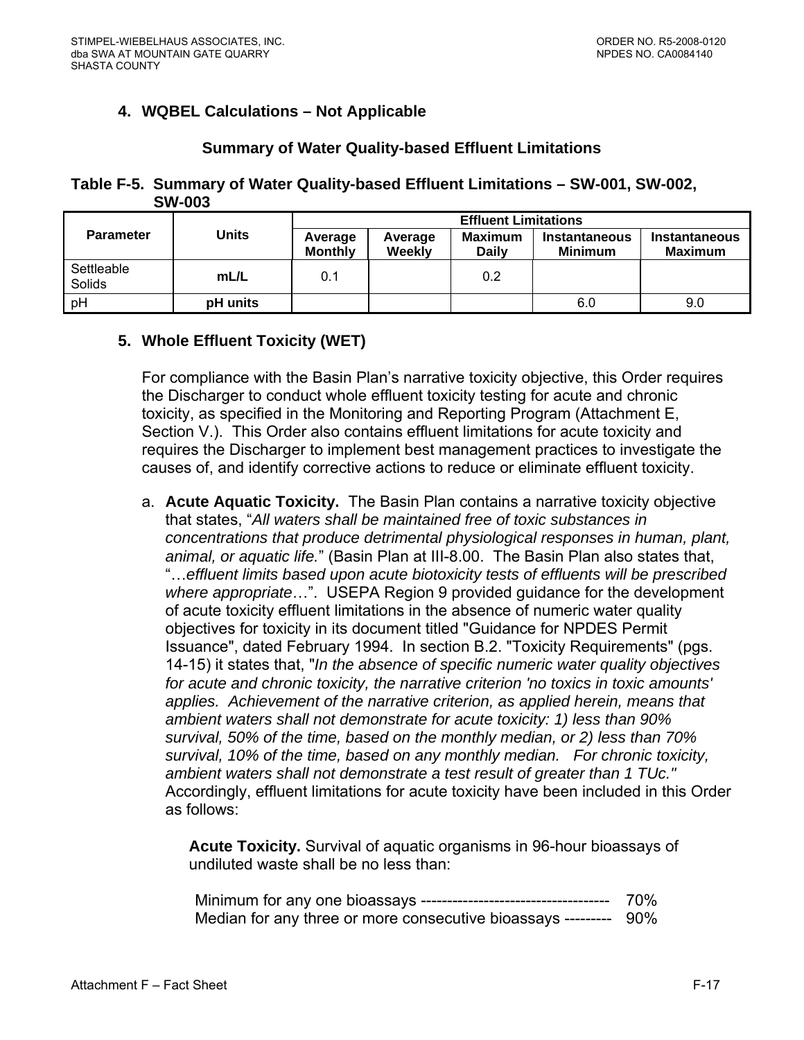# **4. WQBEL Calculations – Not Applicable**

### **Summary of Water Quality-based Effluent Limitations**

**Table F-5. Summary of Water Quality-based Effluent Limitations – SW-001, SW-002, SW-003** 

|                      |                 | <b>Effluent Limitations</b> |                   |                                |                                        |                                 |  |
|----------------------|-----------------|-----------------------------|-------------------|--------------------------------|----------------------------------------|---------------------------------|--|
| <b>Parameter</b>     | <b>Units</b>    | Average<br><b>Monthly</b>   | Average<br>Weekly | <b>Maximum</b><br><b>Daily</b> | <b>Instantaneous</b><br><b>Minimum</b> | Instantaneous<br><b>Maximum</b> |  |
| Settleable<br>Solids | mL/L            | 0.1                         |                   | 0.2                            |                                        |                                 |  |
| pH                   | <b>pH</b> units |                             |                   |                                | 6.0                                    | 9.0                             |  |

### **5. Whole Effluent Toxicity (WET)**

For compliance with the Basin Plan's narrative toxicity objective, this Order requires the Discharger to conduct whole effluent toxicity testing for acute and chronic toxicity, as specified in the Monitoring and Reporting Program (Attachment E, Section V.). This Order also contains effluent limitations for acute toxicity and requires the Discharger to implement best management practices to investigate the causes of, and identify corrective actions to reduce or eliminate effluent toxicity.

a. **Acute Aquatic Toxicity.** The Basin Plan contains a narrative toxicity objective that states, "*All waters shall be maintained free of toxic substances in concentrations that produce detrimental physiological responses in human, plant, animal, or aquatic life.*" (Basin Plan at III-8.00. The Basin Plan also states that, "…*effluent limits based upon acute biotoxicity tests of effluents will be prescribed where appropriate*…". USEPA Region 9 provided guidance for the development of acute toxicity effluent limitations in the absence of numeric water quality objectives for toxicity in its document titled "Guidance for NPDES Permit Issuance", dated February 1994. In section B.2. "Toxicity Requirements" (pgs. 14-15) it states that, "*In the absence of specific numeric water quality objectives for acute and chronic toxicity, the narrative criterion 'no toxics in toxic amounts' applies. Achievement of the narrative criterion, as applied herein, means that ambient waters shall not demonstrate for acute toxicity: 1) less than 90% survival, 50% of the time, based on the monthly median, or 2) less than 70% survival, 10% of the time, based on any monthly median. For chronic toxicity, ambient waters shall not demonstrate a test result of greater than 1 TUc."* Accordingly, effluent limitations for acute toxicity have been included in this Order as follows:

**Acute Toxicity.** Survival of aquatic organisms in 96-hour bioassays of undiluted waste shall be no less than:

|                                                                  | 70% |
|------------------------------------------------------------------|-----|
| Median for any three or more consecutive bioassays --------- 90% |     |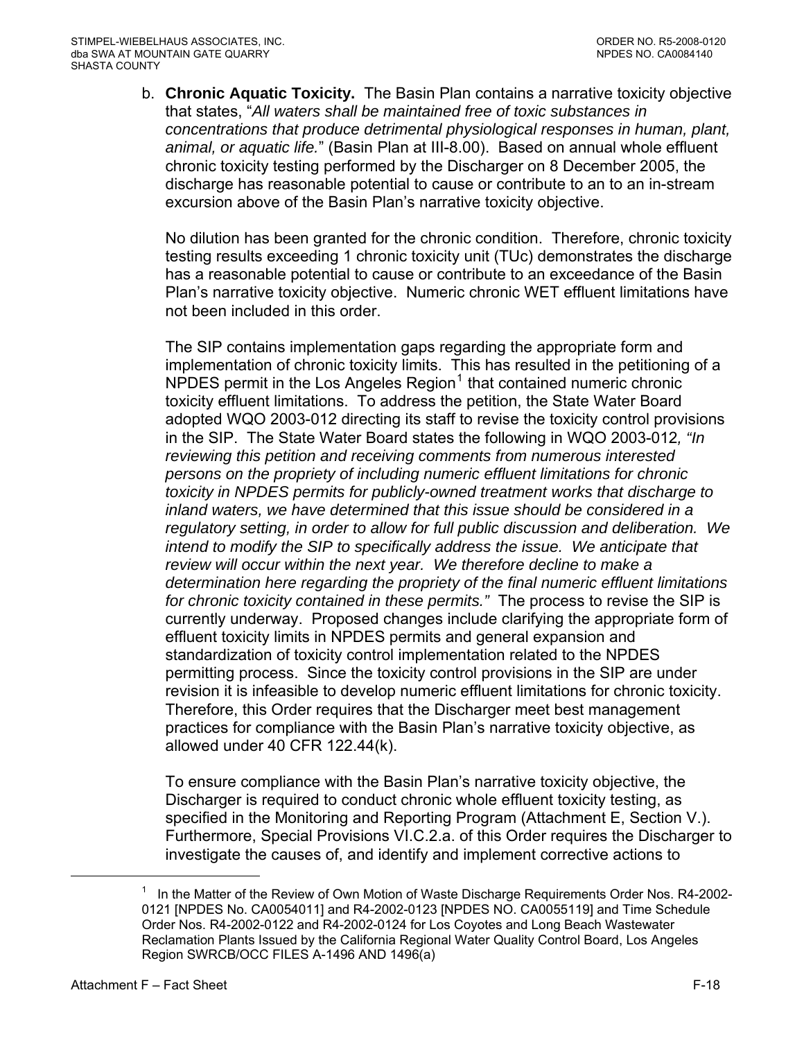b. **Chronic Aquatic Toxicity.** The Basin Plan contains a narrative toxicity objective that states, "*All waters shall be maintained free of toxic substances in concentrations that produce detrimental physiological responses in human, plant, animal, or aquatic life.*" (Basin Plan at III-8.00). Based on annual whole effluent chronic toxicity testing performed by the Discharger on 8 December 2005, the discharge has reasonable potential to cause or contribute to an to an in-stream excursion above of the Basin Plan's narrative toxicity objective.

No dilution has been granted for the chronic condition. Therefore, chronic toxicity testing results exceeding 1 chronic toxicity unit (TUc) demonstrates the discharge has a reasonable potential to cause or contribute to an exceedance of the Basin Plan's narrative toxicity objective. Numeric chronic WET effluent limitations have not been included in this order.

The SIP contains implementation gaps regarding the appropriate form and implementation of chronic toxicity limits. This has resulted in the petitioning of a  $N$ PDES permit in the Los Angeles Region<sup>[1](#page-75-0)</sup> that contained numeric chronic toxicity effluent limitations. To address the petition, the State Water Board adopted WQO 2003-012 directing its staff to revise the toxicity control provisions in the SIP. The State Water Board states the following in WQO 2003-012*, "In reviewing this petition and receiving comments from numerous interested persons on the propriety of including numeric effluent limitations for chronic toxicity in NPDES permits for publicly-owned treatment works that discharge to inland waters, we have determined that this issue should be considered in a regulatory setting, in order to allow for full public discussion and deliberation. We intend to modify the SIP to specifically address the issue. We anticipate that review will occur within the next year. We therefore decline to make a determination here regarding the propriety of the final numeric effluent limitations for chronic toxicity contained in these permits."* The process to revise the SIP is currently underway. Proposed changes include clarifying the appropriate form of effluent toxicity limits in NPDES permits and general expansion and standardization of toxicity control implementation related to the NPDES permitting process. Since the toxicity control provisions in the SIP are under revision it is infeasible to develop numeric effluent limitations for chronic toxicity. Therefore, this Order requires that the Discharger meet best management practices for compliance with the Basin Plan's narrative toxicity objective, as allowed under 40 CFR 122.44(k).

To ensure compliance with the Basin Plan's narrative toxicity objective, the Discharger is required to conduct chronic whole effluent toxicity testing, as specified in the Monitoring and Reporting Program (Attachment E, Section V.). Furthermore, Special Provisions VI.C.2.a. of this Order requires the Discharger to investigate the causes of, and identify and implement corrective actions to

 $\overline{a}$ 

<sup>1</sup> In the Matter of the Review of Own Motion of Waste Discharge Requirements Order Nos. R4-2002- 0121 [NPDES No. CA0054011] and R4-2002-0123 [NPDES NO. CA0055119] and Time Schedule Order Nos. R4-2002-0122 and R4-2002-0124 for Los Coyotes and Long Beach Wastewater Reclamation Plants Issued by the California Regional Water Quality Control Board, Los Angeles Region SWRCB/OCC FILES A-1496 AND 1496(a)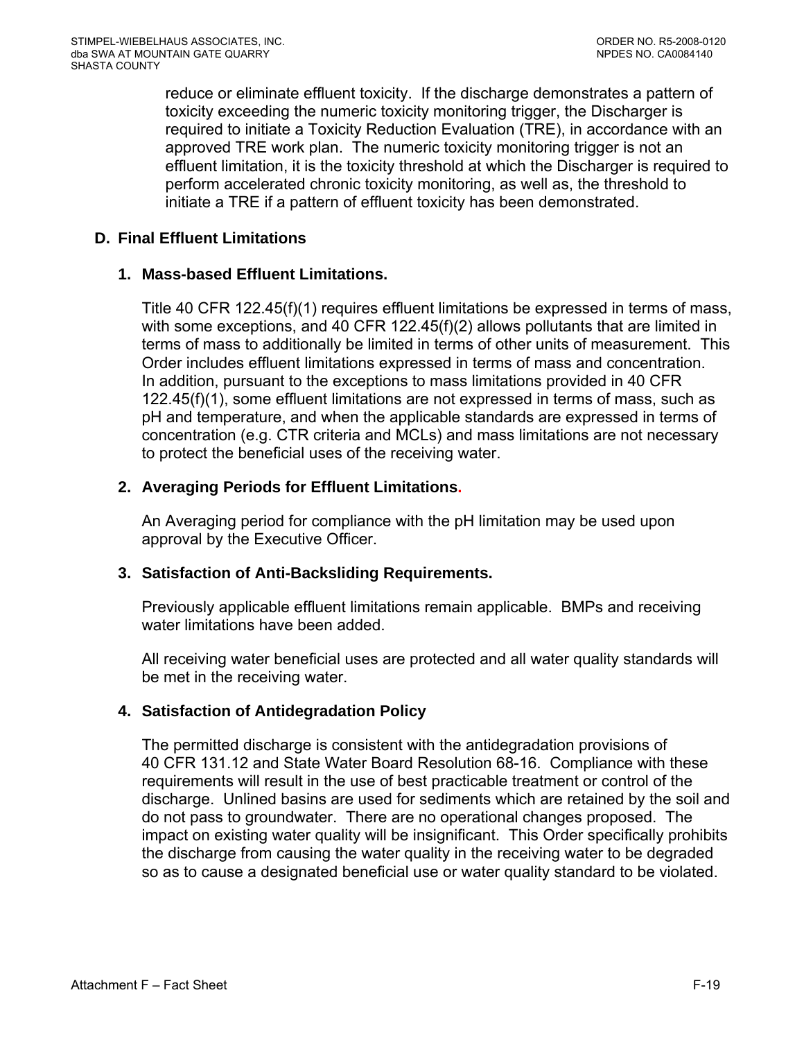reduce or eliminate effluent toxicity. If the discharge demonstrates a pattern of toxicity exceeding the numeric toxicity monitoring trigger, the Discharger is required to initiate a Toxicity Reduction Evaluation (TRE), in accordance with an approved TRE work plan. The numeric toxicity monitoring trigger is not an effluent limitation, it is the toxicity threshold at which the Discharger is required to perform accelerated chronic toxicity monitoring, as well as, the threshold to initiate a TRE if a pattern of effluent toxicity has been demonstrated.

## **D. Final Effluent Limitations**

## **1. Mass-based Effluent Limitations.**

Title 40 CFR 122.45(f)(1) requires effluent limitations be expressed in terms of mass, with some exceptions, and 40 CFR 122.45(f)(2) allows pollutants that are limited in terms of mass to additionally be limited in terms of other units of measurement. This Order includes effluent limitations expressed in terms of mass and concentration. In addition, pursuant to the exceptions to mass limitations provided in 40 CFR 122.45(f)(1), some effluent limitations are not expressed in terms of mass, such as pH and temperature, and when the applicable standards are expressed in terms of concentration (e.g. CTR criteria and MCLs) and mass limitations are not necessary to protect the beneficial uses of the receiving water.

# **2. Averaging Periods for Effluent Limitations.**

An Averaging period for compliance with the pH limitation may be used upon approval by the Executive Officer.

# **3. Satisfaction of Anti-Backsliding Requirements.**

Previously applicable effluent limitations remain applicable. BMPs and receiving water limitations have been added.

All receiving water beneficial uses are protected and all water quality standards will be met in the receiving water.

# **4. Satisfaction of Antidegradation Policy**

<span id="page-75-0"></span>The permitted discharge is consistent with the antidegradation provisions of 40 CFR 131.12 and State Water Board Resolution 68-16. Compliance with these requirements will result in the use of best practicable treatment or control of the discharge. Unlined basins are used for sediments which are retained by the soil and do not pass to groundwater. There are no operational changes proposed. The impact on existing water quality will be insignificant. This Order specifically prohibits the discharge from causing the water quality in the receiving water to be degraded so as to cause a designated beneficial use or water quality standard to be violated.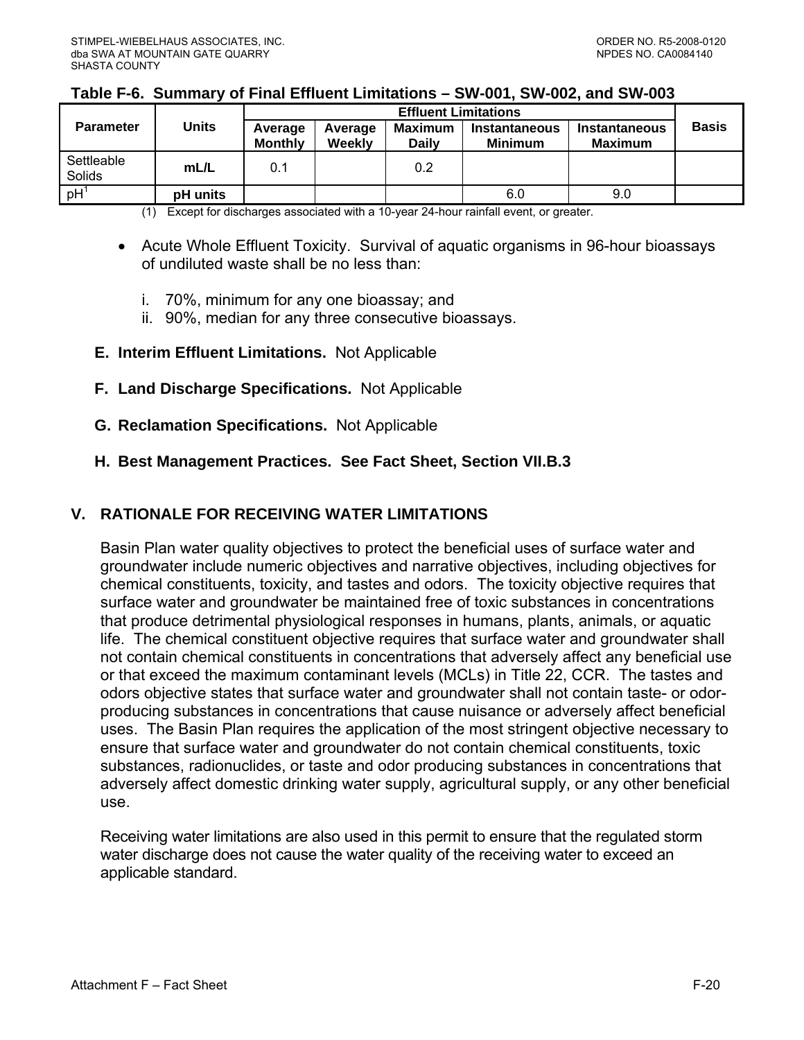### **Table F-6. Summary of Final Effluent Limitations – SW-001, SW-002, and SW-003**

|                      |              | <b>Effluent Limitations</b> |                   |                                |                                        |                                        |              |
|----------------------|--------------|-----------------------------|-------------------|--------------------------------|----------------------------------------|----------------------------------------|--------------|
| <b>Parameter</b>     | <b>Units</b> | Average<br><b>Monthly</b>   | Average<br>Weekly | <b>Maximum</b><br><b>Daily</b> | <b>Instantaneous</b><br><b>Minimum</b> | <b>Instantaneous</b><br><b>Maximum</b> | <b>Basis</b> |
| Settleable<br>Solids | mL/L         | 0.1                         |                   | 0.2                            |                                        |                                        |              |
| pH <sup>1</sup>      | pH units     |                             |                   |                                | 6.0                                    | 9.0                                    |              |

(1) Except for discharges associated with a 10-year 24-hour rainfall event, or greater.

- Acute Whole Effluent Toxicity. Survival of aquatic organisms in 96-hour bioassays of undiluted waste shall be no less than:
	- i. 70%, minimum for any one bioassay; and
	- ii. 90%, median for any three consecutive bioassays.
- **E. Interim Effluent Limitations.** Not Applicable
- **F. Land Discharge Specifications.** Not Applicable
- **G. Reclamation Specifications.** Not Applicable
- **H. Best Management Practices. See Fact Sheet, Section VII.B.3**

### **V. RATIONALE FOR RECEIVING WATER LIMITATIONS**

Basin Plan water quality objectives to protect the beneficial uses of surface water and groundwater include numeric objectives and narrative objectives, including objectives for chemical constituents, toxicity, and tastes and odors. The toxicity objective requires that surface water and groundwater be maintained free of toxic substances in concentrations that produce detrimental physiological responses in humans, plants, animals, or aquatic life. The chemical constituent objective requires that surface water and groundwater shall not contain chemical constituents in concentrations that adversely affect any beneficial use or that exceed the maximum contaminant levels (MCLs) in Title 22, CCR. The tastes and odors objective states that surface water and groundwater shall not contain taste- or odorproducing substances in concentrations that cause nuisance or adversely affect beneficial uses. The Basin Plan requires the application of the most stringent objective necessary to ensure that surface water and groundwater do not contain chemical constituents, toxic substances, radionuclides, or taste and odor producing substances in concentrations that adversely affect domestic drinking water supply, agricultural supply, or any other beneficial use.

Receiving water limitations are also used in this permit to ensure that the regulated storm water discharge does not cause the water quality of the receiving water to exceed an applicable standard.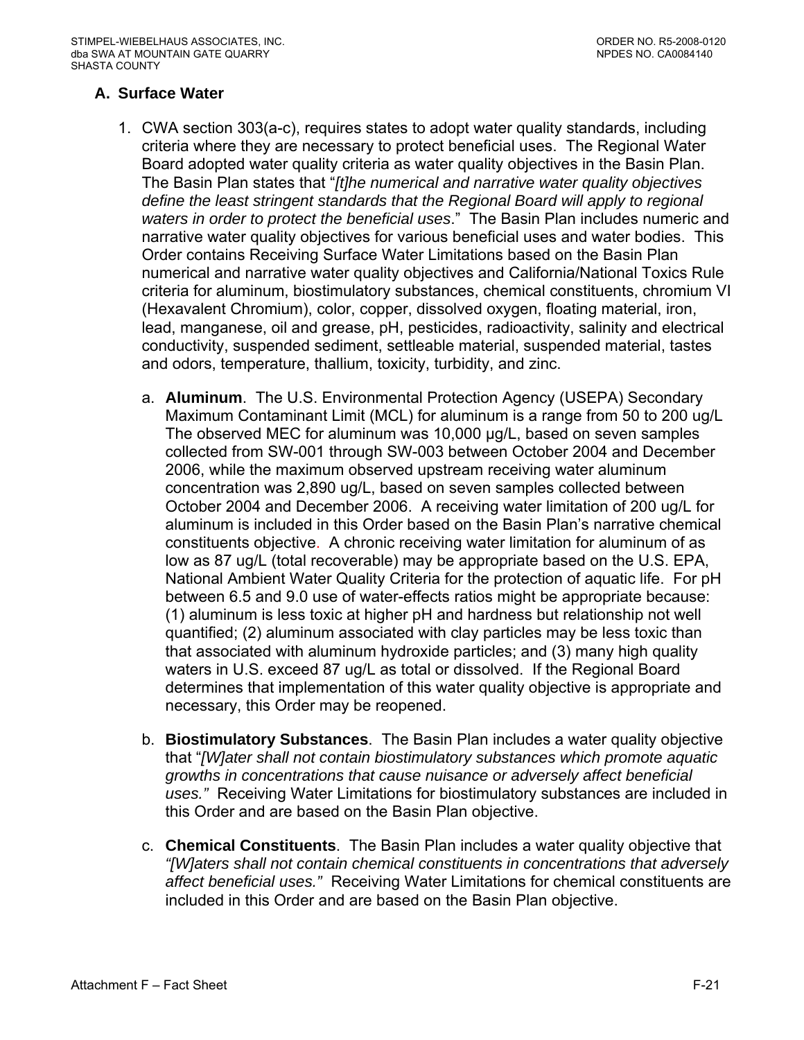## **A. Surface Water**

- 1. CWA section 303(a-c), requires states to adopt water quality standards, including criteria where they are necessary to protect beneficial uses. The Regional Water Board adopted water quality criteria as water quality objectives in the Basin Plan. The Basin Plan states that "*[t]he numerical and narrative water quality objectives define the least stringent standards that the Regional Board will apply to regional waters in order to protect the beneficial uses*." The Basin Plan includes numeric and narrative water quality objectives for various beneficial uses and water bodies. This Order contains Receiving Surface Water Limitations based on the Basin Plan numerical and narrative water quality objectives and California/National Toxics Rule criteria for aluminum, biostimulatory substances, chemical constituents, chromium VI (Hexavalent Chromium), color, copper, dissolved oxygen, floating material, iron, lead, manganese, oil and grease, pH, pesticides, radioactivity, salinity and electrical conductivity, suspended sediment, settleable material, suspended material, tastes and odors, temperature, thallium, toxicity, turbidity, and zinc.
	- a. **Aluminum**. The U.S. Environmental Protection Agency (USEPA) Secondary Maximum Contaminant Limit (MCL) for aluminum is a range from 50 to 200 ug/L The observed MEC for aluminum was 10,000 µg/L, based on seven samples collected from SW-001 through SW-003 between October 2004 and December 2006, while the maximum observed upstream receiving water aluminum concentration was 2,890 ug/L, based on seven samples collected between October 2004 and December 2006. A receiving water limitation of 200 ug/L for aluminum is included in this Order based on the Basin Plan's narrative chemical constituents objective. A chronic receiving water limitation for aluminum of as low as 87 ug/L (total recoverable) may be appropriate based on the U.S. EPA, National Ambient Water Quality Criteria for the protection of aquatic life. For pH between 6.5 and 9.0 use of water-effects ratios might be appropriate because: (1) aluminum is less toxic at higher pH and hardness but relationship not well quantified; (2) aluminum associated with clay particles may be less toxic than that associated with aluminum hydroxide particles; and (3) many high quality waters in U.S. exceed 87 ug/L as total or dissolved. If the Regional Board determines that implementation of this water quality objective is appropriate and necessary, this Order may be reopened.
	- b. **Biostimulatory Substances**. The Basin Plan includes a water quality objective that "*[W]ater shall not contain biostimulatory substances which promote aquatic growths in concentrations that cause nuisance or adversely affect beneficial uses."* Receiving Water Limitations for biostimulatory substances are included in this Order and are based on the Basin Plan objective.
	- c. **Chemical Constituents**. The Basin Plan includes a water quality objective that *"[W]aters shall not contain chemical constituents in concentrations that adversely affect beneficial uses."* Receiving Water Limitations for chemical constituents are included in this Order and are based on the Basin Plan objective.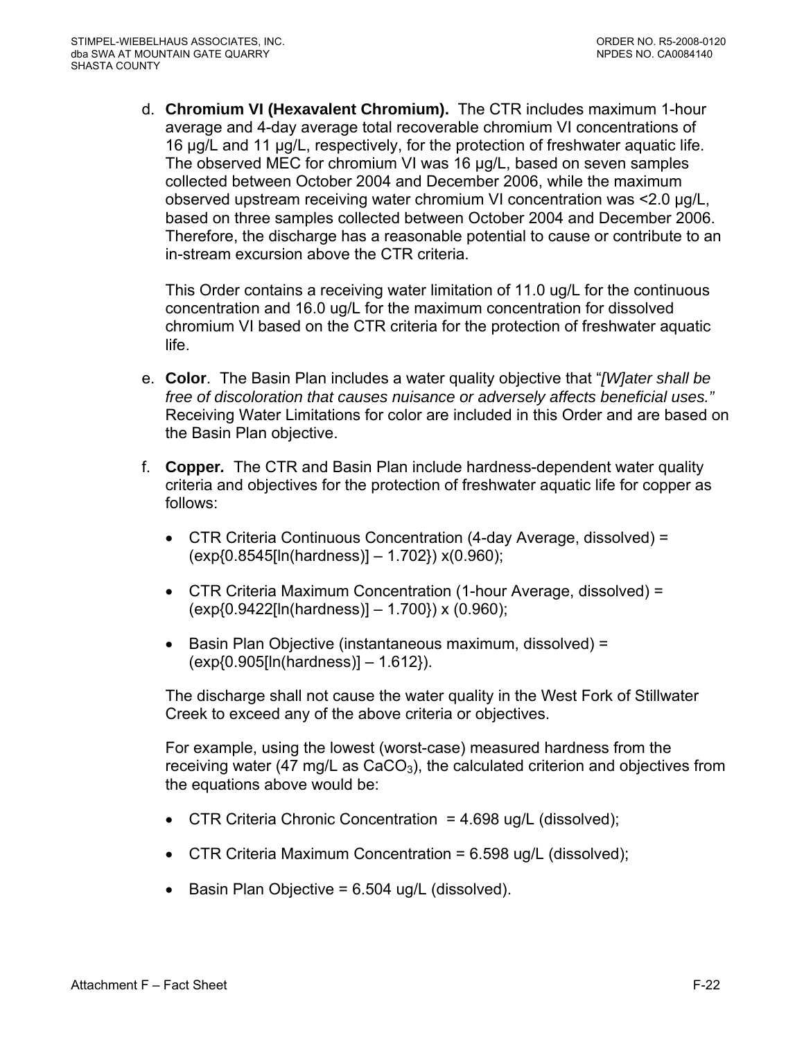d. **Chromium VI (Hexavalent Chromium).** The CTR includes maximum 1-hour average and 4-day average total recoverable chromium VI concentrations of 16 µg/L and 11 µg/L, respectively, for the protection of freshwater aquatic life. The observed MEC for chromium VI was 16 µg/L, based on seven samples collected between October 2004 and December 2006, while the maximum observed upstream receiving water chromium VI concentration was <2.0 µg/L, based on three samples collected between October 2004 and December 2006. Therefore, the discharge has a reasonable potential to cause or contribute to an in-stream excursion above the CTR criteria.

This Order contains a receiving water limitation of 11.0 ug/L for the continuous concentration and 16.0 ug/L for the maximum concentration for dissolved chromium VI based on the CTR criteria for the protection of freshwater aquatic life.

- e. **Color**. The Basin Plan includes a water quality objective that "*[W]ater shall be free of discoloration that causes nuisance or adversely affects beneficial uses."*  Receiving Water Limitations for color are included in this Order and are based on the Basin Plan objective.
- f. **Copper***.* The CTR and Basin Plan include hardness-dependent water quality criteria and objectives for the protection of freshwater aquatic life for copper as follows:
	- CTR Criteria Continuous Concentration (4-day Average, dissolved) = (exp{0.8545[ln(hardness)] – 1.702}) x(0.960);
	- CTR Criteria Maximum Concentration (1-hour Average, dissolved) = (exp{0.9422[ln(hardness)] – 1.700}) x (0.960);
	- Basin Plan Objective (instantaneous maximum, dissolved) = (exp{0.905[ln(hardness)] – 1.612}).

The discharge shall not cause the water quality in the West Fork of Stillwater Creek to exceed any of the above criteria or objectives.

For example, using the lowest (worst-case) measured hardness from the receiving water (47 mg/L as  $CaCO<sub>3</sub>$ ), the calculated criterion and objectives from the equations above would be:

- CTR Criteria Chronic Concentration  $= 4.698$  ug/L (dissolved);
- CTR Criteria Maximum Concentration =  $6.598$  ug/L (dissolved);
- $\bullet$  Basin Plan Objective = 6.504 ug/L (dissolved).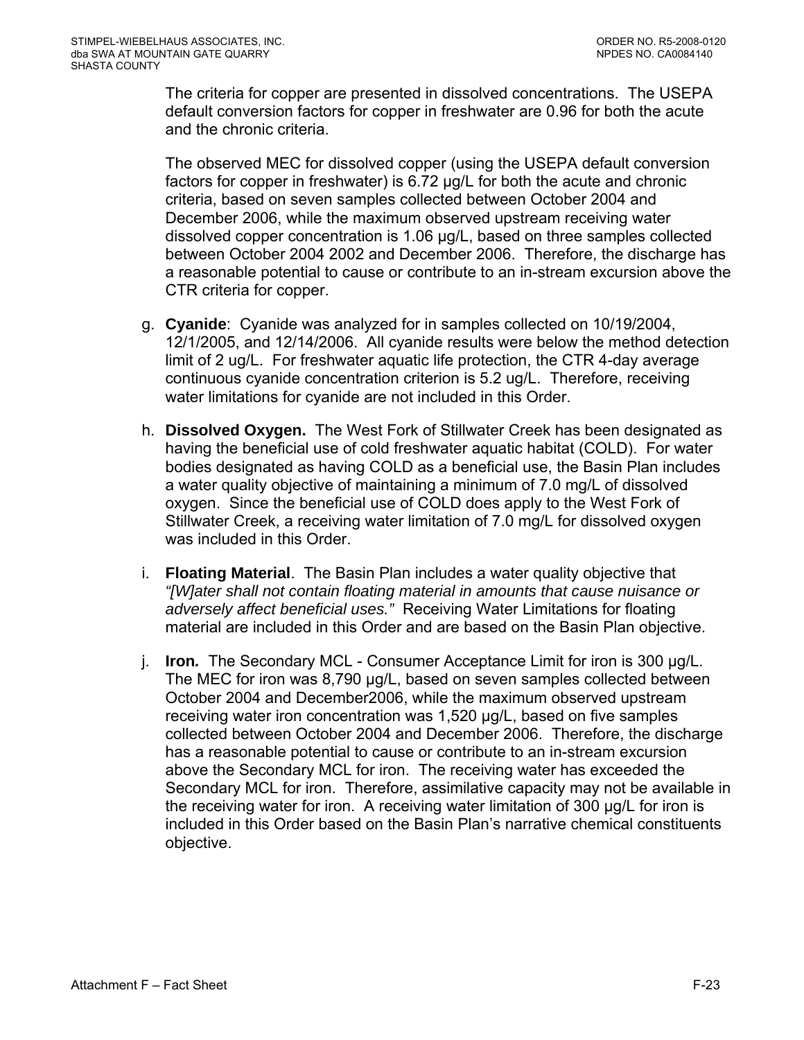The criteria for copper are presented in dissolved concentrations. The USEPA default conversion factors for copper in freshwater are 0.96 for both the acute and the chronic criteria.

The observed MEC for dissolved copper (using the USEPA default conversion factors for copper in freshwater) is 6.72 µg/L for both the acute and chronic criteria, based on seven samples collected between October 2004 and December 2006, while the maximum observed upstream receiving water dissolved copper concentration is 1.06 µg/L, based on three samples collected between October 2004 2002 and December 2006. Therefore, the discharge has a reasonable potential to cause or contribute to an in-stream excursion above the CTR criteria for copper.

- g. **Cyanide**: Cyanide was analyzed for in samples collected on 10/19/2004, 12/1/2005, and 12/14/2006. All cyanide results were below the method detection limit of 2 ug/L. For freshwater aquatic life protection, the CTR 4-day average continuous cyanide concentration criterion is 5.2 ug/L. Therefore, receiving water limitations for cyanide are not included in this Order.
- h. **Dissolved Oxygen.** The West Fork of Stillwater Creek has been designated as having the beneficial use of cold freshwater aquatic habitat (COLD). For water bodies designated as having COLD as a beneficial use, the Basin Plan includes a water quality objective of maintaining a minimum of 7.0 mg/L of dissolved oxygen. Since the beneficial use of COLD does apply to the West Fork of Stillwater Creek, a receiving water limitation of 7.0 mg/L for dissolved oxygen was included in this Order.
- i. **Floating Material**. The Basin Plan includes a water quality objective that *"[W]ater shall not contain floating material in amounts that cause nuisance or adversely affect beneficial uses."* Receiving Water Limitations for floating material are included in this Order and are based on the Basin Plan objective.
- j. **Iron***.* The Secondary MCL Consumer Acceptance Limit for iron is 300 µg/L. The MEC for iron was 8,790 µg/L, based on seven samples collected between October 2004 and December2006, while the maximum observed upstream receiving water iron concentration was 1,520 µg/L, based on five samples collected between October 2004 and December 2006. Therefore, the discharge has a reasonable potential to cause or contribute to an in-stream excursion above the Secondary MCL for iron. The receiving water has exceeded the Secondary MCL for iron. Therefore, assimilative capacity may not be available in the receiving water for iron. A receiving water limitation of 300 µg/L for iron is included in this Order based on the Basin Plan's narrative chemical constituents objective.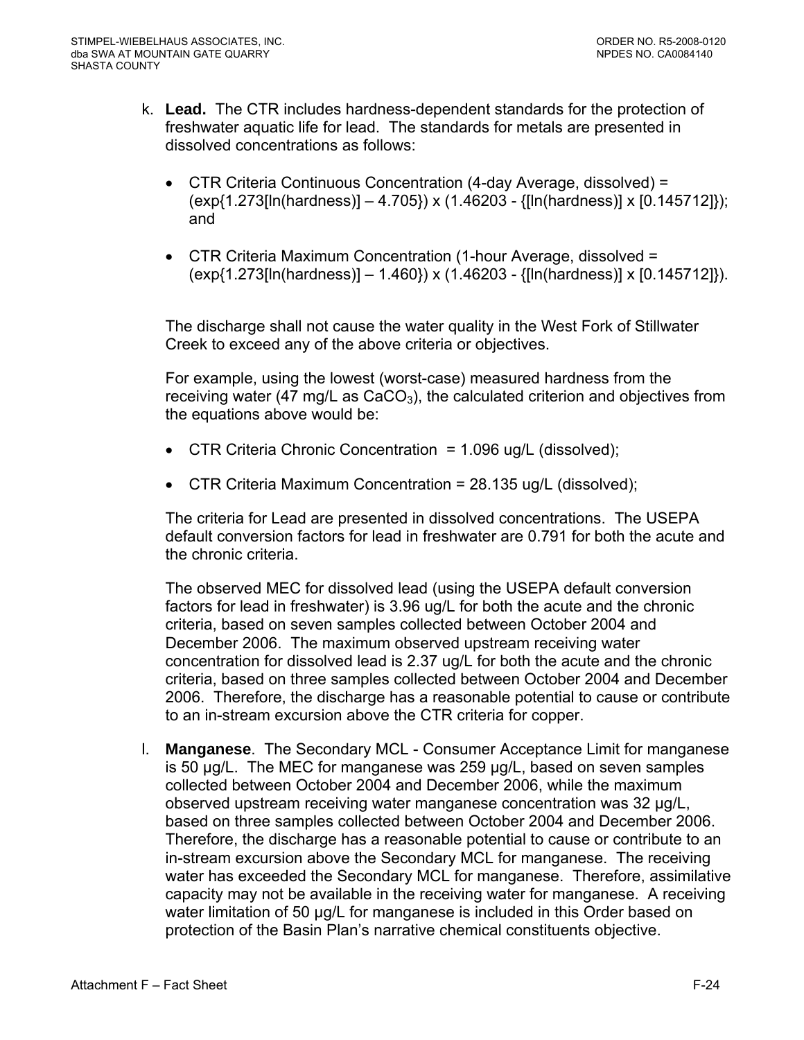- k. **Lead.** The CTR includes hardness-dependent standards for the protection of freshwater aquatic life for lead. The standards for metals are presented in dissolved concentrations as follows:
	- CTR Criteria Continuous Concentration (4-day Average, dissolved) = (exp{1.273[ln(hardness)] – 4.705}) x (1.46203 - {[ln(hardness)] x [0.145712]}); and
	- CTR Criteria Maximum Concentration (1-hour Average, dissolved = (exp{1.273[ln(hardness)] – 1.460}) x (1.46203 - {[ln(hardness)] x [0.145712]}).

The discharge shall not cause the water quality in the West Fork of Stillwater Creek to exceed any of the above criteria or objectives.

For example, using the lowest (worst-case) measured hardness from the receiving water (47 mg/L as  $CaCO<sub>3</sub>$ ), the calculated criterion and objectives from the equations above would be:

- CTR Criteria Chronic Concentration = 1.096 ug/L (dissolved);
- CTR Criteria Maximum Concentration = 28.135 ug/L (dissolved);

The criteria for Lead are presented in dissolved concentrations. The USEPA default conversion factors for lead in freshwater are 0.791 for both the acute and the chronic criteria.

The observed MEC for dissolved lead (using the USEPA default conversion factors for lead in freshwater) is 3.96 ug/L for both the acute and the chronic criteria, based on seven samples collected between October 2004 and December 2006. The maximum observed upstream receiving water concentration for dissolved lead is 2.37 ug/L for both the acute and the chronic criteria, based on three samples collected between October 2004 and December 2006. Therefore, the discharge has a reasonable potential to cause or contribute to an in-stream excursion above the CTR criteria for copper.

l. **Manganese**. The Secondary MCL - Consumer Acceptance Limit for manganese is 50 µg/L. The MEC for manganese was 259 µg/L, based on seven samples collected between October 2004 and December 2006, while the maximum observed upstream receiving water manganese concentration was 32 µg/L, based on three samples collected between October 2004 and December 2006. Therefore, the discharge has a reasonable potential to cause or contribute to an in-stream excursion above the Secondary MCL for manganese. The receiving water has exceeded the Secondary MCL for manganese. Therefore, assimilative capacity may not be available in the receiving water for manganese. A receiving water limitation of 50 µg/L for manganese is included in this Order based on protection of the Basin Plan's narrative chemical constituents objective.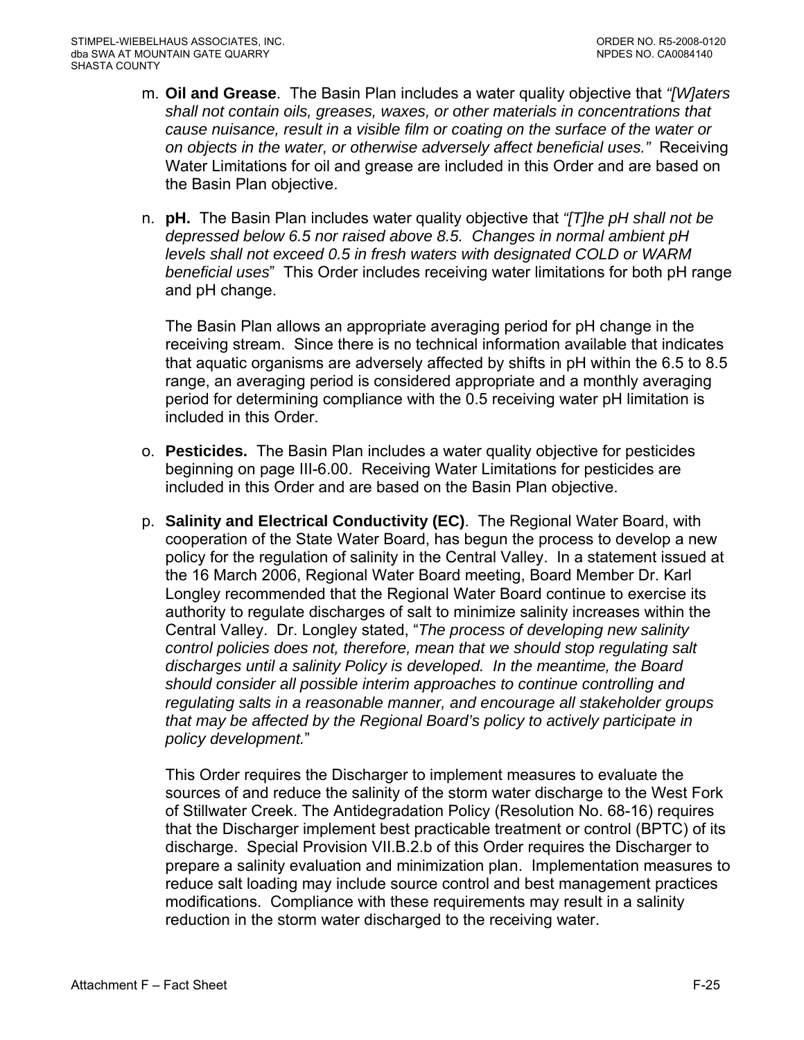- m. **Oil and Grease**. The Basin Plan includes a water quality objective that *"[W]aters shall not contain oils, greases, waxes, or other materials in concentrations that cause nuisance, result in a visible film or coating on the surface of the water or on objects in the water, or otherwise adversely affect beneficial uses."* Receiving Water Limitations for oil and grease are included in this Order and are based on the Basin Plan objective.
- n. **pH.** The Basin Plan includes water quality objective that *"[T]he pH shall not be depressed below 6.5 nor raised above 8.5. Changes in normal ambient pH levels shall not exceed 0.5 in fresh waters with designated COLD or WARM beneficial uses*" This Order includes receiving water limitations for both pH range and pH change.

The Basin Plan allows an appropriate averaging period for pH change in the receiving stream. Since there is no technical information available that indicates that aquatic organisms are adversely affected by shifts in pH within the 6.5 to 8.5 range, an averaging period is considered appropriate and a monthly averaging period for determining compliance with the 0.5 receiving water pH limitation is included in this Order.

- o. **Pesticides.** The Basin Plan includes a water quality objective for pesticides beginning on page III-6.00. Receiving Water Limitations for pesticides are included in this Order and are based on the Basin Plan objective.
- p. **Salinity and Electrical Conductivity (EC)**.The Regional Water Board, with cooperation of the State Water Board, has begun the process to develop a new policy for the regulation of salinity in the Central Valley. In a statement issued at the 16 March 2006, Regional Water Board meeting, Board Member Dr. Karl Longley recommended that the Regional Water Board continue to exercise its authority to regulate discharges of salt to minimize salinity increases within the Central Valley. Dr. Longley stated, "*The process of developing new salinity control policies does not, therefore, mean that we should stop regulating salt discharges until a salinity Policy is developed. In the meantime, the Board should consider all possible interim approaches to continue controlling and regulating salts in a reasonable manner, and encourage all stakeholder groups that may be affected by the Regional Board's policy to actively participate in policy development.*"

This Order requires the Discharger to implement measures to evaluate the sources of and reduce the salinity of the storm water discharge to the West Fork of Stillwater Creek. The Antidegradation Policy (Resolution No. 68-16) requires that the Discharger implement best practicable treatment or control (BPTC) of its discharge. [Special Provision VII.B.2.b](#page-0-0) of this Order requires the Discharger to prepare a salinity evaluation and minimization plan. Implementation measures to reduce salt loading may include source control and best management practices modifications. Compliance with these requirements may result in a salinity reduction in the storm water discharged to the receiving water.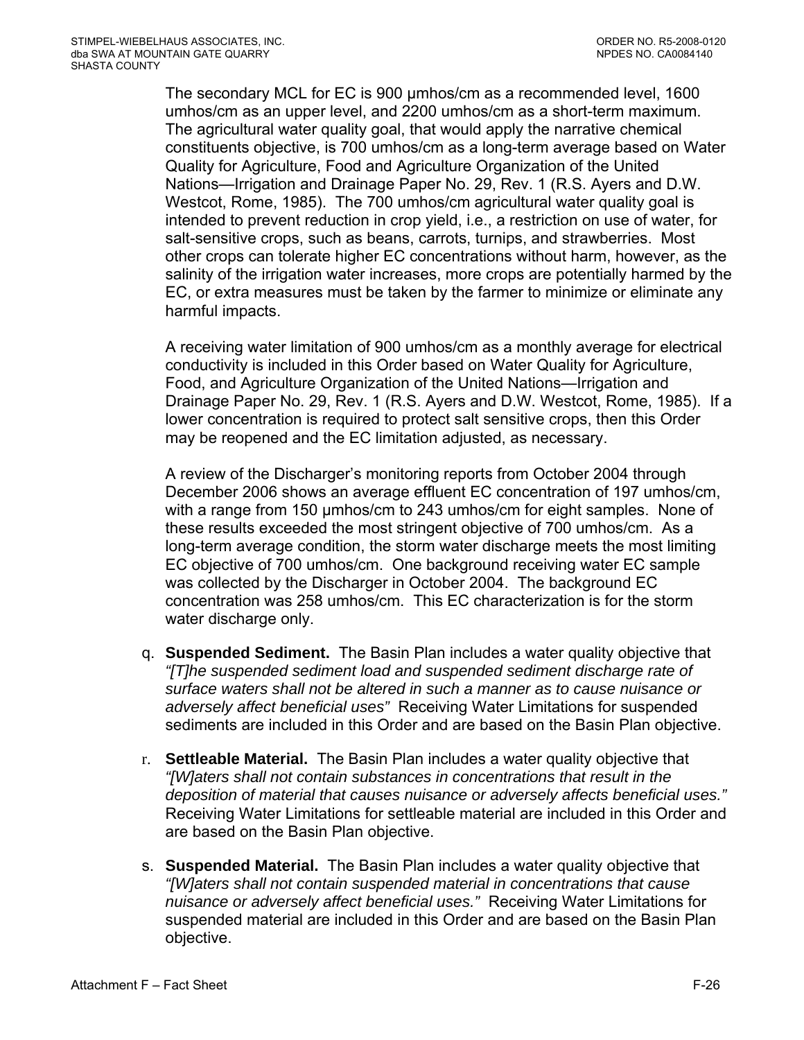The secondary MCL for EC is 900 umhos/cm as a recommended level, 1600 umhos/cm as an upper level, and 2200 umhos/cm as a short-term maximum. The agricultural water quality goal, that would apply the narrative chemical constituents objective, is 700 umhos/cm as a long-term average based on Water Quality for Agriculture, Food and Agriculture Organization of the United Nations—Irrigation and Drainage Paper No. 29, Rev. 1 (R.S. Ayers and D.W. Westcot, Rome, 1985). The 700 umhos/cm agricultural water quality goal is intended to prevent reduction in crop yield, i.e., a restriction on use of water, for salt-sensitive crops, such as beans, carrots, turnips, and strawberries. Most other crops can tolerate higher EC concentrations without harm, however, as the salinity of the irrigation water increases, more crops are potentially harmed by the EC, or extra measures must be taken by the farmer to minimize or eliminate any harmful impacts.

A receiving water limitation of 900 umhos/cm as a monthly average for electrical conductivity is included in this Order based on Water Quality for Agriculture, Food, and Agriculture Organization of the United Nations—Irrigation and Drainage Paper No. 29, Rev. 1 (R.S. Ayers and D.W. Westcot, Rome, 1985). If a lower concentration is required to protect salt sensitive crops, then this Order may be reopened and the EC limitation adjusted, as necessary.

A review of the Discharger's monitoring reports from October 2004 through December 2006 shows an average effluent EC concentration of 197 umhos/cm, with a range from 150 umhos/cm to 243 umhos/cm for eight samples. None of these results exceeded the most stringent objective of 700 umhos/cm. As a long-term average condition, the storm water discharge meets the most limiting EC objective of 700 umhos/cm. One background receiving water EC sample was collected by the Discharger in October 2004. The background EC concentration was 258 umhos/cm. This EC characterization is for the storm water discharge only.

- q. **Suspended Sediment.** The Basin Plan includes a water quality objective that *"[T]he suspended sediment load and suspended sediment discharge rate of surface waters shall not be altered in such a manner as to cause nuisance or adversely affect beneficial uses"* Receiving Water Limitations for suspended sediments are included in this Order and are based on the Basin Plan objective.
- r. **Settleable Material.** The Basin Plan includes a water quality objective that *"[W]aters shall not contain substances in concentrations that result in the deposition of material that causes nuisance or adversely affects beneficial uses."* Receiving Water Limitations for settleable material are included in this Order and are based on the Basin Plan objective.
- s. **Suspended Material.** The Basin Plan includes a water quality objective that *"[W]aters shall not contain suspended material in concentrations that cause nuisance or adversely affect beneficial uses."* Receiving Water Limitations for suspended material are included in this Order and are based on the Basin Plan objective.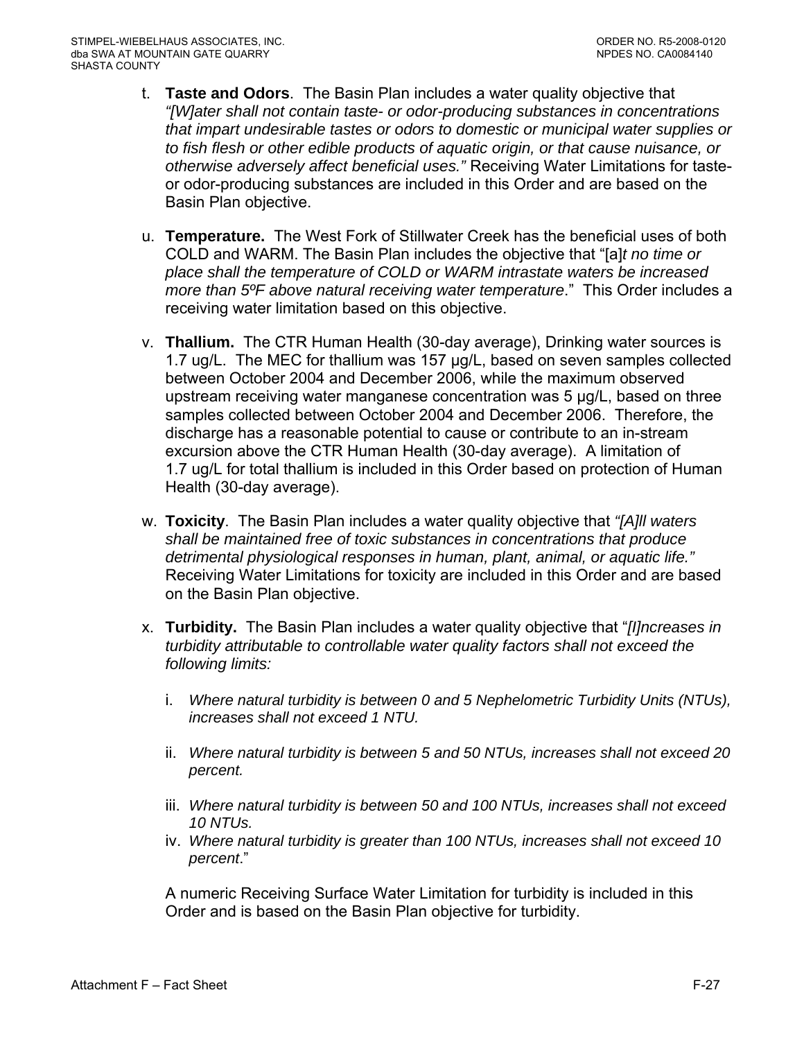- t. **Taste and Odors**. The Basin Plan includes a water quality objective that *"[W]ater shall not contain taste- or odor-producing substances in concentrations that impart undesirable tastes or odors to domestic or municipal water supplies or to fish flesh or other edible products of aquatic origin, or that cause nuisance, or otherwise adversely affect beneficial uses."* Receiving Water Limitations for tasteor odor-producing substances are included in this Order and are based on the Basin Plan objective.
- u. **Temperature.** The West Fork of Stillwater Creek has the beneficial uses of both COLD and WARM. The Basin Plan includes the objective that "[a]*t no time or place shall the temperature of COLD or WARM intrastate waters be increased more than 5ºF above natural receiving water temperature*." This Order includes a receiving water limitation based on this objective.
- v. **Thallium.** The CTR Human Health (30-day average), Drinking water sources is 1.7 ug/L. The MEC for thallium was 157 µg/L, based on seven samples collected between October 2004 and December 2006, while the maximum observed upstream receiving water manganese concentration was 5 µg/L, based on three samples collected between October 2004 and December 2006. Therefore, the discharge has a reasonable potential to cause or contribute to an in-stream excursion above the CTR Human Health (30-day average). A limitation of 1.7 ug/L for total thallium is included in this Order based on protection of Human Health (30-day average).
- w. **Toxicity**. The Basin Plan includes a water quality objective that *"[A]ll waters shall be maintained free of toxic substances in concentrations that produce detrimental physiological responses in human, plant, animal, or aquatic life."* Receiving Water Limitations for toxicity are included in this Order and are based on the Basin Plan objective.
- x. **Turbidity.** The Basin Plan includes a water quality objective that "*[I]ncreases in turbidity attributable to controllable water quality factors shall not exceed the following limits:* 
	- i. *Where natural turbidity is between 0 and 5 Nephelometric Turbidity Units (NTUs), increases shall not exceed 1 NTU.*
	- ii. *Where natural turbidity is between 5 and 50 NTUs, increases shall not exceed 20 percent.*
	- iii. *Where natural turbidity is between 50 and 100 NTUs, increases shall not exceed 10 NTUs.*
	- iv. *Where natural turbidity is greater than 100 NTUs, increases shall not exceed 10 percent*."

A numeric Receiving Surface Water Limitation for turbidity is included in this Order and is based on the Basin Plan objective for turbidity.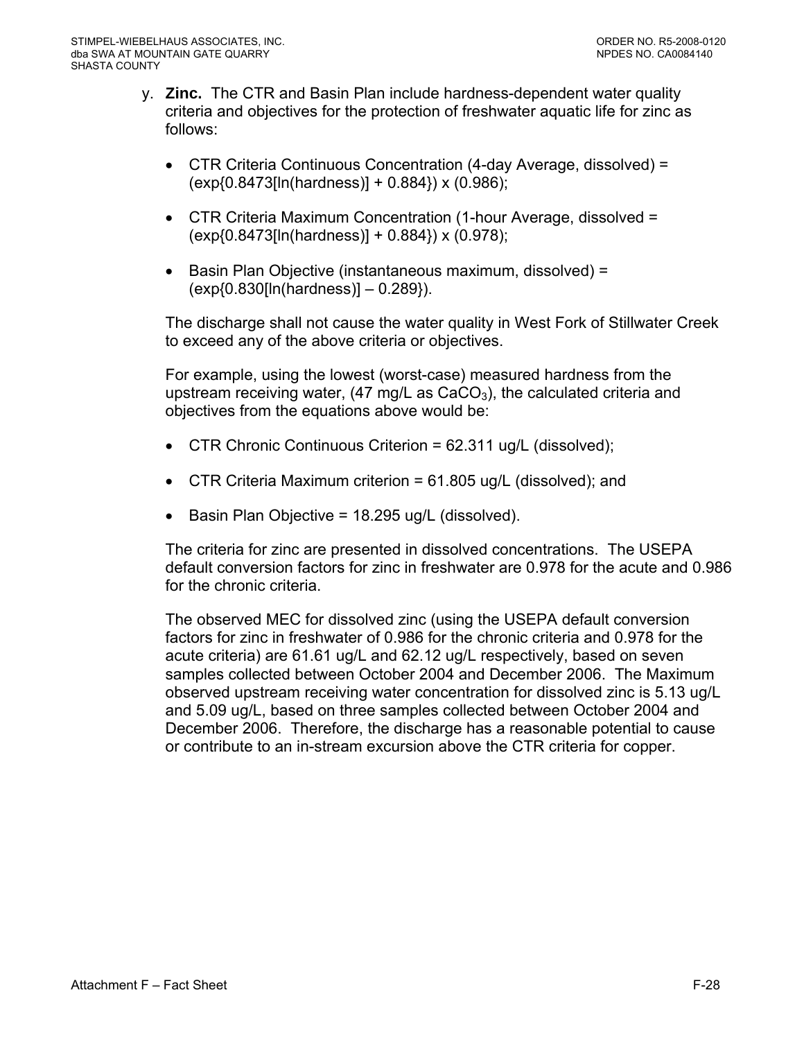- y. **Zinc.** The CTR and Basin Plan include hardness-dependent water quality criteria and objectives for the protection of freshwater aquatic life for zinc as follows:
	- CTR Criteria Continuous Concentration (4-day Average, dissolved) = (exp{0.8473[ln(hardness)] + 0.884}) x (0.986);
	- CTR Criteria Maximum Concentration (1-hour Average, dissolved = (exp{0.8473[ln(hardness)] + 0.884}) x (0.978);
	- Basin Plan Objective (instantaneous maximum, dissolved) = (exp{0.830[ln(hardness)] – 0.289}).

The discharge shall not cause the water quality in West Fork of Stillwater Creek to exceed any of the above criteria or objectives.

For example, using the lowest (worst-case) measured hardness from the upstream receiving water,  $(47 \text{ mg/L} \text{ as } \text{CaCO}_3)$ , the calculated criteria and objectives from the equations above would be:

- CTR Chronic Continuous Criterion =  $62.311$  ug/L (dissolved);
- CTR Criteria Maximum criterion =  $61.805$  ug/L (dissolved); and
- Basin Plan Objective = 18.295 ug/L (dissolved).

The criteria for zinc are presented in dissolved concentrations. The USEPA default conversion factors for zinc in freshwater are 0.978 for the acute and 0.986 for the chronic criteria.

The observed MEC for dissolved zinc (using the USEPA default conversion factors for zinc in freshwater of 0.986 for the chronic criteria and 0.978 for the acute criteria) are 61.61 ug/L and 62.12 ug/L respectively, based on seven samples collected between October 2004 and December 2006. The Maximum observed upstream receiving water concentration for dissolved zinc is 5.13 ug/L and 5.09 ug/L, based on three samples collected between October 2004 and December 2006. Therefore, the discharge has a reasonable potential to cause or contribute to an in-stream excursion above the CTR criteria for copper.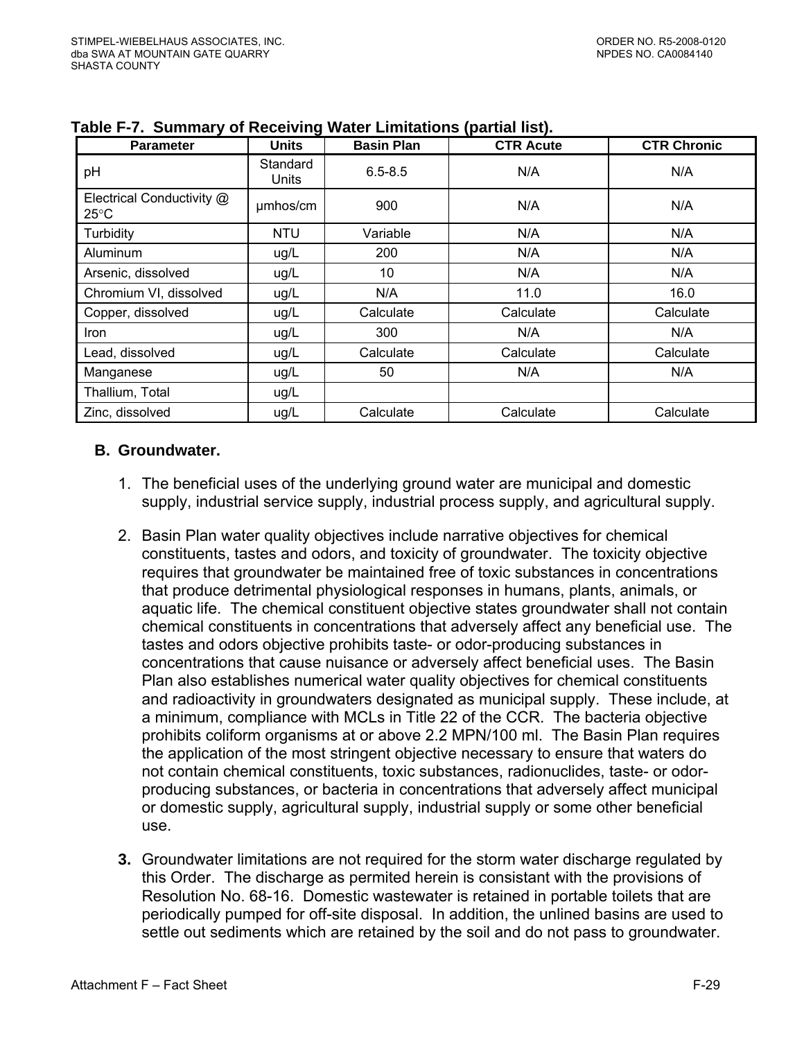| <b>Parameter</b>                            | <b>Units</b>      | <b>Basin Plan</b> | <b>CTR Acute</b> | <b>CTR Chronic</b> |
|---------------------------------------------|-------------------|-------------------|------------------|--------------------|
| pH                                          | Standard<br>Units | $6.5 - 8.5$       | N/A              | N/A                |
| Electrical Conductivity @<br>$25^{\circ}$ C | umhos/cm          | 900               | N/A              | N/A                |
| Turbidity                                   | <b>NTU</b>        | Variable          | N/A              | N/A                |
| Aluminum                                    | ug/L              | 200               | N/A              | N/A                |
| Arsenic, dissolved                          | ug/L              | 10                | N/A              | N/A                |
| Chromium VI, dissolved                      | ug/L              | N/A               | 11.0             | 16.0               |
| Copper, dissolved                           | ug/L              | Calculate         | Calculate        | Calculate          |
| <i>Iron</i>                                 | ug/L              | 300               | N/A              | N/A                |
| Lead, dissolved                             | ug/L              | Calculate         | Calculate        | Calculate          |
| Manganese                                   | ug/L              | 50                | N/A              | N/A                |
| Thallium, Total                             | ug/L              |                   |                  |                    |
| Zinc, dissolved                             | ug/L              | Calculate         | Calculate        | Calculate          |

| Table F-7. Summary of Receiving Water Limitations (partial list). |  |  |  |  |  |
|-------------------------------------------------------------------|--|--|--|--|--|
|-------------------------------------------------------------------|--|--|--|--|--|

### **B. Groundwater.**

- 1. The beneficial uses of the underlying ground water are municipal and domestic supply, industrial service supply, industrial process supply, and agricultural supply.
- 2. Basin Plan water quality objectives include narrative objectives for chemical constituents, tastes and odors, and toxicity of groundwater. The toxicity objective requires that groundwater be maintained free of toxic substances in concentrations that produce detrimental physiological responses in humans, plants, animals, or aquatic life. The chemical constituent objective states groundwater shall not contain chemical constituents in concentrations that adversely affect any beneficial use. The tastes and odors objective prohibits taste- or odor-producing substances in concentrations that cause nuisance or adversely affect beneficial uses. The Basin Plan also establishes numerical water quality objectives for chemical constituents and radioactivity in groundwaters designated as municipal supply. These include, at a minimum, compliance with MCLs in Title 22 of the CCR. The bacteria objective prohibits coliform organisms at or above 2.2 MPN/100 ml. The Basin Plan requires the application of the most stringent objective necessary to ensure that waters do not contain chemical constituents, toxic substances, radionuclides, taste- or odorproducing substances, or bacteria in concentrations that adversely affect municipal or domestic supply, agricultural supply, industrial supply or some other beneficial use.
- **3.** Groundwater limitations are not required for the storm water discharge regulated by this Order. The discharge as permited herein is consistant with the provisions of Resolution No. 68-16. Domestic wastewater is retained in portable toilets that are periodically pumped for off-site disposal. In addition, the unlined basins are used to settle out sediments which are retained by the soil and do not pass to groundwater.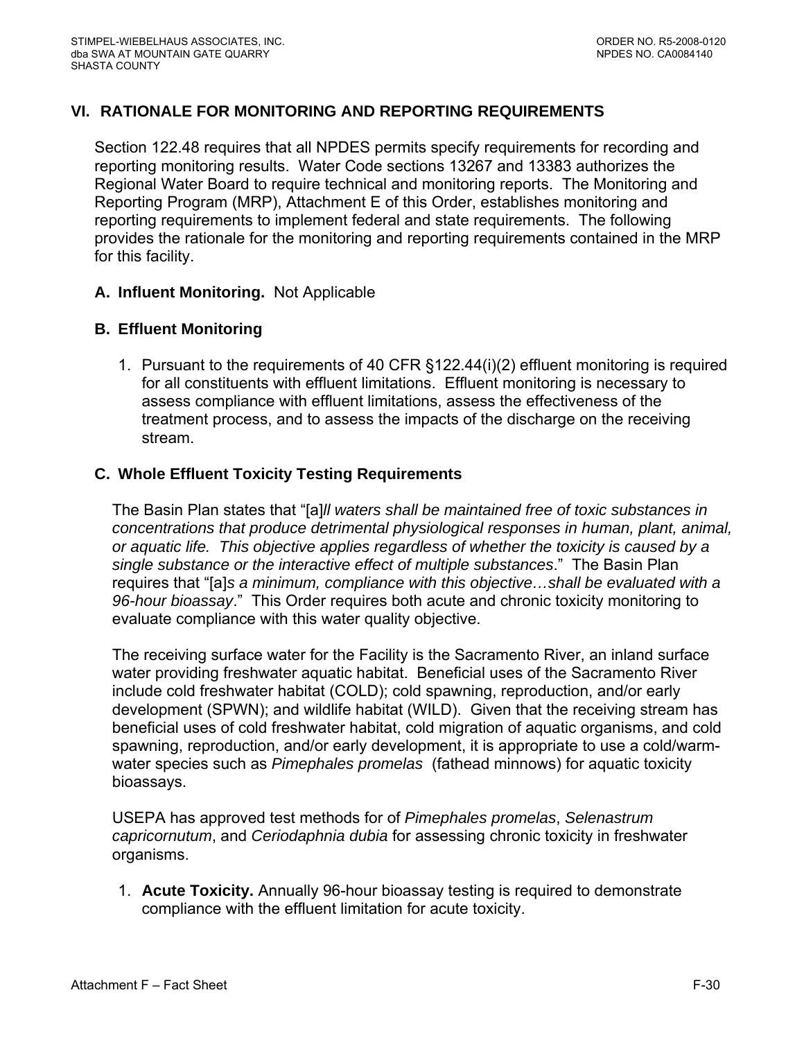# **VI. RATIONALE FOR MONITORING AND REPORTING REQUIREMENTS**

Section 122.48 requires that all NPDES permits specify requirements for recording and reporting monitoring results. Water Code sections 13267 and 13383 authorizes the Regional Water Board to require technical and monitoring reports. The Monitoring and Reporting Program (MRP), Attachment E of this Order, establishes monitoring and reporting requirements to implement federal and state requirements. The following provides the rationale for the monitoring and reporting requirements contained in the MRP for this facility.

### **A. Influent Monitoring.** Not Applicable

### **B. Effluent Monitoring**

1. Pursuant to the requirements of 40 CFR §122.44(i)(2) effluent monitoring is required for all constituents with effluent limitations. Effluent monitoring is necessary to assess compliance with effluent limitations, assess the effectiveness of the treatment process, and to assess the impacts of the discharge on the receiving stream.

### **C. Whole Effluent Toxicity Testing Requirements**

The Basin Plan states that "[a]*ll waters shall be maintained free of toxic substances in concentrations that produce detrimental physiological responses in human, plant, animal, or aquatic life. This objective applies regardless of whether the toxicity is caused by a single substance or the interactive effect of multiple substances*." The Basin Plan requires that "[a]*s a minimum, compliance with this objective…shall be evaluated with a 96-hour bioassay*." This Order requires both acute and chronic toxicity monitoring to evaluate compliance with this water quality objective.

The receiving surface water for the Facility is the Sacramento River, an inland surface water providing freshwater aquatic habitat. Beneficial uses of the Sacramento River include cold freshwater habitat (COLD); cold spawning, reproduction, and/or early development (SPWN); and wildlife habitat (WILD). Given that the receiving stream has beneficial uses of cold freshwater habitat, cold migration of aquatic organisms, and cold spawning, reproduction, and/or early development, it is appropriate to use a cold/warmwater species such as *Pimephales promelas* (fathead minnows) for aquatic toxicity bioassays.

USEPA has approved test methods for of *Pimephales promelas*, *Selenastrum capricornutum*, and *Ceriodaphnia dubia* for assessing chronic toxicity in freshwater organisms.

1. **Acute Toxicity.** Annually 96-hour bioassay testing is required to demonstrate compliance with the effluent limitation for acute toxicity.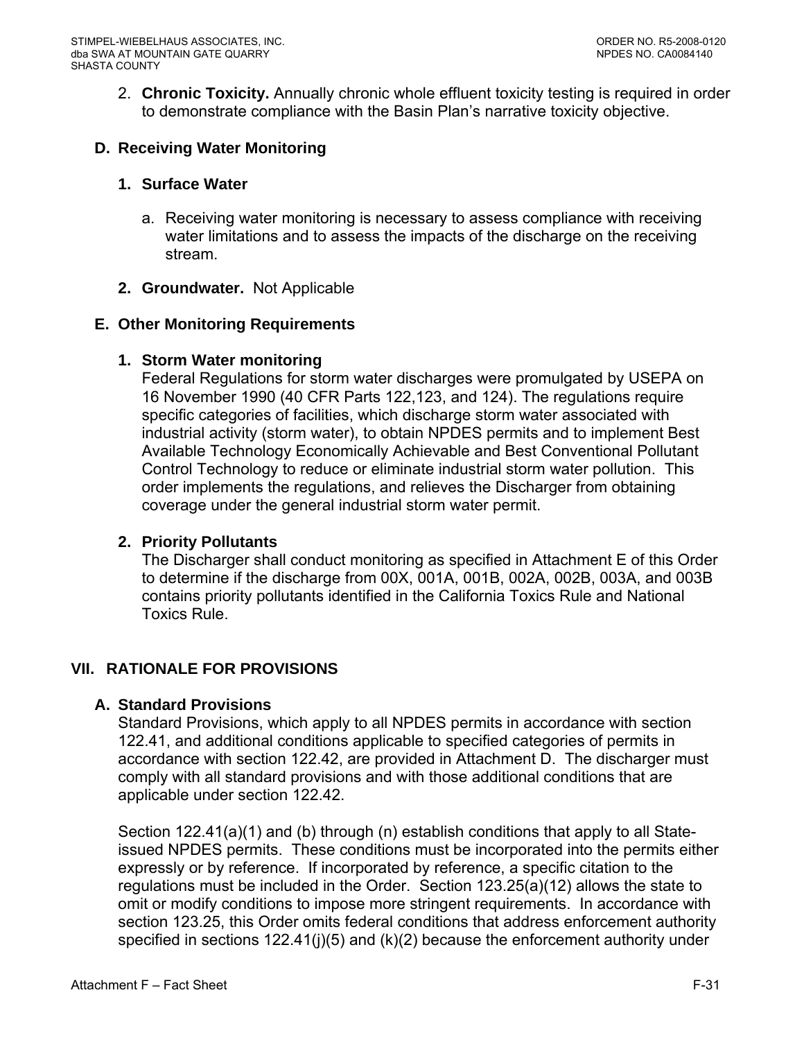2. **Chronic Toxicity.** Annually chronic whole effluent toxicity testing is required in order to demonstrate compliance with the Basin Plan's narrative toxicity objective.

## **D. Receiving Water Monitoring**

### **1. Surface Water**

- a. Receiving water monitoring is necessary to assess compliance with receiving water limitations and to assess the impacts of the discharge on the receiving stream.
- **2. Groundwater.** Not Applicable

### **E. Other Monitoring Requirements**

### **1. Storm Water monitoring**

Federal Regulations for storm water discharges were promulgated by USEPA on 16 November 1990 (40 CFR Parts 122,123, and 124). The regulations require specific categories of facilities, which discharge storm water associated with industrial activity (storm water), to obtain NPDES permits and to implement Best Available Technology Economically Achievable and Best Conventional Pollutant Control Technology to reduce or eliminate industrial storm water pollution. This order implements the regulations, and relieves the Discharger from obtaining coverage under the general industrial storm water permit.

#### **2. Priority Pollutants**

The Discharger shall conduct monitoring as specified in Attachment E of this Order to determine if the discharge from 00X, 001A, 001B, 002A, 002B, 003A, and 003B contains priority pollutants identified in the California Toxics Rule and National Toxics Rule.

### **VII. RATIONALE FOR PROVISIONS**

### **A. Standard Provisions**

Standard Provisions, which apply to all NPDES permits in accordance with section 122.41, and additional conditions applicable to specified categories of permits in accordance with section 122.42, are provided in Attachment D. The discharger must comply with all standard provisions and with those additional conditions that are applicable under section 122.42.

Section 122.41(a)(1) and (b) through (n) establish conditions that apply to all Stateissued NPDES permits. These conditions must be incorporated into the permits either expressly or by reference. If incorporated by reference, a specific citation to the regulations must be included in the Order. Section 123.25(a)(12) allows the state to omit or modify conditions to impose more stringent requirements. In accordance with section 123.25, this Order omits federal conditions that address enforcement authority specified in sections 122.41(j)(5) and (k)(2) because the enforcement authority under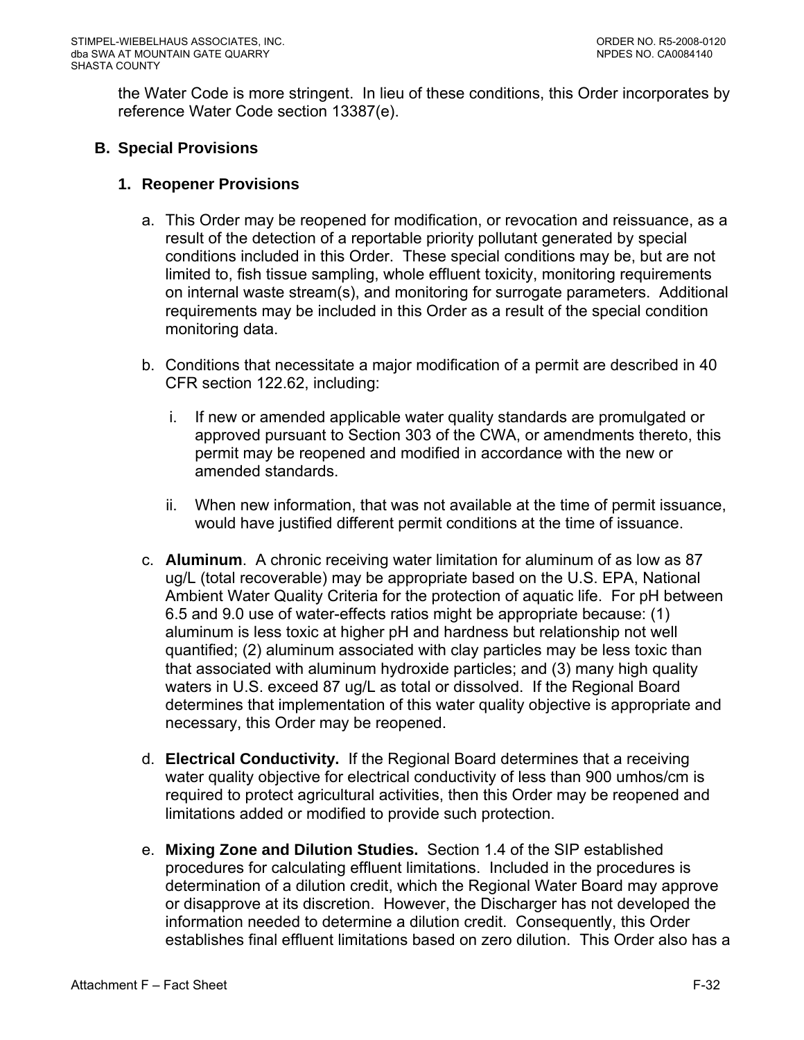the Water Code is more stringent. In lieu of these conditions, this Order incorporates by reference Water Code section 13387(e).

## **B. Special Provisions**

### **1. Reopener Provisions**

- a. This Order may be reopened for modification, or revocation and reissuance, as a result of the detection of a reportable priority pollutant generated by special conditions included in this Order. These special conditions may be, but are not limited to, fish tissue sampling, whole effluent toxicity, monitoring requirements on internal waste stream(s), and monitoring for surrogate parameters. Additional requirements may be included in this Order as a result of the special condition monitoring data.
- b. Conditions that necessitate a major modification of a permit are described in 40 CFR section 122.62, including:
	- i. If new or amended applicable water quality standards are promulgated or approved pursuant to Section 303 of the CWA, or amendments thereto, this permit may be reopened and modified in accordance with the new or amended standards.
	- ii. When new information, that was not available at the time of permit issuance, would have justified different permit conditions at the time of issuance.
- c. **Aluminum**. A chronic receiving water limitation for aluminum of as low as 87 ug/L (total recoverable) may be appropriate based on the U.S. EPA, National Ambient Water Quality Criteria for the protection of aquatic life. For pH between 6.5 and 9.0 use of water-effects ratios might be appropriate because: (1) aluminum is less toxic at higher pH and hardness but relationship not well quantified; (2) aluminum associated with clay particles may be less toxic than that associated with aluminum hydroxide particles; and (3) many high quality waters in U.S. exceed 87 ug/L as total or dissolved. If the Regional Board determines that implementation of this water quality objective is appropriate and necessary, this Order may be reopened.
- d. **Electrical Conductivity.** If the Regional Board determines that a receiving water quality objective for electrical conductivity of less than 900 umhos/cm is required to protect agricultural activities, then this Order may be reopened and limitations added or modified to provide such protection.
- e. **Mixing Zone and Dilution Studies.** Section 1.4 of the SIP established procedures for calculating effluent limitations. Included in the procedures is determination of a dilution credit, which the Regional Water Board may approve or disapprove at its discretion. However, the Discharger has not developed the information needed to determine a dilution credit. Consequently, this Order establishes final effluent limitations based on zero dilution. This Order also has a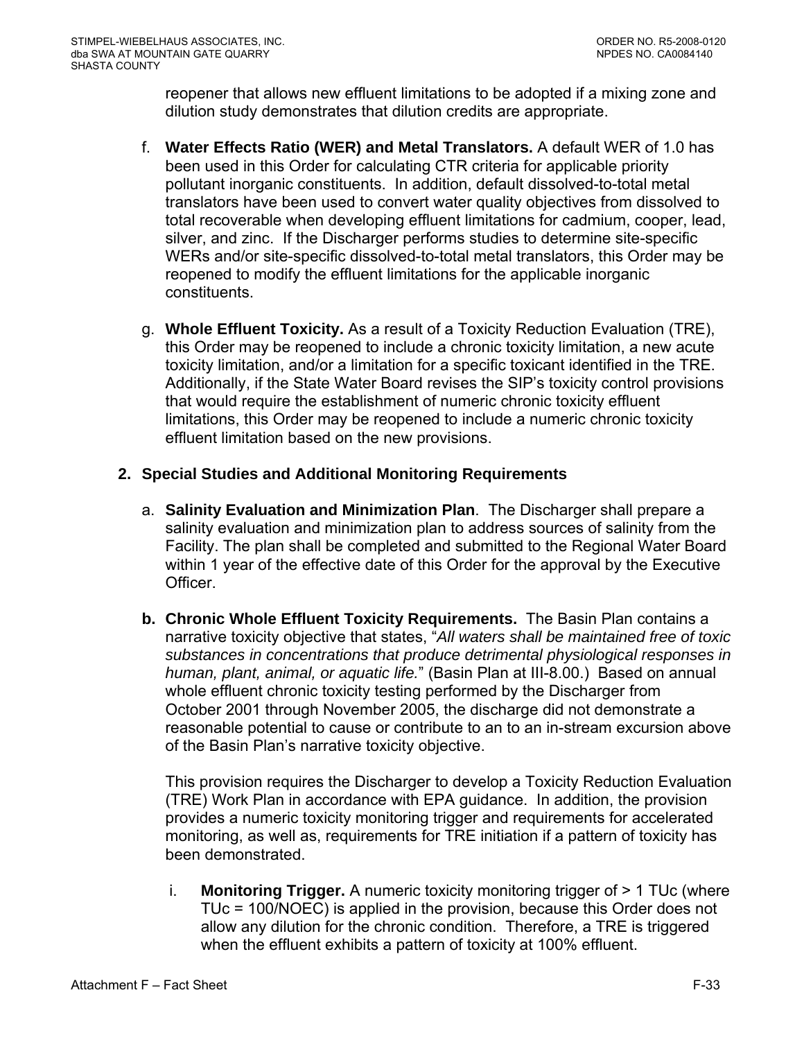reopener that allows new effluent limitations to be adopted if a mixing zone and dilution study demonstrates that dilution credits are appropriate.

- f. **Water Effects Ratio (WER) and Metal Translators.** A default WER of 1.0 has been used in this Order for calculating CTR criteria for applicable priority pollutant inorganic constituents.In addition, default dissolved-to-total metal translators have been used to convert water quality objectives from dissolved to total recoverable when developing effluent limitations for cadmium, cooper, lead, silver, and zinc. If the Discharger performs studies to determine site-specific WERs and/or site-specific dissolved-to-total metal translators, this Order may be reopened to modify the effluent limitations for the applicable inorganic constituents.
- g. **Whole Effluent Toxicity.** As a result of a Toxicity Reduction Evaluation (TRE), this Order may be reopened to include a chronic toxicity limitation, a new acute toxicity limitation, and/or a limitation for a specific toxicant identified in the TRE. Additionally, if the State Water Board revises the SIP's toxicity control provisions that would require the establishment of numeric chronic toxicity effluent limitations, this Order may be reopened to include a numeric chronic toxicity effluent limitation based on the new provisions.

# **2. Special Studies and Additional Monitoring Requirements**

- a. **Salinity Evaluation and Minimization Plan**. The Discharger shall prepare a salinity evaluation and minimization plan to address sources of salinity from the Facility. The plan shall be completed and submitted to the Regional Water Board within 1 year of the effective date of this Order for the approval by the Executive Officer.
- **b. Chronic Whole Effluent Toxicity Requirements.** The Basin Plan contains a narrative toxicity objective that states, "*All waters shall be maintained free of toxic substances in concentrations that produce detrimental physiological responses in human, plant, animal, or aquatic life.*" (Basin Plan at III-8.00.) Based on annual whole effluent chronic toxicity testing performed by the Discharger from October 2001 through November 2005, the discharge did not demonstrate a reasonable potential to cause or contribute to an to an in-stream excursion above of the Basin Plan's narrative toxicity objective.

This provision requires the Discharger to develop a Toxicity Reduction Evaluation (TRE) Work Plan in accordance with EPA guidance. In addition, the provision provides a numeric toxicity monitoring trigger and requirements for accelerated monitoring, as well as, requirements for TRE initiation if a pattern of toxicity has been demonstrated.

i. **Monitoring Trigger.** A numeric toxicity monitoring trigger of > 1 TUc (where TUc = 100/NOEC) is applied in the provision, because this Order does not allow any dilution for the chronic condition. Therefore, a TRE is triggered when the effluent exhibits a pattern of toxicity at 100% effluent.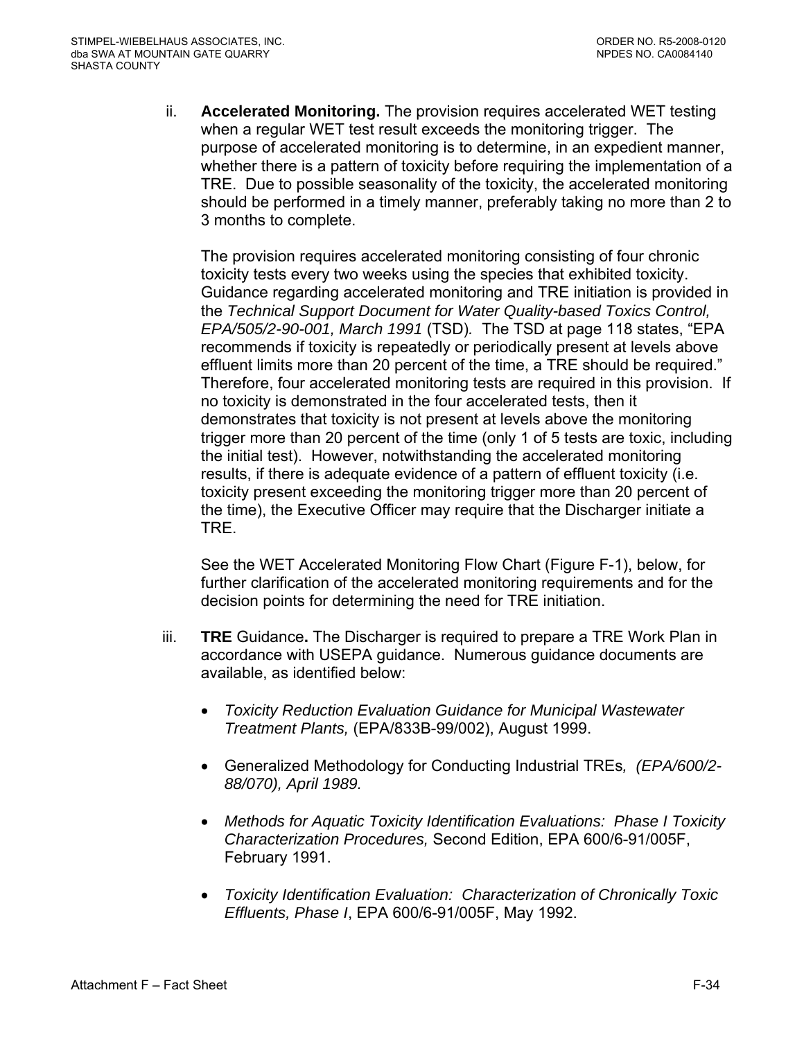ii. **Accelerated Monitoring.** The provision requires accelerated WET testing when a regular WET test result exceeds the monitoring trigger. The purpose of accelerated monitoring is to determine, in an expedient manner, whether there is a pattern of toxicity before requiring the implementation of a TRE. Due to possible seasonality of the toxicity, the accelerated monitoring should be performed in a timely manner, preferably taking no more than 2 to 3 months to complete.

The provision requires accelerated monitoring consisting of four chronic toxicity tests every two weeks using the species that exhibited toxicity. Guidance regarding accelerated monitoring and TRE initiation is provided in the *Technical Support Document for Water Quality-based Toxics Control, EPA/505/2-90-001, March 1991* (TSD)*.* The TSD at page 118 states, "EPA recommends if toxicity is repeatedly or periodically present at levels above effluent limits more than 20 percent of the time, a TRE should be required." Therefore, four accelerated monitoring tests are required in this provision. If no toxicity is demonstrated in the four accelerated tests, then it demonstrates that toxicity is not present at levels above the monitoring trigger more than 20 percent of the time (only 1 of 5 tests are toxic, including the initial test). However, notwithstanding the accelerated monitoring results, if there is adequate evidence of a pattern of effluent toxicity (i.e. toxicity present exceeding the monitoring trigger more than 20 percent of the time), the Executive Officer may require that the Discharger initiate a TRE.

See the WET Accelerated Monitoring Flow Chart (Figure F-1), below, for further clarification of the accelerated monitoring requirements and for the decision points for determining the need for TRE initiation.

- iii. **TRE** Guidance**.** The Discharger is required to prepare a TRE Work Plan in accordance with USEPA guidance. Numerous guidance documents are available, as identified below:
	- *Toxicity Reduction Evaluation Guidance for Municipal Wastewater Treatment Plants,* (EPA/833B-99/002), August 1999.
	- Generalized Methodology for Conducting Industrial TREs*, (EPA/600/2- 88/070), April 1989.*
	- *Methods for Aquatic Toxicity Identification Evaluations: Phase I Toxicity Characterization Procedures,* Second Edition, EPA 600/6-91/005F, February 1991.
	- *Toxicity Identification Evaluation: Characterization of Chronically Toxic Effluents, Phase I*, EPA 600/6-91/005F, May 1992.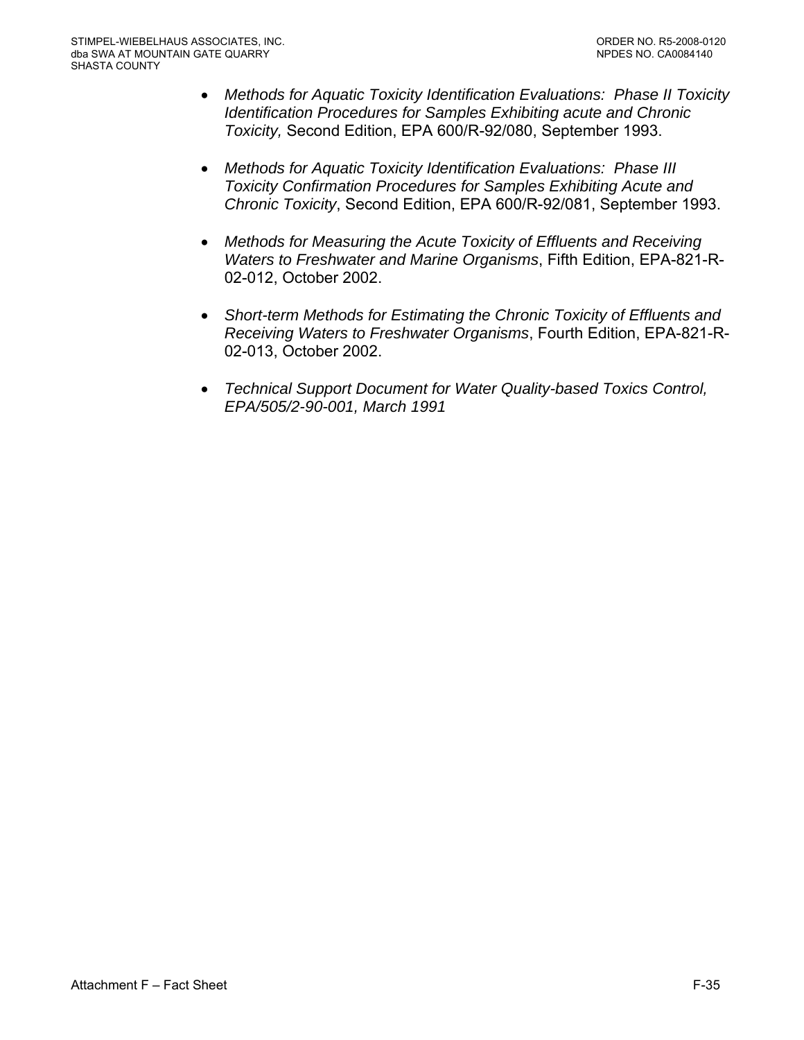- *Methods for Aquatic Toxicity Identification Evaluations: Phase II Toxicity Identification Procedures for Samples Exhibiting acute and Chronic Toxicity,* Second Edition, EPA 600/R-92/080, September 1993.
- *Methods for Aquatic Toxicity Identification Evaluations: Phase III Toxicity Confirmation Procedures for Samples Exhibiting Acute and Chronic Toxicity*, Second Edition, EPA 600/R-92/081, September 1993.
- *Methods for Measuring the Acute Toxicity of Effluents and Receiving Waters to Freshwater and Marine Organisms*, Fifth Edition, EPA-821-R-02-012, October 2002.
- *Short-term Methods for Estimating the Chronic Toxicity of Effluents and Receiving Waters to Freshwater Organisms*, Fourth Edition, EPA-821-R-02-013, October 2002.
- *Technical Support Document for Water Quality-based Toxics Control, EPA/505/2-90-001, March 1991*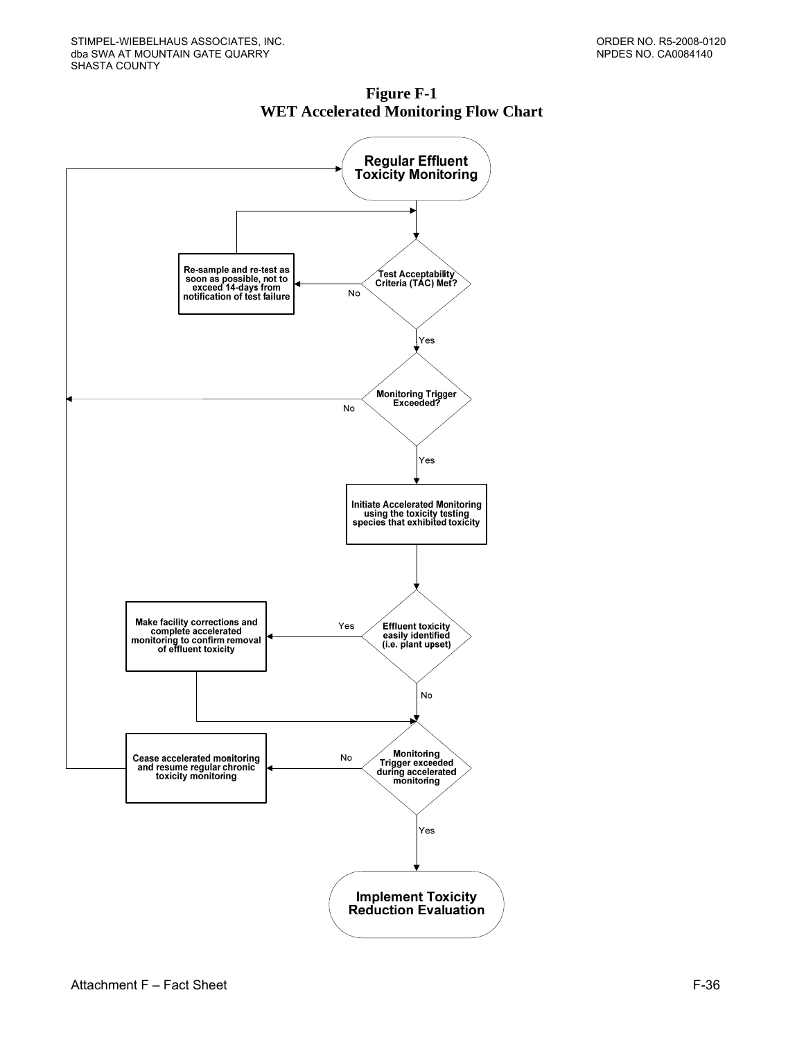

**Figure F-1 WET Accelerated Monitoring Flow Chart**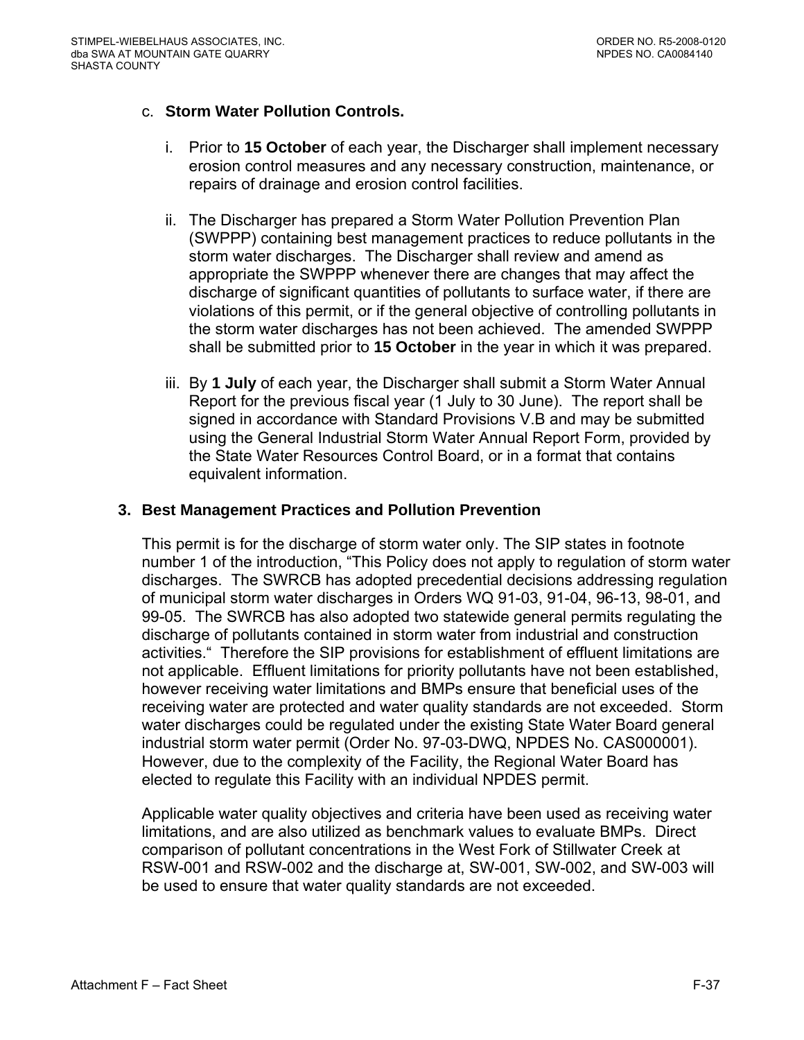## c. **Storm Water Pollution Controls.**

- i. Prior to **15 October** of each year, the Discharger shall implement necessary erosion control measures and any necessary construction, maintenance, or repairs of drainage and erosion control facilities.
- ii. The Discharger has prepared a Storm Water Pollution Prevention Plan (SWPPP) containing best management practices to reduce pollutants in the storm water discharges. The Discharger shall review and amend as appropriate the SWPPP whenever there are changes that may affect the discharge of significant quantities of pollutants to surface water, if there are violations of this permit, or if the general objective of controlling pollutants in the storm water discharges has not been achieved. The amended SWPPP shall be submitted prior to **15 October** in the year in which it was prepared.
- iii. By **1 July** of each year, the Discharger shall submit a Storm Water Annual Report for the previous fiscal year (1 July to 30 June). The report shall be signed in accordance with Standard Provisions V.B and may be submitted using the General Industrial Storm Water Annual Report Form, provided by the State Water Resources Control Board, or in a format that contains equivalent information.

### **3. Best Management Practices and Pollution Prevention**

This permit is for the discharge of storm water only. The SIP states in footnote number 1 of the introduction, "This Policy does not apply to regulation of storm water discharges. The SWRCB has adopted precedential decisions addressing regulation of municipal storm water discharges in Orders WQ 91-03, 91-04, 96-13, 98-01, and 99-05. The SWRCB has also adopted two statewide general permits regulating the discharge of pollutants contained in storm water from industrial and construction activities." Therefore the SIP provisions for establishment of effluent limitations are not applicable. Effluent limitations for priority pollutants have not been established, however receiving water limitations and BMPs ensure that beneficial uses of the receiving water are protected and water quality standards are not exceeded. Storm water discharges could be regulated under the existing State Water Board general industrial storm water permit (Order No. 97-03-DWQ, NPDES No. CAS000001). However, due to the complexity of the Facility, the Regional Water Board has elected to regulate this Facility with an individual NPDES permit.

Applicable water quality objectives and criteria have been used as receiving water limitations, and are also utilized as benchmark values to evaluate BMPs. Direct comparison of pollutant concentrations in the West Fork of Stillwater Creek at RSW-001 and RSW-002 and the discharge at, SW-001, SW-002, and SW-003 will be used to ensure that water quality standards are not exceeded.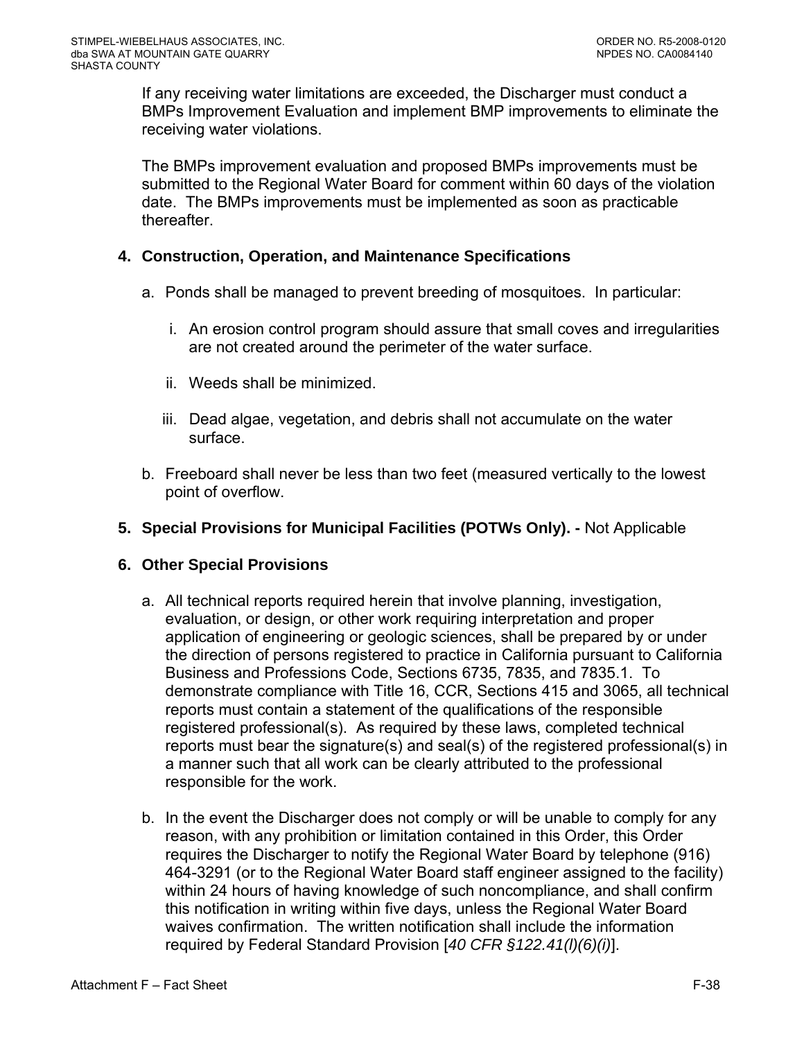If any receiving water limitations are exceeded, the Discharger must conduct a BMPs Improvement Evaluation and implement BMP improvements to eliminate the receiving water violations.

The BMPs improvement evaluation and proposed BMPs improvements must be submitted to the Regional Water Board for comment within 60 days of the violation date. The BMPs improvements must be implemented as soon as practicable thereafter.

### **4. Construction, Operation, and Maintenance Specifications**

- a. Ponds shall be managed to prevent breeding of mosquitoes. In particular:
	- i. An erosion control program should assure that small coves and irregularities are not created around the perimeter of the water surface.
	- ii. Weeds shall be minimized.
	- iii. Dead algae, vegetation, and debris shall not accumulate on the water surface.
- b. Freeboard shall never be less than two feet (measured vertically to the lowest point of overflow.
- **5. Special Provisions for Municipal Facilities (POTWs Only).** Not Applicable

### **6. Other Special Provisions**

- a. All technical reports required herein that involve planning, investigation, evaluation, or design, or other work requiring interpretation and proper application of engineering or geologic sciences, shall be prepared by or under the direction of persons registered to practice in California pursuant to California Business and Professions Code, Sections 6735, 7835, and 7835.1. To demonstrate compliance with Title 16, CCR, Sections 415 and 3065, all technical reports must contain a statement of the qualifications of the responsible registered professional(s). As required by these laws, completed technical reports must bear the signature(s) and seal(s) of the registered professional(s) in a manner such that all work can be clearly attributed to the professional responsible for the work.
- b. In the event the Discharger does not comply or will be unable to comply for any reason, with any prohibition or limitation contained in this Order, this Order requires the Discharger to notify the Regional Water Board by telephone (916) 464-3291 (or to the Regional Water Board staff engineer assigned to the facility) within 24 hours of having knowledge of such noncompliance, and shall confirm this notification in writing within five days, unless the Regional Water Board waives confirmation. The written notification shall include the information required by Federal Standard Provision [*40 CFR §122.41(l)(6)(i)*].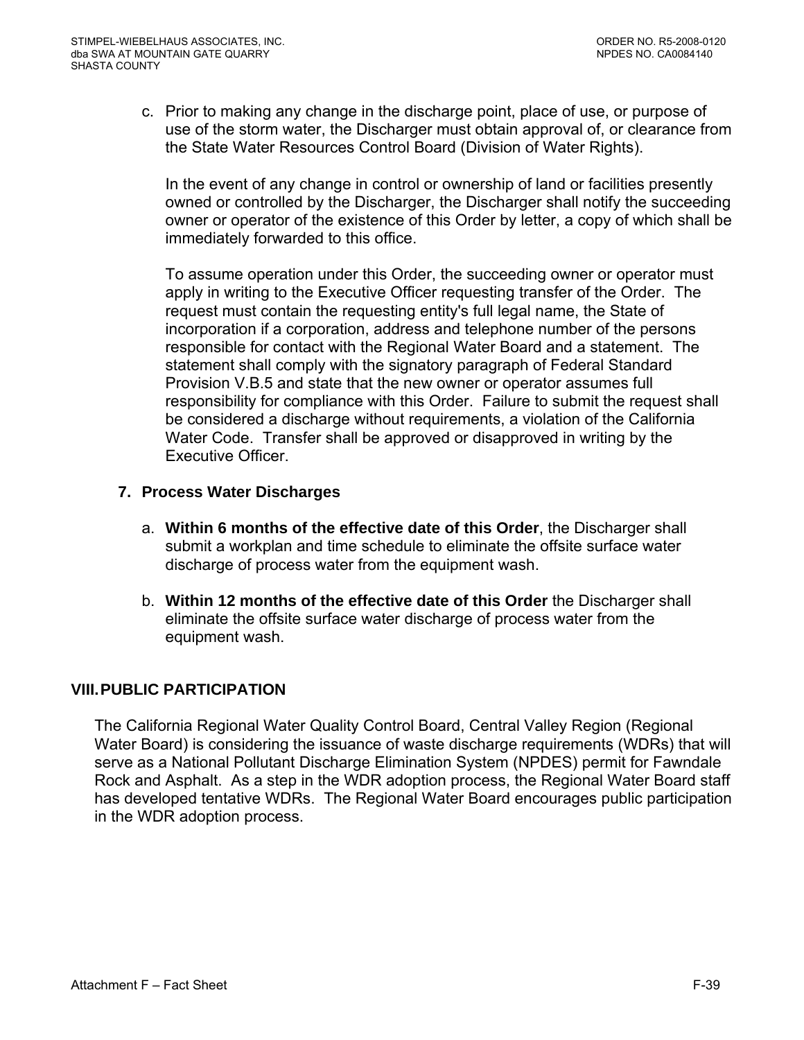c. Prior to making any change in the discharge point, place of use, or purpose of use of the storm water, the Discharger must obtain approval of, or clearance from the State Water Resources Control Board (Division of Water Rights).

In the event of any change in control or ownership of land or facilities presently owned or controlled by the Discharger, the Discharger shall notify the succeeding owner or operator of the existence of this Order by letter, a copy of which shall be immediately forwarded to this office.

To assume operation under this Order, the succeeding owner or operator must apply in writing to the Executive Officer requesting transfer of the Order. The request must contain the requesting entity's full legal name, the State of incorporation if a corporation, address and telephone number of the persons responsible for contact with the Regional Water Board and a statement. The statement shall comply with the signatory paragraph of Federal Standard Provision V.B.5 and state that the new owner or operator assumes full responsibility for compliance with this Order. Failure to submit the request shall be considered a discharge without requirements, a violation of the California Water Code. Transfer shall be approved or disapproved in writing by the Executive Officer.

## **7. Process Water Discharges**

- a. **Within 6 months of the effective date of this Order**, the Discharger shall submit a workplan and time schedule to eliminate the offsite surface water discharge of process water from the equipment wash.
- b. **Within 12 months of the effective date of this Order** the Discharger shall eliminate the offsite surface water discharge of process water from the equipment wash.

# **VIII. PUBLIC PARTICIPATION**

The California Regional Water Quality Control Board, Central Valley Region (Regional Water Board) is considering the issuance of waste discharge requirements (WDRs) that will serve as a National Pollutant Discharge Elimination System (NPDES) permit for Fawndale Rock and Asphalt. As a step in the WDR adoption process, the Regional Water Board staff has developed tentative WDRs. The Regional Water Board encourages public participation in the WDR adoption process.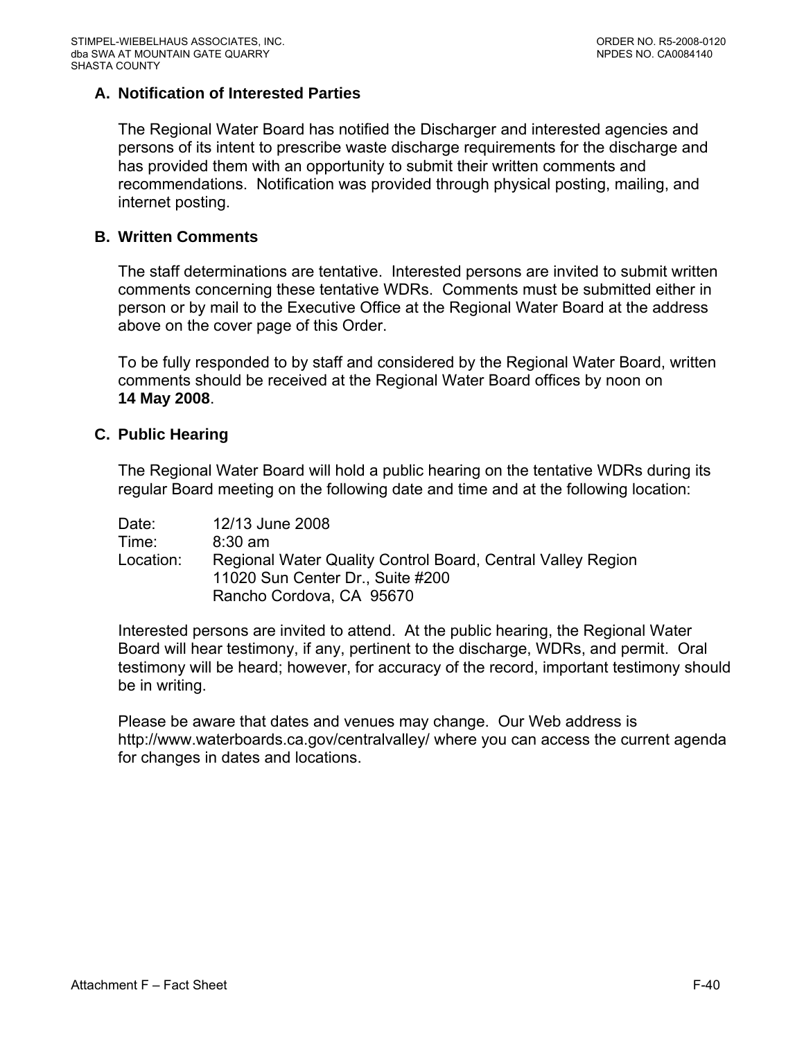### **A. Notification of Interested Parties**

The Regional Water Board has notified the Discharger and interested agencies and persons of its intent to prescribe waste discharge requirements for the discharge and has provided them with an opportunity to submit their written comments and recommendations. Notification was provided through physical posting, mailing, and internet posting.

### **B. Written Comments**

The staff determinations are tentative. Interested persons are invited to submit written comments concerning these tentative WDRs. Comments must be submitted either in person or by mail to the Executive Office at the Regional Water Board at the address above on the cover page of this Order.

To be fully responded to by staff and considered by the Regional Water Board, written comments should be received at the Regional Water Board offices by noon on **14 May 2008**.

#### **C. Public Hearing**

The Regional Water Board will hold a public hearing on the tentative WDRs during its regular Board meeting on the following date and time and at the following location:

| Date:     | 12/13 June 2008                                             |
|-----------|-------------------------------------------------------------|
| Time:     | $8:30 \text{ am}$                                           |
| Location: | Regional Water Quality Control Board, Central Valley Region |
|           | 11020 Sun Center Dr., Suite #200                            |
|           | Rancho Cordova, CA 95670                                    |

Interested persons are invited to attend. At the public hearing, the Regional Water Board will hear testimony, if any, pertinent to the discharge, WDRs, and permit. Oral testimony will be heard; however, for accuracy of the record, important testimony should be in writing.

Please be aware that dates and venues may change. Our Web address is http://www.waterboards.ca.gov/centralvalley/ where you can access the current agenda for changes in dates and locations.